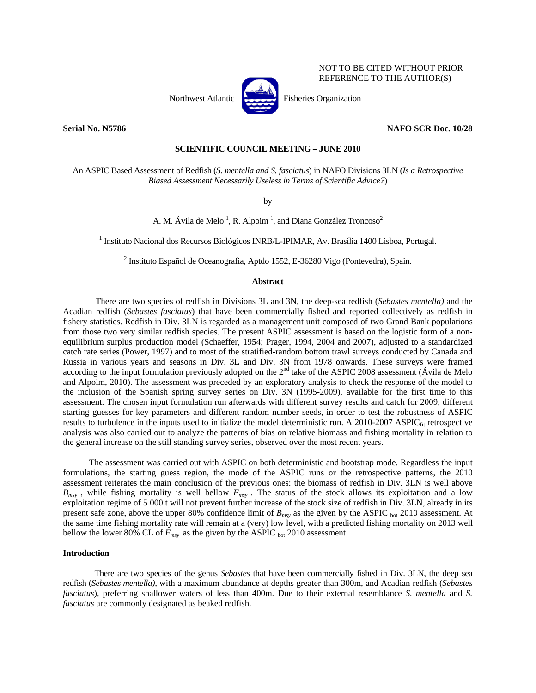

NOT TO BE CITED WITHOUT PRIOR REFERENCE TO THE AUTHOR(S)

Northwest Atlantic **Participal Fisheries Organization** 

**Serial No. N5786 NAFO SCR Doc. 10/28** 

# **SCIENTIFIC COUNCIL MEETING – JUNE 2010**

An ASPIC Based Assessment of Redfish (*S. mentella and S. fasciatus*) in NAFO Divisions 3LN (*Is a Retrospective Biased Assessment Necessarily Useless in Terms of Scientific Advice?*)

by

A. M. Ávila de Melo<sup>1</sup>, R. Alpoim<sup>1</sup>, and Diana González Troncoso<sup>2</sup>

<sup>1</sup> Instituto Nacional dos Recursos Biológicos INRB/L-IPIMAR, Av. Brasília 1400 Lisboa, Portugal.

<sup>2</sup> Instituto Español de Oceanografia, Aptdo 1552, E-36280 Vigo (Pontevedra), Spain.

### **Abstract**

There are two species of redfish in Divisions 3L and 3N, the deep-sea redfish (*Sebastes mentella)* and the Acadian redfish (*Sebastes fasciatus*) that have been commercially fished and reported collectively as redfish in fishery statistics. Redfish in Div. 3LN is regarded as a management unit composed of two Grand Bank populations from those two very similar redfish species. The present ASPIC assessment is based on the logistic form of a nonequilibrium surplus production model (Schaeffer, 1954; Prager, 1994, 2004 and 2007), adjusted to a standardized catch rate series (Power, 1997) and to most of the stratified-random bottom trawl surveys conducted by Canada and Russia in various years and seasons in Div. 3L and Div. 3N from 1978 onwards. These surveys were framed according to the input formulation previously adopted on the  $2<sup>nd</sup>$  take of the ASPIC 2008 assessment (Ávila de Melo and Alpoim, 2010). The assessment was preceded by an exploratory analysis to check the response of the model to the inclusion of the Spanish spring survey series on Div. 3N (1995-2009), available for the first time to this assessment. The chosen input formulation run afterwards with different survey results and catch for 2009, different starting guesses for key parameters and different random number seeds, in order to test the robustness of ASPIC results to turbulence in the inputs used to initialize the model deterministic run. A 2010-2007 ASPIC<sub>fit</sub> retrospective analysis was also carried out to analyze the patterns of bias on relative biomass and fishing mortality in relation to the general increase on the still standing survey series, observed over the most recent years.

The assessment was carried out with ASPIC on both deterministic and bootstrap mode. Regardless the input formulations, the starting guess region, the mode of the ASPIC runs or the retrospective patterns, the 2010 assessment reiterates the main conclusion of the previous ones: the biomass of redfish in Div. 3LN is well above  $B_{msv}$ , while fishing mortality is well bellow  $F_{msv}$ . The status of the stock allows its exploitation and a low exploitation regime of 5 000 t will not prevent further increase of the stock size of redfish in Div. 3LN, already in its present safe zone, above the upper 80% confidence limit of  $B_{msy}$  as the given by the ASPIC <sub>bot</sub> 2010 assessment. At the same time fishing mortality rate will remain at a (very) low level, with a predicted fishing mortality on 2013 well bellow the lower 80% CL of  $F_{msy}$  as the given by the ASPIC <sub>bot</sub> 2010 assessment.

### **Introduction**

There are two species of the genus *Sebastes* that have been commercially fished in Div. 3LN, the deep sea redfish (*Sebastes mentella)*, with a maximum abundance at depths greater than 300m, and Acadian redfish (*Sebastes fasciatus*), preferring shallower waters of less than 400m. Due to their external resemblance *S. mentella* and *S. fasciatus* are commonly designated as beaked redfish.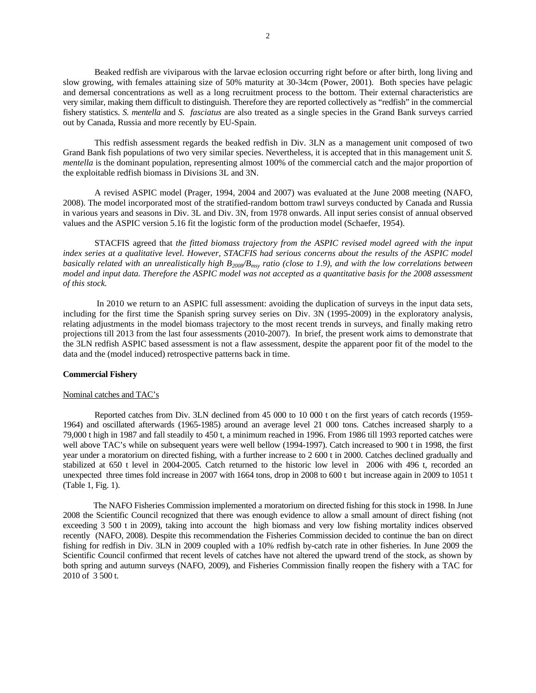Beaked redfish are viviparous with the larvae eclosion occurring right before or after birth, long living and slow growing, with females attaining size of 50% maturity at 30-34cm (Power, 2001). Both species have pelagic and demersal concentrations as well as a long recruitment process to the bottom. Their external characteristics are very similar, making them difficult to distinguish. Therefore they are reported collectively as "redfish" in the commercial fishery statistics. *S. mentella* and *S. fasciatus* are also treated as a single species in the Grand Bank surveys carried out by Canada, Russia and more recently by EU-Spain.

This redfish assessment regards the beaked redfish in Div. 3LN as a management unit composed of two Grand Bank fish populations of two very similar species. Nevertheless, it is accepted that in this management unit *S. mentella* is the dominant population, representing almost 100% of the commercial catch and the major proportion of the exploitable redfish biomass in Divisions 3L and 3N.

A revised ASPIC model (Prager, 1994, 2004 and 2007) was evaluated at the June 2008 meeting (NAFO, 2008). The model incorporated most of the stratified-random bottom trawl surveys conducted by Canada and Russia in various years and seasons in Div. 3L and Div. 3N, from 1978 onwards. All input series consist of annual observed values and the ASPIC version 5.16 fit the logistic form of the production model (Schaefer, 1954).

STACFIS agreed that *the fitted biomass trajectory from the ASPIC revised model agreed with the input index series at a qualitative level. However, STACFIS had serious concerns about the results of the ASPIC model basically related with an unrealistically high B2008/Bmsy ratio (close to 1.9), and with the low correlations between model and input data. Therefore the ASPIC model was not accepted as a quantitative basis for the 2008 assessment of this stock.* 

 In 2010 we return to an ASPIC full assessment: avoiding the duplication of surveys in the input data sets, including for the first time the Spanish spring survey series on Div. 3N (1995-2009) in the exploratory analysis, relating adjustments in the model biomass trajectory to the most recent trends in surveys, and finally making retro projections till 2013 from the last four assessments (2010-2007). In brief, the present work aims to demonstrate that the 3LN redfish ASPIC based assessment is not a flaw assessment, despite the apparent poor fit of the model to the data and the (model induced) retrospective patterns back in time.

# **Commercial Fishery**

### Nominal catches and TAC's

 Reported catches from Div. 3LN declined from 45 000 to 10 000 t on the first years of catch records (1959- 1964) and oscillated afterwards (1965-1985) around an average level 21 000 tons. Catches increased sharply to a 79,000 t high in 1987 and fall steadily to 450 t, a minimum reached in 1996. From 1986 till 1993 reported catches were well above TAC's while on subsequent years were well bellow (1994-1997). Catch increased to 900 t in 1998, the first year under a moratorium on directed fishing, with a further increase to 2 600 t in 2000. Catches declined gradually and stabilized at 650 t level in 2004-2005. Catch returned to the historic low level in 2006 with 496 t, recorded an unexpected three times fold increase in 2007 with 1664 tons, drop in 2008 to 600 t but increase again in 2009 to 1051 t (Table 1, Fig. 1).

The NAFO Fisheries Commission implemented a moratorium on directed fishing for this stock in 1998. In June 2008 the Scientific Council recognized that there was enough evidence to allow a small amount of direct fishing (not exceeding 3 500 t in 2009), taking into account the high biomass and very low fishing mortality indices observed recently (NAFO, 2008). Despite this recommendation the Fisheries Commission decided to continue the ban on direct fishing for redfish in Div. 3LN in 2009 coupled with a 10% redfish by-catch rate in other fisheries. In June 2009 the Scientific Council confirmed that recent levels of catches have not altered the upward trend of the stock, as shown by both spring and autumn surveys (NAFO, 2009), and Fisheries Commission finally reopen the fishery with a TAC for 2010 of 3 500 t.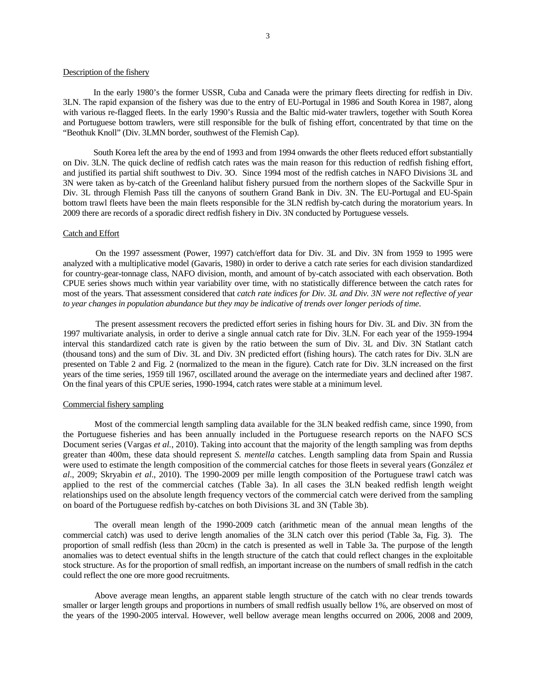## Description of the fishery

In the early 1980's the former USSR, Cuba and Canada were the primary fleets directing for redfish in Div. 3LN. The rapid expansion of the fishery was due to the entry of EU-Portugal in 1986 and South Korea in 1987, along with various re-flagged fleets. In the early 1990's Russia and the Baltic mid-water trawlers, together with South Korea and Portuguese bottom trawlers, were still responsible for the bulk of fishing effort, concentrated by that time on the "Beothuk Knoll" (Div. 3LMN border, southwest of the Flemish Cap).

South Korea left the area by the end of 1993 and from 1994 onwards the other fleets reduced effort substantially on Div. 3LN. The quick decline of redfish catch rates was the main reason for this reduction of redfish fishing effort, and justified its partial shift southwest to Div. 3O. Since 1994 most of the redfish catches in NAFO Divisions 3L and 3N were taken as by-catch of the Greenland halibut fishery pursued from the northern slopes of the Sackville Spur in Div. 3L through Flemish Pass till the canyons of southern Grand Bank in Div. 3N. The EU-Portugal and EU-Spain bottom trawl fleets have been the main fleets responsible for the 3LN redfish by-catch during the moratorium years. In 2009 there are records of a sporadic direct redfish fishery in Div. 3N conducted by Portuguese vessels.

### Catch and Effort

On the 1997 assessment (Power, 1997) catch/effort data for Div. 3L and Div. 3N from 1959 to 1995 were analyzed with a multiplicative model (Gavaris, 1980) in order to derive a catch rate series for each division standardized for country-gear-tonnage class, NAFO division, month, and amount of by-catch associated with each observation. Both CPUE series shows much within year variability over time, with no statistically difference between the catch rates for most of the years. That assessment considered that *catch rate indices for Div. 3L and Div. 3N were not reflective of year to year changes in population abundance but they may be indicative of trends over longer periods of time*.

The present assessment recovers the predicted effort series in fishing hours for Div. 3L and Div. 3N from the 1997 multivariate analysis, in order to derive a single annual catch rate for Div. 3LN. For each year of the 1959-1994 interval this standardized catch rate is given by the ratio between the sum of Div. 3L and Div. 3N Statlant catch (thousand tons) and the sum of Div. 3L and Div. 3N predicted effort (fishing hours). The catch rates for Div. 3LN are presented on Table 2 and Fig. 2 (normalized to the mean in the figure). Catch rate for Div. 3LN increased on the first years of the time series, 1959 till 1967, oscillated around the average on the intermediate years and declined after 1987. On the final years of this CPUE series, 1990-1994, catch rates were stable at a minimum level.

## Commercial fishery sampling

Most of the commercial length sampling data available for the 3LN beaked redfish came, since 1990, from the Portuguese fisheries and has been annually included in the Portuguese research reports on the NAFO SCS Document series (Vargas *et al.*, 2010). Taking into account that the majority of the length sampling was from depths greater than 400m, these data should represent *S. mentella* catches. Length sampling data from Spain and Russia were used to estimate the length composition of the commercial catches for those fleets in several years (González *et al*., 2009; Skryabin *et al*., 2010). The 1990-2009 per mille length composition of the Portuguese trawl catch was applied to the rest of the commercial catches (Table 3a). In all cases the 3LN beaked redfish length weight relationships used on the absolute length frequency vectors of the commercial catch were derived from the sampling on board of the Portuguese redfish by-catches on both Divisions 3L and 3N (Table 3b).

The overall mean length of the 1990-2009 catch (arithmetic mean of the annual mean lengths of the commercial catch) was used to derive length anomalies of the 3LN catch over this period (Table 3a, Fig. 3). The proportion of small redfish (less than 20cm) in the catch is presented as well in Table 3a. The purpose of the length anomalies was to detect eventual shifts in the length structure of the catch that could reflect changes in the exploitable stock structure. As for the proportion of small redfish, an important increase on the numbers of small redfish in the catch could reflect the one ore more good recruitments.

Above average mean lengths, an apparent stable length structure of the catch with no clear trends towards smaller or larger length groups and proportions in numbers of small redfish usually bellow 1%, are observed on most of the years of the 1990-2005 interval. However, well bellow average mean lengths occurred on 2006, 2008 and 2009,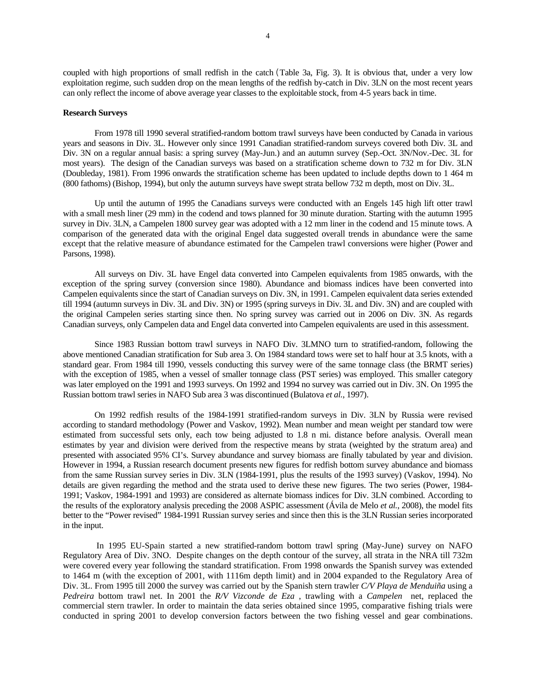coupled with high proportions of small redfish in the catch(Table 3a, Fig. 3). It is obvious that, under a very low exploitation regime, such sudden drop on the mean lengths of the redfish by-catch in Div. 3LN on the most recent years can only reflect the income of above average year classes to the exploitable stock, from 4-5 years back in time.

### **Research Surveys**

 From 1978 till 1990 several stratified-random bottom trawl surveys have been conducted by Canada in various years and seasons in Div. 3L. However only since 1991 Canadian stratified-random surveys covered both Div. 3L and Div. 3N on a regular annual basis: a spring survey (May-Jun.) and an autumn survey (Sep.-Oct. 3N/Nov.-Dec. 3L for most years). The design of the Canadian surveys was based on a stratification scheme down to 732 m for Div. 3LN (Doubleday, 1981). From 1996 onwards the stratification scheme has been updated to include depths down to 1 464 m (800 fathoms) (Bishop, 1994), but only the autumn surveys have swept strata bellow 732 m depth, most on Div. 3L.

 Up until the autumn of 1995 the Canadians surveys were conducted with an Engels 145 high lift otter trawl with a small mesh liner (29 mm) in the codend and tows planned for 30 minute duration. Starting with the autumn 1995 survey in Div. 3LN, a Campelen 1800 survey gear was adopted with a 12 mm liner in the codend and 15 minute tows. A comparison of the generated data with the original Engel data suggested overall trends in abundance were the same except that the relative measure of abundance estimated for the Campelen trawl conversions were higher (Power and Parsons, 1998).

All surveys on Div. 3L have Engel data converted into Campelen equivalents from 1985 onwards, with the exception of the spring survey (conversion since 1980). Abundance and biomass indices have been converted into Campelen equivalents since the start of Canadian surveys on Div. 3N, in 1991. Campelen equivalent data series extended till 1994 (autumn surveys in Div. 3L and Div. 3N) or 1995 (spring surveys in Div. 3L and Div. 3N) and are coupled with the original Campelen series starting since then. No spring survey was carried out in 2006 on Div. 3N. As regards Canadian surveys, only Campelen data and Engel data converted into Campelen equivalents are used in this assessment.

Since 1983 Russian bottom trawl surveys in NAFO Div. 3LMNO turn to stratified-random, following the above mentioned Canadian stratification for Sub area 3. On 1984 standard tows were set to half hour at 3.5 knots, with a standard gear. From 1984 till 1990, vessels conducting this survey were of the same tonnage class (the BRMT series) with the exception of 1985, when a vessel of smaller tonnage class (PST series) was employed. This smaller category was later employed on the 1991 and 1993 surveys. On 1992 and 1994 no survey was carried out in Div. 3N. On 1995 the Russian bottom trawl series in NAFO Sub area 3 was discontinued (Bulatova *et al.*, 1997).

On 1992 redfish results of the 1984-1991 stratified-random surveys in Div. 3LN by Russia were revised according to standard methodology (Power and Vaskov, 1992). Mean number and mean weight per standard tow were estimated from successful sets only, each tow being adjusted to 1.8 n mi. distance before analysis. Overall mean estimates by year and division were derived from the respective means by strata (weighted by the stratum area) and presented with associated 95% CI's. Survey abundance and survey biomass are finally tabulated by year and division. However in 1994, a Russian research document presents new figures for redfish bottom survey abundance and biomass from the same Russian survey series in Div. 3LN (1984-1991, plus the results of the 1993 survey) (Vaskov, 1994). No details are given regarding the method and the strata used to derive these new figures. The two series (Power, 1984- 1991; Vaskov, 1984-1991 and 1993) are considered as alternate biomass indices for Div. 3LN combined. According to the results of the exploratory analysis preceding the 2008 ASPIC assessment (Ávila de Melo *et al.*, 2008), the model fits better to the "Power revised" 1984-1991 Russian survey series and since then this is the 3LN Russian series incorporated in the input.

 In 1995 EU-Spain started a new stratified-random bottom trawl spring (May-June) survey on NAFO Regulatory Area of Div. 3NO. Despite changes on the depth contour of the survey, all strata in the NRA till 732m were covered every year following the standard stratification. From 1998 onwards the Spanish survey was extended to 1464 m (with the exception of 2001, with 1116m depth limit) and in 2004 expanded to the Regulatory Area of Div. 3L. From 1995 till 2000 the survey was carried out by the Spanish stern trawler *C/V Playa de Menduiña* using a *Pedreira* bottom trawl net. In 2001 the *R/V Vizconde de Eza* , trawling with a *Campelen* net, replaced the commercial stern trawler. In order to maintain the data series obtained since 1995, comparative fishing trials were conducted in spring 2001 to develop conversion factors between the two fishing vessel and gear combinations.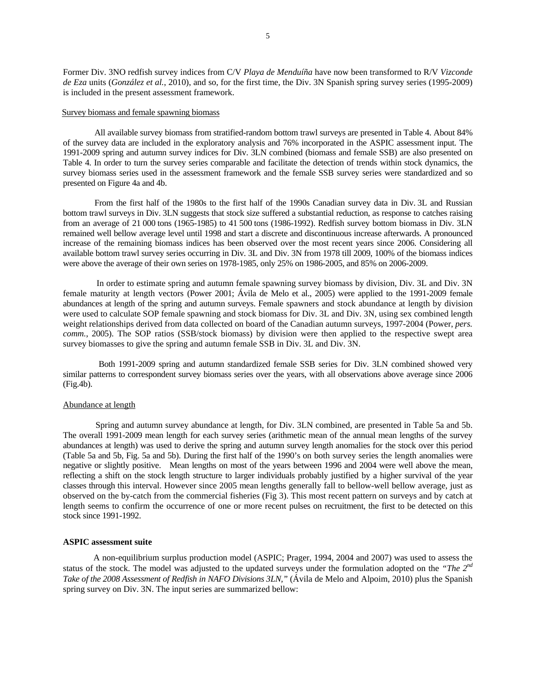Former Div. 3NO redfish survey indices from C/V *Playa de Menduíña* have now been transformed to R/V *Vizconde de Eza* units (*González et al.*, 2010), and so, for the first time, the Div. 3N Spanish spring survey series (1995-2009) is included in the present assessment framework.

### Survey biomass and female spawning biomass

All available survey biomass from stratified-random bottom trawl surveys are presented in Table 4. About 84% of the survey data are included in the exploratory analysis and 76% incorporated in the ASPIC assessment input. The 1991-2009 spring and autumn survey indices for Div. 3LN combined (biomass and female SSB) are also presented on Table 4. In order to turn the survey series comparable and facilitate the detection of trends within stock dynamics, the survey biomass series used in the assessment framework and the female SSB survey series were standardized and so presented on Figure 4a and 4b.

From the first half of the 1980s to the first half of the 1990s Canadian survey data in Div. 3L and Russian bottom trawl surveys in Div. 3LN suggests that stock size suffered a substantial reduction, as response to catches raising from an average of 21 000 tons (1965-1985) to 41 500 tons (1986-1992). Redfish survey bottom biomass in Div. 3LN remained well bellow average level until 1998 and start a discrete and discontinuous increase afterwards. A pronounced increase of the remaining biomass indices has been observed over the most recent years since 2006. Considering all available bottom trawl survey series occurring in Div. 3L and Div. 3N from 1978 till 2009, 100% of the biomass indices were above the average of their own series on 1978-1985, only 25% on 1986-2005, and 85% on 2006-2009.

In order to estimate spring and autumn female spawning survey biomass by division, Div. 3L and Div. 3N female maturity at length vectors (Power 2001; Ávila de Melo et al., 2005) were applied to the 1991-2009 female abundances at length of the spring and autumn surveys. Female spawners and stock abundance at length by division were used to calculate SOP female spawning and stock biomass for Div. 3L and Div. 3N, using sex combined length weight relationships derived from data collected on board of the Canadian autumn surveys, 1997-2004 (Power, *pers. comm.*, 2005). The SOP ratios (SSB/stock biomass) by division were then applied to the respective swept area survey biomasses to give the spring and autumn female SSB in Div. 3L and Div. 3N.

 Both 1991-2009 spring and autumn standardized female SSB series for Div. 3LN combined showed very similar patterns to correspondent survey biomass series over the years, with all observations above average since 2006 (Fig.4b).

# Abundance at length

Spring and autumn survey abundance at length, for Div. 3LN combined, are presented in Table 5a and 5b. The overall 1991-2009 mean length for each survey series (arithmetic mean of the annual mean lengths of the survey abundances at length) was used to derive the spring and autumn survey length anomalies for the stock over this period (Table 5a and 5b, Fig. 5a and 5b). During the first half of the 1990's on both survey series the length anomalies were negative or slightly positive. Mean lengths on most of the years between 1996 and 2004 were well above the mean, reflecting a shift on the stock length structure to larger individuals probably justified by a higher survival of the year classes through this interval. However since 2005 mean lengths generally fall to bellow-well bellow average, just as observed on the by-catch from the commercial fisheries (Fig 3). This most recent pattern on surveys and by catch at length seems to confirm the occurrence of one or more recent pulses on recruitment, the first to be detected on this stock since 1991-1992.

#### **ASPIC assessment suite**

A non-equilibrium surplus production model (ASPIC; Prager, 1994, 2004 and 2007) was used to assess the status of the stock. The model was adjusted to the updated surveys under the formulation adopted on the *"The 2nd Take of the 2008 Assessment of Redfish in NAFO Divisions 3LN,"* (Ávila de Melo and Alpoim, 2010) plus the Spanish spring survey on Div. 3N. The input series are summarized bellow: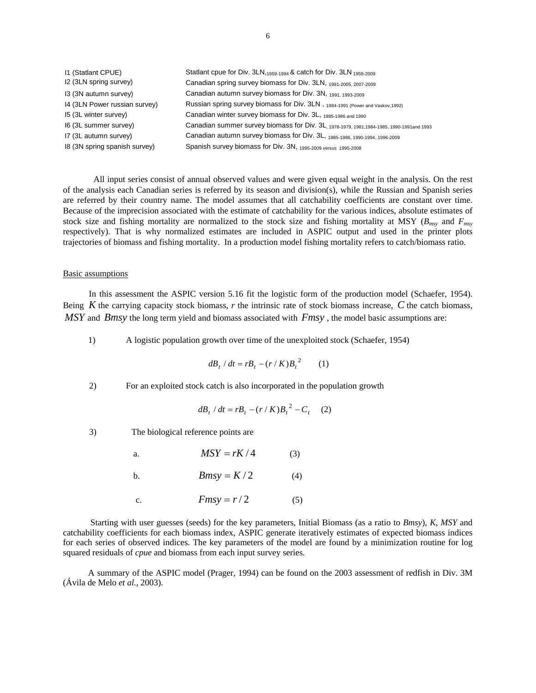| 11 (Statlant CPUE)            | Statlant cpue for Div. 3LN, 1959-1994 & catch for Div. 3LN 1959-2009                       |
|-------------------------------|--------------------------------------------------------------------------------------------|
| I2 (3LN spring survey)        | Canadian spring survey biomass for Div. 3LN, 1991-2005, 2007-2009                          |
| 13 (3N autumn survey)         | Canadian autumn survey biomass for Div. 3N, 1991, 1993-2009                                |
| 14 (3LN Power russian survey) | Russian spring survey biomass for Div. 3LN, 1984-1991 (Power and Vaskov, 1992)             |
| 15 (3L winter survey)         | Canadian winter survey biomass for Div. 3L, 1985-1986 and 1990                             |
| I6 (3L summer survey)         | Canadian summer survey biomass for Div. 3L, 1978-1979, 1981, 1984-1985, 1990-1991 and 1993 |
| I7 (3L autumn survey)         | Canadian autumn survey biomass for Div. 3L, 1985-1986, 1990-1994, 1996-2009                |
| 18 (3N spring spanish survey) | Spanish survey biomass for Div. 3N, 1995-2009 versus 1995-2008                             |

All input series consist of annual observed values and were given equal weight in the analysis. On the rest of the analysis each Canadian series is referred by its season and division(s), while the Russian and Spanish series are referred by their country name. The model assumes that all catchability coefficients are constant over time. Because of the imprecision associated with the estimate of catchability for the various indices, absolute estimates of stock size and fishing mortality are normalized to the stock size and fishing mortality at MSY (*Bmsy* and *Fmsy* respectively). That is why normalized estimates are included in ASPIC output and used in the printer plots trajectories of biomass and fishing mortality. In a production model fishing mortality refers to catch/biomass ratio.

### Basic assumptions

In this assessment the ASPIC version 5.16 fit the logistic form of the production model (Schaefer, 1954). Being *K* the carrying capacity stock biomass, *r* the intrinsic rate of stock biomass increase, *C* the catch biomass, *MSY* and *Bmsy* the long term yield and biomass associated with *Fmsy* , the model basic assumptions are:

1) A logistic population growth over time of the unexploited stock (Schaefer, 1954)

$$
dB_t / dt = rB_t - (r / K)B_t^2 \qquad (1)
$$

2) For an exploited stock catch is also incorporated in the population growth

$$
dB_t / dt = rB_t - (r / K)B_t^2 - C_t \quad (2)
$$

3) The biological reference points are

a.  $MSY = rK/4$  (3)

- b. *Bmsy* =  $K/2$  (4)
- c.  $Fmsy = r/2$  (5)

 Starting with user guesses (seeds) for the key parameters, Initial Biomass (as a ratio to *Bmsy*), *K*, *MSY* and catchability coefficients for each biomass index, ASPIC generate iteratively estimates of expected biomass indices for each series of observed indices. The key parameters of the model are found by a minimization routine for log squared residuals of *cpue* and biomass from each input survey series.

A summary of the ASPIC model (Prager, 1994) can be found on the 2003 assessment of redfish in Div. 3M (Ávila de Melo *et al.*, 2003).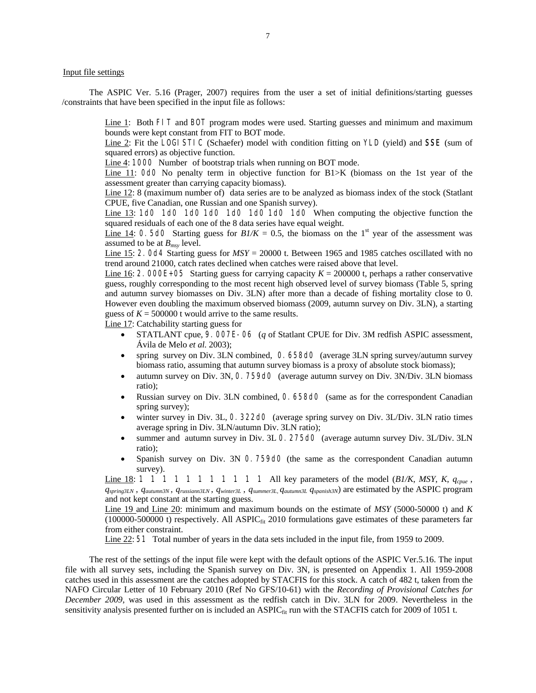## Input file settings

The ASPIC Ver. 5.16 (Prager, 2007) requires from the user a set of initial definitions/starting guesses /constraints that have been specified in the input file as follows:

> Line 1: Both FIT and BOT program modes were used. Starting guesses and minimum and maximum bounds were kept constant from FIT to BOT mode.

> Line 2: Fit the LOGI STIC (Schaefer) model with condition fitting on YLD (yield) and **SSE** (sum of squared errors) as objective function.

Line 4: 1000 Number of bootstrap trials when running on BOT mode.

Line 11: OdO No penalty term in objective function for B1>K (biomass on the 1st year of the assessment greater than carrying capacity biomass).

Line 12: 8 (maximum number of) data series are to be analyzed as biomass index of the stock (Statlant CPUE, five Canadian, one Russian and one Spanish survey).

Line 13: 1d0 1d0 1d0 1d0 1d0 1d0 1d0 1d0 When computing the objective function the squared residuals of each one of the 8 data series have equal weight.

Line 14: 0. 5d0 Starting guess for  $B/\mathcal{K} = 0.5$ , the biomass on the 1<sup>st</sup> year of the assessment was assumed to be at *Bmsy* level.

Line 15: 2.0d4 Starting guess for *MSY* = 20000 t. Between 1965 and 1985 catches oscillated with no trend around 21000, catch rates declined when catches were raised above that level.

Line 16: 2. 000E+05 Starting guess for carrying capacity  $K = 200000$  t, perhaps a rather conservative guess, roughly corresponding to the most recent high observed level of survey biomass (Table 5, spring and autumn survey biomasses on Div. 3LN) after more than a decade of fishing mortality close to 0. However even doubling the maximum observed biomass (2009, autumn survey on Div. 3LN), a starting guess of  $K = 500000$  t would arrive to the same results.

Line 17: Catchability starting guess for

- STATLANT cpue, 9.007E-06 (*q* of Statlant CPUE for Div. 3M redfish ASPIC assessment, Ávila de Melo *et al.* 2003);
- spring survey on Div. 3LN combined, 0.658d0 (average 3LN spring survey/autumn survey biomass ratio, assuming that autumn survey biomass is a proxy of absolute stock biomass);
- autumn survey on Div. 3N, 0.759d0 (average autumn survey on Div. 3N/Div. 3LN biomass ratio);
- Russian survey on Div. 3LN combined, 0.658d0 (same as for the correspondent Canadian spring survey);
- winter survey in Div. 3L, 0.322d0 (average spring survey on Div. 3L/Div. 3LN ratio times average spring in Div. 3LN/autumn Div. 3LN ratio);
- summer and autumn survey in Div. 3L 0. 275d0 (average autumn survey Div. 3L/Div. 3LN ratio);
- Spanish survey on Div. 3N 0.759d0 (the same as the correspondent Canadian autumn survey).

Line 18:  $1 \ 1 \ 1 \ 1 \ 1 \ 1 \ 1 \ 1 \ 1 \ 1 \ 1 \ 1 \ 1$  All key parameters of the model (*B1/K*, *MSY*, *K*,  $q_{cpue}$ , *qspring3LN* , *qautumn3N* , *qrussiann3LN* , *qwinter3L* , *qsummer3L, qautumn3L qspanish3N*) are estimated by the ASPIC program and not kept constant at the starting guess.

Line 19 and Line 20: minimum and maximum bounds on the estimate of *MSY* (5000-50000 t) and *K*  $(100000-500000t)$  respectively. All ASPIC $_{fit}$  2010 formulations gave estimates of these parameters far from either constraint.

Line 22: 51 Total number of years in the data sets included in the input file, from 1959 to 2009.

The rest of the settings of the input file were kept with the default options of the ASPIC Ver.5.16. The input file with all survey sets, including the Spanish survey on Div. 3N, is presented on Appendix 1. All 1959-2008 catches used in this assessment are the catches adopted by STACFIS for this stock. A catch of 482 t, taken from the NAFO Circular Letter of 10 February 2010 (Ref No GFS/10-61) with the *Recording of Provisional Catches for December 2009*, was used in this assessment as the redfish catch in Div. 3LN for 2009. Nevertheless in the sensitivity analysis presented further on is included an  $ASPIC_{fit}$  run with the STACFIS catch for 2009 of 1051 t.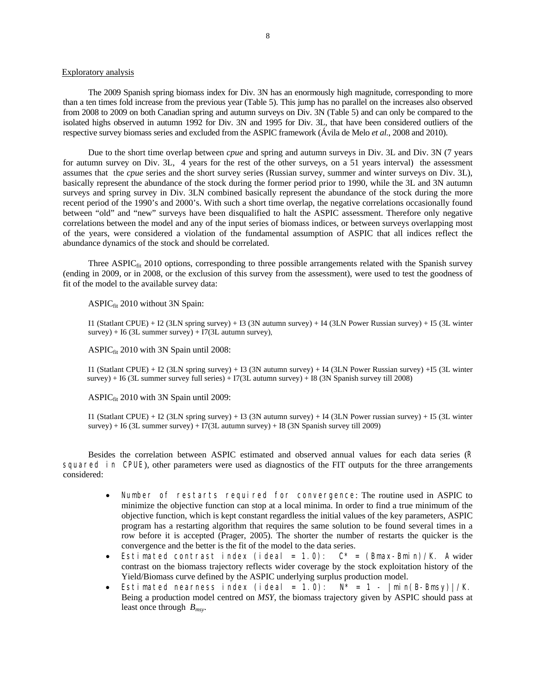# Exploratory analysis

The 2009 Spanish spring biomass index for Div. 3N has an enormously high magnitude, corresponding to more than a ten times fold increase from the previous year (Table 5). This jump has no parallel on the increases also observed from 2008 to 2009 on both Canadian spring and autumn surveys on Div. 3N (Table 5) and can only be compared to the isolated highs observed in autumn 1992 for Div. 3N and 1995 for Div. 3L, that have been considered outliers of the respective survey biomass series and excluded from the ASPIC framework (Ávila de Melo *et al.*, 2008 and 2010).

Due to the short time overlap between *cpue* and spring and autumn surveys in Div. 3L and Div. 3N (7 years for autumn survey on Div. 3L, 4 years for the rest of the other surveys, on a 51 years interval) the assessment assumes that the *cpue* series and the short survey series (Russian survey, summer and winter surveys on Div. 3L), basically represent the abundance of the stock during the former period prior to 1990, while the 3L and 3N autumn surveys and spring survey in Div. 3LN combined basically represent the abundance of the stock during the more recent period of the 1990's and 2000's. With such a short time overlap, the negative correlations occasionally found between "old" and "new" surveys have been disqualified to halt the ASPIC assessment. Therefore only negative correlations between the model and any of the input series of biomass indices, or between surveys overlapping most of the years, were considered a violation of the fundamental assumption of ASPIC that all indices reflect the abundance dynamics of the stock and should be correlated.

Three ASPIC $_{fit}$  2010 options, corresponding to three possible arrangements related with the Spanish survey (ending in 2009, or in 2008, or the exclusion of this survey from the assessment), were used to test the goodness of fit of the model to the available survey data:

ASPIC<sub>fit</sub> 2010 without 3N Spain:

I1 (Statlant CPUE) + I2 (3LN spring survey) + I3 (3N autumn survey) + I4 (3LN Power Russian survey) + I5 (3L winter  $survey$ ) + I6 (3L summer survey) + I7(3L autumn survey),

ASPIC<sub>fit</sub> 2010 with 3N Spain until 2008:

I1 (Statlant CPUE) + I2 (3LN spring survey) + I3 (3N autumn survey) + I4 (3LN Power Russian survey) +I5 (3L winter survey) + I6 (3L summer survey full series) + I7(3L autumn survey) + I8 (3N Spanish survey till 2008)

ASPIC<sub>fit</sub> 2010 with 3N Spain until 2009:

I1 (Statlant CPUE) + I2 (3LN spring survey) + I3 (3N autumn survey) + I4 (3LN Power russian survey) + I5 (3L winter survey) + I6 (3L summer survey) + I7(3L autumn survey) + I8 (3N Spanish survey till 2009)

Besides the correlation between ASPIC estimated and observed annual values for each data series (R squared in CPUE), other parameters were used as diagnostics of the FIT outputs for the three arrangements considered:

- Number of restarts required for convergence: The routine used in ASPIC to minimize the objective function can stop at a local minima. In order to find a true minimum of the objective function, which is kept constant regardless the initial values of the key parameters, ASPIC program has a restarting algorithm that requires the same solution to be found several times in a row before it is accepted (Prager, 2005). The shorter the number of restarts the quicker is the convergence and the better is the fit of the model to the data series.
- Estimated contrast index (ideal = 1.0):  $C^*$  = (Bmax-Bmin)/K. A wider contrast on the biomass trajectory reflects wider coverage by the stock exploitation history of the Yield/Biomass curve defined by the ASPIC underlying surplus production model.
- Estimated nearness index (ideal = 1.0):  $N^* = 1 |min(B-Bmsy)|/K$ . Being a production model centred on *MSY*, the biomass trajectory given by ASPIC should pass at least once through *Bmsy*.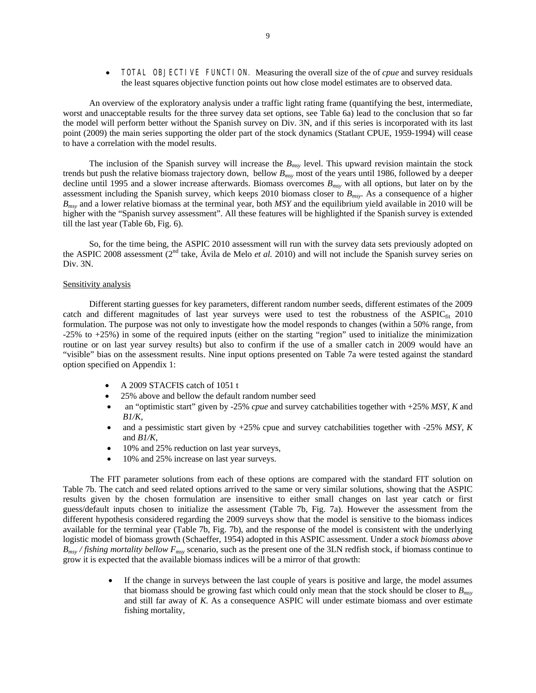• TOTAL OBJECTIVE FUNCTION. Measuring the overall size of the of *cpue* and survey residuals the least squares objective function points out how close model estimates are to observed data.

An overview of the exploratory analysis under a traffic light rating frame (quantifying the best, intermediate, worst and unacceptable results for the three survey data set options, see Table 6a) lead to the conclusion that so far the model will perform better without the Spanish survey on Div. 3N, and if this series is incorporated with its last point (2009) the main series supporting the older part of the stock dynamics (Statlant CPUE, 1959-1994) will cease to have a correlation with the model results.

The inclusion of the Spanish survey will increase the *Bmsy* level. This upward revision maintain the stock trends but push the relative biomass trajectory down, bellow *Bmsy* most of the years until 1986, followed by a deeper decline until 1995 and a slower increase afterwards. Biomass overcomes  $B_{msy}$  with all options, but later on by the assessment including the Spanish survey, which keeps 2010 biomass closer to *Bmsy*. As a consequence of a higher *Bmsy* and a lower relative biomass at the terminal year, both *MSY* and the equilibrium yield available in 2010 will be higher with the "Spanish survey assessment". All these features will be highlighted if the Spanish survey is extended till the last year (Table 6b, Fig. 6).

So, for the time being, the ASPIC 2010 assessment will run with the survey data sets previously adopted on the ASPIC 2008 assessment (2nd take, Ávila de Melo *et al.* 2010) and will not include the Spanish survey series on Div. 3N.

### Sensitivity analysis

Different starting guesses for key parameters, different random number seeds, different estimates of the 2009 catch and different magnitudes of last year surveys were used to test the robustness of the ASPIC<sub>fit</sub> 2010 formulation. The purpose was not only to investigate how the model responds to changes (within a 50% range, from -25% to +25%) in some of the required inputs (either on the starting "region" used to initialize the minimization routine or on last year survey results) but also to confirm if the use of a smaller catch in 2009 would have an "visible" bias on the assessment results. Nine input options presented on Table 7a were tested against the standard option specified on Appendix 1:

- A 2009 STACFIS catch of 1051 t
- 25% above and bellow the default random number seed
- an "optimistic start" given by -25% *cpue* and survey catchabilities together with +25% *MSY*, *K* and *B1/K*,
- and a pessimistic start given by +25% cpue and survey catchabilities together with -25% *MSY*, *K* and *B1/K,*
- 10% and 25% reduction on last year surveys,
- 10% and 25% increase on last year surveys.

The FIT parameter solutions from each of these options are compared with the standard FIT solution on Table 7b. The catch and seed related options arrived to the same or very similar solutions, showing that the ASPIC results given by the chosen formulation are insensitive to either small changes on last year catch or first guess/default inputs chosen to initialize the assessment (Table 7b, Fig. 7a). However the assessment from the different hypothesis considered regarding the 2009 surveys show that the model is sensitive to the biomass indices available for the terminal year (Table 7b, Fig. 7b), and the response of the model is consistent with the underlying logistic model of biomass growth (Schaeffer, 1954) adopted in this ASPIC assessment. Under a *stock biomass above Bmsy / fishing mortality bellow Fmsy* scenario, such as the present one of the 3LN redfish stock, if biomass continue to grow it is expected that the available biomass indices will be a mirror of that growth:

> If the change in surveys between the last couple of years is positive and large, the model assumes that biomass should be growing fast which could only mean that the stock should be closer to *Bmsy* and still far away of *K*. As a consequence ASPIC will under estimate biomass and over estimate fishing mortality,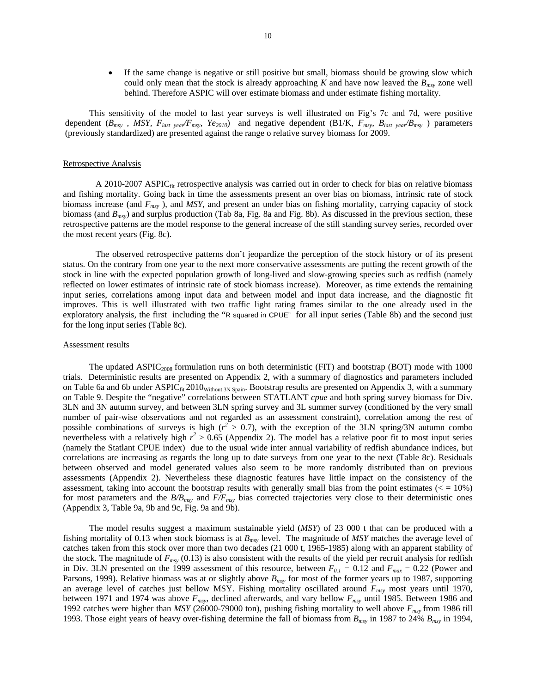If the same change is negative or still positive but small, biomass should be growing slow which could only mean that the stock is already approaching  $K$  and have now leaved the  $B<sub>msy</sub>$  zone well behind. Therefore ASPIC will over estimate biomass and under estimate fishing mortality.

This sensitivity of the model to last year surveys is well illustrated on Fig's 7c and 7d, were positive dependent (*Bmsy* , *MSY, Flast year/Fmsy, Ye2010*) and negative dependent (B1/K, *Fmsy, Blast year/Bmsy* ) parameters (previously standardized) are presented against the range o relative survey biomass for 2009.

### Retrospective Analysis

A 2010-2007 ASPIC<sub>fit</sub> retrospective analysis was carried out in order to check for bias on relative biomass and fishing mortality. Going back in time the assessments present an over bias on biomass, intrinsic rate of stock biomass increase (and *Fmsy* ), and *MSY*, and present an under bias on fishing mortality, carrying capacity of stock biomass (and *Bmsy*) and surplus production (Tab 8a, Fig. 8a and Fig. 8b). As discussed in the previous section, these retrospective patterns are the model response to the general increase of the still standing survey series, recorded over the most recent years (Fig. 8c).

The observed retrospective patterns don't jeopardize the perception of the stock history or of its present status. On the contrary from one year to the next more conservative assessments are putting the recent growth of the stock in line with the expected population growth of long-lived and slow-growing species such as redfish (namely reflected on lower estimates of intrinsic rate of stock biomass increase). Moreover, as time extends the remaining input series, correlations among input data and between model and input data increase, and the diagnostic fit improves. This is well illustrated with two traffic light rating frames similar to the one already used in the exploratory analysis, the first including the "R squared in CPUE" for all input series (Table 8b) and the second just for the long input series (Table 8c).

### Assessment results

The updated ASPIC<sub>2008</sub> formulation runs on both deterministic (FIT) and bootstrap (BOT) mode with 1000 trials. Deterministic results are presented on Appendix 2, with a summary of diagnostics and parameters included on Table 6a and 6b under  $ASPIC_{fi}$  2010<sub>Without 3N Spain</sub>. Bootstrap results are presented on Appendix 3, with a summary on Table 9. Despite the "negative" correlations between STATLANT *cpue* and both spring survey biomass for Div. 3LN and 3N autumn survey, and between 3LN spring survey and 3L summer survey (conditioned by the very small number of pair-wise observations and not regarded as an assessment constraint), correlation among the rest of possible combinations of surveys is high  $(r^2 > 0.7)$ , with the exception of the 3LN spring/3N autumn combo nevertheless with a relatively high  $r^2 > 0.65$  (Appendix 2). The model has a relative poor fit to most input series (namely the Statlant CPUE index) due to the usual wide inter annual variability of redfish abundance indices, but correlations are increasing as regards the long up to date surveys from one year to the next (Table 8c). Residuals between observed and model generated values also seem to be more randomly distributed than on previous assessments (Appendix 2). Nevertheless these diagnostic features have little impact on the consistency of the assessment, taking into account the bootstrap results with generally small bias from the point estimates ( $\epsilon$  = 10%) for most parameters and the *B/Bmsy* and *F/Fmsy* bias corrected trajectories very close to their deterministic ones (Appendix 3, Table 9a, 9b and 9c, Fig. 9a and 9b).

The model results suggest a maximum sustainable yield (*MSY*) of 23 000 t that can be produced with a fishing mortality of 0.13 when stock biomass is at *Bmsy* level. The magnitude of *MSY* matches the average level of catches taken from this stock over more than two decades (21 000 t, 1965-1985) along with an apparent stability of the stock. The magnitude of  $F_{msv}$  (0.13) is also consistent with the results of the yield per recruit analysis for redfish in Div. 3LN presented on the 1999 assessment of this resource, between  $F_{0,I} = 0.12$  and  $F_{max} = 0.22$  (Power and Parsons, 1999). Relative biomass was at or slightly above *Bmsy* for most of the former years up to 1987, supporting an average level of catches just bellow MSY. Fishing mortality oscillated around *Fmsy* most years until 1970, between 1971 and 1974 was above *Fmsy*, declined afterwards, and vary bellow *Fmsy* until 1985. Between 1986 and 1992 catches were higher than *MSY* (26000-79000 ton), pushing fishing mortality to well above *Fmsy* from 1986 till 1993. Those eight years of heavy over-fishing determine the fall of biomass from *Bmsy* in 1987 to 24% *Bmsy* in 1994,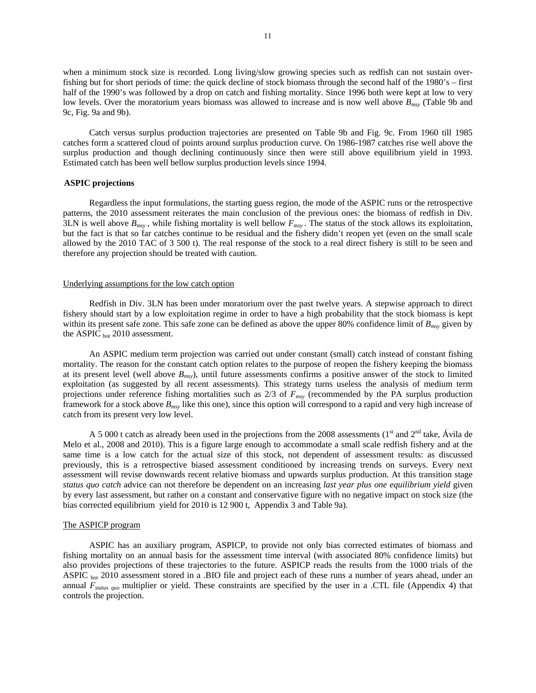when a minimum stock size is recorded. Long living/slow growing species such as redfish can not sustain overfishing but for short periods of time: the quick decline of stock biomass through the second half of the 1980's – first half of the 1990's was followed by a drop on catch and fishing mortality. Since 1996 both were kept at low to very low levels. Over the moratorium years biomass was allowed to increase and is now well above  $B_{\text{mvv}}$  (Table 9b and 9c, Fig. 9a and 9b).

Catch versus surplus production trajectories are presented on Table 9b and Fig. 9c. From 1960 till 1985 catches form a scattered cloud of points around surplus production curve. On 1986-1987 catches rise well above the surplus production and though declining continuously since then were still above equilibrium yield in 1993. Estimated catch has been well bellow surplus production levels since 1994.

### **ASPIC projections**

Regardless the input formulations, the starting guess region, the mode of the ASPIC runs or the retrospective patterns, the 2010 assessment reiterates the main conclusion of the previous ones: the biomass of redfish in Div. 3LN is well above  $B_{msv}$ , while fishing mortality is well bellow  $F_{msv}$ . The status of the stock allows its exploitation, but the fact is that so far catches continue to be residual and the fishery didn't reopen yet (even on the small scale allowed by the 2010 TAC of 3 500 t). The real response of the stock to a real direct fishery is still to be seen and therefore any projection should be treated with caution.

### Underlying assumptions for the low catch option

Redfish in Div. 3LN has been under moratorium over the past twelve years. A stepwise approach to direct fishery should start by a low exploitation regime in order to have a high probability that the stock biomass is kept within its present safe zone. This safe zone can be defined as above the upper 80% confidence limit of *B<sub>msy</sub>* given by the ASPIC  $_{bot}$  2010 assessment.

An ASPIC medium term projection was carried out under constant (small) catch instead of constant fishing mortality. The reason for the constant catch option relates to the purpose of reopen the fishery keeping the biomass at its present level (well above *Bmsy*), until future assessments confirms a positive answer of the stock to limited exploitation (as suggested by all recent assessments). This strategy turns useless the analysis of medium term projections under reference fishing mortalities such as 2/3 of *Fmsy* (recommended by the PA surplus production framework for a stock above *Bmsy* like this one), since this option will correspond to a rapid and very high increase of catch from its present very low level.

A 5 000 t catch as already been used in the projections from the 2008 assessments ( $1<sup>st</sup>$  and  $2<sup>nd</sup>$  take, Ávila de Melo et al., 2008 and 2010). This is a figure large enough to accommodate a small scale redfish fishery and at the same time is a low catch for the actual size of this stock, not dependent of assessment results: as discussed previously, this is a retrospective biased assessment conditioned by increasing trends on surveys. Every next assessment will revise downwards recent relative biomass and upwards surplus production. At this transition stage *status quo catch* advice can not therefore be dependent on an increasing *last year plus one equilibrium yield* given by every last assessment, but rather on a constant and conservative figure with no negative impact on stock size (the bias corrected equilibrium yield for 2010 is 12 900 t, Appendix 3 and Table 9a).

## The ASPICP program

ASPIC has an auxiliary program, ASPICP, to provide not only bias corrected estimates of biomass and fishing mortality on an annual basis for the assessment time interval (with associated 80% confidence limits) but also provides projections of these trajectories to the future. ASPICP reads the results from the 1000 trials of the ASPIC bot 2010 assessment stored in a .BIO file and project each of these runs a number of years ahead, under an annual *Fstatus quo* multiplier or yield. These constraints are specified by the user in a .CTL file (Appendix 4) that controls the projection.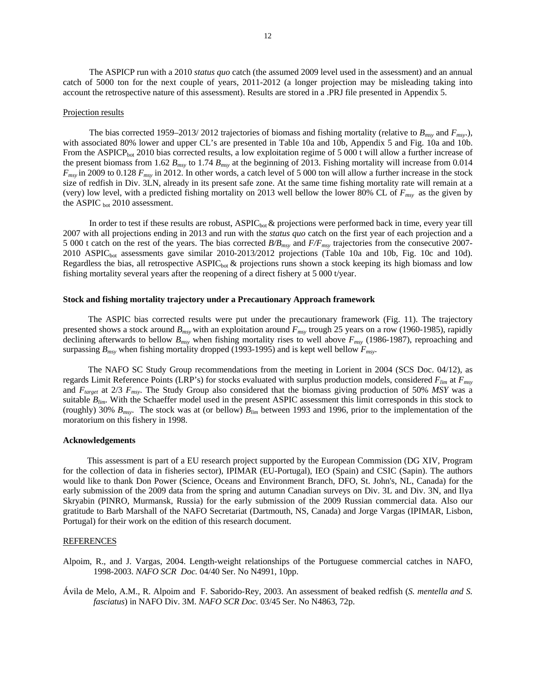The ASPICP run with a 2010 *status quo* catch (the assumed 2009 level used in the assessment) and an annual catch of 5000 ton for the next couple of years, 2011-2012 (a longer projection may be misleading taking into account the retrospective nature of this assessment). Results are stored in a .PRJ file presented in Appendix 5.

#### Projection results

The bias corrected 1959–2013/ 2012 trajectories of biomass and fishing mortality (relative to  $B_{msv}$  and  $F_{msv}$ .), with associated 80% lower and upper CL's are presented in Table 10a and 10b, Appendix 5 and Fig. 10a and 10b. From the ASPICP<sub>bot</sub> 2010 bias corrected results, a low exploitation regime of 5 000 t will allow a further increase of the present biomass from 1.62  $B_{msy}$  to 1.74  $B_{msy}$  at the beginning of 2013. Fishing mortality will increase from 0.014 *Fmsy* in 2009 to 0.128 *Fmsy* in 2012. In other words, a catch level of 5 000 ton will allow a further increase in the stock size of redfish in Div. 3LN, already in its present safe zone. At the same time fishing mortality rate will remain at a (very) low level, with a predicted fishing mortality on 2013 well bellow the lower 80% CL of  $F_{msv}$  as the given by the ASPIC bot 2010 assessment.

In order to test if these results are robust,  $ASPIC<sub>bot</sub>$  & projections were performed back in time, every year till 2007 with all projections ending in 2013 and run with the *status quo* catch on the first year of each projection and a 5 000 t catch on the rest of the years. The bias corrected *B/Bmsy* and *F/Fmsy* trajectories from the consecutive 2007- 2010 ASPICbot assessments gave similar 2010-2013/2012 projections (Table 10a and 10b, Fig. 10c and 10d). Regardless the bias, all retrospective  $ASPL_{bot}$  & projections runs shown a stock keeping its high biomass and low fishing mortality several years after the reopening of a direct fishery at 5 000 t/year.

### **Stock and fishing mortality trajectory under a Precautionary Approach framework**

The ASPIC bias corrected results were put under the precautionary framework (Fig. 11). The trajectory presented shows a stock around  $B_{\text{max}}$  with an exploitation around  $F_{\text{max}}$  trough 25 years on a row (1960-1985), rapidly declining afterwards to bellow *Bmsy* when fishing mortality rises to well above *Fmsy* (1986-1987), reproaching and surpassing  $B_{\text{msv}}$  when fishing mortality dropped (1993-1995) and is kept well bellow  $F_{\text{msv}}$ .

The NAFO SC Study Group recommendations from the meeting in Lorient in 2004 (SCS Doc. 04/12), as regards Limit Reference Points (LRP's) for stocks evaluated with surplus production models, considered *Flim* at *Fmsy* and *Ftarget* at 2/3 *Fmsy*. The Study Group also considered that the biomass giving production of 50% *MSY* was a suitable  $B_{lim}$ . With the Schaeffer model used in the present ASPIC assessment this limit corresponds in this stock to (roughly) 30% *Bmsy*. The stock was at (or bellow) *Blim* between 1993 and 1996, prior to the implementation of the moratorium on this fishery in 1998.

#### **Acknowledgements**

This assessment is part of a EU research project supported by the European Commission (DG XIV, Program for the collection of data in fisheries sector), IPIMAR (EU-Portugal), IEO (Spain) and CSIC (Sapin). The authors would like to thank Don Power (Science, Oceans and Environment Branch, DFO, St. John's, NL, Canada) for the early submission of the 2009 data from the spring and autumn Canadian surveys on Div. 3L and Div. 3N, and Ilya Skryabin (PINRO, Murmansk, Russia) for the early submission of the 2009 Russian commercial data. Also our gratitude to Barb Marshall of the NAFO Secretariat (Dartmouth, NS, Canada) and Jorge Vargas (IPIMAR, Lisbon, Portugal) for their work on the edition of this research document.

### REFERENCES

- Alpoim, R., and J. Vargas, 2004. Length-weight relationships of the Portuguese commercial catches in NAFO, 1998-2003. *NAFO SCR Doc.* 04/40 Ser. No N4991, 10pp.
- Ávila de Melo, A.M., R. Alpoim and F. Saborido-Rey, 2003. An assessment of beaked redfish (*S. mentella and S. fasciatus*) in NAFO Div. 3M. *NAFO SCR Doc.* 03/45 Ser. No N4863, 72p.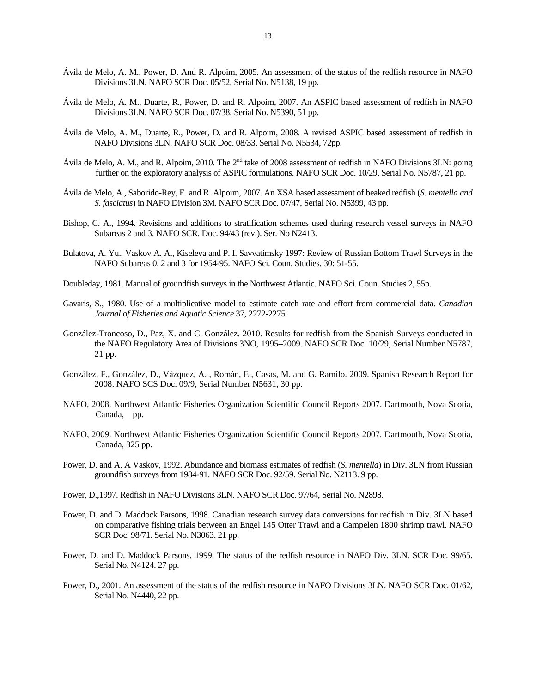- Ávila de Melo, A. M., Power, D. And R. Alpoim, 2005. An assessment of the status of the redfish resource in NAFO Divisions 3LN. NAFO SCR Doc. 05/52, Serial No. N5138, 19 pp.
- Ávila de Melo, A. M., Duarte, R., Power, D. and R. Alpoim, 2007. An ASPIC based assessment of redfish in NAFO Divisions 3LN. NAFO SCR Doc. 07/38, Serial No. N5390, 51 pp.
- Ávila de Melo, A. M., Duarte, R., Power, D. and R. Alpoim, 2008. A revised ASPIC based assessment of redfish in NAFO Divisions 3LN. NAFO SCR Doc. 08/33, Serial No. N5534, 72pp.
- Ávila de Melo, A. M., and R. Alpoim, 2010. The 2nd take of 2008 assessment of redfish in NAFO Divisions 3LN: going further on the exploratory analysis of ASPIC formulations. NAFO SCR Doc. 10/29, Serial No. N5787, 21 pp.
- Ávila de Melo, A., Saborido-Rey, F. and R. Alpoim, 2007. An XSA based assessment of beaked redfish (*S. mentella and S. fasciatus*) in NAFO Division 3M. NAFO SCR Doc. 07/47, Serial No. N5399, 43 pp.
- Bishop, C. A., 1994. Revisions and additions to stratification schemes used during research vessel surveys in NAFO Subareas 2 and 3. NAFO SCR. Doc. 94/43 (rev.). Ser. No N2413.
- Bulatova, A. Yu., Vaskov A. A., Kiseleva and P. I. Savvatimsky 1997: Review of Russian Bottom Trawl Surveys in the NAFO Subareas 0, 2 and 3 for 1954-95. NAFO Sci. Coun. Studies, 30: 51-55.
- Doubleday, 1981. Manual of groundfish surveys in the Northwest Atlantic. NAFO Sci. Coun. Studies 2, 55p.
- Gavaris, S., 1980. Use of a multiplicative model to estimate catch rate and effort from commercial data. *Canadian Journal of Fisheries and Aquatic Science* 37, 2272-2275.
- González-Troncoso, D., Paz, X. and C. González. 2010. Results for redfish from the Spanish Surveys conducted in the NAFO Regulatory Area of Divisions 3NO, 1995–2009. NAFO SCR Doc. 10/29, Serial Number N5787, 21 pp.
- González, F., González, D., Vázquez, A. , Román, E., Casas, M. and G. Ramilo. 2009. Spanish Research Report for 2008. NAFO SCS Doc. 09/9, Serial Number N5631, 30 pp.
- NAFO, 2008. Northwest Atlantic Fisheries Organization Scientific Council Reports 2007. Dartmouth, Nova Scotia, Canada, pp.
- NAFO, 2009. Northwest Atlantic Fisheries Organization Scientific Council Reports 2007. Dartmouth, Nova Scotia, Canada, 325 pp.
- Power, D. and A. A Vaskov, 1992. Abundance and biomass estimates of redfish (*S. mentella*) in Div. 3LN from Russian groundfish surveys from 1984-91. NAFO SCR Doc. 92/59. Serial No. N2113. 9 pp.
- Power, D.,1997. Redfish in NAFO Divisions 3LN. NAFO SCR Doc. 97/64, Serial No. N2898.
- Power, D. and D. Maddock Parsons, 1998. Canadian research survey data conversions for redfish in Div. 3LN based on comparative fishing trials between an Engel 145 Otter Trawl and a Campelen 1800 shrimp trawl. NAFO SCR Doc. 98/71. Serial No. N3063. 21 pp.
- Power, D. and D. Maddock Parsons, 1999. The status of the redfish resource in NAFO Div. 3LN. SCR Doc. 99/65. Serial No. N4124. 27 pp.
- Power, D., 2001. An assessment of the status of the redfish resource in NAFO Divisions 3LN. NAFO SCR Doc. 01/62, Serial No. N4440, 22 pp.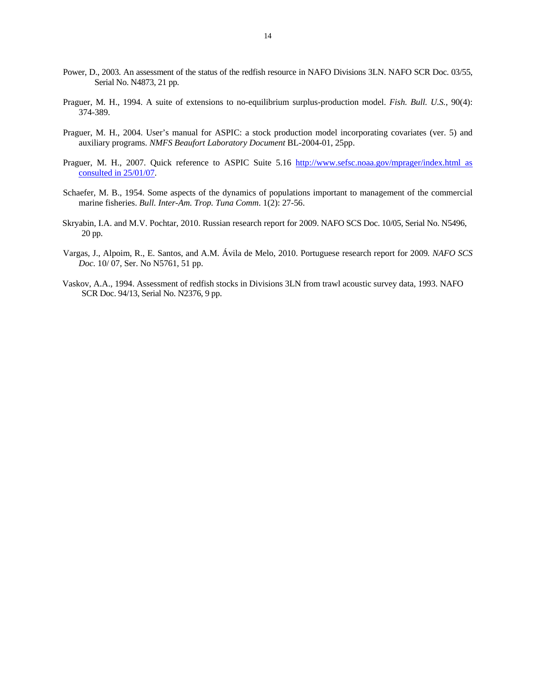- Power, D., 2003. An assessment of the status of the redfish resource in NAFO Divisions 3LN. NAFO SCR Doc. 03/55, Serial No. N4873, 21 pp.
- Praguer, M. H., 1994. A suite of extensions to no-equilibrium surplus-production model. *Fish. Bull. U.S.*, 90(4): 374-389.
- Praguer, M. H., 2004. User's manual for ASPIC: a stock production model incorporating covariates (ver. 5) and auxiliary programs. *NMFS Beaufort Laboratory Document* BL-2004-01, 25pp.
- Praguer, M. H., 2007. Quick reference to ASPIC Suite 5.16 http://www.sefsc.noaa.gov/mprager/index.html as consulted in 25/01/07.
- Schaefer, M. B., 1954. Some aspects of the dynamics of populations important to management of the commercial marine fisheries. *Bull. Inter-Am. Trop. Tuna Comm*. 1(2): 27-56.
- Skryabin, I.A. and M.V. Pochtar, 2010. Russian research report for 2009. NAFO SCS Doc. 10/05, Serial No. N5496, 20 pp.
- Vargas, J., Alpoim, R., E. Santos, and A.M. Ávila de Melo, 2010. Portuguese research report for 2009*. NAFO SCS Doc.* 10/ 07, Ser. No N5761, 51 pp.
- Vaskov, A.A., 1994. Assessment of redfish stocks in Divisions 3LN from trawl acoustic survey data, 1993. NAFO SCR Doc. 94/13, Serial No. N2376, 9 pp.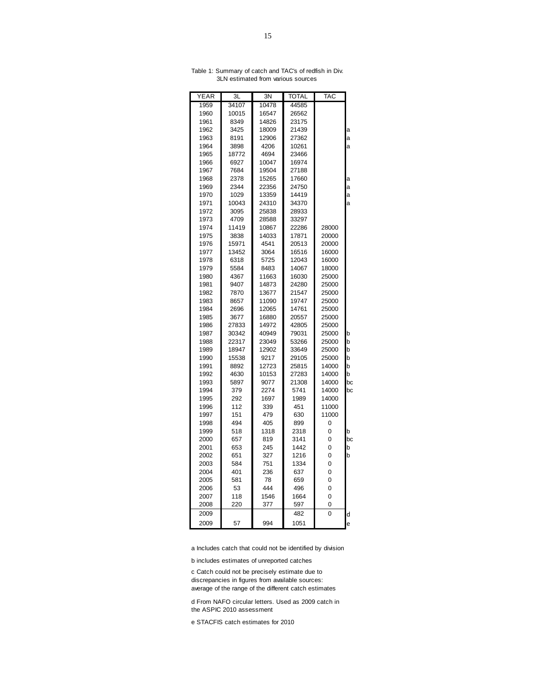| YEAR | ЗL    | 3N    | TOTAL | TAC   |    |
|------|-------|-------|-------|-------|----|
| 1959 | 34107 | 10478 | 44585 |       |    |
| 1960 | 10015 | 16547 | 26562 |       |    |
| 1961 | 8349  | 14826 | 23175 |       |    |
| 1962 | 3425  | 18009 | 21439 |       | a  |
| 1963 | 8191  | 12906 | 27362 |       | a  |
| 1964 | 3898  | 4206  | 10261 |       | a  |
| 1965 | 18772 | 4694  | 23466 |       |    |
| 1966 | 6927  | 10047 | 16974 |       |    |
| 1967 | 7684  | 19504 | 27188 |       |    |
| 1968 | 2378  | 15265 | 17660 |       | a  |
| 1969 | 2344  | 22356 | 24750 |       | a  |
| 1970 | 1029  | 13359 | 14419 |       | a  |
| 1971 | 10043 | 24310 | 34370 |       | a  |
| 1972 | 3095  | 25838 | 28933 |       |    |
| 1973 | 4709  | 28588 | 33297 |       |    |
| 1974 | 11419 | 10867 | 22286 | 28000 |    |
| 1975 | 3838  | 14033 | 17871 | 20000 |    |
| 1976 | 15971 | 4541  | 20513 | 20000 |    |
| 1977 | 13452 | 3064  | 16516 | 16000 |    |
| 1978 | 6318  | 5725  | 12043 | 16000 |    |
| 1979 | 5584  | 8483  | 14067 | 18000 |    |
| 1980 | 4367  | 11663 | 16030 | 25000 |    |
| 1981 | 9407  | 14873 | 24280 | 25000 |    |
| 1982 | 7870  | 13677 | 21547 | 25000 |    |
| 1983 | 8657  | 11090 | 19747 | 25000 |    |
| 1984 | 2696  | 12065 | 14761 | 25000 |    |
| 1985 | 3677  | 16880 | 20557 | 25000 |    |
| 1986 | 27833 | 14972 | 42805 | 25000 |    |
| 1987 | 30342 | 40949 | 79031 | 25000 | b  |
| 1988 | 22317 | 23049 | 53266 | 25000 | b  |
| 1989 | 18947 | 12902 | 33649 | 25000 | b  |
| 1990 | 15538 | 9217  | 29105 | 25000 | b  |
| 1991 | 8892  | 12723 | 25815 | 14000 | b  |
| 1992 | 4630  | 10153 | 27283 | 14000 | b  |
| 1993 | 5897  | 9077  | 21308 | 14000 | bc |
| 1994 | 379   | 2274  | 5741  | 14000 | bc |
| 1995 | 292   | 1697  | 1989  | 14000 |    |
| 1996 | 112   | 339   | 451   | 11000 |    |
| 1997 | 151   | 479   | 630   | 11000 |    |
| 1998 | 494   | 405   | 899   | 0     |    |
| 1999 | 518   | 1318  | 2318  | 0     | b  |
| 2000 | 657   | 819   | 3141  | 0     | bc |
| 2001 | 653   | 245   | 1442  | 0     | b  |
| 2002 | 651   | 327   | 1216  | 0     | p  |
| 2003 | 584   | 751   | 1334  | 0     |    |
| 2004 | 401   | 236   | 637   | 0     |    |
| 2005 | 581   | 78    | 659   | 0     |    |
| 2006 | 53    | 444   | 496   | 0     |    |
| 2007 | 118   | 1546  | 1664  | 0     |    |
| 2008 | 220   | 377   | 597   | 0     |    |
| 2009 |       |       | 482   | 0     | d  |
| 2009 | 57    | 994   | 1051  |       | e  |

Table 1: Summary of catch and TAC's of redfish in Div. 3LN estimated from various sources

a Includes catch that could not be identified by division

b includes estimates of unreported catches

c Catch could not be precisely estimate due to discrepancies in figures from available sources: average of the range of the different catch estimates

d From NAFO circular letters. Used as 2009 catch in the ASPIC 2010 assessment

e STACFIS catch estimates for 2010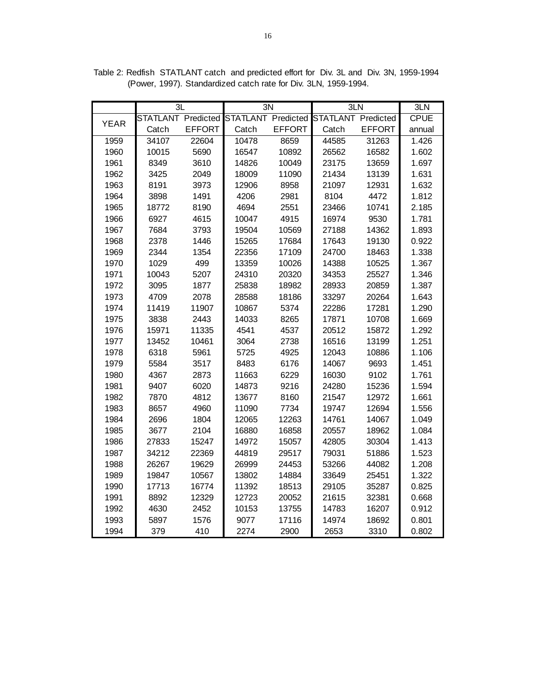|             | ЗL                        |               | 3N                        |               | 3LN                       |               | 3LN         |
|-------------|---------------------------|---------------|---------------------------|---------------|---------------------------|---------------|-------------|
| <b>YEAR</b> | <b>STATLANT Predicted</b> |               | <b>STATLANT Predicted</b> |               | <b>STATLANT Predicted</b> |               | <b>CPUE</b> |
|             | Catch                     | <b>EFFORT</b> | Catch                     | <b>EFFORT</b> | Catch                     | <b>EFFORT</b> | annual      |
| 1959        | 34107                     | 22604         | 10478                     | 8659          | 44585                     | 31263         | 1.426       |
| 1960        | 10015                     | 5690          | 16547                     | 10892         | 26562                     | 16582         | 1.602       |
| 1961        | 8349                      | 3610          | 14826                     | 10049         | 23175                     | 13659         | 1.697       |
| 1962        | 3425                      | 2049          | 18009                     | 11090         | 21434                     | 13139         | 1.631       |
| 1963        | 8191                      | 3973          | 12906                     | 8958          | 21097                     | 12931         | 1.632       |
| 1964        | 3898                      | 1491          | 4206                      | 2981          | 8104                      | 4472          | 1.812       |
| 1965        | 18772                     | 8190          | 4694                      | 2551          | 23466                     | 10741         | 2.185       |
| 1966        | 6927                      | 4615          | 10047                     | 4915          | 16974                     | 9530          | 1.781       |
| 1967        | 7684                      | 3793          | 19504                     | 10569         | 27188                     | 14362         | 1.893       |
| 1968        | 2378                      | 1446          | 15265                     | 17684         | 17643                     | 19130         | 0.922       |
| 1969        | 2344                      | 1354          | 22356                     | 17109         | 24700                     | 18463         | 1.338       |
| 1970        | 1029                      | 499           | 13359                     | 10026         | 14388                     | 10525         | 1.367       |
| 1971        | 10043                     | 5207          | 24310                     | 20320         | 34353                     | 25527         | 1.346       |
| 1972        | 3095                      | 1877          | 25838                     | 18982         | 28933                     | 20859         | 1.387       |
| 1973        | 4709                      | 2078          | 28588                     | 18186         | 33297                     | 20264         | 1.643       |
| 1974        | 11419                     | 11907         | 10867                     | 5374          | 22286                     | 17281         | 1.290       |
| 1975        | 3838                      | 2443          | 14033                     | 8265          | 17871                     | 10708         | 1.669       |
| 1976        | 15971                     | 11335         | 4541                      | 4537          | 20512                     | 15872         | 1.292       |
| 1977        | 13452                     | 10461         | 3064                      | 2738          | 16516                     | 13199         | 1.251       |
| 1978        | 6318                      | 5961          | 5725                      | 4925          | 12043                     | 10886         | 1.106       |
| 1979        | 5584                      | 3517          | 8483                      | 6176          | 14067                     | 9693          | 1.451       |
| 1980        | 4367                      | 2873          | 11663                     | 6229          | 16030                     | 9102          | 1.761       |
| 1981        | 9407                      | 6020          | 14873                     | 9216          | 24280                     | 15236         | 1.594       |
| 1982        | 7870                      | 4812          | 13677                     | 8160          | 21547                     | 12972         | 1.661       |
| 1983        | 8657                      | 4960          | 11090                     | 7734          | 19747                     | 12694         | 1.556       |
| 1984        | 2696                      | 1804          | 12065                     | 12263         | 14761                     | 14067         | 1.049       |
| 1985        | 3677                      | 2104          | 16880                     | 16858         | 20557                     | 18962         | 1.084       |
| 1986        | 27833                     | 15247         | 14972                     | 15057         | 42805                     | 30304         | 1.413       |
| 1987        | 34212                     | 22369         | 44819                     | 29517         | 79031                     | 51886         | 1.523       |
| 1988        | 26267                     | 19629         | 26999                     | 24453         | 53266                     | 44082         | 1.208       |
| 1989        | 19847                     | 10567         | 13802                     | 14884         | 33649                     | 25451         | 1.322       |
| 1990        | 17713                     | 16774         | 11392                     | 18513         | 29105                     | 35287         | 0.825       |
| 1991        | 8892                      | 12329         | 12723                     | 20052         | 21615                     | 32381         | 0.668       |
| 1992        | 4630                      | 2452          | 10153                     | 13755         | 14783                     | 16207         | 0.912       |
| 1993        | 5897                      | 1576          | 9077                      | 17116         | 14974                     | 18692         | 0.801       |
| 1994        | 379                       | 410           | 2274                      | 2900          | 2653                      | 3310          | 0.802       |

Table 2: Redfish STATLANT catch and predicted effort for Div. 3L and Div. 3N, 1959-1994 (Power, 1997). Standardized catch rate for Div. 3LN, 1959-1994.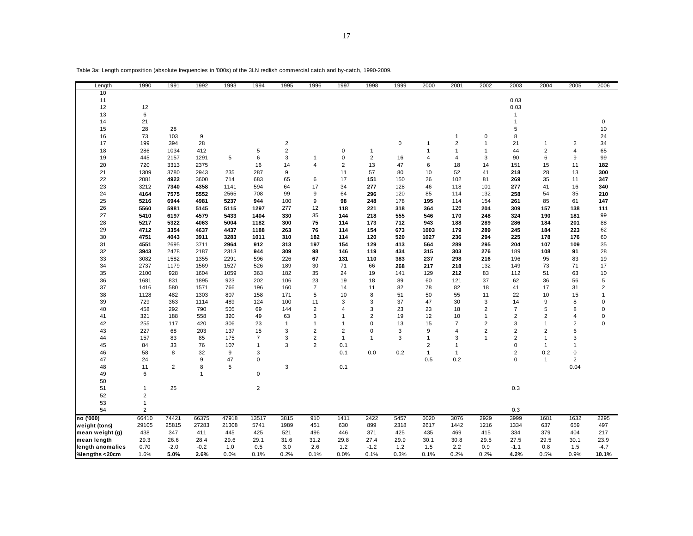| Length           | 1990           | 1991           | 1992           | 1993  | 1994           | 1995           | 1996           | 1997           | 1998           | 1999        | 2000           | 2001           | 2002           | 2003           | 2004           | 2005           | 2006        |
|------------------|----------------|----------------|----------------|-------|----------------|----------------|----------------|----------------|----------------|-------------|----------------|----------------|----------------|----------------|----------------|----------------|-------------|
| 10               |                |                |                |       |                |                |                |                |                |             |                |                |                |                |                |                |             |
| 11               |                |                |                |       |                |                |                |                |                |             |                |                |                | 0.03           |                |                |             |
| 12               | 12             |                |                |       |                |                |                |                |                |             |                |                |                | 0.03           |                |                |             |
| 13               | 6              |                |                |       |                |                |                |                |                |             |                |                |                | $\mathbf{1}$   |                |                |             |
| 14               | 21             |                |                |       |                |                |                |                |                |             |                |                |                | 1              |                |                | $\mathbf 0$ |
| 15               | 28             | 28             |                |       |                |                |                |                |                |             |                |                |                | 5              |                |                | 10          |
| 16               | 73             | 103            | 9              |       |                |                |                |                |                |             |                | $\mathbf{1}$   | $\pmb{0}$      | 8              |                |                | 24          |
| 17               | 199            | 394            | 28             |       |                | $\sqrt{2}$     |                |                |                | $\mathbf 0$ | 1              | $\overline{2}$ | $\overline{1}$ | 21             | $\mathbf{1}$   | $\overline{2}$ | 34          |
| 18               | 286            | 1034           | 412            |       | 5              | $\overline{2}$ |                | 0              | 1              |             | 1              | $\overline{1}$ | $\overline{1}$ | 44             | $\overline{2}$ | $\overline{4}$ | 65          |
| 19               | 445            | 2157           | 1291           | 5     | 6              | 3              | 1              | $\mathbf 0$    | $\overline{2}$ | 16          | 4              | $\overline{4}$ | 3              | 90             | 6              | 9              | 99          |
| 20               | 720            | 3313           | 2375           |       | 16             | 14             | 4              | $\overline{2}$ | 13             | 47          | 6              | 18             | 14             | 151            | 15             | 11             | 182         |
| 21               | 1309           | 3780           | 2943           | 235   | 287            | 9              |                | 11             | 57             | 80          | 10             | 52             | 41             | 218            | 28             | 13             | 300         |
| 22               | 2081           | 4922           | 3600           | 714   | 683            | 65             | 6              | 17             | 151            | 150         | 26             | 102            | 81             | 269            | 35             | 11             | 347         |
| 23               | 3212           | 7340           | 4358           | 1141  | 594            | 64             | 17             | 34             | 277            | 128         | 46             | 118            | 101            | 277            | 41             | 16             | 340         |
| 24               | 4164           | 7575           | 5552           | 2565  | 708            | 99             | 9              | 64             | 296            | 120         | 85             | 114            | 132            | 258            | 54             | 35             | 210         |
| 25               | 5216           | 6944           | 4981           | 5237  | 944            | 100            | 9              | 98             | 248            | 178         | 195            | 114            | 154            | 261            | 85             | 61             | 147         |
| 26               | 5560           | 5981           | 5145           | 5115  | 1297           | 277            | 12             | 118            | 221            | 318         | 364            | 126            | 204            | 309            | 157            | 138            | 111         |
| 27               | 5410           | 6197           | 4579           | 5433  | 1404           | 330            | 35             | 144            | 218            | 555         | 546            | 170            | 248            | 324            | 190            | 181            | 99          |
| 28               | 5217           | 5322           | 4063           | 5004  | 1182           | 300            | 75             | 114            | 173            | 712         | 943            | 188            | 289            | 286            | 184            | 201            | 88          |
| 29               | 4712           | 3354           | 4637           | 4437  | 1188           | 263            | 76             | 114            | 154            | 673         | 1003           | 179            | 289            | 245            | 184            | 223            | 62          |
| 30               | 4751           | 4043           | 3911           | 3283  | 1011           | 310            | 182            | 114            | 120            | 520         | 1027           | 236            | 294            | 225            | 178            | 176            | 60          |
| 31               | 4551           | 2695           | 3711           | 2964  | 912            | 313            | 197            | 154            | 129            | 413         | 564            | 289            | 295            | 204            | 107            | 109            | 35          |
| 32               | 3943           | 2478           | 2187           | 2313  | 944            | 309            | 98             | 146            | 119            | 434         | 315            | 303            | 276            | 189            | 108            | 91             | 28          |
| 33               | 3082           | 1582           | 1355           | 2291  | 596            | 226            | 67             | 131            | 110            | 383         | 237            | 298            | 216            | 196            | 95             | 83             | 19          |
| 34               | 2737           | 1179           | 1569           | 1527  | 526            | 189            | 30             | 71             | 66             | 268         | 217            | 218            | 132            | 149            | 73             | 71             | 17          |
| 35               | 2100           | 928            | 1604           | 1059  | 363            | 182            | 35             | 24             | 19             | 141         | 129            | 212            | 83             | 112            | 51             | 63             | 10          |
| 36               | 1681           | 831            | 1895           | 923   | 202            | 106            | 23             | 19             | 18             | 89          | 60             | 121            | 37             | 62             | 36             | 56             | 5           |
| 37               | 1416           | 580            | 1571           | 766   | 196            | 160            | $\overline{7}$ | 14             | 11             | 82          | 78             | 82             | 18             | 41             | 17             | 31             | 2           |
| 38               | 1128           | 482            | 1303           | 807   | 158            | 171            | 5              | 10             | 8              | 51          | 50             | 55             | 11             | 22             | 10             | 15             | -1          |
| 39               | 729            | 363            | 1114           | 489   | 124            | 100            | 11             | 3              | 3              | 37          | 47             | 30             | 3              | 14             | 9              | 8              | $\mathbf 0$ |
| 40               | 458            | 292            | 790            | 505   | 69             | 144            | $\overline{2}$ | $\overline{4}$ | 3              | 23          | 23             | 18             | $\overline{2}$ | $\overline{7}$ | 5              | 8              | $\Omega$    |
| 41               | 321            | 188            | 558            | 320   | 49             | 63             | 3              | $\overline{1}$ | $\overline{2}$ | 19          | 12             | 10             | $\overline{1}$ | $\overline{2}$ | $\overline{2}$ | $\overline{4}$ | $\mathbf 0$ |
| 42               | 255            | 117            | 420            | 306   | 23             | $\mathbf{1}$   | $\overline{1}$ | $\mathbf{1}$   | $\mathbf 0$    | 13          | 15             | $\overline{7}$ | $\overline{2}$ | 3              | $\mathbf{1}$   | $\overline{2}$ | $\Omega$    |
| 43               | 227            | 68             | 203            | 137   | 15             | 3              | 2              | $\overline{2}$ | 0              | 3           | 9              | $\overline{4}$ | $\overline{2}$ | 2              | $\overline{2}$ | 6              |             |
| 44               | 157            | 83             | 85             | 175   | $\overline{7}$ | 3              | 2              | $\mathbf{1}$   | 1              | 3           | $\mathbf 1$    | 3              | -1             | $\overline{2}$ | $\mathbf{1}$   | 3              |             |
| 45               | 84             | 33             | 76             | 107   | $\mathbf{1}$   | 3              | $\overline{2}$ | 0.1            |                |             | $\overline{2}$ | $\overline{1}$ |                | $\Omega$       | $\mathbf{1}$   | 1              |             |
| 46               | 58             | 8              | 32             | 9     | 3              |                |                | 0.1            | 0.0            | 0.2         | $\mathbf{1}$   | $\mathbf{1}$   |                | $\overline{2}$ | 0.2            | 0              |             |
| 47               | 24             |                | 9              | 47    | $\mathbf 0$    |                |                |                |                |             | 0.5            | 0.2            |                | $\Omega$       | $\mathbf{1}$   | $\overline{2}$ |             |
| 48               | 11             | $\overline{2}$ | 8              | 5     |                | 3              |                | 0.1            |                |             |                |                |                |                |                | 0.04           |             |
| 49               | 6              |                | $\overline{1}$ |       | $\mathbf 0$    |                |                |                |                |             |                |                |                |                |                |                |             |
| 50               |                |                |                |       |                |                |                |                |                |             |                |                |                |                |                |                |             |
| 51               | 1              | 25             |                |       | $\overline{2}$ |                |                |                |                |             |                |                |                | 0.3            |                |                |             |
| 52               | $\sqrt{2}$     |                |                |       |                |                |                |                |                |             |                |                |                |                |                |                |             |
| 53               | $\mathbf{1}$   |                |                |       |                |                |                |                |                |             |                |                |                |                |                |                |             |
| 54               | $\overline{2}$ |                |                |       |                |                |                |                |                |             |                |                |                | 0.3            |                |                |             |
| no ('000)        | 66410          | 74421          | 66375          | 47918 | 13517          | 3815           | 910            | 1411           | 2422           | 5457        | 6020           | 3076           | 2929           | 3999           | 1681           | 1632           | 2295        |
| weight (tons)    | 29105          | 25815          | 27283          | 21308 | 5741           | 1989           | 451            | 630            | 899            | 2318        | 2617           | 1442           | 1216           | 1334           | 637            | 659            | 497         |
| mean weight (g)  | 438            | 347            | 411            | 445   | 425            | 521            | 496            | 446            | 371            | 425         | 435            | 469            | 415            | 334            | 379            | 404            | 217         |
| mean length      | 29.3           | 26.6           | 28.4           | 29.6  | 29.1           | 31.6           | 31.2           | 29.8           | 27.4           | 29.9        | 30.1           | 30.8           | 29.5           | 27.5           | 29.5           | 30.1           | 23.9        |
| length anomalies | 0.70           | $-2.0$         | $-0.2$         | 1.0   | 0.5            | 3.0            | 2.6            | 1.2            | $-1.2$         | 1.2         | 1.5            | 2.2            | 0.9            | $-1.1$         | 0.8            | 1.5            | $-4.7$      |
| %lengths <20cm   | 1.6%           | 5.0%           | 2.6%           | 0.0%  | 0.1%           | 0.2%           | 0.1%           | 0.0%           | 0.1%           | 0.3%        | 0.1%           | 0.2%           | 0.2%           | 4.2%           | 0.5%           | 0.9%           | 10.1%       |

Table 3a: Length composition (absolute frequencies in '000s) of the 3LN redfish commercial catch and by-catch, 1990-2009.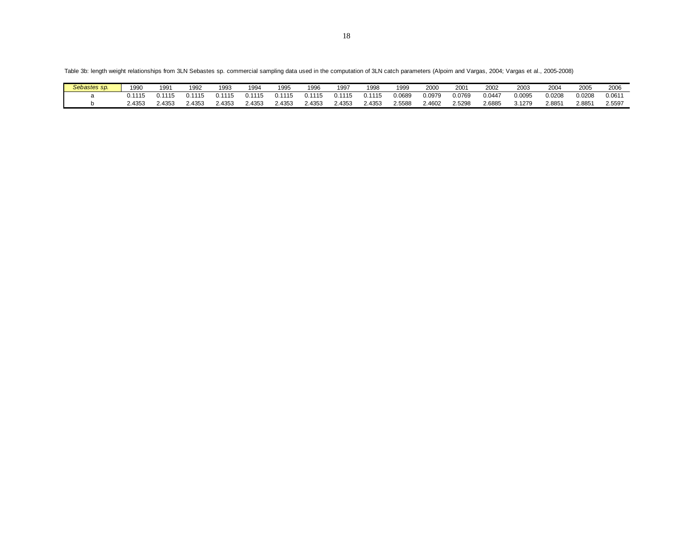Table 3b: length weight relationships from 3LN Sebastes sp. commercial sampling data used in the computation of 3LN catch parameters (Alpoim and Vargas, 2004; Vargas et al., 2005-2008)

| Sebastes sp. | 1990   | 1991  | 1992  | 1993 | 1994  | 1995   | 1996   | 199    | 1998   | 1999   | 2000   | 200'   | 2002   | 2003   | 200    | 200t   | 2006   |
|--------------|--------|-------|-------|------|-------|--------|--------|--------|--------|--------|--------|--------|--------|--------|--------|--------|--------|
|              | .      | .     |       |      |       | 1115   | 11115  | ነ 1115 | 0.1115 | 0.0689 | J.0979 | 0.0769 | 0.0447 | 0.0095 | 0.0208 | 0.0208 | 0.061  |
|              | 2.4353 | .4353 | .4353 | 4353 | .4353 | 2.4353 | 2.4353 | 2.4353 | : 4353 | .5588  | 2.4602 | 2.5298 | 2.6885 | 3.1279 | 2.885' | 2.8851 | 2.5597 |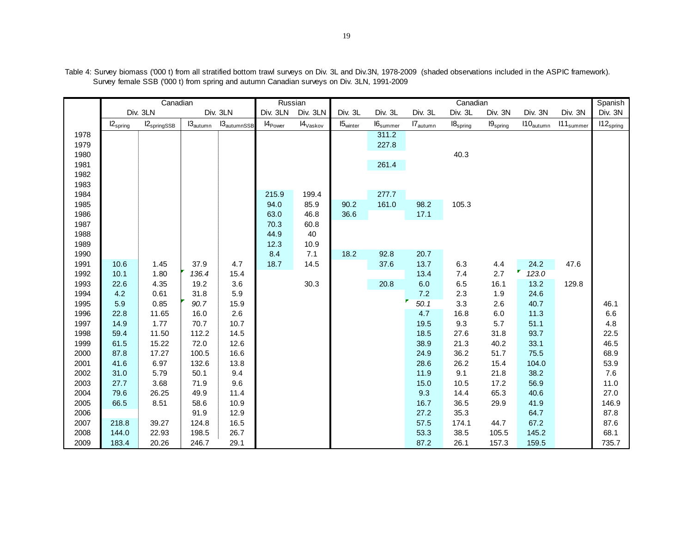|      |               | Canadian                         |                      |                                    | Russian      |                                 |                      |                             |                   | Canadian                      |                                 |                       |                      | Spanish        |
|------|---------------|----------------------------------|----------------------|------------------------------------|--------------|---------------------------------|----------------------|-----------------------------|-------------------|-------------------------------|---------------------------------|-----------------------|----------------------|----------------|
|      |               | Div. 3LN                         |                      | Div. 3LN                           | Div. 3LN     | Div. 3LN                        | Div. 3L              | Div. 3L                     | Div. 3L           | Div. 3L                       | Div. 3N                         | Div. 3N               | Div. 3N              | Div. 3N        |
|      | $12_{spring}$ | $\textsf{I2}_{\text{springSSB}}$ | $13_{\text{autumn}}$ | $\mathsf{I3}_{\mathsf{autumnSSB}}$ | $14_{Power}$ | $\textsf{I4}_{\textsf{Vaskov}}$ | 15 <sub>winter</sub> | $\text{I6}_{\text{summer}}$ | $I7_{\rm autumn}$ | $\textsf{I8}_{\text{spring}}$ | $\mathsf{I9}_{\mathsf{spring}}$ | $110_{\text{autumn}}$ | 111 <sub>sumer</sub> | $112_{spring}$ |
| 1978 |               |                                  |                      |                                    |              |                                 |                      | 311.2                       |                   |                               |                                 |                       |                      |                |
| 1979 |               |                                  |                      |                                    |              |                                 |                      | 227.8                       |                   |                               |                                 |                       |                      |                |
| 1980 |               |                                  |                      |                                    |              |                                 |                      |                             |                   | 40.3                          |                                 |                       |                      |                |
| 1981 |               |                                  |                      |                                    |              |                                 |                      | 261.4                       |                   |                               |                                 |                       |                      |                |
| 1982 |               |                                  |                      |                                    |              |                                 |                      |                             |                   |                               |                                 |                       |                      |                |
| 1983 |               |                                  |                      |                                    |              |                                 |                      |                             |                   |                               |                                 |                       |                      |                |
| 1984 |               |                                  |                      |                                    | 215.9        | 199.4                           |                      | 277.7                       |                   |                               |                                 |                       |                      |                |
| 1985 |               |                                  |                      |                                    | 94.0         | 85.9                            | 90.2                 | 161.0                       | 98.2              | 105.3                         |                                 |                       |                      |                |
| 1986 |               |                                  |                      |                                    | 63.0         | 46.8                            | 36.6                 |                             | 17.1              |                               |                                 |                       |                      |                |
| 1987 |               |                                  |                      |                                    | 70.3         | 60.8                            |                      |                             |                   |                               |                                 |                       |                      |                |
| 1988 |               |                                  |                      |                                    | 44.9         | 40                              |                      |                             |                   |                               |                                 |                       |                      |                |
| 1989 |               |                                  |                      |                                    | 12.3         | 10.9                            |                      |                             |                   |                               |                                 |                       |                      |                |
| 1990 |               |                                  |                      |                                    | 8.4          | 7.1                             | 18.2                 | 92.8                        | 20.7              |                               |                                 |                       |                      |                |
| 1991 | 10.6          | 1.45                             | 37.9                 | 4.7                                | 18.7         | 14.5                            |                      | 37.6                        | 13.7              | 6.3                           | 4.4                             | 24.2                  | 47.6                 |                |
| 1992 | 10.1          | 1.80                             | 136.4                | 15.4                               |              |                                 |                      |                             | 13.4              | 7.4                           | 2.7                             | 123.0                 |                      |                |
| 1993 | 22.6          | 4.35                             | 19.2                 | 3.6                                |              | 30.3                            |                      | 20.8                        | 6.0               | 6.5                           | 16.1                            | 13.2                  | 129.8                |                |
| 1994 | 4.2           | 0.61                             | 31.8                 | 5.9                                |              |                                 |                      |                             | 7.2               | 2.3                           | 1.9                             | 24.6                  |                      |                |
| 1995 | 5.9           | 0.85                             | 90.7                 | 15.9                               |              |                                 |                      |                             | 50.1              | 3.3                           | 2.6                             | 40.7                  |                      | 46.1           |
| 1996 | 22.8          | 11.65                            | 16.0                 | 2.6                                |              |                                 |                      |                             | 4.7               | 16.8                          | 6.0                             | 11.3                  |                      | 6.6            |
| 1997 | 14.9          | 1.77                             | 70.7                 | 10.7                               |              |                                 |                      |                             | 19.5              | 9.3                           | 5.7                             | 51.1                  |                      | 4.8            |
| 1998 | 59.4          | 11.50                            | 112.2                | 14.5                               |              |                                 |                      |                             | 18.5              | 27.6                          | 31.8                            | 93.7                  |                      | 22.5           |
| 1999 | 61.5          | 15.22                            | 72.0                 | 12.6                               |              |                                 |                      |                             | 38.9              | 21.3                          | 40.2                            | 33.1                  |                      | 46.5           |
| 2000 | 87.8          | 17.27                            | 100.5                | 16.6                               |              |                                 |                      |                             | 24.9              | 36.2                          | 51.7                            | 75.5                  |                      | 68.9           |
| 2001 | 41.6          | 6.97                             | 132.6                | 13.8                               |              |                                 |                      |                             | 28.6              | 26.2                          | 15.4                            | 104.0                 |                      | 53.9           |
| 2002 | 31.0          | 5.79                             | 50.1                 | 9.4                                |              |                                 |                      |                             | 11.9              | 9.1                           | 21.8                            | 38.2                  |                      | 7.6            |
| 2003 | 27.7          | 3.68                             | 71.9                 | 9.6                                |              |                                 |                      |                             | 15.0              | 10.5                          | 17.2                            | 56.9                  |                      | 11.0           |
| 2004 | 79.6          | 26.25                            | 49.9                 | 11.4                               |              |                                 |                      |                             | 9.3               | 14.4                          | 65.3                            | 40.6                  |                      | 27.0           |
| 2005 | 66.5          | 8.51                             | 58.6                 | 10.9                               |              |                                 |                      |                             | 16.7              | 36.5                          | 29.9                            | 41.9                  |                      | 146.9          |
| 2006 |               |                                  | 91.9                 | 12.9                               |              |                                 |                      |                             | 27.2              | 35.3                          |                                 | 64.7                  |                      | 87.8           |
| 2007 | 218.8         | 39.27                            | 124.8                | 16.5                               |              |                                 |                      |                             | 57.5              | 174.1                         | 44.7                            | 67.2                  |                      | 87.6           |
| 2008 | 144.0         | 22.93                            | 198.5                | 26.7                               |              |                                 |                      |                             | 53.3              | 38.5                          | 105.5                           | 145.2                 |                      | 68.1           |
| 2009 | 183.4         | 20.26                            | 246.7                | 29.1                               |              |                                 |                      |                             | 87.2              | 26.1                          | 157.3                           | 159.5                 |                      | 735.7          |

Table 4: Survey biomass ('000 t) from all stratified bottom trawl surveys on Div. 3L and Div.3N, 1978-2009 (shaded observations included in the ASPIC framework). Survey female SSB ('000 t) from spring and autumn Canadian surveys on Div. 3LN, 1991-2009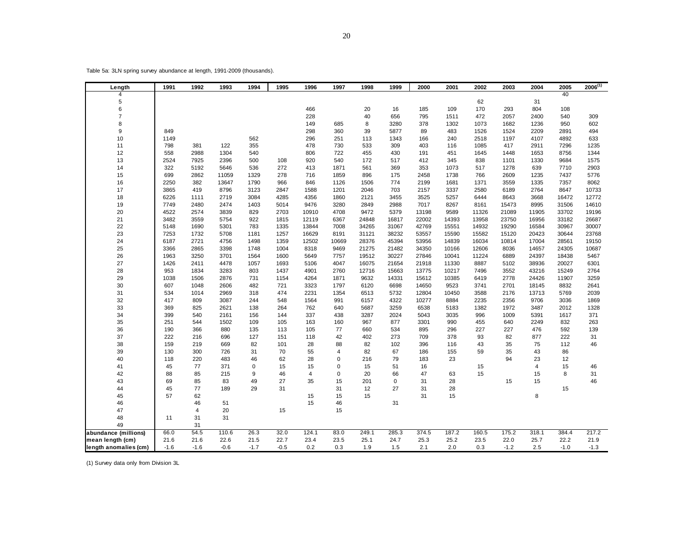Table 5a: 3LN spring survey abundance at length, 1991-2009 (thousands).

| Length                | 1991       | 1992                    | 1993   | 1994        | 1995   | 1996       | 1997       | 1998       | 1999        | 2000       | 2001       | 2002        | 2003         | 2004         | 2005         | $2006^{(1)}$ |
|-----------------------|------------|-------------------------|--------|-------------|--------|------------|------------|------------|-------------|------------|------------|-------------|--------------|--------------|--------------|--------------|
| 4                     |            |                         |        |             |        |            |            |            |             |            |            |             |              |              | 40           |              |
| 5                     |            |                         |        |             |        |            |            |            |             |            |            | 62          |              | 31           |              |              |
| 6                     |            |                         |        |             |        | 466        |            | 20         | 16          | 185        | 109        | 170         | 293          | 804          | 108          |              |
| $\overline{7}$        |            |                         |        |             |        | 228        |            | 40         | 656         | 795        | 1511       | 472         | 2057         | 2400         | 540          | 309          |
| 8                     |            |                         |        |             |        | 149        | 685        | 8          | 3280        | 378        | 1302       | 1073        | 1682         | 1236         | 950          | 602          |
| 9                     | 849        |                         |        |             |        | 298        | 360        | 39         | 5877        | 89         | 483        | 1526        | 1524         | 2209         | 2891         | 494          |
| 10<br>11              | 1149       | 381                     | 122    | 562<br>355  |        | 296<br>478 | 251        | 113<br>533 | 1343<br>309 | 166        | 240        | 2518        | 1197         | 4107         | 4892         | 633<br>1235  |
|                       | 798<br>558 | 2988                    | 1304   | 540         |        | 806        | 730<br>722 | 455        | 430         | 403<br>191 | 116<br>451 | 1085        | 417          | 2911         | 7296<br>8756 | 1344         |
| 12<br>13              | 2524       | 7925                    | 2396   | 500         | 108    | 920        | 540        | 172        | 517         | 412        | 345        | 1645<br>838 | 1448<br>1101 | 1653<br>1330 | 9684         | 1575         |
| 14                    | 322        | 5192                    | 5646   | 536         | 272    | 413        | 1871       | 561        | 369         | 353        | 1073       | 517         | 1278         | 639          | 7710         | 2903         |
| 15                    | 699        | 2862                    | 11059  | 1329        | 278    | 716        | 1859       | 896        | 175         | 2458       | 1738       | 766         | 2609         | 1235         | 7437         | 5776         |
| 16                    | 2250       | 382                     | 13647  | 1790        | 966    | 846        | 1126       | 1506       | 774         | 2199       | 1681       | 1371        | 3559         | 1335         | 7357         | 8062         |
| 17                    | 3865       | 419                     | 8796   | 3123        | 2847   | 1588       | 1201       | 2046       | 703         | 2157       | 3337       | 2580        | 6189         | 2764         | 8647         | 10733        |
| 18                    | 6226       | 1111                    | 2719   | 3084        | 4285   | 4356       | 1860       | 2121       | 3455        | 3525       | 5257       | 6444        | 8643         | 3668         | 16472        | 12772        |
| 19                    | 7749       | 2480                    | 2474   | 1403        | 5014   | 9476       | 3280       | 2849       | 2988        | 7017       | 8267       | 8161        | 15473        | 8995         | 31506        | 14610        |
| 20                    | 4522       | 2574                    | 3839   | 829         | 2703   | 10910      | 4708       | 9472       | 5379        | 13198      | 9589       | 11326       | 21089        | 11905        | 33702        | 19196        |
| 21                    | 3482       | 3559                    | 5754   | 922         | 1815   | 12119      | 6367       | 24848      | 16817       | 22002      | 14393      | 13958       | 23750        | 16956        | 33182        | 26687        |
| 22                    | 5148       | 1690                    | 5301   | 783         | 1335   | 13844      | 7008       | 34265      | 31067       | 42769      | 15551      | 14932       | 19290        | 16584        | 30967        | 30007        |
| 23                    | 7253       | 1732                    | 5708   | 1181        | 1257   | 16629      | 8191       | 31121      | 38232       | 53557      | 15590      | 15582       | 15120        | 20423        | 30644        | 23768        |
| 24                    | 6187       | 2721                    | 4756   | 1498        | 1359   | 12502      | 10669      | 28376      | 45394       | 53956      | 14839      | 16034       | 10814        | 17004        | 28561        | 19150        |
| 25                    | 3366       | 2865                    | 3398   | 1748        | 1004   | 8318       | 9469       | 21275      | 21482       | 34350      | 10166      | 12606       | 8036         | 14657        | 24305        | 10687        |
| 26                    | 1963       | 3250                    | 3701   | 1564        | 1600   | 5649       | 7757       | 19512      | 30227       | 27846      | 10041      | 11224       | 6889         | 24397        | 18438        | 5467         |
| 27                    | 1426       | 2411                    | 4478   | 1057        | 1693   | 5106       | 4047       | 16075      | 21654       | 21918      | 11330      | 8887        | 5102         | 38936        | 20027        | 6301         |
| 28                    | 953        | 1834                    | 3283   | 803         | 1437   | 4901       | 2760       | 12716      | 15663       | 13775      | 10217      | 7496        | 3552         | 43216        | 15249        | 2764         |
| 29                    | 1038       | 1506                    | 2876   | 731         | 1154   | 4264       | 1871       | 9632       | 14331       | 15612      | 10385      | 6419        | 2778         | 24426        | 11907        | 3259         |
| 30                    | 607        | 1048                    | 2606   | 482         | 721    | 3323       | 1797       | 6120       | 6698        | 14650      | 9523       | 3741        | 2701         | 18145        | 8832         | 2641         |
| 31                    | 534        | 1014                    | 2969   | 318         | 474    | 2231       | 1354       | 6513       | 5732        | 12804      | 10450      | 3588        | 2176         | 13713        | 5769         | 2039         |
| 32                    | 417        | 809                     | 3087   | 244         | 548    | 1564       | 991        | 6157       | 4322        | 10277      | 8884       | 2235        | 2356         | 9706         | 3036         | 1869         |
| 33                    | 369        | 825                     | 2621   | 138         | 264    | 762        | 640        | 5687       | 3259        | 6538       | 5183       | 1382        | 1972         | 3487         | 2012         | 1328         |
| 34                    | 399        | 540                     | 2161   | 156         | 144    | 337        | 438        | 3287       | 2024        | 5043       | 3035       | 996         | 1009         | 5391         | 1617         | 371          |
| 35                    | 251        | 544                     | 1502   | 109         | 105    | 163        | 160        | 967        | 877         | 3301       | 990        | 455         | 640          | 2249         | 832          | 263          |
| 36                    | 190        | 366                     | 880    | 135         | 113    | 105        | 77         | 660        | 534         | 895        | 296        | 227         | 227          | 476          | 592          | 139          |
| 37                    | 222        | 216                     | 696    | 127         | 151    | 118        | 42         | 402        | 273         | 709        | 378        | 93          | 82           | 877          | 222          | 31           |
| 38                    | 159        | 219                     | 669    | 82          | 101    | 28         | 88         | 82         | 102         | 396        | 116        | 43          | 35           | 75           | 112          | 46           |
| 39                    | 130        | 300                     | 726    | 31          | 70     | 55         | 4          | 82         | 67          | 186        | 155        | 59          | 35           | 43           | 86           |              |
| 40                    | 118        | 220                     | 483    | 46          | 62     | 28         | 0          | 216        | 79          | 183        | 23         |             | 94           | 23           | 12           |              |
| 41                    | 45         | 77                      | 371    | $\mathbf 0$ | 15     | 15         | $\Omega$   | 15         | 51          | 16         |            | 15          |              | 4            | 15           | 46           |
| 42                    | 88         | 85                      | 215    | 9           | 46     | 4          | 0          | 20         | 66          | 47         | 63         | 15          |              | 15           | 8            | 31           |
| 43                    | 69         | 85                      | 83     | 49          | 27     | 35         | 15         | 201        | 0           | 31         | 28         |             | 15           | 15           |              | 46           |
| 44                    | 45         | 77                      | 189    | 29          | 31     |            | 31         | 12         | 27          | 31         | 28         |             |              |              | 15           |              |
| 45                    | 57         | 62                      |        |             |        | 15         | 15         | 15         |             | 31         | 15         |             |              | 8            |              |              |
| 46                    |            | 46                      | 51     |             |        | 15         | 46         |            | 31          |            |            |             |              |              |              |              |
| 47                    |            | $\overline{\mathbf{4}}$ | 20     |             | 15     |            | 15         |            |             |            |            |             |              |              |              |              |
| 48                    | 11         | 31                      | 31     |             |        |            |            |            |             |            |            |             |              |              |              |              |
| 49                    |            | 31                      |        |             |        |            |            |            |             |            |            |             |              |              |              |              |
| abundance (millions)  | 66.0       | 54.5                    | 110.6  | 26.3        | 32.0   | 124.1      | 83.0       | 249.1      | 285.3       | 374.5      | 187.2      | 160.5       | 175.2        | 318.1        | 384.4        | 217.2        |
| mean length (cm)      | 21.6       | 21.6                    | 22.6   | 21.5        | 22.7   | 23.4       | 23.5       | 25.1       | 24.7        | 25.3       | 25.2       | 23.5        | 22.0         | 25.7         | 22.2         | 21.9         |
| length anomalies (cm) | $-1.6$     | $-1.6$                  | $-0.6$ | $-1.7$      | $-0.5$ | 0.2        | 0.3        | 1.9        | 1.5         | 2.1        | 2.0        | 0.3         | $-1.2$       | 2.5          | $-1.0$       | $-1.3$       |

(1) Survey data only from Division 3L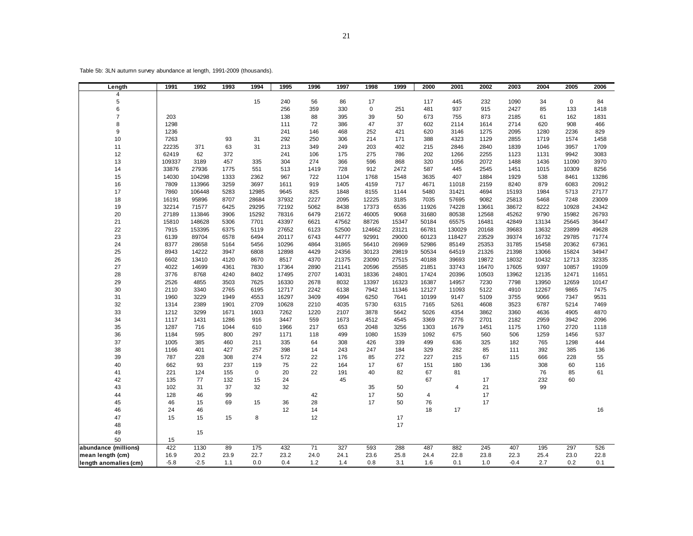Table 5b: 3LN autumn survey abundance at length, 1991-2009 (thousands).

| Length                | 1991   | 1992   | 1993 | 1994        | 1995  | 1996 | 1997  | 1998        | 1999  | 2000  | 2001   | 2002  | 2003   | 2004  | 2005        | 2006  |
|-----------------------|--------|--------|------|-------------|-------|------|-------|-------------|-------|-------|--------|-------|--------|-------|-------------|-------|
| $\overline{4}$        |        |        |      |             |       |      |       |             |       |       |        |       |        |       |             |       |
| 5                     |        |        |      | 15          | 240   | 56   | 86    | 17          |       | 117   | 445    | 232   | 1090   | 34    | $\mathbf 0$ | 84    |
| 6                     |        |        |      |             | 256   | 359  | 330   | $\mathbf 0$ | 251   | 481   | 937    | 915   | 2427   | 85    | 133         | 1418  |
| $\overline{7}$        | 203    |        |      |             | 138   | 88   | 395   | 39          | 50    | 673   | 755    | 873   | 2185   | 61    | 162         | 1831  |
| 8                     | 1298   |        |      |             | 111   | 72   | 386   | 47          | 37    | 602   | 2114   | 1614  | 2714   | 620   | 908         | 466   |
| 9                     | 1236   |        |      |             | 241   | 146  | 468   | 252         | 421   | 620   | 3146   | 1275  | 2095   | 1280  | 2236        | 829   |
| 10                    | 7263   |        | 93   | 31          | 292   | 250  | 306   | 214         | 171   | 388   | 4323   | 1129  | 2855   | 1719  | 1574        | 1458  |
| 11                    | 22235  | 371    | 63   | 31          | 213   | 349  | 249   | 203         | 402   | 215   | 2846   | 2840  | 1839   | 1046  | 3957        | 1709  |
| 12                    | 62419  | 62     | 372  |             | 241   | 106  | 175   | 275         | 786   | 202   | 1266   | 2255  | 1123   | 1131  | 9942        | 3083  |
| 13                    | 109337 | 3189   | 457  | 335         | 304   | 274  | 366   | 596         | 868   | 320   | 1056   | 2072  | 1488   | 1436  | 11090       | 3970  |
| 14                    | 33876  | 27936  | 1775 | 551         | 513   | 1419 | 728   | 912         | 2472  | 587   | 445    | 2545  | 1451   | 1015  | 10309       | 8256  |
| 15                    | 14030  | 104298 | 1333 | 2362        | 967   | 722  | 1104  | 1768        | 1548  | 3635  | 407    | 1884  | 1929   | 538   | 8461        | 13286 |
| 16                    | 7809   | 113966 | 3259 | 3697        | 1611  | 919  | 1405  | 4159        | 717   | 4671  | 11018  | 2159  | 8240   | 879   | 6083        | 20912 |
| 17                    | 7860   | 106448 | 5283 | 12985       | 9645  | 825  | 1848  | 8155        | 1144  | 5480  | 31421  | 4694  | 15193  | 1984  | 5713        | 27177 |
| 18                    | 16191  | 95896  | 8707 | 28684       | 37932 | 2227 | 2095  | 12225       | 3185  | 7035  | 57695  | 9082  | 25813  | 5468  | 7248        | 23009 |
| 19                    | 32214  | 71577  | 6425 | 29295       | 72192 | 5062 | 8438  | 17373       | 6536  | 11926 | 74228  | 13661 | 38672  | 8222  | 10928       | 24342 |
| 20                    | 27189  | 113846 | 3906 | 15292       | 78316 | 6479 | 21672 | 46005       | 9068  | 31680 | 80538  | 12568 | 45262  | 9790  | 15982       | 26793 |
| 21                    | 15810  | 148628 | 5306 | 7701        | 43397 | 6621 | 47562 | 88726       | 15347 | 50184 | 65575  | 16481 | 42849  | 13134 | 25645       | 36447 |
| 22                    | 7915   | 153395 | 6375 | 5119        | 27652 | 6123 | 52500 | 124662      | 23121 | 66781 | 130029 | 20168 | 39683  | 13632 | 23899       | 49628 |
| 23                    | 6139   | 89704  | 6578 | 6494        | 20117 | 6743 | 44777 | 92991       | 29000 | 60123 | 118427 | 23529 | 39374  | 16732 | 29785       | 71774 |
| 24                    | 8377   | 28658  | 5164 | 5456        | 10296 | 4864 | 31865 | 56410       | 26969 | 52986 | 85149  | 25353 | 31785  | 15458 | 20362       | 67361 |
| 25                    | 8943   | 14222  | 3947 | 6808        | 12898 | 4429 | 24356 | 30123       | 29819 | 50534 | 64519  | 21326 | 21398  | 13066 | 15824       | 34947 |
| 26                    | 6602   | 13410  | 4120 | 8670        | 8517  | 4370 | 21375 | 23090       | 27515 | 40188 | 39693  | 19872 | 18032  | 10432 | 12713       | 32335 |
| 27                    | 4022   | 14699  | 4361 | 7830        | 17364 | 2890 | 21141 | 20596       | 25585 | 21851 | 33743  | 16470 | 17605  | 9397  | 10857       | 19109 |
| 28                    | 3776   | 8768   | 4240 | 8402        | 17495 | 2707 | 14031 | 18336       | 24801 | 17424 | 20396  | 10503 | 13962  | 12135 | 12471       | 11651 |
| 29                    | 2526   | 4855   | 3503 | 7625        | 16330 | 2678 | 8032  | 13397       | 16323 | 16387 | 14957  | 7230  | 7798   | 13950 | 12659       | 10147 |
| 30                    | 2110   | 3340   | 2765 | 6195        | 12717 | 2242 | 6138  | 7942        | 11346 | 12127 | 11093  | 5122  | 4910   | 12267 | 9865        | 7475  |
| 31                    | 1960   | 3229   | 1949 | 4553        | 16297 | 3409 | 4994  | 6250        | 7641  | 10199 | 9147   | 5109  | 3755   | 9066  | 7347        | 9531  |
| 32                    | 1314   | 2389   | 1901 | 2709        | 10628 | 2210 | 4035  | 5730        | 6315  | 7165  | 5261   | 4608  | 3523   | 6787  | 5214        | 7469  |
| 33                    | 1212   | 3299   | 1671 | 1603        | 7262  | 1220 | 2107  | 3878        | 5642  | 5026  | 4354   | 3862  | 3360   | 4636  | 4905        | 4870  |
| 34                    | 1117   | 1431   | 1286 | 916         | 3447  | 559  | 1673  | 4512        | 4545  | 3369  | 2776   | 2701  | 2182   | 2959  | 3942        | 2096  |
| 35                    | 1287   | 716    | 1044 | 610         | 1966  | 217  | 653   | 2048        | 3256  | 1303  | 1679   | 1451  | 1175   | 1760  | 2720        | 1118  |
| 36                    | 1184   | 595    | 800  | 297         | 1171  | 118  | 499   | 1080        | 1539  | 1092  | 675    | 560   | 506    | 1259  | 1456        | 537   |
| 37                    | 1005   | 385    | 460  | 211         | 335   | 64   | 308   | 426         | 339   | 499   | 636    | 325   | 182    | 765   | 1298        | 444   |
| 38                    | 1166   | 401    | 427  | 257         | 398   | 14   | 243   | 247         | 184   | 329   | 282    | 85    | 111    | 392   | 385         | 136   |
| 39                    | 787    | 228    | 308  | 274         | 572   | 22   | 176   | 85          | 272   | 227   | 215    | 67    | 115    | 666   | 228         | 55    |
| 40                    | 662    | 93     | 237  | 119         | 75    | 22   | 164   | 17          | 67    | 151   | 180    | 136   |        | 308   | 60          | 116   |
| 41                    | 221    | 124    | 155  | $\mathbf 0$ | 20    | 22   | 191   | 40          | 82    | 67    | 81     |       |        | 76    | 85          | 61    |
| 42                    | 135    | 77     | 132  | 15          | 24    |      | 45    |             |       | 67    |        | 17    |        | 232   | 60          |       |
| 43                    | 102    | 31     | 37   | 32          | 32    |      |       | 35          | 50    |       | 4      | 21    |        | 99    |             |       |
| 44                    | 128    | 46     | 99   |             |       | 42   |       | 17          | 50    | 4     |        | 17    |        |       |             |       |
| 45                    | 46     | 15     | 69   | 15          | 36    | 28   |       | 17          | 50    | 76    |        | 17    |        |       |             |       |
| 46                    | 24     | 46     |      |             | 12    | 14   |       |             |       | 18    | 17     |       |        |       |             | 16    |
| 47                    | 15     | 15     | 15   | 8           |       | 12   |       |             | 17    |       |        |       |        |       |             |       |
| 48                    |        |        |      |             |       |      |       |             | 17    |       |        |       |        |       |             |       |
| 49                    |        | 15     |      |             |       |      |       |             |       |       |        |       |        |       |             |       |
| 50                    | 15     |        |      |             |       |      |       |             |       |       |        |       |        |       |             |       |
| abundance (millions)  | 422    | 1130   | 89   | 175         | 432   | 71   | 327   | 593         | 288   | 487   | 882    | 245   | 407    | 195   | 297         | 526   |
| mean length (cm)      | 16.9   | 20.2   | 23.9 | 22.7        | 23.2  | 24.0 | 24.1  | 23.6        | 25.8  | 24.4  | 22.8   | 23.8  | 22.3   | 25.4  | 23.0        | 22.8  |
| length anomalies (cm) | $-5.8$ | $-2.5$ | 1.1  | 0.0         | 0.4   | 1.2  | 1.4   | 0.8         | 3.1   | 1.6   | 0.1    | 1.0   | $-0.4$ | 2.7   | 0.2         | 0.1   |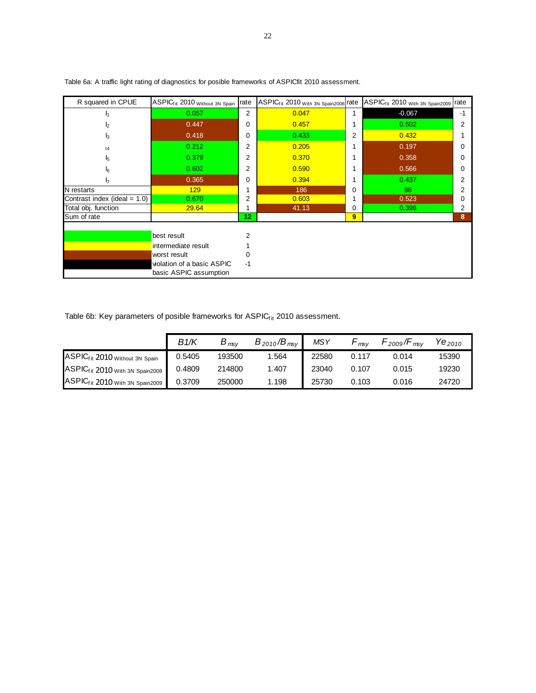| R squared in CPUE               | ASPIC <sub>fit</sub> 2010 <sub>Without 3N Spain</sub> rate |                 | ASPIC <sub>f it</sub> 2010 <sub>With 3N Spain2008</sub> rate |   | ASPIC <sub>f it</sub> 2010 <sub>With 3N</sub> Spain2009 | rate |
|---------------------------------|------------------------------------------------------------|-----------------|--------------------------------------------------------------|---|---------------------------------------------------------|------|
| I۹                              | 0.057                                                      | 2               | 0.047                                                        | 1 | $-0.067$                                                | $-1$ |
| I <sub>2</sub>                  | 0.447                                                      | 0               | 0.457                                                        |   | 0.502                                                   | 2    |
| I3                              | 0.418                                                      | $\Omega$        | 0.433                                                        | 2 | 0.432                                                   |      |
| 4                               | 0.212                                                      | $\overline{2}$  | 0.205                                                        |   | 0.197                                                   |      |
| l5                              | 0.379                                                      | $\overline{2}$  | 0.370                                                        |   | 0.358                                                   | n    |
| l6                              | 0.602                                                      | 2               | 0.590                                                        |   | 0.566                                                   | 0    |
| I <sub>7</sub>                  | 0.365                                                      | $\Omega$        | 0.394                                                        |   | 0.437                                                   | 2    |
| N restarts                      | 129                                                        |                 | 186                                                          | 0 | 96                                                      | 2    |
| Contrast index (ideal = $1.0$ ) | 0.670                                                      | 2               | 0.603                                                        |   | 0.523                                                   |      |
| Total obj. function             | 29.64                                                      |                 | 41.13                                                        | 0 | 0.396                                                   | 2    |
| Sum of rate                     |                                                            | 12 <sub>2</sub> |                                                              | 9 |                                                         | 8    |
|                                 |                                                            |                 |                                                              |   |                                                         |      |
|                                 | best result                                                |                 |                                                              |   |                                                         |      |
|                                 | intermediate result                                        |                 |                                                              |   |                                                         |      |
|                                 | worst result                                               |                 |                                                              |   |                                                         |      |
|                                 | violation of a basic ASPIC                                 | $-1$            |                                                              |   |                                                         |      |
|                                 | basic ASPIC assumption                                     |                 |                                                              |   |                                                         |      |

Table 6a: A traffic light rating of diagnostics for posible frameworks of ASPICfit 2010 assessment.

Table 6b: Key parameters of posible frameworks for  $\mathsf{ASPIC}_\mathsf{fit}$  2010 assessment.

|                                                            | B1/K   | $B_{\sf msv}$ | $B_{2010}/B_{msv}$ | <b>MSY</b> | msv   | $\cdot$ 2009/F<br>msv | $\mathsf{v}_{\mathsf{\Theta}_{2010}}$ |
|------------------------------------------------------------|--------|---------------|--------------------|------------|-------|-----------------------|---------------------------------------|
| IASPIC <sub>f it</sub> 2010 Without 3N Spain               | 0.5405 | 193500        | ∣.564              | 22580      | 0.117 | 0.014                 | 15390                                 |
| IASPIC <sub>f it</sub> 2010 With 3N Spain2008 <sup>■</sup> | 0.4809 | 214800        | 1.407              | 23040      | 0.107 | 0.015                 | 19230                                 |
| <b>IASPICfit 2010</b> With 3N Spain2009 ▶                  | 0.3709 | 250000        | 1.198              | 25730      | 0.103 | 0.016                 | 24720                                 |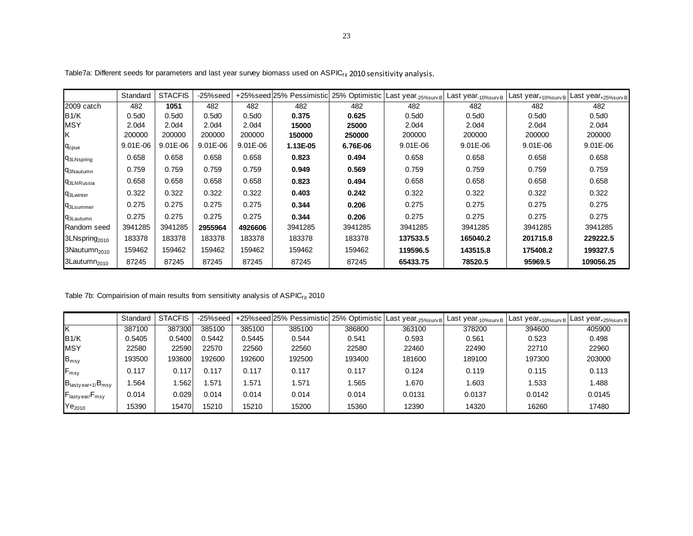|                              | Standard | <b>STACFIS</b>    | -25%seed          |                   | +25% seed 25% Pessimistic 25% Optimistic |          | Last year <sub>-25%surv</sub> B | Last year <sub>-10%survB</sub> | Last year <sub>+10%survB</sub> | Last year <sub>+25%surv</sub> B |
|------------------------------|----------|-------------------|-------------------|-------------------|------------------------------------------|----------|---------------------------------|--------------------------------|--------------------------------|---------------------------------|
| 2009 catch                   | 482      | 1051              | 482               | 482               | 482                                      | 482      | 482                             | 482                            | 482                            | 482                             |
| B1/K                         | 0.5d0    | 0.5d0             | 0.5d0             | 0.5d0             | 0.375                                    | 0.625    | 0.5d0                           | 0.5d0                          | 0.5d0                          | 0.5d0                           |
| <b>MSY</b>                   | 2.0d4    | 2.0 <sub>d4</sub> | 2.0 <sub>d4</sub> | 2.0 <sub>d4</sub> | 15000                                    | 25000    | 2.0 <sub>d</sub> 4              | 2.0 <sub>d4</sub>              | 2.0d4                          | 2.0d4                           |
| ΙK                           | 200000   | 200000            | 200000            | 200000            | 150000                                   | 250000   | 200000                          | 200000                         | 200000                         | 200000                          |
| <b>C</b> cpue                | 9.01E-06 | $9.01E - 06$      | $9.01E - 06$      | $9.01E - 06$      | 1.13E-05                                 | 6.76E-06 | $9.01E - 06$                    | 9.01E-06                       | $9.01E - 06$                   | $9.01E - 06$                    |
| <b>q3LNspring</b>            | 0.658    | 0.658             | 0.658             | 0.658             | 0.823                                    | 0.494    | 0.658                           | 0.658                          | 0.658                          | 0.658                           |
| <b>q</b> 3Nautumn            | 0.759    | 0.759             | 0.759             | 0.759             | 0.949                                    | 0.569    | 0.759                           | 0.759                          | 0.759                          | 0.759                           |
| <b>93LNRussia</b>            | 0.658    | 0.658             | 0.658             | 0.658             | 0.823                                    | 0.494    | 0.658                           | 0.658                          | 0.658                          | 0.658                           |
| <b>C</b> <sub>3Lwinter</sub> | 0.322    | 0.322             | 0.322             | 0.322             | 0.403                                    | 0.242    | 0.322                           | 0.322                          | 0.322                          | 0.322                           |
| <b>q3Lsummer</b>             | 0.275    | 0.275             | 0.275             | 0.275             | 0.344                                    | 0.206    | 0.275                           | 0.275                          | 0.275                          | 0.275                           |
| <b>q</b> 3Lautumn            | 0.275    | 0.275             | 0.275             | 0.275             | 0.344                                    | 0.206    | 0.275                           | 0.275                          | 0.275                          | 0.275                           |
| Random seed                  | 3941285  | 3941285           | 2955964           | 4926606           | 3941285                                  | 3941285  | 3941285                         | 3941285                        | 3941285                        | 3941285                         |
| 3LNspring <sub>2010</sub>    | 183378   | 183378            | 183378            | 183378            | 183378                                   | 183378   | 137533.5                        | 165040.2                       | 201715.8                       | 229222.5                        |
| 3Nautumn <sub>2010</sub>     | 159462   | 159462            | 159462            | 159462            | 159462                                   | 159462   | 119596.5                        | 143515.8                       | 175408.2                       | 199327.5                        |
| 3Lautumn <sub>2010</sub>     | 87245    | 87245             | 87245             | 87245             | 87245                                    | 87245    | 65433.75                        | 78520.5                        | 95969.5                        | 109056.25                       |

Table7a: Different seeds for parameters and last year survey biomass used on ASPIC<sub>fit</sub> 2010 sensitivity analysis.

Table 7b: Compairision of main results from sensitivity analysis of ASPIC<sub>f it</sub> 2010

|                                         | Standard | <b>STACFIS</b> | -25%seed |        |        |        | +25%seed 25% Pessimistic 25% Optimistic Last year 25%surv B | Last year <sub>-10%survB</sub> | Last year <sub>+10%surv</sub> B | , Last year <sub>+25%survB</sub> ∎ |
|-----------------------------------------|----------|----------------|----------|--------|--------|--------|-------------------------------------------------------------|--------------------------------|---------------------------------|------------------------------------|
|                                         | 387100   | 387300         | 385100   | 385100 | 385100 | 386800 | 363100                                                      | 378200                         | 394600                          | 405900                             |
| B1/K                                    | 0.5405   | 0.5400         | 1.5442   | 0.5445 | 0.544  | 0.541  | 0.593                                                       | 0.561                          | 0.523                           | 0.498                              |
| <b>MSY</b>                              | 22580    | 22590          | 22570    | 22560  | 22560  | 22580  | 22460                                                       | 22490                          | 22710                           | 22960                              |
| $B_{msy}$                               | 193500   | 193600         | 192600   | 192600 | 192500 | 193400 | 181600                                                      | 189100                         | 197300                          | 203000                             |
| $F_{msy}$                               | 0.117    | 0.117          | 0.117    | 0.117  | 0.117  | 0.117  | 0.124                                                       | 0.119                          | 0.115                           | 0.113                              |
| $B_{\text{lasty ear+1}}/B_{\text{msy}}$ | .564     | .562           | .571     | .571   | 1.571  | 1.565  | .670                                                        | 1.603                          | 1.533                           | 1.488                              |
| $F_{\text{lasty ear}}$ $F_{\text{msg}}$ | 0.014    | 0.029          | 0.014    | 0.014  | 0.014  | 0.014  | 0.0131                                                      | 0.0137                         | 0.0142                          | 0.0145                             |
| Ye <sub>2010</sub>                      | 15390    | 15470          | 15210    | 15210  | 15200  | 15360  | 12390                                                       | 14320                          | 16260                           | 17480                              |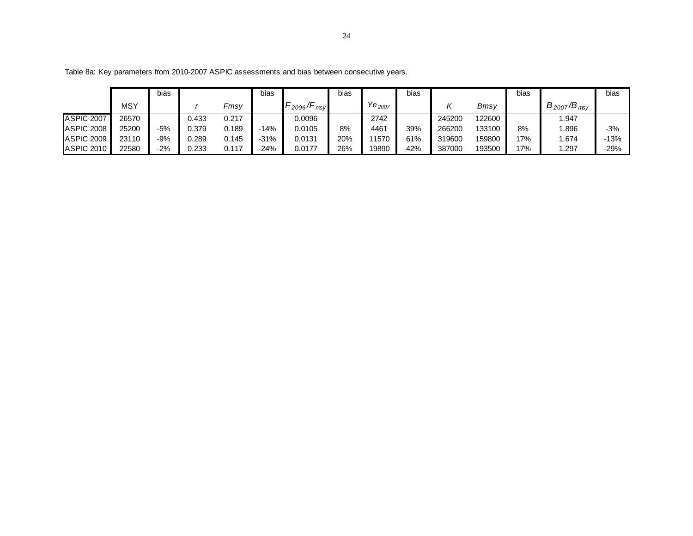|            |       | bias  |       |       | bias    |             | bias |                    | bias |        |        | bias |                    | bias   |
|------------|-------|-------|-------|-------|---------|-------------|------|--------------------|------|--------|--------|------|--------------------|--------|
|            | MSY   |       |       | Fmsv  |         | 2006<br>msv |      | Ye <sub>2007</sub> |      |        | Bmsy   |      | $B_{2007}/B_{msv}$ |        |
| ASPIC 2007 | 26570 |       | J.433 | 0.217 |         | 0.0096      |      | 2742               |      | 245200 | 122600 |      | .947               |        |
| ASPIC 2008 | 25200 | $-5%$ | 0.379 | 0.189 | $-14%$  | 0.0105      | 8%   | 4461               | 39%  | 266200 | 133100 | 8%   | .896               | $-3%$  |
| ASPIC 2009 | 23110 | $-9%$ | 0.289 | 0.145 | $-31\%$ | 0.0131      | 20%  | 11570              | 61%  | 319600 | 159800 | 17%  | .674               | $-13%$ |
| ASPIC 2010 | 22580 | $-2%$ | 0.233 | 0.117 | $-24%$  | 0.0177      | 26%  | 19890              | 42%  | 387000 | 193500 | 17%  | .297               | -29%   |

Table 8a: Key parameters from 2010-2007 ASPIC assessments and bias between consecutive years.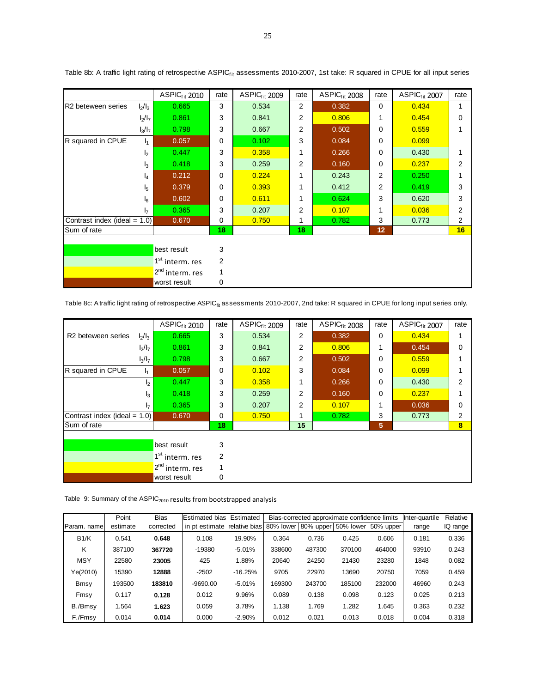|                                 |                | ASPIC <sub>fit</sub> 2010   | rate     | ASPIC <sub>fit</sub> 2009 | rate           | ASPIC <sub>fit</sub> 2008 | rate           | ASPIC <sub>fit</sub> 2007 | rate           |
|---------------------------------|----------------|-----------------------------|----------|---------------------------|----------------|---------------------------|----------------|---------------------------|----------------|
| R2 beteween series              | $I_2/I_3$      | 0.665                       | 3        | 0.534                     | $\overline{2}$ | 0.382                     | 0              | 0.434                     | 1              |
|                                 | $I_2/I_7$      | 0.861                       | 3        | 0.841                     | 2              | 0.806                     |                | 0.454                     | 0              |
|                                 | $I_3/I_7$      | 0.798                       | 3        | 0.667                     | $\overline{2}$ | 0.502                     | 0              | 0.559                     |                |
| R squared in CPUE               | I <sub>1</sub> | 0.057                       | $\Omega$ | 0.102                     | 3              | 0.084                     | 0              | 0.099                     |                |
|                                 | I <sub>2</sub> | 0.447                       | 3        | 0.358                     | 1              | 0.266                     | $\Omega$       | 0.430                     | 1              |
|                                 | $I_3$          | 0.418                       | 3        | 0.259                     | $\overline{2}$ | 0.160                     | $\mathbf 0$    | 0.237                     | $\overline{2}$ |
|                                 | I4             | 0.212                       | $\Omega$ | 0.224                     | 1              | 0.243                     | 2              | 0.250                     | 1              |
|                                 | l5             | 0.379                       | $\Omega$ | 0.393                     | 1              | 0.412                     | $\overline{2}$ | 0.419                     | 3              |
|                                 | l <sub>6</sub> | 0.602                       | $\Omega$ | 0.611                     |                | 0.624                     | 3              | 0.620                     | 3              |
|                                 | I <sub>7</sub> | 0.365                       | 3        | 0.207                     | $\overline{2}$ | 0.107                     |                | 0.036                     | $\overline{2}$ |
| Contrast index (ideal $= 1.0$ ) |                | 0.670                       | 0        | 0.750                     |                | 0.782                     | 3              | 0.773                     | 2              |
| Sum of rate                     |                |                             | 18       |                           | 18             |                           | 12             |                           | 16             |
|                                 |                |                             |          |                           |                |                           |                |                           |                |
|                                 |                | best result                 | 3        |                           |                |                           |                |                           |                |
|                                 |                | 1 <sup>st</sup> interm. res | 2        |                           |                |                           |                |                           |                |
|                                 |                | 2 <sup>nd</sup> interm. res | 1        |                           |                |                           |                |                           |                |
|                                 |                | worst result                | 0        |                           |                |                           |                |                           |                |

Table 8b: A traffic light rating of retrospective ASPIC<sub>fit</sub> assessments 2010-2007, 1st take: R squared in CPUE for all input series

Table 8c: A traffic light rating of retrospective ASPIC<sub>fit</sub> assessments 2010-2007, 2nd take: R squared in CPUE for long input series only.

|                                             | $ASPIC_{fit}$ 2010          | rate           | ASPIC <sub>fit</sub> 2009 | rate           | ASPIC <sub>fit</sub> 2008 | rate | ASPIC <sub>fit</sub> 2007 | rate           |
|---------------------------------------------|-----------------------------|----------------|---------------------------|----------------|---------------------------|------|---------------------------|----------------|
| $I_2/I_3$<br>R <sub>2</sub> beteween series | 0.665                       | 3              | 0.534                     | 2              | 0.382                     | 0    | 0.434                     |                |
| $I_2/I_7$                                   | 0.861                       | 3              | 0.841                     | 2              | 0.806                     | 1    | 0.454                     | 0              |
| $I_3/I_7$                                   | 0.798                       | 3              | 0.667                     | 2              | 0.502                     | 0    | 0.559                     |                |
| R squared in CPUE<br>14                     | 0.057                       | $\mathbf 0$    | 0.102                     | 3              | 0.084                     | 0    | 0.099                     |                |
| b                                           | 0.447                       | 3              | 0.358                     | 1              | 0.266                     | 0    | 0.430                     | 2              |
| I <sub>3</sub>                              | 0.418                       | 3              | 0.259                     | 2              | 0.160                     | 0    | 0.237                     |                |
| 17                                          | 0.365                       | 3              | 0.207                     | $\overline{2}$ | 0.107                     | 1    | 0.036                     | $\Omega$       |
| Contrast index (ideal $= 1.0$ )             | 0.670                       | 0              | 0.750                     | $\mathbf 1$    | 0.782                     | 3    | 0.773                     | 2              |
| Sum of rate                                 |                             | 18             |                           | 15             |                           | 5    |                           | 8 <sup>2</sup> |
|                                             |                             |                |                           |                |                           |      |                           |                |
|                                             | best result                 | 3              |                           |                |                           |      |                           |                |
|                                             | 1 <sup>st</sup> interm. res | $\overline{2}$ |                           |                |                           |      |                           |                |
|                                             | 2 <sup>nd</sup> interm. res |                |                           |                |                           |      |                           |                |
|                                             | worst result                | 0              |                           |                |                           |      |                           |                |

Table 9: Summary of the ASPIC<sub>2010</sub> results from bootstrapped analysis

|             | Point    | <b>Bias</b> | <b>Estimated bias</b> | Estimated     |           | Bias-corrected approximate confidence limits |        |        | Inter-quartile | Relative |
|-------------|----------|-------------|-----------------------|---------------|-----------|----------------------------------------------|--------|--------|----------------|----------|
| Param. name | estimate | corrected   | In pt estimate        | relative bias | 80% lower | 80% upper 50% lower 50% upper                |        |        | range          | IQ range |
| B1/K        | 0.541    | 0.648       | 0.108                 | 19.90%        | 0.364     | 0.736                                        | 0.425  | 0.606  | 0.181          | 0.336    |
| κ           | 387100   | 367720      | $-19380$              | $-5.01%$      | 338600    | 487300                                       | 370100 | 464000 | 93910          | 0.243    |
| <b>MSY</b>  | 22580    | 23005       | 425                   | 1.88%         | 20640     | 24250                                        | 21430  | 23280  | 1848           | 0.082    |
| Ye(2010)    | 15390    | 12888       | $-2502$               | $-16.25%$     | 9705      | 22970                                        | 13690  | 20750  | 7059           | 0.459    |
| Bmsy        | 193500   | 183810      | $-9690.00$            | $-5.01%$      | 169300    | 243700                                       | 185100 | 232000 | 46960          | 0.243    |
| Fmsy        | 0.117    | 0.128       | 0.012                 | 9.96%         | 0.089     | 0.138                                        | 0.098  | 0.123  | 0.025          | 0.213    |
| B./Bmsy     | 1.564    | 1.623       | 0.059                 | 3.78%         | 1.138     | 1.769                                        | 1.282  | 1.645  | 0.363          | 0.232    |
| F./Fmsy     | 0.014    | 0.014       | 0.000                 | $-2.90%$      | 0.012     | 0.021                                        | 0.013  | 0.018  | 0.004          | 0.318    |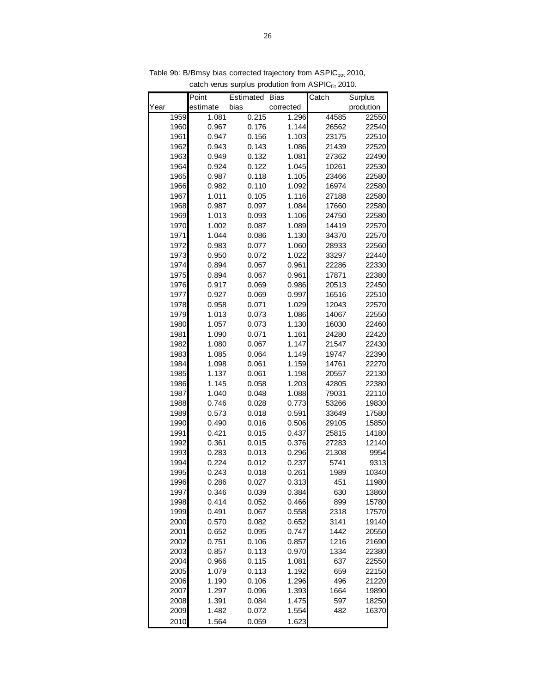|      | Point    | Estimated | <b>Bias</b> | Catch | Surplus   |
|------|----------|-----------|-------------|-------|-----------|
| Year | estimate | bias      | corrected   |       | prodution |
| 1959 | 1.081    | 0.215     | 1.296       | 44585 | 22550     |
| 1960 | 0.967    | 0.176     | 1.144       | 26562 | 22540     |
| 1961 | 0.947    | 0.156     | 1.103       | 23175 | 22510     |
| 1962 | 0.943    | 0.143     | 1.086       | 21439 | 22520     |
| 1963 | 0.949    | 0.132     | 1.081       | 27362 | 22490     |
| 1964 | 0.924    | 0.122     | 1.045       | 10261 | 22530     |
| 1965 | 0.987    | 0.118     | 1.105       | 23466 | 22580     |
| 1966 | 0.982    | 0.110     | 1.092       | 16974 | 22580     |
| 1967 | 1.011    | 0.105     | 1.116       | 27188 | 22580     |
| 1968 | 0.987    | 0.097     | 1.084       | 17660 | 22580     |
| 1969 | 1.013    | 0.093     | 1.106       | 24750 | 22580     |
| 1970 | 1.002    | 0.087     | 1.089       | 14419 | 22570     |
| 1971 | 1.044    | 0.086     | 1.130       | 34370 | 22570     |
| 1972 | 0.983    | 0.077     | 1.060       | 28933 | 22560     |
| 1973 | 0.950    | 0.072     | 1.022       | 33297 | 22440     |
| 1974 | 0.894    | 0.067     | 0.961       | 22286 | 22330     |
| 1975 | 0.894    | 0.067     | 0.961       | 17871 | 22380     |
| 1976 | 0.917    | 0.069     | 0.986       | 20513 | 22450     |
| 1977 | 0.927    | 0.069     | 0.997       | 16516 | 22510     |
| 1978 | 0.958    | 0.071     | 1.029       | 12043 | 22570     |
| 1979 | 1.013    | 0.073     | 1.086       | 14067 | 22550     |
| 1980 | 1.057    | 0.073     | 1.130       | 16030 | 22460     |
| 1981 | 1.090    | 0.071     | 1.161       | 24280 | 22420     |
| 1982 | 1.080    | 0.067     | 1.147       | 21547 | 22430     |
| 1983 | 1.085    | 0.064     | 1.149       | 19747 | 22390     |
| 1984 | 1.098    | 0.061     | 1.159       | 14761 | 22270     |
| 1985 | 1.137    | 0.061     | 1.198       | 20557 | 22130     |
| 1986 | 1.145    | 0.058     | 1.203       | 42805 | 22380     |
| 1987 | 1.040    | 0.048     | 1.088       | 79031 | 22110     |
| 1988 | 0.746    | 0.028     | 0.773       | 53266 | 19830     |
| 1989 | 0.573    | 0.018     | 0.591       | 33649 | 17580     |
| 1990 | 0.490    | 0.016     | 0.506       | 29105 | 15850     |
| 1991 | 0.421    | 0.015     | 0.437       | 25815 | 14180     |
| 1992 | 0.361    | 0.015     | 0.376       | 27283 | 12140     |
| 1993 | 0.283    | 0.013     | 0.296       | 21308 | 9954      |
| 1994 | 0.224    | 0.012     | 0.237       | 5741  | 9313      |
| 1995 | 0.243    | 0.018     | 0.261       | 1989  | 10340     |
| 1996 | 0.286    | 0.027     | 0.313       | 451   | 11980     |
| 1997 | 0.346    | 0.039     | 0.384       | 630   | 13860     |
| 1998 | 0.414    | 0.052     | 0.466       | 899   | 15780     |
| 1999 | 0.491    | 0.067     | 0.558       | 2318  | 17570     |
| 2000 | 0.570    | 0.082     | 0.652       | 3141  | 19140     |
| 2001 | 0.652    | 0.095     | 0.747       | 1442  | 20550     |
| 2002 | 0.751    | 0.106     | 0.857       | 1216  | 21690     |
| 2003 | 0.857    | 0.113     | 0.970       | 1334  | 22380     |
| 2004 | 0.966    | 0.115     | 1.081       | 637   | 22550     |
| 2005 | 1.079    | 0.113     | 1.192       | 659   | 22150     |
| 2006 | 1.190    | 0.106     | 1.296       | 496   | 21220     |
| 2007 | 1.297    | 0.096     | 1.393       | 1664  | 19890     |
| 2008 | 1.391    | 0.084     | 1.475       | 597   | 18250     |
| 2009 | 1.482    | 0.072     | 1.554       | 482   | 16370     |
| 2010 | 1.564    | 0.059     | 1.623       |       |           |

Table 9b: B/Bmsy bias corrected trajectory from ASPIC<sub>bot</sub> 2010, catch verus surplus prodution from  $ASPIC_{fit}$  2010.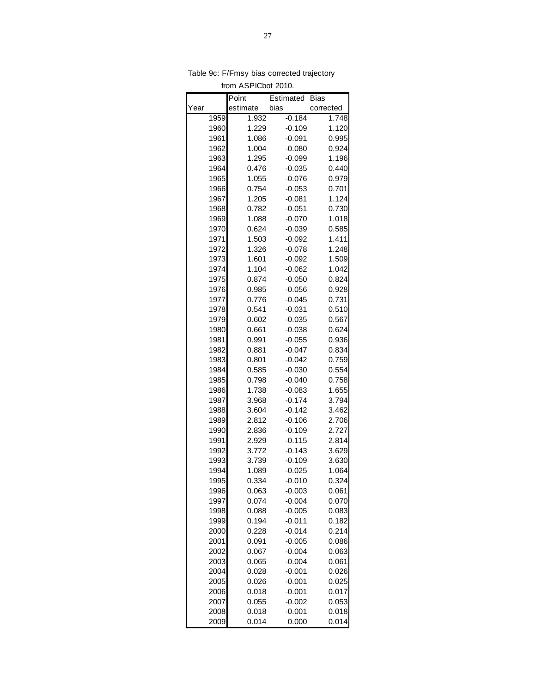|      |      | Point    | Estimated | Bias      |
|------|------|----------|-----------|-----------|
| Year |      | estimate | bias      | corrected |
|      | 1959 | 1.932    | $-0.184$  | 1.748     |
|      | 1960 | 1.229    | $-0.109$  | 1.120     |
|      | 1961 | 1.086    | $-0.091$  | 0.995     |
|      | 1962 | 1.004    | $-0.080$  | 0.924     |
|      | 1963 | 1.295    | $-0.099$  | 1.196     |
|      | 1964 | 0.476    | $-0.035$  | 0.440     |
|      | 1965 | 1.055    | $-0.076$  | 0.979     |
|      | 1966 | 0.754    | $-0.053$  | 0.701     |
|      | 1967 | 1.205    | $-0.081$  | 1.124     |
|      | 1968 | 0.782    | $-0.051$  | 0.730     |
|      | 1969 | 1.088    | $-0.070$  | 1.018     |
|      | 1970 | 0.624    | $-0.039$  | 0.585     |
|      | 1971 | 1.503    | $-0.092$  | 1.411     |
|      | 1972 | 1.326    | $-0.078$  | 1.248     |
|      | 1973 | 1.601    | $-0.092$  | 1.509     |
|      | 1974 | 1.104    | $-0.062$  | 1.042     |
|      | 1975 | 0.874    | $-0.050$  | 0.824     |
|      | 1976 | 0.985    | $-0.056$  | 0.928     |
|      | 1977 | 0.776    | $-0.045$  | 0.731     |
|      | 1978 | 0.541    | $-0.031$  | 0.510     |
|      | 1979 | 0.602    | $-0.035$  | 0.567     |
|      | 1980 | 0.661    | $-0.038$  | 0.624     |
|      | 1981 | 0.991    | $-0.055$  | 0.936     |
|      | 1982 | 0.881    | $-0.047$  | 0.834     |
|      | 1983 | 0.801    | $-0.042$  | 0.759     |
|      | 1984 | 0.585    | $-0.030$  | 0.554     |
|      | 1985 | 0.798    | $-0.040$  | 0.758     |
|      | 1986 | 1.738    | $-0.083$  | 1.655     |
|      | 1987 | 3.968    | $-0.174$  | 3.794     |
|      | 1988 | 3.604    | $-0.142$  | 3.462     |
|      | 1989 | 2.812    | $-0.106$  | 2.706     |
|      | 1990 | 2.836    | $-0.109$  | 2.727     |
|      | 1991 | 2.929    | $-0.115$  | 2.814     |
|      | 1992 | 3.772    | $-0.143$  | 3.629     |
|      | 1993 | 3.739    | $-0.109$  | 3.630     |
|      | 1994 | 1.089    | $-0.025$  | 1.064     |
|      | 1995 | 0.334    | $-0.010$  | 0.324     |
|      | 1996 | 0.063    | $-0.003$  | 0.061     |
|      | 1997 | 0.074    | $-0.004$  | 0.070     |
|      | 1998 | 0.088    | $-0.005$  | 0.083     |
|      | 1999 | 0.194    | $-0.011$  | 0.182     |
|      | 2000 | 0.228    | $-0.014$  | 0.214     |
|      | 2001 | 0.091    | $-0.005$  | 0.086     |
|      | 2002 | 0.067    | $-0.004$  | 0.063     |
|      | 2003 | 0.065    | $-0.004$  | 0.061     |
|      | 2004 | 0.028    | $-0.001$  | 0.026     |
|      | 2005 | 0.026    | $-0.001$  | 0.025     |
|      | 2006 | 0.018    | $-0.001$  | 0.017     |
|      | 2007 | 0.055    | $-0.002$  | 0.053     |
|      | 2008 | 0.018    | $-0.001$  | 0.018     |
|      | 2009 | 0.014    | 0.000     | 0.014     |

Table 9c: F/Fmsy bias corrected trajectory from ASPICbot 2010.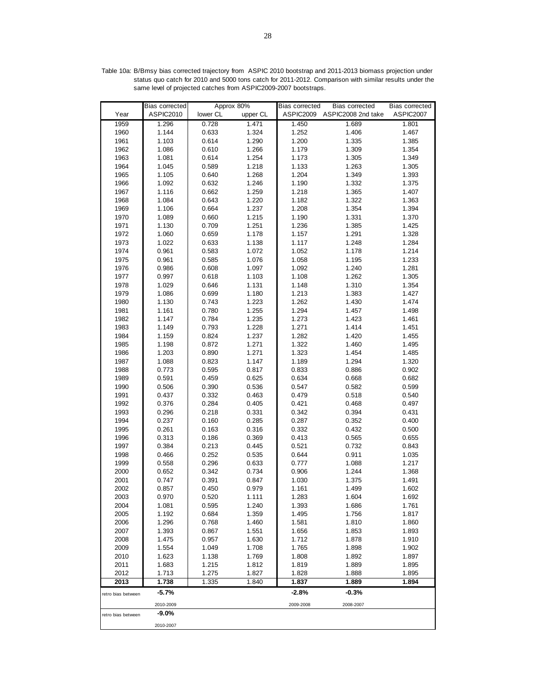|                    | <b>Bias corrected</b> | Approx 80%     |                | <b>Bias corrected</b> | <b>Bias corrected</b>        | Bias corrected |
|--------------------|-----------------------|----------------|----------------|-----------------------|------------------------------|----------------|
| Year               | ASPIC2010             | lower CL       | upper CL       |                       | ASPIC2009 ASPIC2008 2nd take | ASPIC2007      |
| 1959               | 1.296                 | 0.728          | 1.471          | 1.450                 | 1.689                        | 1.801          |
| 1960               | 1.144                 | 0.633          | 1.324          | 1.252                 | 1.406                        | 1.467          |
| 1961               | 1.103                 | 0.614          | 1.290          | 1.200                 | 1.335                        | 1.385          |
| 1962               | 1.086                 | 0.610          | 1.266          | 1.179                 | 1.309                        | 1.354          |
| 1963               | 1.081                 | 0.614          | 1.254          | 1.173                 | 1.305                        | 1.349          |
| 1964               | 1.045                 | 0.589          | 1.218          | 1.133                 | 1.263                        | 1.305          |
| 1965               | 1.105                 | 0.640          | 1.268          | 1.204                 | 1.349                        | 1.393          |
| 1966               | 1.092                 | 0.632          | 1.246          | 1.190                 | 1.332                        | 1.375          |
| 1967               | 1.116                 | 0.662          | 1.259          | 1.218                 | 1.365                        | 1.407          |
| 1968               | 1.084                 | 0.643          | 1.220          | 1.182                 | 1.322                        | 1.363          |
| 1969               | 1.106                 | 0.664          | 1.237          | 1.208                 | 1.354                        | 1.394          |
| 1970               | 1.089                 | 0.660          | 1.215          | 1.190                 | 1.331                        | 1.370          |
| 1971               | 1.130                 | 0.709          | 1.251          | 1.236                 | 1.385                        | 1.425          |
| 1972               | 1.060                 | 0.659          | 1.178          | 1.157                 | 1.291                        | 1.328          |
| 1973               | 1.022                 | 0.633          | 1.138          | 1.117                 | 1.248                        | 1.284          |
| 1974               | 0.961                 | 0.583          | 1.072          | 1.052                 | 1.178                        | 1.214          |
| 1975               | 0.961                 | 0.585          | 1.076          | 1.058                 | 1.195                        | 1.233          |
| 1976               | 0.986                 | 0.608          | 1.097          | 1.092                 | 1.240                        | 1.281          |
| 1977               | 0.997                 | 0.618          | 1.103          | 1.108                 | 1.262                        | 1.305          |
| 1978               | 1.029                 | 0.646          | 1.131          | 1.148                 | 1.310                        | 1.354          |
| 1979               | 1.086                 | 0.699          | 1.180          | 1.213                 | 1.383                        | 1.427          |
| 1980               | 1.130                 | 0.743          | 1.223          | 1.262                 | 1.430                        | 1.474          |
| 1981               | 1.161                 | 0.780          | 1.255          | 1.294                 | 1.457                        | 1.498          |
| 1982               | 1.147                 | 0.784          | 1.235          | 1.273                 | 1.423                        | 1.461          |
| 1983               | 1.149                 | 0.793          | 1.228          | 1.271                 | 1.414                        | 1.451          |
| 1984               | 1.159                 | 0.824          | 1.237          | 1.282                 | 1.420                        | 1.455          |
| 1985               | 1.198                 | 0.872          | 1.271          | 1.322                 | 1.460                        | 1.495          |
| 1986               | 1.203                 | 0.890          | 1.271          | 1.323                 | 1.454                        | 1.485          |
| 1987               | 1.088                 | 0.823          | 1.147          | 1.189                 | 1.294                        | 1.320          |
| 1988               | 0.773                 | 0.595          | 0.817          | 0.833                 | 0.886                        | 0.902          |
| 1989               | 0.591                 | 0.459          | 0.625          | 0.634                 | 0.668                        | 0.682          |
| 1990               | 0.506                 | 0.390          | 0.536          | 0.547                 | 0.582                        | 0.599          |
| 1991               | 0.437                 | 0.332          | 0.463          | 0.479                 | 0.518                        | 0.540          |
| 1992               | 0.376                 | 0.284          | 0.405          | 0.421                 | 0.468                        | 0.497          |
| 1993               | 0.296                 | 0.218          | 0.331          | 0.342                 | 0.394                        | 0.431          |
| 1994               | 0.237                 | 0.160          | 0.285          | 0.287                 | 0.352                        | 0.400          |
| 1995               | 0.261                 | 0.163          | 0.316          | 0.332                 | 0.432                        | 0.500          |
| 1996               | 0.313                 | 0.186          | 0.369          | 0.413                 | 0.565                        | 0.655          |
| 1997               | 0.384                 | 0.213          | 0.445          | 0.521                 | 0.732                        | 0.843          |
| 1998               | 0.466                 | 0.252<br>0.296 | 0.535<br>0.633 | 0.644<br>0.777        | 0.911<br>1.088               | 1.035<br>1.217 |
| 1999<br>2000       | 0.558<br>0.652        |                | 0.734          | 0.906                 |                              | 1.368          |
| 2001               | 0.747                 | 0.342<br>0.391 | 0.847          | 1.030                 | 1.244<br>1.375               | 1.491          |
| 2002               | 0.857                 | 0.450          | 0.979          | 1.161                 | 1.499                        | 1.602          |
| 2003               | 0.970                 | 0.520          | 1.111          | 1.283                 | 1.604                        | 1.692          |
| 2004               | 1.081                 | 0.595          | 1.240          | 1.393                 | 1.686                        | 1.761          |
| 2005               | 1.192                 | 0.684          | 1.359          | 1.495                 | 1.756                        | 1.817          |
| 2006               | 1.296                 | 0.768          | 1.460          | 1.581                 | 1.810                        | 1.860          |
| 2007               | 1.393                 | 0.867          | 1.551          | 1.656                 | 1.853                        | 1.893          |
| 2008               | 1.475                 | 0.957          | 1.630          | 1.712                 | 1.878                        | 1.910          |
| 2009               | 1.554                 | 1.049          | 1.708          | 1.765                 | 1.898                        | 1.902          |
| 2010               | 1.623                 | 1.138          | 1.769          | 1.808                 | 1.892                        | 1.897          |
| 2011               | 1.683                 | 1.215          | 1.812          | 1.819                 | 1.889                        | 1.895          |
| 2012               | 1.713                 | 1.275          | 1.827          | 1.828                 | 1.888                        | 1.895          |
| 2013               | 1.738                 | 1.335          | 1.840          | 1.837                 | 1.889                        | 1.894          |
| retro bias between | $-5.7%$               |                |                | $-2.8%$               | $-0.3%$                      |                |
|                    | 2010-2009             |                |                | 2009-2008             | 2008-2007                    |                |
| retro bias between | $-9.0%$               |                |                |                       |                              |                |
|                    | 2010-2007             |                |                |                       |                              |                |

Table 10a: B/Bmsy bias corrected trajectory from ASPIC 2010 bootstrap and 2011-2013 biomass projection under status quo catch for 2010 and 5000 tons catch for 2011-2012. Comparison with similar results under the same level of projected catches from ASPIC2009-2007 bootstraps.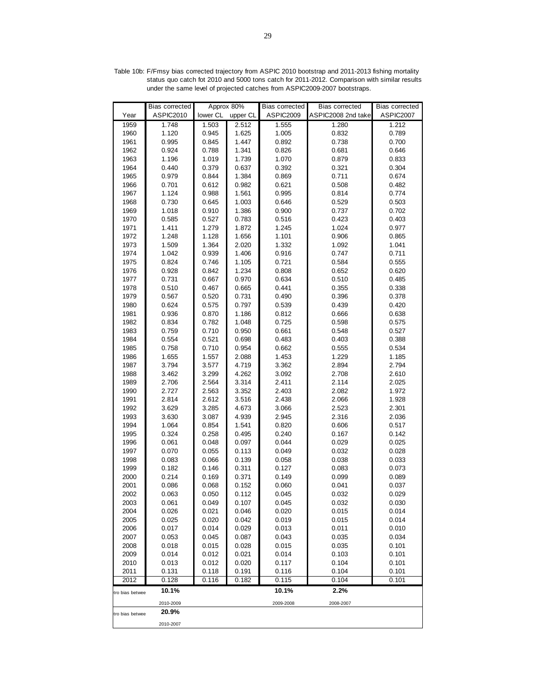|                 | Bias corrected | Approx 80% |          | Bias corrected | Bias corrected     | Bias corrected |
|-----------------|----------------|------------|----------|----------------|--------------------|----------------|
| Year            | ASPIC2010      | lower CL   | upper CL | ASPIC2009      | ASPIC2008 2nd take | ASPIC2007      |
| 1959            | 1.748          | 1.503      | 2.512    | 1.555          | 1.280              | 1.212          |
| 1960            | 1.120          | 0.945      | 1.625    | 1.005          | 0.832              | 0.789          |
| 1961            | 0.995          | 0.845      | 1.447    | 0.892          | 0.738              | 0.700          |
| 1962            | 0.924          | 0.788      | 1.341    | 0.826          | 0.681              | 0.646          |
| 1963            | 1.196          | 1.019      | 1.739    | 1.070          | 0.879              | 0.833          |
| 1964            | 0.440          | 0.379      | 0.637    | 0.392          | 0.321              | 0.304          |
|                 |                |            |          |                |                    | 0.674          |
| 1965            | 0.979          | 0.844      | 1.384    | 0.869          | 0.711              |                |
| 1966            | 0.701          | 0.612      | 0.982    | 0.621          | 0.508              | 0.482          |
| 1967            | 1.124          | 0.988      | 1.561    | 0.995          | 0.814              | 0.774          |
| 1968            | 0.730          | 0.645      | 1.003    | 0.646          | 0.529              | 0.503          |
| 1969            | 1.018          | 0.910      | 1.386    | 0.900          | 0.737              | 0.702          |
| 1970            | 0.585          | 0.527      | 0.783    | 0.516          | 0.423              | 0.403          |
| 1971            | 1.411          | 1.279      | 1.872    | 1.245          | 1.024              | 0.977          |
| 1972            | 1.248          | 1.128      | 1.656    | 1.101          | 0.906              | 0.865          |
| 1973            | 1.509          | 1.364      | 2.020    | 1.332          | 1.092              | 1.041          |
| 1974            | 1.042          | 0.939      | 1.406    | 0.916          | 0.747              | 0.711          |
| 1975            | 0.824          | 0.746      | 1.105    | 0.721          | 0.584              | 0.555          |
| 1976            | 0.928          | 0.842      | 1.234    | 0.808          | 0.652              | 0.620          |
| 1977            | 0.731          | 0.667      | 0.970    | 0.634          | 0.510              | 0.485          |
| 1978            | 0.510          | 0.467      | 0.665    | 0.441          | 0.355              | 0.338          |
| 1979            | 0.567          | 0.520      | 0.731    | 0.490          | 0.396              | 0.378          |
| 1980            | 0.624          | 0.575      | 0.797    | 0.539          | 0.439              | 0.420          |
| 1981            | 0.936          | 0.870      | 1.186    | 0.812          | 0.666              | 0.638          |
| 1982            | 0.834          | 0.782      | 1.048    | 0.725          | 0.598              | 0.575          |
| 1983            | 0.759          | 0.710      | 0.950    | 0.661          | 0.548              | 0.527          |
| 1984            | 0.554          | 0.521      | 0.698    | 0.483          | 0.403              | 0.388          |
| 1985            | 0.758          | 0.710      | 0.954    | 0.662          | 0.555              | 0.534          |
| 1986            | 1.655          | 1.557      | 2.088    | 1.453          | 1.229              | 1.185          |
| 1987            | 3.794          | 3.577      | 4.719    | 3.362          | 2.894              | 2.794          |
| 1988            |                | 3.299      |          |                |                    |                |
|                 | 3.462          |            | 4.262    | 3.092          | 2.708              | 2.610          |
| 1989            | 2.706          | 2.564      | 3.314    | 2.411          | 2.114              | 2.025          |
| 1990            | 2.727          | 2.563      | 3.352    | 2.403          | 2.082              | 1.972          |
| 1991            | 2.814          | 2.612      | 3.516    | 2.438          | 2.066              | 1.928          |
| 1992            | 3.629          | 3.285      | 4.673    | 3.066          | 2.523              | 2.301          |
| 1993            | 3.630          | 3.087      | 4.939    | 2.945          | 2.316              | 2.036          |
| 1994            | 1.064          | 0.854      | 1.541    | 0.820          | 0.606              | 0.517          |
| 1995            | 0.324          | 0.258      | 0.495    | 0.240          | 0.167              | 0.142          |
| 1996            | 0.061          | 0.048      | 0.097    | 0.044          | 0.029              | 0.025          |
| 1997            | 0.070          | 0.055      | 0.113    | 0.049          | 0.032              | 0.028          |
| 1998            | 0.083          | 0.066      | 0.139    | 0.058          | 0.038              | 0.033          |
| 1999            | 0.182          | 0.146      | 0.311    | 0.127          | 0.083              | 0.073          |
| 2000            | 0.214          | 0.169      | 0.371    | 0.149          | 0.099              | 0.089          |
| 2001            | 0.086          | 0.068      | 0.152    | 0.060          | 0.041              | 0.037          |
| 2002            | 0.063          | 0.050      | 0.112    | 0.045          | 0.032              | 0.029          |
| 2003            | 0.061          | 0.049      | 0.107    | 0.045          | 0.032              | 0.030          |
| 2004            | 0.026          | 0.021      | 0.046    | 0.020          | 0.015              | 0.014          |
| 2005            | 0.025          | 0.020      | 0.042    | 0.019          | 0.015              | 0.014          |
| 2006            | 0.017          | 0.014      | 0.029    | 0.013          | 0.011              | 0.010          |
| 2007            | 0.053          | 0.045      | 0.087    | 0.043          | 0.035              | 0.034          |
| 2008            | 0.018          | 0.015      | 0.028    | 0.015          | 0.035              | 0.101          |
| 2009            | 0.014          | 0.012      | 0.021    | 0.014          | 0.103              | 0.101          |
| 2010            | 0.013          | 0.012      | 0.020    | 0.117          | 0.104              | 0.101          |
| 2011            | 0.131          | 0.118      | 0.191    | 0.116          | 0.104              | 0.101          |
| 2012            | 0.128          | 0.116      | 0.182    | 0.115          | 0.104              | 0.101          |
|                 |                |            |          |                |                    |                |
| tro bias betwee | 10.1%          |            |          | 10.1%          | 2.2%               |                |
|                 | 2010-2009      |            |          | 2009-2008      | 2008-2007          |                |
| tro bias betwee | 20.9%          |            |          |                |                    |                |
|                 | 2010-2007      |            |          |                |                    |                |

Table 10b: F/Fmsy bias corrected trajectory from ASPIC 2010 bootstrap and 2011-2013 fishing mortality status quo catch fot 2010 and 5000 tons catch for 2011-2012. Comparison with similar results under the same level of projected catches from ASPIC2009-2007 bootstraps.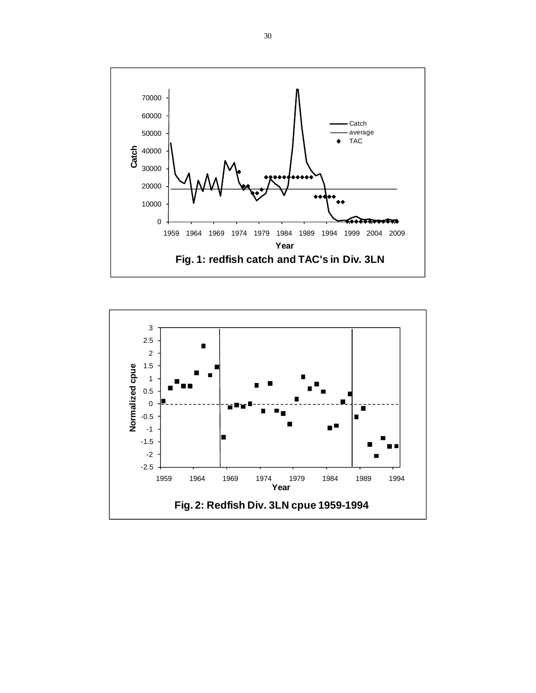

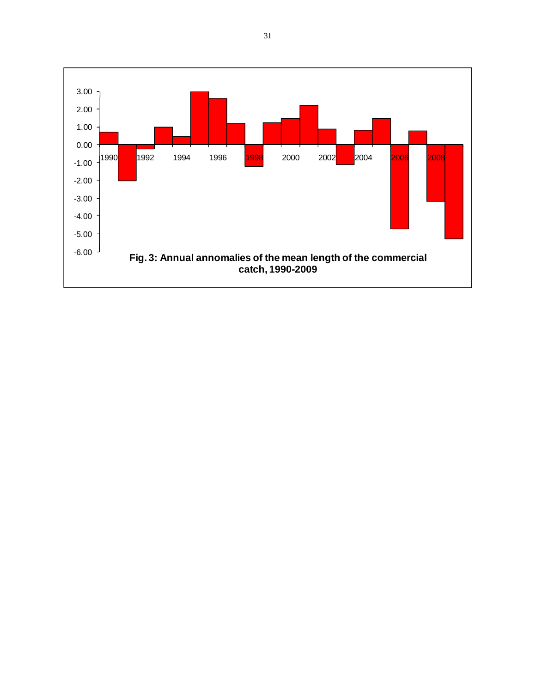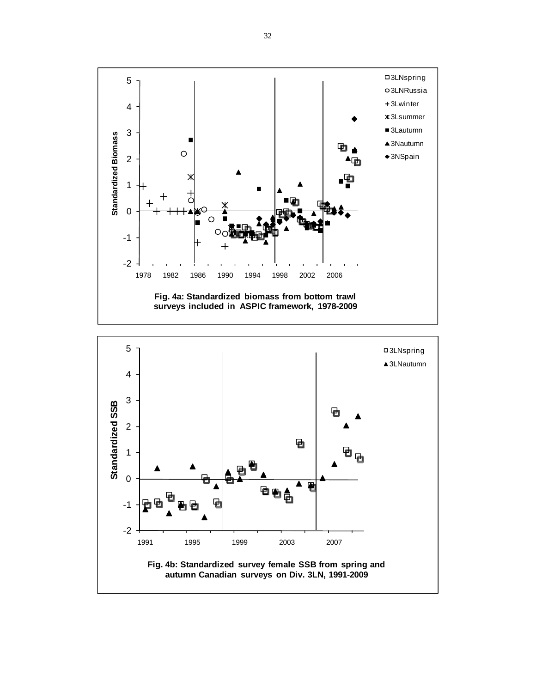

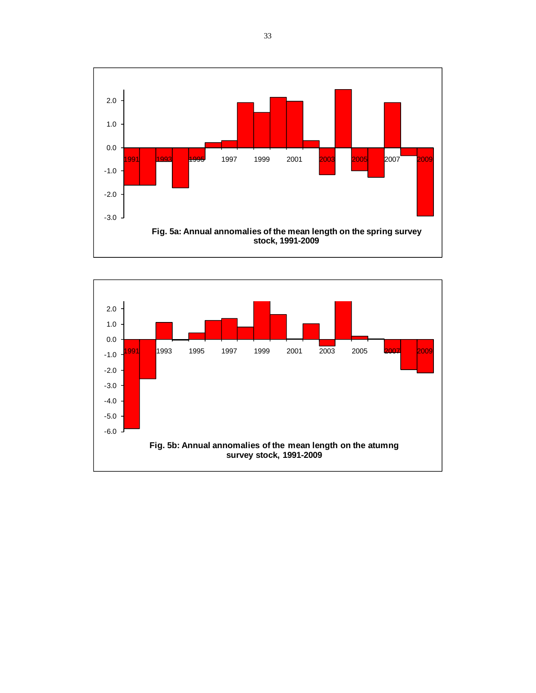

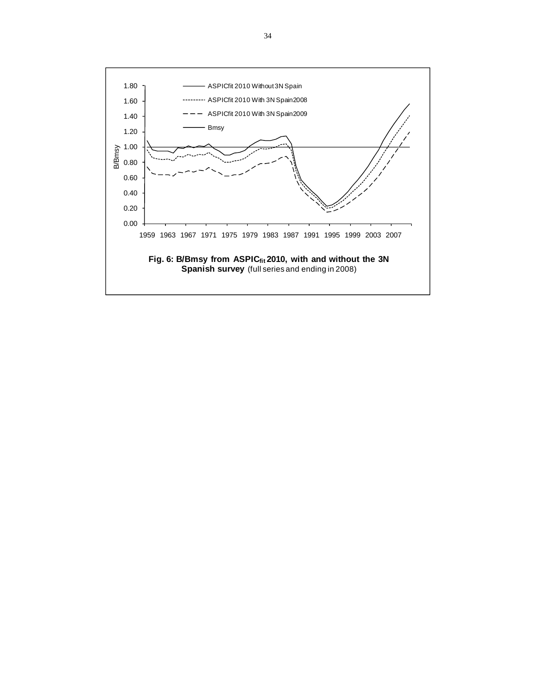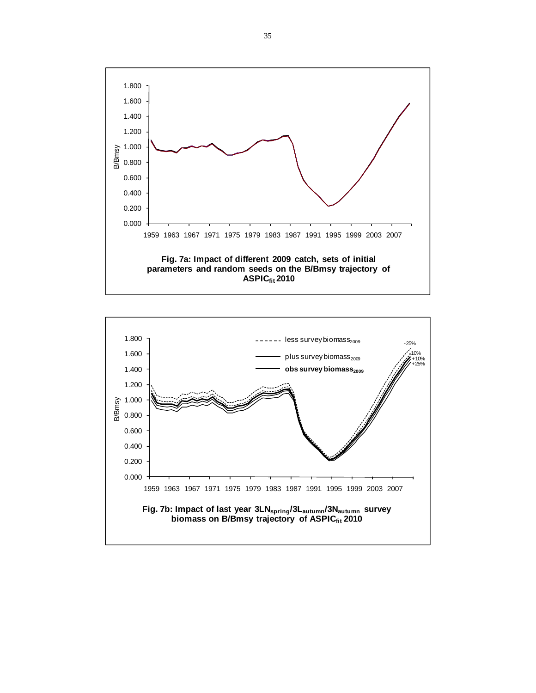

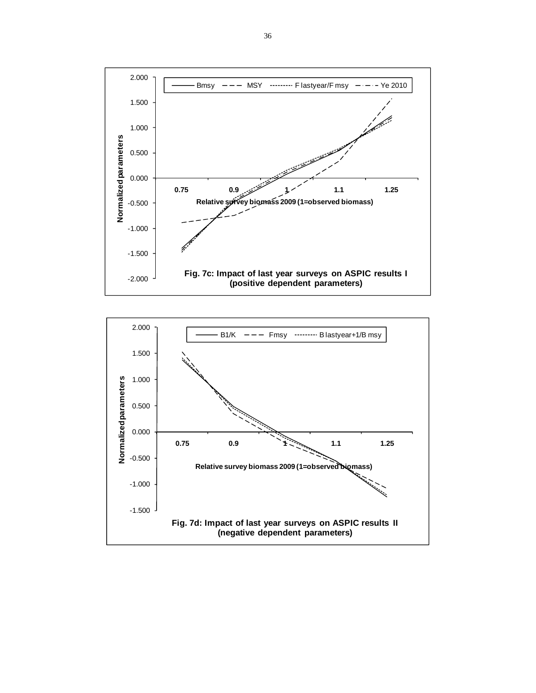

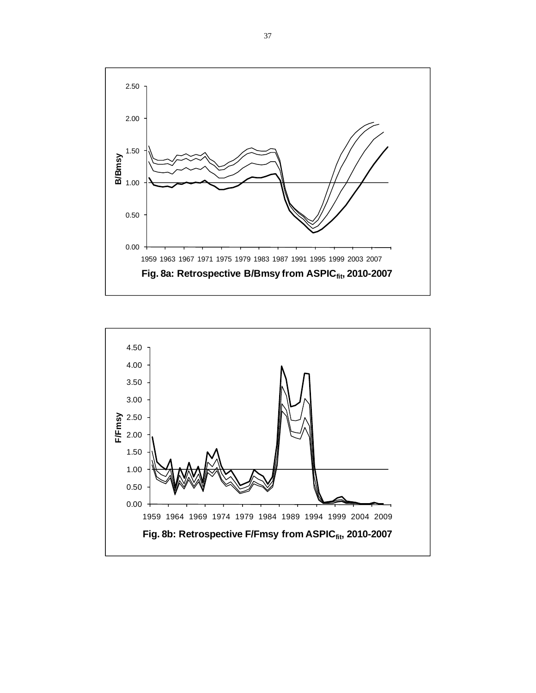

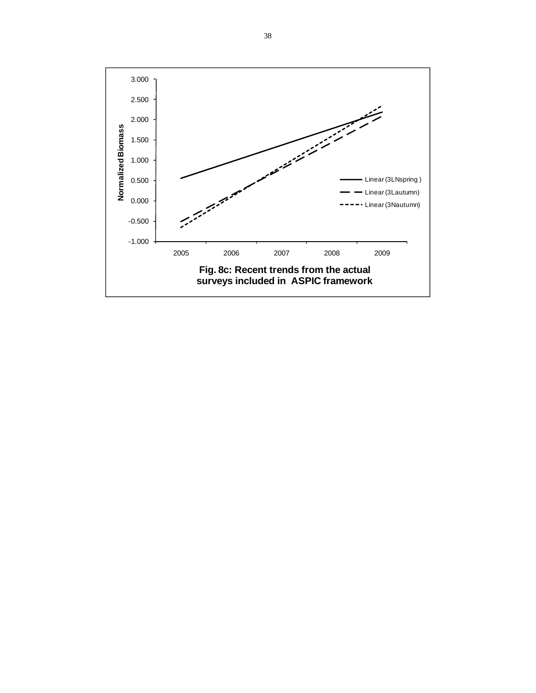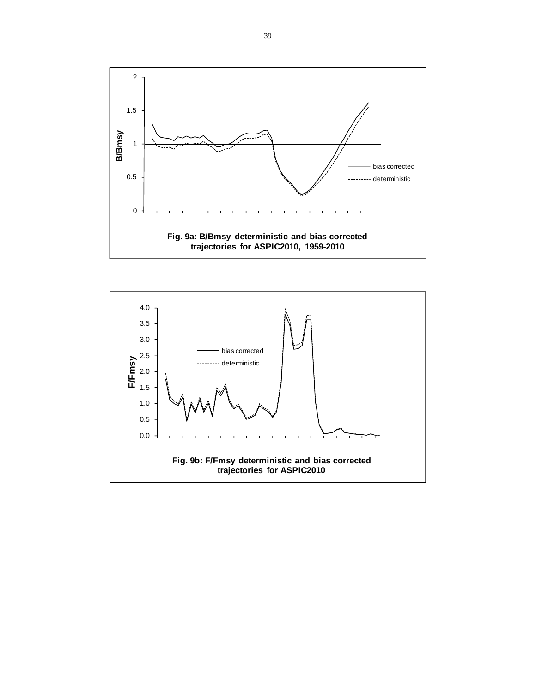

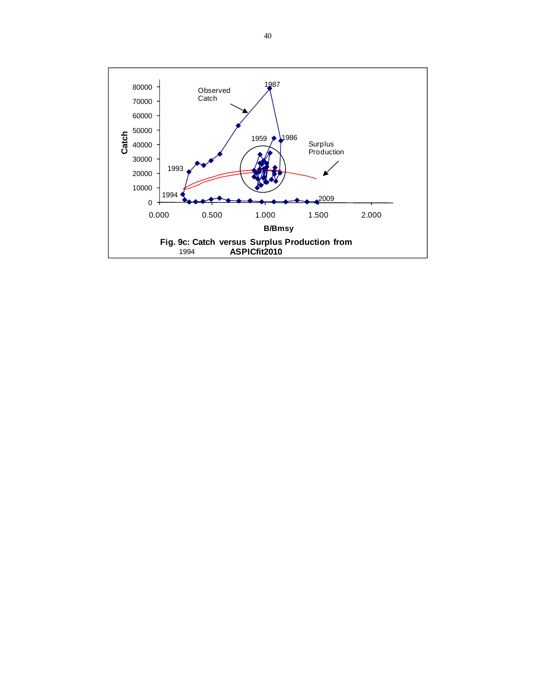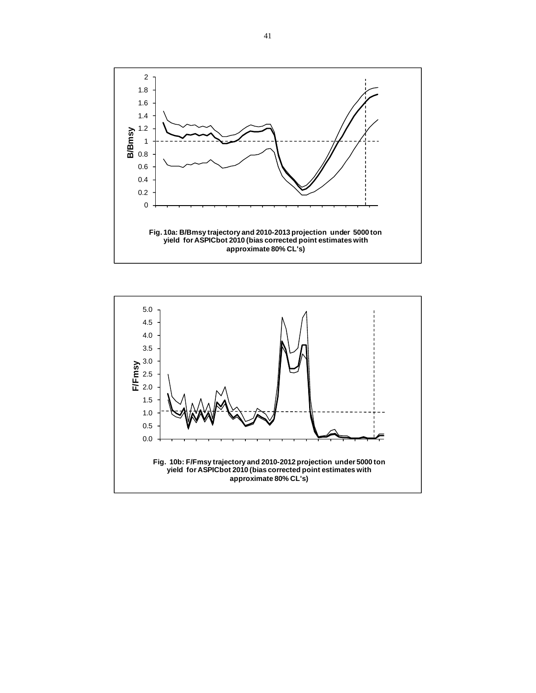

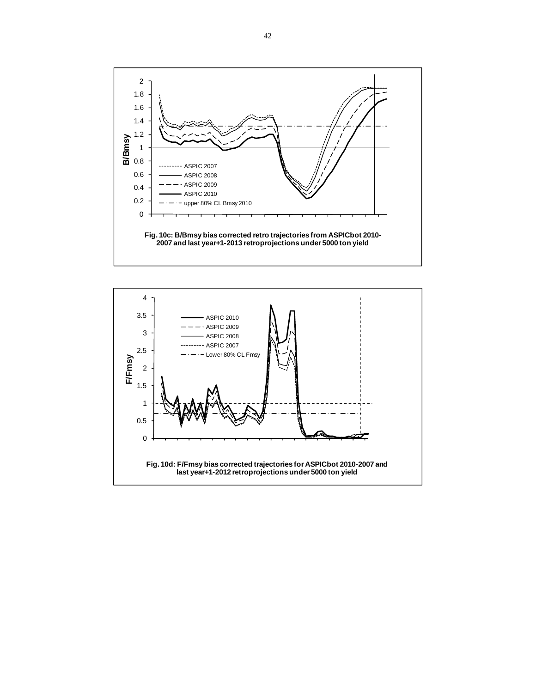

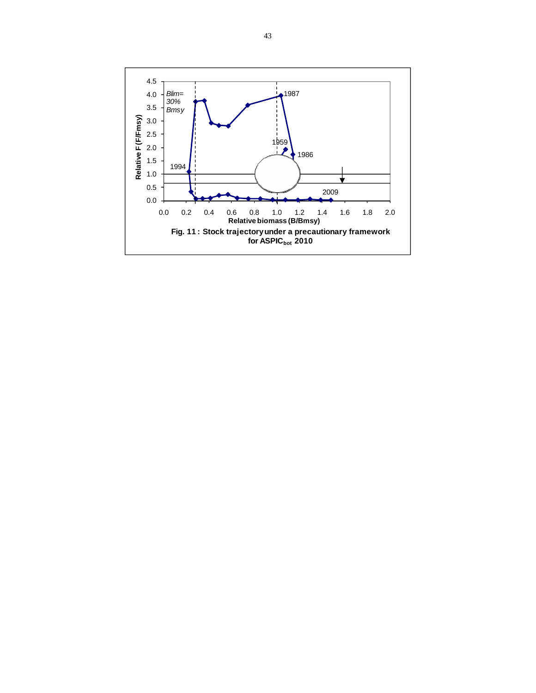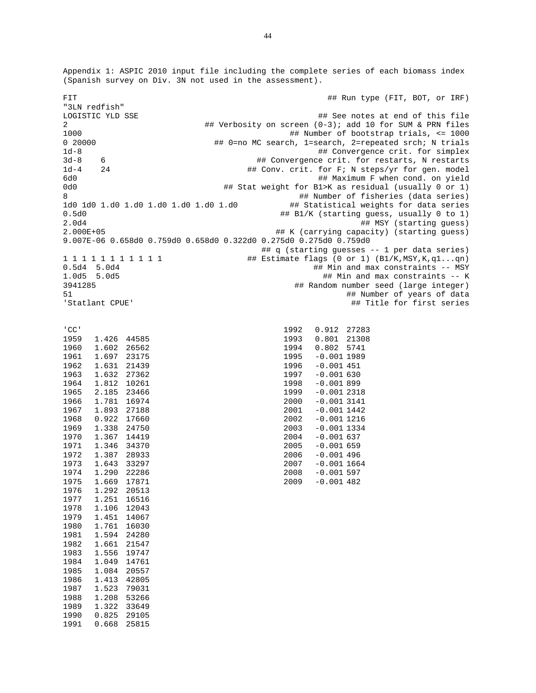Appendix 1: ASPIC 2010 input file including the complete series of each biomass index (Spanish survey on Div. 3N not used in the assessment).

FIT **A FILL ASSESSED ASSESSED A**  $#$  Run type (FIT, BOT, or IRF) "3LN redfish" ## See notes at end of this file 2 <br>
## Verbosity on screen (0-3); add 10 for SUM & PRN files<br>
## Number of bootstrap trials, <= 1000 ## Number of bootstrap trials, <= 1000 0 20000 ## 0=no MC search, 1=search, 2=repeated srch; N trials 1d-8 ## Convergence crit. for simplex 3d-8 6 ## Convergence crit. for restarts, N restarts 1d-4 24 <br>  $\#$  Conv. crit. for F; N steps/yr for gen. model<br>  $\#$  Maximum F when cond. on yield 6d0 ## Maximum F when cond. on yield ## Stat weight for B1>K as residual (usually 0 or 1) 8 **8 19 MINUME 120 <b>120 INCR** 120 **120 INCR** 120 **120 INCR** 120 **INCR** 120 INCRESS 120 INCRESS 120 INCRESS 120 INCREDI 1d0 1d0 1.d0 1.d0 1.d0 1.d0 1.d0 1.d0 ## Statistical weights for data series 0.5d0 ## B1/K (starting guess, usually 0 to 1) 2.0d4 ## MSY (starting guess) ## K (carrying capacity) (starting guess) 9.007E-06 0.658d0 0.759d0 0.658d0 0.322d0 0.275d0 0.275d0 0.759d0 ## q (starting guesses -- 1 per data series) 1 1 1 1 1 1 1 1 1 1 1 ## Estimate flags (0 or 1) (B1/K,MSY,K,q1...qn) 0.5d4 5.0d4 ## Min and max constraints -- MSY ## Min and max constraints -- K 3941285 ## Random number seed (large integer) 51 ## Number of years of data ## Title for first series 'CC' 1959 1.426 44585 1960 1.602 26562 1961 1.697 23175<br>1962 1.631 21439 1962 1.631 21439<br>1963 1.632 27362 1.632 27362 1964 1.812 10261 1965 2.185 23466 1966 1.781 16974 1967 1.893 27188 1968 0.922 17660 1969 1.338 24750 1970 1.367 14419 1971 1.346 34370 1972 1.387 28933 1973 1.643 33297 1974 1.290 22286 1975 1.669 17871 1976 1.292 20513 1.251 16516 1978 1.106 12043 1979 1.451 14067 1980 1.761 16030 1981 1.594 24280 1982 1.661 21547 1983 1.556 19747 1.049 14761 1985 1.084 20557 1986 1.413 42805 1987 1.523 79031 1988 1.208 53266 1989 1.322 33649 1990 0.825 29105 1992 0.912 27283 1993 0.801 21308 1994 0.802 5741 1995 -0.001 1989<br>1996 -0.001 451 1996 -0.001 451<br>1997 -0.001 630  $-0.001$  630 1998 -0.001 899 1999 -0.001 2318 2000 -0.001 3141 2001 -0.001 1442 2002 -0.001 1216  $2003 -0.0011334$ <br> $2004 -0.001637$  $-0.001$  637  $2005 -0.001659$ 2006 -0.001 496 2007 -0.001 1664 2008 -0.001 597 2009 -0.001 482

1991 0.668 25815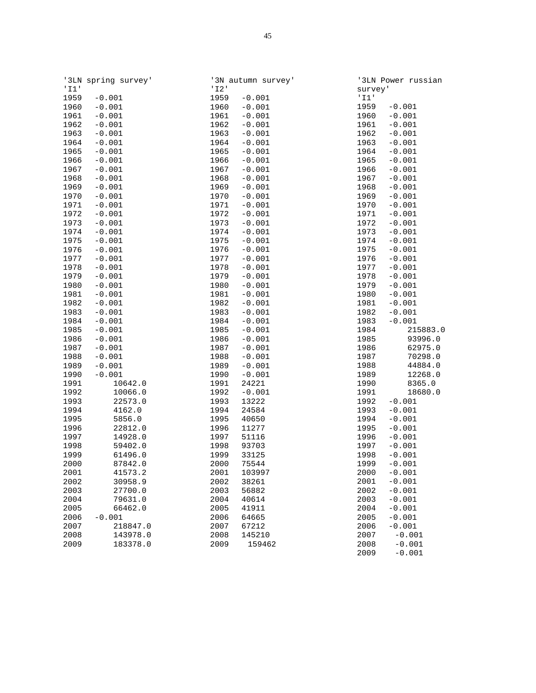|      | '3LN spring survey'  |      | '3N autumn survey' |              | '3LN Power russian   |
|------|----------------------|------|--------------------|--------------|----------------------|
| '11' |                      | '12' |                    | survey'      |                      |
| 1959 | $-0.001$             | 1959 | $-0.001$           | '11'         |                      |
| 1960 | $-0.001$             | 1960 | $-0.001$           | 1959         | $-0.001$             |
| 1961 | $-0.001$             | 1961 | $-0.001$           | 1960         | $-0.001$             |
| 1962 | $-0.001$             | 1962 | $-0.001$           | 1961         | $-0.001$             |
| 1963 | $-0.001$             | 1963 | $-0.001$           | 1962         | $-0.001$             |
| 1964 | $-0.001$             | 1964 | $-0.001$           | 1963         | $-0.001$             |
| 1965 | $-0.001$             | 1965 | $-0.001$           | 1964         | $-0.001$             |
| 1966 | $-0.001$             | 1966 | $-0.001$           | 1965         | $-0.001$             |
| 1967 | $-0.001$             | 1967 | $-0.001$           | 1966         | $-0.001$             |
| 1968 | $-0.001$             | 1968 | $-0.001$           | 1967         | $-0.001$             |
| 1969 | $-0.001$             | 1969 | $-0.001$           | 1968         | $-0.001$             |
| 1970 | $-0.001$             | 1970 | $-0.001$           | 1969         | $-0.001$             |
| 1971 | $-0.001$             | 1971 | $-0.001$           | 1970         | $-0.001$             |
| 1972 | $-0.001$             | 1972 | $-0.001$           | 1971         | $-0.001$             |
| 1973 | $-0.001$             | 1973 | $-0.001$           | 1972         | $-0.001$             |
| 1974 | $-0.001$             | 1974 | $-0.001$           | 1973         | $-0.001$             |
| 1975 | $-0.001$             | 1975 | $-0.001$           | 1974         | $-0.001$             |
| 1976 | $-0.001$             | 1976 | $-0.001$           | 1975         | $-0.001$             |
| 1977 | $-0.001$             | 1977 | $-0.001$           | 1976         | $-0.001$             |
| 1978 | $-0.001$             | 1978 | $-0.001$           | 1977         | $-0.001$             |
| 1979 | $-0.001$             | 1979 | $-0.001$           | 1978         | $-0.001$             |
| 1980 | $-0.001$             | 1980 | $-0.001$           | 1979         | $-0.001$             |
| 1981 | $-0.001$             | 1981 | $-0.001$           | 1980         | $-0.001$             |
| 1982 | $-0.001$             | 1982 | $-0.001$           | 1981         | $-0.001$             |
| 1983 | $-0.001$             | 1983 | $-0.001$           | 1982         | $-0.001$             |
| 1984 | $-0.001$             | 1984 | $-0.001$           | 1983         | $-0.001$             |
| 1985 | $-0.001$             | 1985 | $-0.001$           | 1984         | 215883.0             |
| 1986 | $-0.001$             | 1986 | $-0.001$           | 1985         | 93996.0              |
| 1987 | $-0.001$             | 1987 | $-0.001$           | 1986         | 62975.0              |
| 1988 | $-0.001$             | 1988 | $-0.001$           | 1987         | 70298.0              |
| 1989 | $-0.001$             | 1989 | $-0.001$           | 1988         | 44884.0              |
| 1990 | $-0.001$             | 1990 | $-0.001$           | 1989         | 12268.0              |
| 1991 | 10642.0              | 1991 | 24221              | 1990         | 8365.0               |
| 1992 | 10066.0              | 1992 | $-0.001$           | 1991         | 18680.0              |
| 1993 | 22573.0              | 1993 | 13222              | 1992         | $-0.001$             |
| 1994 | 4162.0               | 1994 | 24584              | 1993         | $-0.001$             |
| 1995 | 5856.0               | 1995 | 40650              | 1994         | $-0.001$             |
| 1996 | 22812.0              | 1996 | 11277              | 1995         | $-0.001$             |
| 1997 | 14928.0              | 1997 | 51116              | 1996         | $-0.001$             |
| 1998 | 59402.0              | 1998 | 93703              | 1997         | $-0.001$             |
| 1999 | 61496.0              | 1999 | 33125              | 1998         | $-0.001$             |
| 2000 | 87842.0              | 2000 | 75544              | 1999         | $-0.001$             |
| 2001 | 41573.2              | 2001 | 103997             | 2000         | $-0.001$             |
| 2002 | 30958.9              | 2002 | 38261              | 2001         | $-0.001$             |
| 2003 | 27700.0              | 2003 |                    | 2002         | $-0.001$             |
|      |                      |      | 56882              |              |                      |
| 2004 | 79631.0              | 2004 | 40614              | 2003         | $-0.001$             |
| 2005 | 66462.0<br>$-0.001$  | 2005 | 41911              | 2004         | $-0.001$             |
| 2006 |                      | 2006 | 64665              | 2005         | $-0.001$             |
| 2007 | 218847.0             | 2007 | 67212              | 2006         | $-0.001$             |
| 2008 | 143978.0<br>183378.0 | 2008 | 145210             | 2007         | $-0.001$             |
| 2009 |                      | 2009 | 159462             | 2008<br>2009 | $-0.001$<br>$-0.001$ |
|      |                      |      |                    |              |                      |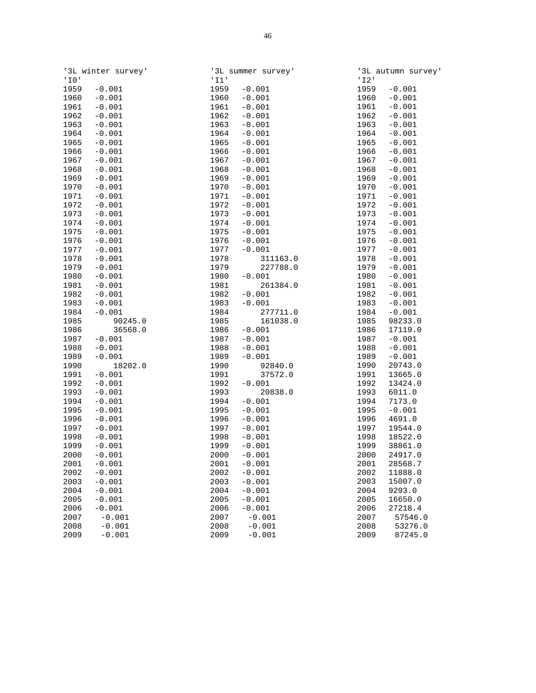|            | '3L winter survey' |      | '3L summer survey' |      | '3L autumn survey' |
|------------|--------------------|------|--------------------|------|--------------------|
| $'$ IO $'$ |                    | '11' |                    | '12' |                    |
| 1959       | $-0.001$           | 1959 | $-0.001$           | 1959 | $-0.001$           |
| 1960       | $-0.001$           | 1960 | $-0.001$           | 1960 | $-0.001$           |
| 1961       | $-0.001$           | 1961 | $-0.001$           | 1961 | $-0.001$           |
| 1962       | $-0.001$           | 1962 | $-0.001$           | 1962 | $-0.001$           |
| 1963       | $-0.001$           | 1963 | $-0.001$           | 1963 | $-0.001$           |
| 1964       | $-0.001$           | 1964 | $-0.001$           | 1964 | $-0.001$           |
| 1965       | $-0.001$           | 1965 | $-0.001$           | 1965 | $-0.001$           |
| 1966       | $-0.001$           | 1966 | $-0.001$           | 1966 | $-0.001$           |
| 1967       | $-0.001$           | 1967 | $-0.001$           | 1967 | $-0.001$           |
| 1968       | $-0.001$           | 1968 | $-0.001$           | 1968 | $-0.001$           |
| 1969       | $-0.001$           | 1969 | $-0.001$           | 1969 | $-0.001$           |
| 1970       | $-0.001$           | 1970 | $-0.001$           | 1970 | $-0.001$           |
| 1971       | $-0.001$           | 1971 | $-0.001$           | 1971 | $-0.001$           |
| 1972       | $-0.001$           | 1972 | $-0.001$           | 1972 | $-0.001$           |
| 1973       | $-0.001$           | 1973 | $-0.001$           | 1973 | $-0.001$           |
| 1974       | $-0.001$           | 1974 | $-0.001$           | 1974 | $-0.001$           |
| 1975       | $-0.001$           | 1975 | $-0.001$           | 1975 | $-0.001$           |
| 1976       | $-0.001$           | 1976 | $-0.001$           | 1976 | $-0.001$           |
| 1977       | $-0.001$           | 1977 | $-0.001$           | 1977 | $-0.001$           |
| 1978       | $-0.001$           | 1978 | 311163.0           | 1978 | $-0.001$           |
| 1979       | $-0.001$           | 1979 | 227788.0           | 1979 | $-0.001$           |
| 1980       | $-0.001$           | 1980 | $-0.001$           | 1980 | $-0.001$           |
| 1981       | $-0.001$           | 1981 | 261384.0           | 1981 | $-0.001$           |
| 1982       | $-0.001$           | 1982 | $-0.001$           | 1982 | $-0.001$           |
| 1983       | $-0.001$           | 1983 | $-0.001$           | 1983 | $-0.001$           |
| 1984       | $-0.001$           | 1984 | 277711.0           | 1984 | $-0.001$           |
| 1985       | 90245.0            | 1985 | 161038.0           | 1985 | 98233.0            |
| 1986       | 36568.0            | 1986 | $-0.001$           | 1986 | 17119.0            |
| 1987       | $-0.001$           | 1987 | $-0.001$           | 1987 | $-0.001$           |
| 1988       | $-0.001$           | 1988 | $-0.001$           | 1988 | $-0.001$           |
| 1989       | $-0.001$           | 1989 | $-0.001$           | 1989 | $-0.001$           |
| 1990       | 18202.0            | 1990 | 92840.0            | 1990 | 20743.0            |
| 1991       | $-0.001$           | 1991 | 37572.0            | 1991 | 13665.0            |
| 1992       | $-0.001$           | 1992 | $-0.001$           | 1992 | 13424.0            |
| 1993       | $-0.001$           | 1993 | 20838.0            | 1993 | 6011.0             |
| 1994       | $-0.001$           | 1994 | $-0.001$           | 1994 | 7173.0             |
| 1995       | $-0.001$           | 1995 | $-0.001$           | 1995 | $-0.001$           |
| 1996       | $-0.001$           | 1996 | $-0.001$           | 1996 | 4691.0             |
| 1997       | $-0.001$           | 1997 | $-0.001$           | 1997 | 19544.0            |
| 1998       | $-0.001$           | 1998 | $-0.001$           | 1998 | 18522.0            |
| 1999       | $-0.001$           | 1999 | $-0.001$           | 1999 | 38861.0            |
| 2000       | $-0.001$           |      | $2000 - 0.001$     | 2000 | 24917.0            |
| 2001       | $-0.001$           | 2001 | $-0.001$           | 2001 | 28568.7            |
| 2002       | $-0.001$           | 2002 | $-0.001$           | 2002 | 11888.0            |
| 2003       | $-0.001$           | 2003 | $-0.001$           | 2003 | 15007.0            |
| 2004       | $-0.001$           | 2004 | $-0.001$           | 2004 | 9293.0             |
| 2005       | $-0.001$           | 2005 | $-0.001$           | 2005 | 16650.0            |
| 2006       | $-0.001$           | 2006 | $-0.001$           | 2006 | 27218.4            |
| 2007       | $-0.001$           | 2007 | $-0.001$           | 2007 | 57546.0            |
| 2008       | $-0.001$           | 2008 | $-0.001$           | 2008 | 53276.0            |
| 2009       | $-0.001$           | 2009 | $-0.001$           | 2009 | 87245.0            |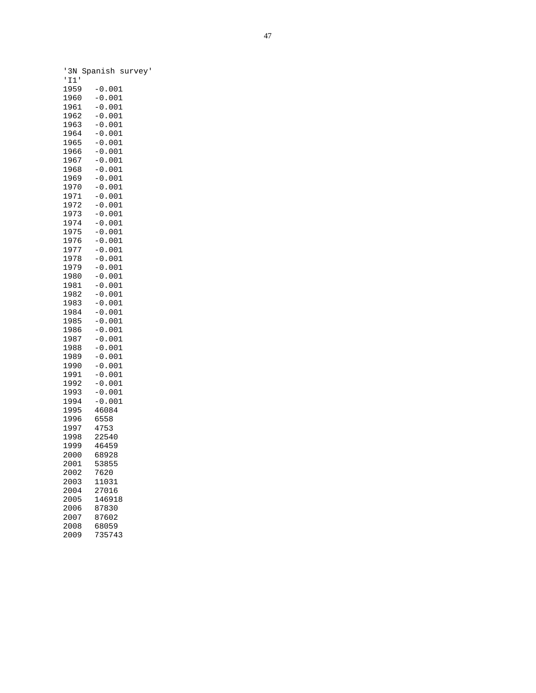|              | 3N Spanish surv      |  |
|--------------|----------------------|--|
| I1'<br>I     |                      |  |
| 1959         | $-0.001$             |  |
| 1960         | $-0.001$             |  |
| 1961         | $-0.001$             |  |
| 1962         | $-0.001$             |  |
| 1963         | $-0.001$             |  |
| 1964         | $-0.001$             |  |
| 1965<br>1966 | $-0.001$<br>$-0.001$ |  |
| 1967         | $-0.001$             |  |
| 1968         | 00.001               |  |
| 1969         | $-0.001$             |  |
| 1970         | $-0.001$             |  |
| 1971         | $-0.001$             |  |
| 1972         | $-0.001$             |  |
| 1973         | $-0.001$             |  |
| 1974         | $-0.001$             |  |
| 1975<br>1976 | $-0.001$<br>$-0.001$ |  |
| 1977         | $-0.001$             |  |
| 1978         | $-0.001$             |  |
| 1979         | $-0.001$             |  |
| 1980         | $-0.001$             |  |
| 1981         | $-0.001$             |  |
| 1982         | $-0.001$             |  |
| 1983         | $-0.001$             |  |
| 1984<br>1985 | $-0.001$<br>$-0.001$ |  |
| 1986         | $-0.001$             |  |
| 1987         | $-0.001$             |  |
| 1988         | $-0.001$             |  |
| 1989         | $-0.001$             |  |
| 1990         | $-0.001$             |  |
| 1991         | $-0.001$             |  |
| 1992         | $-0.001$             |  |
| 1993         | $-0.001$             |  |
| 1994<br>1995 | $-0.001$<br>46084    |  |
| 1996         | 6558                 |  |
| 1997         | 4753                 |  |
| 1998         | 22540                |  |
| 1999         | 46459                |  |
| 2000         | 68928                |  |
| 2001         | 53855                |  |
| 2002         | 7620                 |  |
| 2003         | 11031                |  |
| 2004         | 27016                |  |
| 2005<br>2006 | 146918<br>87830      |  |
| 2007         | 87602                |  |
| 2008         | 68059                |  |
| 2009         | 735743               |  |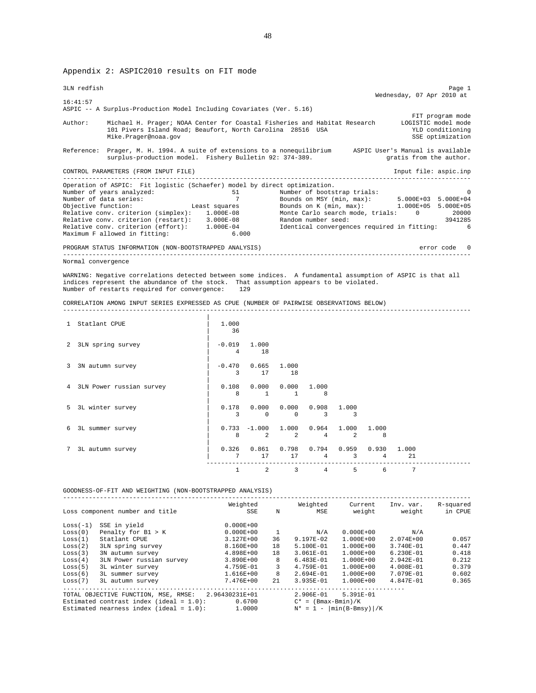Appendix 2: ASPIC2010 results on FIT mode

| 3LN redfish                                                                                                                                                                                                                                                            |                |                                 |                                                                                                                                              |            |                           |             |                           | Page 1                                                                 |
|------------------------------------------------------------------------------------------------------------------------------------------------------------------------------------------------------------------------------------------------------------------------|----------------|---------------------------------|----------------------------------------------------------------------------------------------------------------------------------------------|------------|---------------------------|-------------|---------------------------|------------------------------------------------------------------------|
| 16:41:57                                                                                                                                                                                                                                                               |                |                                 |                                                                                                                                              |            |                           |             | Wednesday, 07 Apr 2010 at |                                                                        |
| ASPIC -- A Surplus-Production Model Including Covariates (Ver. 5.16)<br>Michael H. Prager; NOAA Center for Coastal Fisheries and Habitat Research LOGISTIC model mode<br>Author:<br>101 Pivers Island Road; Beaufort, North Carolina 28516 USA<br>Mike.Prager@noaa.gov |                |                                 |                                                                                                                                              |            |                           |             |                           | FIT program mode<br>YLD conditioning<br>SSE optimization               |
| Reference: Prager, M. H. 1994. A suite of extensions to a nonequilibrium a ASPIC User's Manual is available<br>surplus-production model. Fishery Bulletin 92: 374-389.                                                                                                 |                |                                 |                                                                                                                                              |            |                           |             |                           | gratis from the author.                                                |
| CONTROL PARAMETERS (FROM INPUT FILE)                                                                                                                                                                                                                                   |                |                                 |                                                                                                                                              |            |                           |             |                           | Input file: aspic.inp                                                  |
| Operation of ASPIC: Fit logistic (Schaefer) model by direct optimization.<br>Maximum F allowed in fitting:                                                                                                                                                             | 6.000          |                                 |                                                                                                                                              |            |                           |             |                           |                                                                        |
| PROGRAM STATUS INFORMATION (NON-BOOTSTRAPPED ANALYSIS)                                                                                                                                                                                                                 |                |                                 |                                                                                                                                              |            | ------------------------- |             |                           | error code 0                                                           |
| indices represent the abundance of the stock. That assumption appears to be violated.<br>Number of restarts required for convergence: 129<br>CORRELATION AMONG INPUT SERIES EXPRESSED AS CPUE (NUMBER OF PAIRWISE OBSERVATIONS BELOW)<br>1 Statlant CPUE               | 1.000<br>36    |                                 |                                                                                                                                              |            |                           |             |                           |                                                                        |
|                                                                                                                                                                                                                                                                        |                |                                 |                                                                                                                                              |            |                           |             |                           |                                                                        |
| 2 3LN spring survey                                                                                                                                                                                                                                                    | $-0.019$ 1.000 | 4 18                            |                                                                                                                                              |            |                           |             |                           |                                                                        |
| 3 3N autumn survey                                                                                                                                                                                                                                                     |                | $-0.470$ 0.665 1.000<br>3 17 18 |                                                                                                                                              |            |                           |             |                           |                                                                        |
| 4 3LN Power russian survey                                                                                                                                                                                                                                             |                |                                 | $0.108$ $0.000$ $0.000$ $1.000$<br>8 1 1 8                                                                                                   |            |                           |             |                           |                                                                        |
| 5 3L winter survey                                                                                                                                                                                                                                                     | 0.178          |                                 | $0.000$ $0.000$ $0.908$ 1.000<br>3 0 0 3 3                                                                                                   |            |                           |             |                           |                                                                        |
| 3L summer survey                                                                                                                                                                                                                                                       |                |                                 | $0.733 - 1.000$ $1.000$ $0.964$ $1.000$<br>8 2 2 4 2                                                                                         |            |                           | 1.000<br>-8 |                           |                                                                        |
| 7 3L autumn survey                                                                                                                                                                                                                                                     |                |                                 | $0.326$ $0.861$ $0.798$ $0.794$ $0.959$ $0.930$ $1.000$<br>$\begin{matrix}7\qquad&17\qquad&17\qquad&4\qquad&3\qquad&4\end{matrix}$<br>------ | ---------  |                           |             | 21                        |                                                                        |
|                                                                                                                                                                                                                                                                        |                |                                 | $\begin{array}{cccccccccccccccccc} 1 & 2 & 3 & 4 & 5 & 6 & 7 \end{array}$                                                                    |            |                           |             |                           |                                                                        |
| GOODNESS-OF-FIT AND WEIGHTING (NON-BOOTSTRAPPED ANALYSIS)                                                                                                                                                                                                              |                |                                 |                                                                                                                                              |            |                           |             |                           |                                                                        |
| Loss component number and title                                                                                                                                                                                                                                        |                | SSE                             | N                                                                                                                                            | <b>MSE</b> |                           |             |                           | Weighted Weighted Current Inv. var. R-squared<br>weight weight in CPUE |

| SSE in yield             | $0.000E + 00$                                                                                                                    |                |               |               |                       |                             |
|--------------------------|----------------------------------------------------------------------------------------------------------------------------------|----------------|---------------|---------------|-----------------------|-----------------------------|
| Penalty for B1 > K       | $0.000E + 00$                                                                                                                    |                | N/A           | $0.000E + 00$ | N/A                   |                             |
| Statlant CPUE            | 3.127E+00                                                                                                                        | 36             | 9.197E-02     | 1.000E+00     | 2.074E+00             | 0.057                       |
| 3LN spring survey        | 8.160E+00                                                                                                                        | 18             | $5.100E - 01$ | $1.000E + 00$ | $3.740E - 01$         | 0.447                       |
| 3N autumn survey         | 4.898E+00                                                                                                                        | 18             | $3.061E - 01$ | $1.000E + 00$ | $6.230E - 01$         | 0.418                       |
| 3LN Power russian survey | 3.890E+00                                                                                                                        | 8              | $6.483E-01$   | $1.000E + 00$ | 2.942E-01             | 0.212                       |
| 3L winter survey         | 4.759E-01                                                                                                                        | 3              | $4.759E - 01$ | $1.000E + 00$ | $4.008E - 01$         | 0.379                       |
| 3L summer survey         | 1.616E+00                                                                                                                        | 8              | $2.694E - 01$ | 1.000E+00     | 7.079E-01             | 0.602                       |
| 3L autumn survey         | 7.476E+00                                                                                                                        | 2.1            | 3.935E-01     | 1.000E+00     | 4.847E-01             | 0.365                       |
|                          |                                                                                                                                  |                |               |               |                       |                             |
|                          |                                                                                                                                  |                | $2.906E-01$   | 5.391E-01     |                       |                             |
|                          | 0.6700                                                                                                                           |                |               |               |                       |                             |
|                          | 1,0000                                                                                                                           |                |               |               |                       |                             |
|                          | TOTAL OBJECTIVE FUNCTION, MSE, RMSE:<br>Estimated contrast index (ideal = $1.0$ ):<br>Estimated nearness index (ideal = $1.0$ ): | 2.96430231E+01 |               |               | $C^* = (Bmax-Bmin)/K$ | $N^* = 1 -  min(B-Bmsy) /K$ |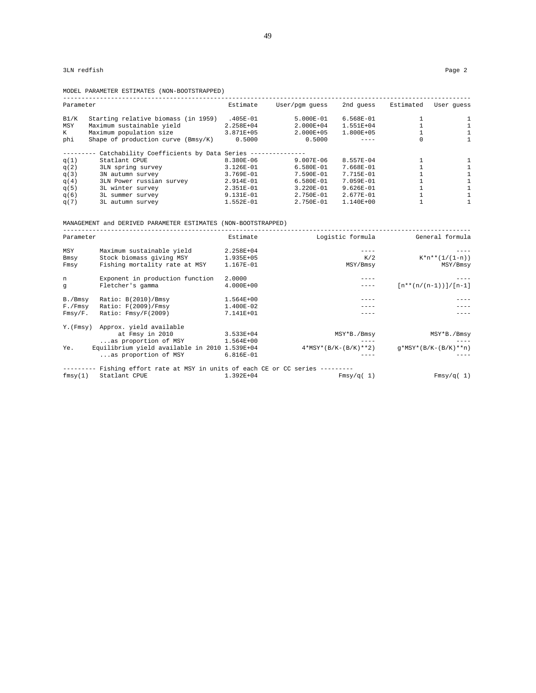|           | MODEL PARAMETER ESTIMATES (NON-BOOTSTRAPPED) |             |                |               |           |            |
|-----------|----------------------------------------------|-------------|----------------|---------------|-----------|------------|
| Parameter |                                              | Estimate    | User/pqm quess | 2nd quess     | Estimated | User quess |
| B1/K      | Starting relative biomass (in 1959)          | .405E-01    | $5.000E-01$    | 6.568E-01     |           |            |
| MSY       | Maximum sustainable yield                    | 2.258E+04   | $2.000E + 04$  | 1.551E+04     |           |            |
| K         | Maximum population size                      | 3.871E+05   | 2.000E+05      | 1.800E+05     |           |            |
| phi       | Shape of production curve $(Bmsy/K)$         | 0.5000      | 0.5000         |               |           |            |
|           | Catchability Coefficients by Data Series --- |             |                |               |           |            |
| q(1)      | Statlant CPUE                                | 8.380E-06   | $9.007E - 06$  | 8.557E-04     |           |            |
| q(2)      | 3LN spring survey                            | $3.126E-01$ | $6.580E - 01$  | 7.668E-01     |           |            |
| q(3)      | 3N autumn survey                             | $3.769E-01$ | 7.590E-01      | 7.715E-01     |           |            |
| q(4)      | 3LN Power russian survey                     | 2.914E-01   | 6.580E-01      | 7.059E-01     |           |            |
| q(5)      | 3L winter survey                             | 2.351E-01   | 3.220E-01      | $9.626E-01$   |           |            |
| q(6)      | 3L summer survey                             | $9.131E-01$ | 2.750E-01      | 2.677E-01     |           |            |
| q(7)      | 3L autumn survey                             | 1.552E-01   | $2.750E - 01$  | $1.140E + 00$ |           |            |

MANAGEMENT and DERIVED PARAMETER ESTIMATES (NON-BOOTSTRAPPED)

| Parameter  |                                                                              | Estimate    | Logistic formula       | General formula          |
|------------|------------------------------------------------------------------------------|-------------|------------------------|--------------------------|
| MSY        | Maximum sustainable yield                                                    | 2.258E+04   |                        |                          |
| Bmsy       | Stock biomass giving MSY                                                     | 1.935E+05   | K/2                    | $K^*n^{**}(1/(1-n))$     |
| Fmsy       | Fishing mortality rate at MSY                                                | 1.167E-01   | MSY/Bmsy               | MSY/Bmsy                 |
| n          | Exponent in production function                                              | 2,0000      |                        |                          |
| q          | Fletcher's gamma                                                             | 4.000E+00   |                        | $[n**(n/(n-1))] / [n-1]$ |
| B./Bmsy    | Ratio: B(2010)/Bmsy                                                          | $1.564E+00$ |                        |                          |
| F./Fmsy    | Ratio: F(2009)/Fmsy                                                          | 1.400E-02   |                        |                          |
| $Fmsy/F$ . | Ratio: Fmsy/F(2009)                                                          | 7.141E+01   |                        |                          |
|            | Y. (Fmsy) Approx. yield available                                            |             |                        |                          |
|            | at Fmsy in 2010                                                              | 3.533E+04   | MSY*B./Bmsy            | MSY*B./Bmsy              |
|            | as proportion of MSY                                                         | 1.564E+00   |                        |                          |
| Ye.        | Equilibrium yield available in 2010 1.539E+04                                |             | $4*MSY*(B/K-(B/K)**2)$ | $q*MSY*(B/K-(B/K)**n)$   |
|            | as proportion of MSY                                                         | $6.816E-01$ |                        |                          |
|            | ------ Fishing effort rate at MSY in units of each CE or CC series --------- |             |                        |                          |
| fmsy(1)    | Statlant CPUE                                                                | 1.392E+04   | Fmsy/q(1)              | Fmsy/q(1)                |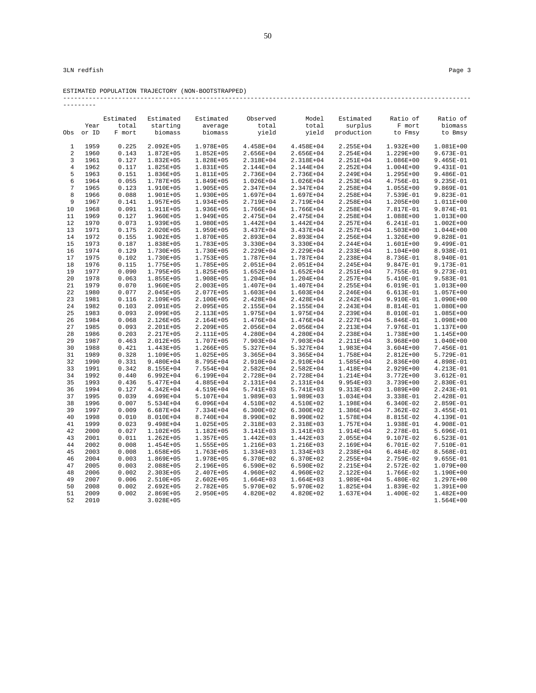| 3LN redfish | Page 3 |  |  |
|-------------|--------|--|--|
|-------------|--------|--|--|

ESTIMATED POPULATION TRAJECTORY (NON-BOOTSTRAPPED) ---------------------------------------------------------------------------------------------------------------

| -------        |       |           |               |               |               |               |            |               |               |
|----------------|-------|-----------|---------------|---------------|---------------|---------------|------------|---------------|---------------|
|                |       | Estimated | Estimated     | Estimated     | Observed      | Model         | Estimated  | Ratio of      | Ratio of      |
|                | Year  | total     | starting      | average       | total         | total         | surplus    | F mort        | biomass       |
| Obs            | or ID | F mort    | biomass       | biomass       | yield         | yield         | production | to Fmsy       | to Bmsy       |
| 1              | 1959  | 0.225     | $2.092E + 05$ | 1.978E+05     | 4.458E+04     | 4.458E+04     | 2.255E+04  | 1.932E+00     | 1.081E+00     |
| $\overline{a}$ | 1960  | 0.143     | 1.872E+05     | $1.852E + 05$ | 2.656E+04     | 2.656E+04     | 2.254E+04  | 1.229E+00     | 9.673E-01     |
| 3              | 1961  | 0.127     | 1.832E+05     | 1.828E+05     | 2.318E+04     | 2.318E+04     | 2.251E+04  | 1.086E+00     | $9.465E-01$   |
| $\overline{4}$ | 1962  | 0.117     | 1.825E+05     | 1.831E+05     | 2.144E+04     | 2.144E+04     | 2.252E+04  | $1.004E + 00$ | 9.431E-01     |
| 5              | 1963  | 0.151     | 1.836E+05     | 1.811E+05     | 2.736E+04     | 2.736E+04     | 2.249E+04  | 1.295E+00     | $9.486E-01$   |
| 6              | 1964  | 0.055     | 1.787E+05     | 1.849E+05     | 1.026E+04     | 1.026E+04     | 2.253E+04  | 4.756E-01     | 9.235E-01     |
| 7              | 1965  | 0.123     | 1.910E+05     | 1.905E+05     | 2.347E+04     | 2.347E+04     | 2.258E+04  | $1.055E + 00$ | 9.869E-01     |
| 8              | 1966  | 0.088     | 1.901E+05     | 1.930E+05     | 1.697E+04     | 1.697E+04     | 2.258E+04  | 7.539E-01     | 9.823E-01     |
| 9              | 1967  | 0.141     | 1.957E+05     | 1.934E+05     | 2.719E+04     | 2.719E+04     | 2.258E+04  | 1.205E+00     | 1.011E+00     |
| 10             | 1968  | 0.091     | 1.911E+05     | 1.936E+05     | 1.766E+04     | 1.766E+04     | 2.258E+04  | 7.817E-01     | 9.874E-01     |
| 11             | 1969  | 0.127     | 1.960E+05     | 1.949E+05     | 2.475E+04     | 2.475E+04     | 2.258E+04  | 1.088E+00     | 1.013E+00     |
| 12             | 1970  | 0.073     | 1.939E+05     | 1.980E+05     | 1.442E+04     | $1.442E + 04$ | 2.257E+04  | 6.241E-01     | 1.002E+00     |
| 13             | 1971  | 0.175     | 2.020E+05     | 1.959E+05     | 3.437E+04     | 3.437E+04     | 2.257E+04  | 1.503E+00     | $1.044E + 00$ |
| 14             | 1972  | 0.155     | 1.902E+05     | 1.870E+05     | 2.893E+04     | 2.893E+04     | 2.256E+04  | 1.326E+00     | 9.828E-01     |
| 15             | 1973  | 0.187     | 1.838E+05     | 1.783E+05     | 3.330E+04     | 3.330E+04     | 2.244E+04  | 1.601E+00     | 9.499E-01     |
| 16             | 1974  | 0.129     | 1.730E+05     | 1.730E+05     | 2.229E+04     | 2.229E+04     | 2.233E+04  | 1.104E+00     | 8.938E-01     |
| 17             | 1975  | 0.102     | 1.730E+05     | 1.753E+05     | 1.787E+04     | 1.787E+04     | 2.238E+04  | 8.736E-01     | 8.940E-01     |
| 18             | 1976  | 0.115     | 1.775E+05     | 1.785E+05     | 2.051E+04     | 2.051E+04     | 2.245E+04  | 9.847E-01     | 9.173E-01     |
| 19             | 1977  | 0.090     | 1.795E+05     | 1.825E+05     | $1.652E + 04$ | $1.652E + 04$ | 2.251E+04  | 7.755E-01     | 9.273E-01     |
| 20             | 1978  | 0.063     | 1.855E+05     | 1.908E+05     | $1.204E + 04$ | $1.204E + 04$ | 2.257E+04  | 5.410E-01     | 9.583E-01     |
| 21             | 1979  | 0.070     | 1.960E+05     | 2.003E+05     | 1.407E+04     | 1.407E+04     | 2.255E+04  | 6.019E-01     | 1.013E+00     |
| 22             | 1980  | 0.077     | $2.045E + 05$ | 2.077E+05     | $1.603E + 04$ | 1.603E+04     | 2.246E+04  | 6.613E-01     | 1.057E+00     |
| 23             | 1981  | 0.116     | 2.109E+05     | 2.100E+05     | 2.428E+04     | 2.428E+04     | 2.242E+04  | 9.910E-01     | 1.090E+00     |
| 24             | 1982  | 0.103     | 2.091E+05     | 2.095E+05     | 2.155E+04     | 2.155E+04     | 2.243E+04  | 8.814E-01     | 1.080E+00     |
| 25             | 1983  | 0.093     | 2.099E+05     | 2.113E+05     | 1.975E+04     | 1.975E+04     | 2.239E+04  | 8.010E-01     | 1.085E+00     |
| 26             | 1984  | 0.068     | 2.126E+05     | 2.164E+05     | 1.476E+04     | 1.476E+04     | 2.227E+04  | 5.846E-01     | 1.098E+00     |
| 27             | 1985  | 0.093     | $2.201E+05$   | 2.209E+05     | 2.056E+04     | 2.056E+04     | 2.213E+04  | 7.976E-01     | 1.137E+00     |
| 28             | 1986  | 0.203     | 2.217E+05     | 2.111E+05     | 4.280E+04     | 4.280E+04     | 2.238E+04  | 1.738E+00     | 1.145E+00     |
| 29             | 1987  | 0.463     | 2.012E+05     | 1.707E+05     | 7.903E+04     | 7.903E+04     | 2.211E+04  | $3.968E + 00$ | 1.040E+00     |
| 30             | 1988  | 0.421     | 1.443E+05     | 1.266E+05     | 5.327E+04     | 5.327E+04     | 1.983E+04  | $3.604E + 00$ | 7.456E-01     |
| 31             | 1989  | 0.328     | 1.109E+05     | 1.025E+05     | $3.365E + 04$ | $3.365E + 04$ | 1.758E+04  | 2.812E+00     | 5.729E-01     |
| 32             | 1990  | 0.331     | 9.480E+04     | 8.795E+04     | 2.910E+04     | 2.910E+04     | 1.585E+04  | 2.836E+00     | 4.898E-01     |
| 33             | 1991  | 0.342     | 8.155E+04     | 7.554E+04     | 2.582E+04     | $2.582E + 04$ | 1.418E+04  | 2.929E+00     | 4.213E-01     |
| 34             | 1992  | 0.440     | 6.992E+04     | 6.199E+04     | 2.728E+04     | 2.728E+04     | 1.214E+04  | 3.772E+00     | 3.612E-01     |
| 35             | 1993  | 0.436     | 5.477E+04     | 4.885E+04     | 2.131E+04     | 2.131E+04     | 9.954E+03  | 3.739E+00     | 2.830E-01     |
| 36             | 1994  | 0.127     | 4.342E+04     | 4.519E+04     | 5.741E+03     | 5.741E+03     | 9.313E+03  | 1.089E+00     | 2.243E-01     |
| 37             | 1995  | 0.039     | 4.699E+04     | 5.107E+04     | 1.989E+03     | 1.989E+03     | 1.034E+04  | 3.338E-01     | 2.428E-01     |
| 38             | 1996  | 0.007     | 5.534E+04     | $6.096E + 04$ | 4.510E+02     | 4.510E+02     | 1.198E+04  | $6.340E-02$   | 2.859E-01     |
| 39             | 1997  | 0.009     | 6.687E+04     | 7.334E+04     | $6.300E + 02$ | $6.300E + 02$ | 1.386E+04  | 7.362E-02     | 3.455E-01     |
| 40             | 1998  | 0.010     | 8.010E+04     | 8.740E+04     | 8.990E+02     | 8.990E+02     | 1.578E+04  | 8.815E-02     | 4.139E-01     |
| 41             | 1999  | 0.023     | 9.498E+04     | 1.025E+05     | 2.318E+03     | 2.318E+03     | 1.757E+04  | 1.938E-01     | 4.908E-01     |
| 42             | 2000  | 0.027     | 1.102E+05     | 1.182E+05     | 3.141E+03     | 3.141E+03     | 1.914E+04  | 2.278E-01     | 5.696E-01     |
| 43             | 2001  | 0.011     | 1.262E+05     | 1.357E+05     | $1.442E + 03$ | $1.442E + 03$ | 2.055E+04  | 9.107E-02     | $6.523E-01$   |
| 44             | 2002  | 0.008     | 1.454E+05     | 1.555E+05     | 1.216E+03     | 1.216E+03     | 2.169E+04  | 6.701E-02     | 7.510E-01     |
| 45             | 2003  | 0.008     | 1.658E+05     | 1.763E+05     | 1.334E+03     | 1.334E+03     | 2.238E+04  | $6.484E-02$   | 8.568E-01     |
| 46             | 2004  | 0.003     | 1.869E+05     | 1.978E+05     | 6.370E+02     | 6.370E+02     | 2.255E+04  | 2.759E-02     | $9.655E-01$   |
| 47             | 2005  | 0.003     | 2.088E+05     | 2.196E+05     | $6.590E+02$   | 6.590E+02     | 2.215E+04  | 2.572E-02     | 1.079E+00     |
| 48             | 2006  | 0.002     | $2.303E + 05$ | 2.407E+05     | 4.960E+02     | 4.960E+02     | 2.122E+04  | 1.766E-02     | 1.190E+00     |
| 49             | 2007  | 0.006     | 2.510E+05     | $2.602E + 05$ | $1.664E + 03$ | $1.664E + 03$ | 1.989E+04  | 5.480E-02     | 1.297E+00     |
| 50             | 2008  | 0.002     | $2.692E + 05$ | 2.782E+05     | 5.970E+02     | 5.970E+02     | 1.825E+04  | 1.839E-02     | 1.391E+00     |
| 51             | 2009  | 0.002     | $2.869E + 05$ | 2.950E+05     | 4.820E+02     | 4.820E+02     | 1.637E+04  | 1.400E-02     | $1.482E + 00$ |
| 52             | 2010  |           | $3.028E + 05$ |               |               |               |            |               | $1.564E+00$   |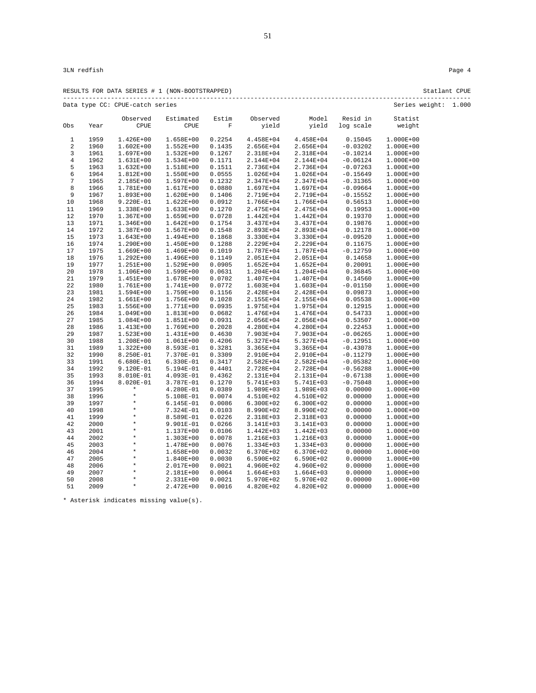|                         |              | RESULTS FOR DATA SERIES # 1 (NON-BOOTSTRAPPED) |                        |                  |                        |                        |                    |                        | Statlant CPUE |
|-------------------------|--------------|------------------------------------------------|------------------------|------------------|------------------------|------------------------|--------------------|------------------------|---------------|
|                         |              | Data type CC: CPUE-catch series                |                        |                  |                        |                        |                    | Series weight: 1.000   |               |
|                         |              | Observed                                       | Estimated              | Estim            | Observed               | Model                  | Resid in           | Statist                |               |
| Obs                     | Year         | <b>CPUE</b>                                    | CPUE                   | F                | yield                  | yield                  | log scale          | weight                 |               |
| $\mathbf{1}$            | 1959         | 1.426E+00                                      | 1.658E+00              | 0.2254           | 4.458E+04              | 4.458E+04              | 0.15045            | 1.000E+00              |               |
| $\overline{\mathbf{c}}$ | 1960         | $1.602E + 00$                                  | $1.552E+00$            | 0.1435           | 2.656E+04              | 2.656E+04              | $-0.03202$         | 1.000E+00              |               |
| 3                       | 1961         | $1.697E + 00$                                  | $1.532E+00$            | 0.1267           | 2.318E+04              | 2.318E+04              | $-0.10214$         | 1.000E+00              |               |
| 4                       | 1962         | $1.631E+00$                                    | 1.534E+00              | 0.1171           | 2.144E+04              | 2.144E+04              | $-0.06124$         | 1.000E+00              |               |
| 5                       | 1963         | $1.632E+00$                                    | 1.518E+00              | 0.1511           | 2.736E+04              | 2.736E+04              | $-0.07263$         | 1.000E+00              |               |
| 6                       | 1964         | $1.812E+00$                                    | 1.550E+00              | 0.0555           | 1.026E+04              | 1.026E+04              | $-0.15649$         | $1.000E + 00$          |               |
| $\sqrt{ }$              | 1965         | 2.185E+00                                      | 1.597E+00              | 0.1232           | 2.347E+04              | 2.347E+04              | $-0.31365$         | 1.000E+00              |               |
| 8                       | 1966         | 1.781E+00                                      | 1.617E+00              | 0.0880           | 1.697E+04              | 1.697E+04              | $-0.09664$         | 1.000E+00              |               |
| 9                       | 1967         | $1.893E+00$                                    | 1.620E+00              | 0.1406           | 2.719E+04              | 2.719E+04              | $-0.15552$         | 1.000E+00              |               |
| 10                      | 1968         | 9.220E-01                                      | $1.622E+00$            | 0.0912           | 1.766E+04              | 1.766E+04              | 0.56513            | 1.000E+00              |               |
| 11                      | 1969         | 1.338E+00                                      | 1.633E+00              | 0.1270           | 2.475E+04              | 2.475E+04              | 0.19953            | 1.000E+00              |               |
| 12                      | 1970         | $1.367E + 00$                                  | 1.659E+00              | 0.0728           | 1.442E+04              | $1.442E + 04$          | 0.19370            | 1.000E+00              |               |
| 13                      | 1971         | $1.346E+00$                                    | $1.642E+00$            | 0.1754           | 3.437E+04              | 3.437E+04              | 0.19876            | 1.000E+00              |               |
| 14                      | 1972         | $1.387E+00$                                    | 1.567E+00              | 0.1548           | 2.893E+04              | 2.893E+04              | 0.12178            | 1.000E+00              |               |
| 15                      | 1973         | $1.643E+00$                                    | 1.494E+00              | 0.1868           | 3.330E+04              | 3.330E+04              | $-0.09520$         | 1.000E+00              |               |
| 16                      | 1974         | 1.290E+00                                      | 1.450E+00              | 0.1288           | 2.229E+04              | 2.229E+04              | 0.11675            | 1.000E+00              |               |
| 17                      | 1975         | $1.669E + 00$                                  | 1.469E+00              | 0.1019           | 1.787E+04              | 1.787E+04              | $-0.12759$         | 1.000E+00              |               |
| 18                      | 1976         | $1.292E + 00$                                  | 1.496E+00              | 0.1149           | 2.051E+04              | $2.051E+04$            | 0.14658            | 1.000E+00              |               |
| 19                      | 1977         | 1.251E+00                                      | 1.529E+00              | 0.0905           | $1.652E + 04$          | 1.652E+04              | 0.20091            | 1.000E+00              |               |
| 20                      | 1978         | 1.106E+00                                      | 1.599E+00              | 0.0631           | 1.204E+04              | 1.204E+04              | 0.36845            | 1.000E+00              |               |
| 21                      | 1979         | $1.451E+00$                                    | 1.678E+00              | 0.0702           | 1.407E+04              | 1.407E+04              | 0.14560            | 1.000E+00              |               |
| 22                      | 1980         | 1.761E+00                                      | 1.741E+00              | 0.0772           | 1.603E+04              | 1.603E+04              | $-0.01150$         | 1.000E+00              |               |
| 23                      | 1981         | $1.594E+00$                                    | 1.759E+00              | 0.1156           | 2.428E+04              | 2.428E+04              | 0.09873            | 1.000E+00              |               |
| 24                      | 1982         | $1.661E+00$                                    | 1.756E+00              | 0.1028           | 2.155E+04              | 2.155E+04              | 0.05538            | 1.000E+00              |               |
| 25                      | 1983         | $1.556E+00$                                    | 1.771E+00              | 0.0935           | 1.975E+04              | 1.975E+04              | 0.12915            | 1.000E+00              |               |
| 26                      | 1984         | $1.049E + 00$                                  | 1.813E+00<br>1.851E+00 | 0.0682           | 1.476E+04              | 1.476E+04              | 0.54733            | 1.000E+00              |               |
| 27                      | 1985<br>1986 | 1.084E+00                                      | 1.769E+00              | 0.0931<br>0.2028 | 2.056E+04<br>4.280E+04 | 2.056E+04<br>4.280E+04 | 0.53507<br>0.22453 | 1.000E+00<br>1.000E+00 |               |
| 28<br>29                | 1987         | 1.413E+00<br>$1.523E+00$                       | 1.431E+00              | 0.4630           | 7.903E+04              | 7.903E+04              | $-0.06265$         | 1.000E+00              |               |
| 30                      | 1988         | $1.208E+00$                                    | 1.061E+00              | 0.4206           | 5.327E+04              | 5.327E+04              | $-0.12951$         | 1.000E+00              |               |
| 31                      | 1989         | $1.322E+00$                                    | 8.593E-01              | 0.3281           | 3.365E+04              | $3.365E + 04$          | $-0.43078$         | 1.000E+00              |               |
| 32                      | 1990         | 8.250E-01                                      | 7.370E-01              | 0.3309           | 2.910E+04              | 2.910E+04              | $-0.11279$         | 1.000E+00              |               |
| 33                      | 1991         | $6.680E-01$                                    | 6.330E-01              | 0.3417           | 2.582E+04              | 2.582E+04              | $-0.05382$         | 1.000E+00              |               |
| 34                      | 1992         | 9.120E-01                                      | 5.194E-01              | 0.4401           | 2.728E+04              | $2.728E + 04$          | $-0.56288$         | 1.000E+00              |               |
| 35                      | 1993         | 8.010E-01                                      | 4.093E-01              | 0.4362           | 2.131E+04              | 2.131E+04              | $-0.67138$         | 1.000E+00              |               |
| 36                      | 1994         | 8.020E-01                                      | 3.787E-01              | 0.1270           | 5.741E+03              | 5.741E+03              | $-0.75048$         | 1.000E+00              |               |
| 37                      | 1995         | $\star$                                        | 4.280E-01              | 0.0389           | 1.989E+03              | 1.989E+03              | 0.00000            | 1.000E+00              |               |
| 38                      | 1996         | $\star$                                        | 5.108E-01              | 0.0074           | 4.510E+02              | 4.510E+02              | 0.00000            | 1.000E+00              |               |
| 39                      | 1997         | $\star$                                        | $6.145E-01$            | 0.0086           | 6.300E+02              | $6.300E+02$            | 0.00000            | 1.000E+00              |               |
| 40                      | 1998         | $\star$                                        | 7.324E-01              | 0.0103           | 8.990E+02              | 8.990E+02              | 0.00000            | 1.000E+00              |               |
| 41                      | 1999         | $\star$                                        | 8.589E-01              | 0.0226           | 2.318E+03              | 2.318E+03              | 0.00000            | 1.000E+00              |               |
| 42                      | 2000         | $\star$                                        | 9.901E-01              | 0.0266           | 3.141E+03              | 3.141E+03              | 0.00000            | 1.000E+00              |               |
| 43                      | 2001         | $\star$                                        | 1.137E+00              | 0.0106           | 1.442E+03              | 1.442E+03              | 0.00000            | 1.000E+00              |               |
| 44                      | 2002         | $^\star$                                       | 1.303E+00              | 0.0078           | 1.216E+03              | 1.216E+03              | 0.00000            | 1.000E+00              |               |
| 45                      | 2003         | $\star$                                        | 1.478E+00              | 0.0076           | 1.334E+03              | 1.334E+03              | 0.00000            | 1.000E+00              |               |
| 46                      | 2004         | $\star$                                        | 1.658E+00              | 0.0032           | 6.370E+02              | $6.370E+02$            | 0.00000            | 1.000E+00              |               |
| 47                      | 2005         | $\star$                                        | 1.840E+00              | 0.0030           | 6.590E+02              | 6.590E+02              | 0.00000            | 1.000E+00              |               |
| 48                      | 2006         | $\star$                                        | 2.017E+00              | 0.0021           | 4.960E+02              | 4.960E+02              | 0.00000            | 1.000E+00              |               |
| 49                      | 2007         | $\star$                                        | 2.181E+00              | 0.0064           | 1.664E+03              | 1.664E+03              | 0.00000            | 1.000E+00              |               |
| 50                      | 2008         | $\star$                                        | 2.331E+00              | 0.0021           | 5.970E+02              | 5.970E+02              | 0.00000            | 1.000E+00              |               |
| 51                      | 2009         | $\star$                                        | $2.472E + 00$          | 0.0016           | 4.820E+02              | 4.820E+02              | 0.00000            | 1.000E+00              |               |

\* Asterisk indicates missing value(s).

51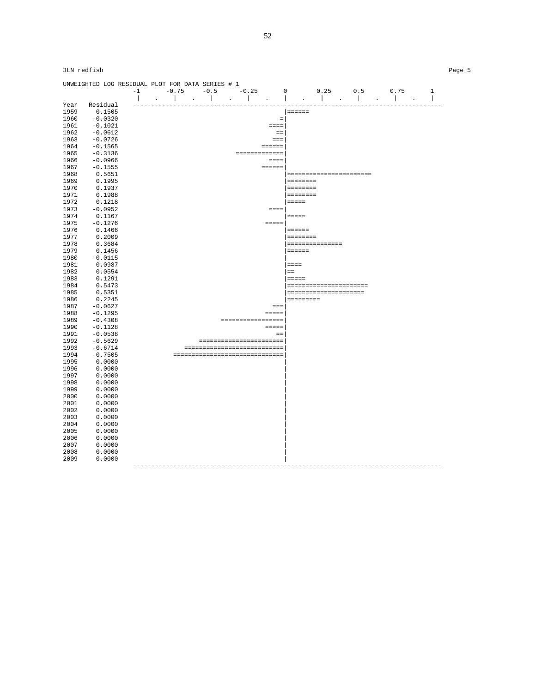|              | UNWEIGHTED LOG RESIDUAL PLOT FOR DATA SERIES # 1 |                          |                                    |                      |                                           |                                                           |                                                                                                                                                                                                                                      |                                 |                           |                          |
|--------------|--------------------------------------------------|--------------------------|------------------------------------|----------------------|-------------------------------------------|-----------------------------------------------------------|--------------------------------------------------------------------------------------------------------------------------------------------------------------------------------------------------------------------------------------|---------------------------------|---------------------------|--------------------------|
|              |                                                  | $-1$                     | $-0.75$                            | $-0.5$               | $-0.25$                                   | $\mathbf 0$                                               | 0.25                                                                                                                                                                                                                                 | 0.5                             | 0.75                      | $\mathbf{1}$             |
| Year         | Residual                                         | $\overline{\phantom{a}}$ | $\mathbb{R}$                       | and the state of the | $\mathbb{R}$<br>$\mathbf{a} = \mathbf{0}$ | $\mathbf{I}$<br>$\sim$                                    | <b>The Contract of the Contract of the Contract of the Contract of the Contract of the Contract of the Contract of the Contract of the Contract of the Contract of the Contract of the Contract of the Contract of the Contract </b> | $\Box$                          | $\mathbb{R}$<br>$\bullet$ | $\overline{\phantom{a}}$ |
| 1959         | 0.1505                                           |                          |                                    |                      |                                           |                                                           | $\qquad \qquad \equiv \equiv \equiv \equiv \equiv \equiv$                                                                                                                                                                            |                                 |                           |                          |
| 1960         | $-0.0320$                                        |                          |                                    |                      |                                           | $\qquad \qquad =$                                         |                                                                                                                                                                                                                                      |                                 |                           |                          |
| 1961         | $-0.1021$                                        |                          |                                    |                      |                                           | $= = = =$                                                 |                                                                                                                                                                                                                                      |                                 |                           |                          |
| 1962         | $-0.0612$                                        |                          |                                    |                      |                                           | $=$                                                       |                                                                                                                                                                                                                                      |                                 |                           |                          |
| 1963         | $-0.0726$                                        |                          |                                    |                      |                                           | $=$                                                       |                                                                                                                                                                                                                                      |                                 |                           |                          |
| 1964         | $-0.1565$                                        |                          |                                    |                      |                                           | $=$ $=$ $=$ $=$ $=$                                       |                                                                                                                                                                                                                                      |                                 |                           |                          |
| 1965         | $-0.3136$                                        |                          |                                    |                      |                                           | =============                                             |                                                                                                                                                                                                                                      |                                 |                           |                          |
| 1966         | $-0.0966$                                        |                          |                                    |                      |                                           | $=$                                                       |                                                                                                                                                                                                                                      |                                 |                           |                          |
|              |                                                  |                          |                                    |                      |                                           |                                                           |                                                                                                                                                                                                                                      |                                 |                           |                          |
| 1967         | $-0.1555$                                        |                          |                                    |                      |                                           | $\qquad \qquad \equiv \equiv \equiv \equiv \equiv \equiv$ |                                                                                                                                                                                                                                      |                                 |                           |                          |
| 1968         | 0.5651                                           |                          |                                    |                      |                                           |                                                           |                                                                                                                                                                                                                                      | =======================         |                           |                          |
| 1969         | 0.1995                                           |                          |                                    |                      |                                           |                                                           | $= = = = = = = = =$                                                                                                                                                                                                                  |                                 |                           |                          |
| 1970         | 0.1937                                           |                          |                                    |                      |                                           |                                                           | ========                                                                                                                                                                                                                             |                                 |                           |                          |
| 1971         | 0.1988                                           |                          |                                    |                      |                                           |                                                           | $= = = = = = = = =$<br>$=$ $=$ $=$ $=$                                                                                                                                                                                               |                                 |                           |                          |
| 1972         | 0.1218                                           |                          |                                    |                      |                                           |                                                           |                                                                                                                                                                                                                                      |                                 |                           |                          |
| 1973         | $-0.0952$                                        |                          |                                    |                      |                                           | $=$ $=$ $=$                                               |                                                                                                                                                                                                                                      |                                 |                           |                          |
| 1974         | 0.1167                                           |                          |                                    |                      |                                           |                                                           | $=$ $=$ $=$ $=$                                                                                                                                                                                                                      |                                 |                           |                          |
| 1975         | $-0.1276$                                        |                          |                                    |                      |                                           | $= = = = =$                                               |                                                                                                                                                                                                                                      |                                 |                           |                          |
| 1976         | 0.1466                                           |                          |                                    |                      |                                           |                                                           | $= 222222$                                                                                                                                                                                                                           |                                 |                           |                          |
| 1977         | 0.2009                                           |                          |                                    |                      |                                           |                                                           | $\qquad \qquad \equiv \equiv \equiv \equiv \equiv \equiv \equiv \equiv$                                                                                                                                                              |                                 |                           |                          |
| 1978         | 0.3684                                           |                          |                                    |                      |                                           |                                                           | ===============                                                                                                                                                                                                                      |                                 |                           |                          |
| 1979         | 0.1456                                           |                          |                                    |                      |                                           |                                                           | $= 12222222$                                                                                                                                                                                                                         |                                 |                           |                          |
| 1980         | $-0.0115$                                        |                          |                                    |                      |                                           |                                                           |                                                                                                                                                                                                                                      |                                 |                           |                          |
| 1981         | 0.0987                                           |                          |                                    |                      |                                           |                                                           | $=$ = = =                                                                                                                                                                                                                            |                                 |                           |                          |
| 1982         | 0.0554                                           |                          |                                    |                      |                                           |                                                           | $=$                                                                                                                                                                                                                                  |                                 |                           |                          |
| 1983         | 0.1291                                           |                          |                                    |                      |                                           |                                                           | $=$                                                                                                                                                                                                                                  |                                 |                           |                          |
| 1984         | 0.5473                                           |                          |                                    |                      |                                           |                                                           | ======================                                                                                                                                                                                                               |                                 |                           |                          |
| 1985         | 0.5351                                           |                          |                                    |                      |                                           |                                                           | =====================                                                                                                                                                                                                                |                                 |                           |                          |
| 1986         | 0.2245                                           |                          |                                    |                      |                                           |                                                           | =========                                                                                                                                                                                                                            |                                 |                           |                          |
| 1987         | $-0.0627$                                        |                          |                                    |                      |                                           | $=$ $=$ $=$                                               |                                                                                                                                                                                                                                      |                                 |                           |                          |
| 1988         | $-0.1295$                                        |                          |                                    |                      |                                           | $=$                                                       |                                                                                                                                                                                                                                      |                                 |                           |                          |
| 1989         | $-0.4308$                                        |                          |                                    |                      | =================                         |                                                           |                                                                                                                                                                                                                                      |                                 |                           |                          |
| 1990         | $-0.1128$                                        |                          |                                    |                      |                                           | $=$                                                       |                                                                                                                                                                                                                                      |                                 |                           |                          |
| 1991         | $-0.0538$                                        |                          |                                    |                      |                                           | $=$ $=$                                                   |                                                                                                                                                                                                                                      |                                 |                           |                          |
| 1992         | $-0.5629$                                        |                          |                                    |                      | =======================                   |                                                           |                                                                                                                                                                                                                                      |                                 |                           |                          |
| 1993         | $-0.6714$                                        |                          |                                    |                      | ============================              |                                                           |                                                                                                                                                                                                                                      |                                 |                           |                          |
| 1994         | $-0.7505$                                        |                          |                                    |                      | ------------------------------            |                                                           |                                                                                                                                                                                                                                      |                                 |                           |                          |
| 1995         | 0.0000                                           |                          |                                    |                      |                                           |                                                           |                                                                                                                                                                                                                                      |                                 |                           |                          |
| 1996         | 0.0000                                           |                          |                                    |                      |                                           |                                                           |                                                                                                                                                                                                                                      |                                 |                           |                          |
| 1997         | 0.0000                                           |                          |                                    |                      |                                           |                                                           |                                                                                                                                                                                                                                      |                                 |                           |                          |
| 1998<br>1999 | 0.0000<br>0.0000                                 |                          |                                    |                      |                                           |                                                           |                                                                                                                                                                                                                                      |                                 |                           |                          |
|              | 0.0000                                           |                          |                                    |                      |                                           |                                                           |                                                                                                                                                                                                                                      |                                 |                           |                          |
| 2000         |                                                  |                          |                                    |                      |                                           |                                                           |                                                                                                                                                                                                                                      |                                 |                           |                          |
| 2001         | 0.0000                                           |                          |                                    |                      |                                           |                                                           |                                                                                                                                                                                                                                      |                                 |                           |                          |
| 2002         | 0.0000                                           |                          |                                    |                      |                                           |                                                           |                                                                                                                                                                                                                                      |                                 |                           |                          |
| 2003         | 0.0000                                           |                          |                                    |                      |                                           |                                                           |                                                                                                                                                                                                                                      |                                 |                           |                          |
| 2004         | 0.0000                                           |                          |                                    |                      |                                           |                                                           |                                                                                                                                                                                                                                      |                                 |                           |                          |
| 2005         | 0.0000                                           |                          |                                    |                      |                                           |                                                           |                                                                                                                                                                                                                                      |                                 |                           |                          |
| 2006         | 0.0000                                           |                          |                                    |                      |                                           |                                                           |                                                                                                                                                                                                                                      |                                 |                           |                          |
| 2007         | 0.0000                                           |                          |                                    |                      |                                           |                                                           |                                                                                                                                                                                                                                      |                                 |                           |                          |
| 2008         | 0.0000                                           |                          |                                    |                      |                                           |                                                           |                                                                                                                                                                                                                                      |                                 |                           |                          |
| 2009         | 0.0000                                           |                          |                                    |                      |                                           |                                                           |                                                                                                                                                                                                                                      | ------------------------------- |                           |                          |
|              |                                                  |                          | ---------------------------------- |                      |                                           |                                                           |                                                                                                                                                                                                                                      |                                 |                           |                          |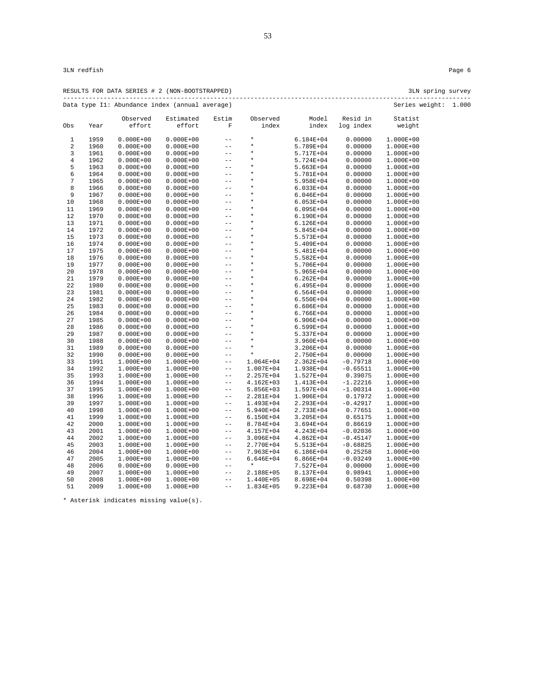| D) | 3LN spring surv |  |
|----|-----------------|--|

RESULTS FOR DATA SERIES # 2 (NON-BOOTSTRAPPED) 3LN spring survey --------------------------------------------------------------------------------------------------------------- Data type I1: Abundance index (annual average) Series weight: 1.000

|                |              | Observed                   | Estimated              | Estim        | Observed                   | Model                  | Resid in                 | Statist                |  |
|----------------|--------------|----------------------------|------------------------|--------------|----------------------------|------------------------|--------------------------|------------------------|--|
| Obs            | Year         | effort                     | effort                 | $\mathbf F$  | index                      | index                  | log index                | weight                 |  |
| $\mathbf{1}$   | 1959         | $0.000E + 00$              | $0.000E + 00$          | $-$          | $\star$                    | $6.184E + 04$          | 0.00000                  | 1.000E+00              |  |
| $\sqrt{2}$     | 1960         | $0.000E + 00$              | $0.000E + 00$          | $- -$        | $\star$                    | 5.789E+04              | 0.00000                  | 1.000E+00              |  |
| $\mathbf{3}$   | 1961         | $0.000E + 00$              | $0.000E + 00$          | $- -$        | $\star$                    | 5.717E+04              | 0.00000                  | 1.000E+00              |  |
| $\,4$          | 1962         | $0.000E + 00$              | $0.000E + 00$          | $- -$        | $\star$                    | 5.724E+04              | 0.00000                  | 1.000E+00              |  |
| 5              | 1963         | $0.000E + 00$              | $0.000E + 00$          | $- -$        | $\star$                    | 5.663E+04              | 0.00000                  | 1.000E+00              |  |
| 6              | 1964         | $0.000E + 00$              | $0.000E + 00$          | $- -$        | $\star$                    | 5.781E+04              | 0.00000                  | 1.000E+00              |  |
| $\overline{7}$ | 1965         | $0.000E + 00$              | $0.000E + 00$          | $- -$        | $\star$                    | 5.958E+04              | 0.00000                  | 1.000E+00              |  |
| 8              | 1966         | $0.000E + 00$              | $0.000E + 00$          | $- -$        | $\star$                    | $6.033E + 04$          | 0.00000                  | 1.000E+00              |  |
| 9              | 1967         | $0.000E + 00$              | $0.000E + 00$          | $ -$         | $\star$                    | $6.046E + 04$          | 0.00000                  | 1.000E+00              |  |
| 10             | 1968         | $0.000E + 00$              | $0.000E + 00$          | $- -$        | $\star$                    | $6.053E + 04$          | 0.00000                  | 1.000E+00              |  |
| 11             | 1969         | $0.000E + 00$              | $0.000E + 00$          | $- -$        | $\star$                    | $6.095E + 04$          | 0.00000                  | 1.000E+00              |  |
| 12             | 1970         | $0.000E + 00$              | $0.000E + 00$          | $- -$        | $\star$                    | 6.190E+04              | 0.00000                  | 1.000E+00              |  |
| 13             | 1971         | $0.000E + 00$              | $0.000E + 00$          | $-$          | $\star$                    | $6.126E + 04$          | 0.00000                  | 1.000E+00              |  |
| 14             | 1972         | $0.000E + 00$              | $0.000E + 00$          | $- -$        | $\star$                    | $5.845E + 04$          | 0.00000                  | 1.000E+00              |  |
| 15             | 1973         | $0.000E + 00$              | $0.000E + 00$          | $- -$        | $\star$                    | 5.573E+04              | 0.00000                  | 1.000E+00              |  |
| 16             | 1974         | $0.000E + 00$              | $0.000E + 00$          | $- -$        | $\star$                    | 5.409E+04              | 0.00000                  | 1.000E+00              |  |
| 17             | 1975         | $0.000E + 00$              | $0.000E + 00$          | $- -$        | $\star$                    | 5.481E+04              | 0.00000                  | 1.000E+00              |  |
| 18             | 1976         | $0.000E + 00$              | $0.000E + 00$          | $- -$        | $\star$                    | 5.582E+04              | 0.00000                  | 1.000E+00              |  |
| 19             | 1977         | $0.000E + 00$              | $0.000E + 00$          | $- -$        | $\star$                    | 5.706E+04              | 0.00000                  | 1.000E+00              |  |
| 20             | 1978         | $0.000E + 00$              | $0.000E + 00$          | $- -$        | $\star$                    | $5.965E + 04$          | 0.00000                  | 1.000E+00              |  |
| 21             | 1979         | $0.000E + 00$              | $0.000E + 00$          | $- -$        | $\star$                    | $6.262E + 04$          | 0.00000                  | 1.000E+00              |  |
| 22             | 1980         | $0.000E + 00$              | $0.000E + 00$          | $-$          | $\star$                    | $6.495E + 04$          | 0.00000                  | 1.000E+00              |  |
| 23             | 1981         | $0.000E + 00$              | $0.000E + 00$          | $- -$        | $\star$                    | 6.564E+04              | 0.00000                  | 1.000E+00              |  |
| 24             | 1982         | $0.000E + 00$              | $0.000E + 00$          | $- -$        | $\star$                    | 6.550E+04              | 0.00000                  | 1.000E+00              |  |
| 25             | 1983         | $0.000E + 00$              | $0.000E + 00$          | $- -$        | $\star$                    | $6.606E + 04$          | 0.00000                  | 1.000E+00              |  |
| 26             | 1984         | $0.000E + 00$              | $0.000E + 00$          | $-$          | $\star$                    | $6.766E + 04$          | 0.00000                  | 1.000E+00              |  |
| 27             | 1985         | $0.000E + 00$              | $0.000E + 00$          | $ -$         | $\star$                    | $6.906E + 04$          | 0.00000                  | 1.000E+00              |  |
| 28             | 1986         | $0.000E + 00$              | $0.000E + 00$          | $- -$        | $\star$<br>$\star$         | 6.599E+04              | 0.00000                  | 1.000E+00              |  |
| 29             | 1987         | $0.000E + 00$              | $0.000E + 00$          | $- -$        | $\star$                    | 5.337E+04              | 0.00000                  | 1.000E+00              |  |
| 30             | 1988         | $0.000E + 00$              | $0.000E + 00$          | $- -$        | $\star$                    | 3.960E+04              | 0.00000                  | 1.000E+00              |  |
| 31             | 1989         | $0.000E + 00$              | $0.000E + 00$          | $- -$        | $\star$                    | 3.206E+04              | 0.00000                  | 1.000E+00              |  |
| 32             | 1990         | $0.000E + 00$              | $0.000E + 00$          | $ -$         |                            | 2.750E+04              | 0.00000                  | 1.000E+00              |  |
| 33             | 1991         | 1.000E+00                  | 1.000E+00              | $- -$        | $1.064E + 04$              | $2.362E+04$            | $-0.79718$               | 1.000E+00              |  |
| 34             | 1992         | 1.000E+00                  | 1.000E+00              | $ -$         | 1.007E+04                  | 1.938E+04              | $-0.65511$               | 1.000E+00              |  |
| 35<br>36       | 1993<br>1994 | $1.000E + 00$<br>1.000E+00 | 1.000E+00<br>1.000E+00 | $ -$<br>$ -$ | 2.257E+04<br>$4.162E + 03$ | 1.527E+04              | 0.39075                  | 1.000E+00              |  |
| 37             | 1995         | 1.000E+00                  | 1.000E+00              | $- -$        | 5.856E+03                  | 1.413E+04<br>1.597E+04 | $-1.22216$<br>$-1.00314$ | 1.000E+00<br>1.000E+00 |  |
| 38             | 1996         | 1.000E+00                  | 1.000E+00              | $ -$         | 2.281E+04                  | 1.906E+04              | 0.17972                  | 1.000E+00              |  |
| 39             | 1997         | $1.000E + 00$              | 1.000E+00              | $ -$         | 1.493E+04                  | 2.293E+04              | $-0.42917$               | 1.000E+00              |  |
| 40             | 1998         | 1.000E+00                  | 1.000E+00              | $ -$         | 5.940E+04                  | 2.733E+04              | 0.77651                  | 1.000E+00              |  |
| 41             | 1999         | $1.000E + 00$              | 1.000E+00              | $ -$         | $6.150E + 04$              | $3.205E + 04$          | 0.65175                  | 1.000E+00              |  |
| 42             | 2000         | $1.000E + 00$              | 1.000E+00              | $- -$        | 8.784E+04                  | 3.694E+04              | 0.86619                  | 1.000E+00              |  |
| 43             | 2001         | 1.000E+00                  | 1.000E+00              | $ -$         | 4.157E+04                  | 4.243E+04              | $-0.02036$               | 1.000E+00              |  |
| 44             | 2002         | 1.000E+00                  | 1.000E+00              | $- -$        | $3.096E + 04$              | 4.862E+04              | $-0.45147$               | 1.000E+00              |  |
| 45             | 2003         | 1.000E+00                  | 1.000E+00              | $ -$         | 2.770E+04                  | 5.513E+04              | $-0.68825$               | 1.000E+00              |  |
| 46             | 2004         | $1.000E + 00$              | 1.000E+00              | $- -$        | 7.963E+04                  | 6.186E+04              | 0.25258                  | 1.000E+00              |  |
| 47             | 2005         | $1.000E + 00$              | 1.000E+00              | $ -$         | 6.646E+04                  | $6.866E + 04$          | $-0.03249$               | 1.000E+00              |  |
| 48             | 2006         | $0.000E + 00$              | $0.000E + 00$          | $- -$        | $\star$                    | 7.527E+04              | 0.00000                  | 1.000E+00              |  |
| 49             | 2007         | $1.000E + 00$              | 1.000E+00              | $\sim$ $-$   | 2.188E+05                  | 8.137E+04              | 0.98941                  | 1.000E+00              |  |
| 50             | 2008         | $1.000E + 00$              | 1.000E+00              | $- -$        | 1.440E+05                  | 8.698E+04              | 0.50398                  | 1.000E+00              |  |
| 51             | 2009         | 1.000E+00                  | 1.000E+00              | $- -$        | 1.834E+05                  | 9.223E+04              | 0.68730                  | 1.000E+00              |  |
|                |              |                            |                        |              |                            |                        |                          |                        |  |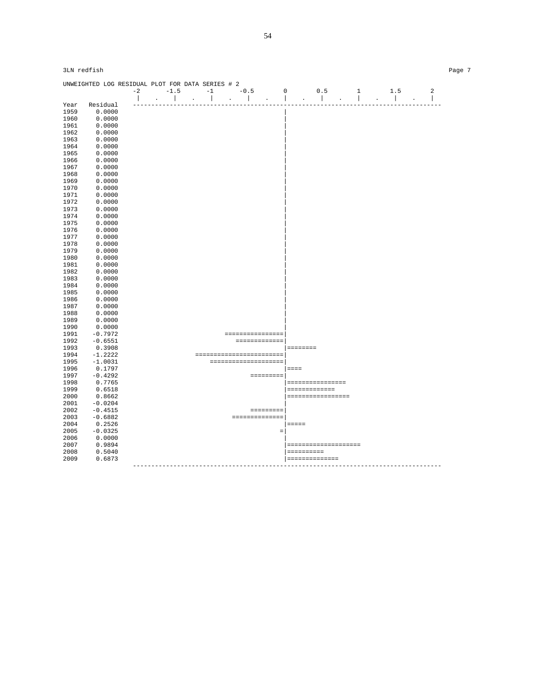| UNWEIGHTED LOG RESIDUAL PLOT FOR DATA SERIES # 2<br>$-0.5$<br>$-1.5$<br>$-1$<br>0.5<br>$-2$<br>$\mathbf 0$<br>$\mathbf{1}$<br>1.5<br>$\blacksquare$<br>$\sim$ 1 $\sim$ $\sim$<br>$\sim$<br><b>Contract Contract</b><br>$\mathcal{L}$<br>$\mathcal{L}$ |           |  |  |  |  |                                                                                                                                                                                                                                                                                                                                                                                                                                        |  |  |  |                      |          |                                                                                 | $\overline{a}$   |                                                                                                                                                                                                                                                                                                                                                                                                                                 |  |  |                          |
|-------------------------------------------------------------------------------------------------------------------------------------------------------------------------------------------------------------------------------------------------------|-----------|--|--|--|--|----------------------------------------------------------------------------------------------------------------------------------------------------------------------------------------------------------------------------------------------------------------------------------------------------------------------------------------------------------------------------------------------------------------------------------------|--|--|--|----------------------|----------|---------------------------------------------------------------------------------|------------------|---------------------------------------------------------------------------------------------------------------------------------------------------------------------------------------------------------------------------------------------------------------------------------------------------------------------------------------------------------------------------------------------------------------------------------|--|--|--------------------------|
|                                                                                                                                                                                                                                                       |           |  |  |  |  |                                                                                                                                                                                                                                                                                                                                                                                                                                        |  |  |  |                      |          |                                                                                 |                  |                                                                                                                                                                                                                                                                                                                                                                                                                                 |  |  | $\overline{\phantom{a}}$ |
| Year                                                                                                                                                                                                                                                  | Residual  |  |  |  |  |                                                                                                                                                                                                                                                                                                                                                                                                                                        |  |  |  |                      |          |                                                                                 |                  |                                                                                                                                                                                                                                                                                                                                                                                                                                 |  |  | ------                   |
| 1959                                                                                                                                                                                                                                                  | 0.0000    |  |  |  |  |                                                                                                                                                                                                                                                                                                                                                                                                                                        |  |  |  |                      |          |                                                                                 |                  |                                                                                                                                                                                                                                                                                                                                                                                                                                 |  |  |                          |
| 1960                                                                                                                                                                                                                                                  | 0.0000    |  |  |  |  |                                                                                                                                                                                                                                                                                                                                                                                                                                        |  |  |  |                      |          |                                                                                 |                  |                                                                                                                                                                                                                                                                                                                                                                                                                                 |  |  |                          |
| 1961                                                                                                                                                                                                                                                  | 0.0000    |  |  |  |  |                                                                                                                                                                                                                                                                                                                                                                                                                                        |  |  |  |                      |          |                                                                                 |                  |                                                                                                                                                                                                                                                                                                                                                                                                                                 |  |  |                          |
| 1962                                                                                                                                                                                                                                                  | 0.0000    |  |  |  |  |                                                                                                                                                                                                                                                                                                                                                                                                                                        |  |  |  |                      |          |                                                                                 |                  |                                                                                                                                                                                                                                                                                                                                                                                                                                 |  |  |                          |
| 1963                                                                                                                                                                                                                                                  | 0.0000    |  |  |  |  |                                                                                                                                                                                                                                                                                                                                                                                                                                        |  |  |  |                      |          |                                                                                 |                  |                                                                                                                                                                                                                                                                                                                                                                                                                                 |  |  |                          |
| 1964                                                                                                                                                                                                                                                  | 0.0000    |  |  |  |  |                                                                                                                                                                                                                                                                                                                                                                                                                                        |  |  |  |                      |          |                                                                                 |                  |                                                                                                                                                                                                                                                                                                                                                                                                                                 |  |  |                          |
| 1965                                                                                                                                                                                                                                                  | 0.0000    |  |  |  |  |                                                                                                                                                                                                                                                                                                                                                                                                                                        |  |  |  |                      |          |                                                                                 |                  |                                                                                                                                                                                                                                                                                                                                                                                                                                 |  |  |                          |
| 1966                                                                                                                                                                                                                                                  | 0.0000    |  |  |  |  |                                                                                                                                                                                                                                                                                                                                                                                                                                        |  |  |  |                      |          |                                                                                 |                  |                                                                                                                                                                                                                                                                                                                                                                                                                                 |  |  |                          |
|                                                                                                                                                                                                                                                       |           |  |  |  |  |                                                                                                                                                                                                                                                                                                                                                                                                                                        |  |  |  |                      |          |                                                                                 |                  |                                                                                                                                                                                                                                                                                                                                                                                                                                 |  |  |                          |
| 1967                                                                                                                                                                                                                                                  | 0.0000    |  |  |  |  |                                                                                                                                                                                                                                                                                                                                                                                                                                        |  |  |  |                      |          |                                                                                 |                  |                                                                                                                                                                                                                                                                                                                                                                                                                                 |  |  |                          |
| 1968                                                                                                                                                                                                                                                  | 0.0000    |  |  |  |  |                                                                                                                                                                                                                                                                                                                                                                                                                                        |  |  |  |                      |          |                                                                                 |                  |                                                                                                                                                                                                                                                                                                                                                                                                                                 |  |  |                          |
| 1969                                                                                                                                                                                                                                                  | 0.0000    |  |  |  |  |                                                                                                                                                                                                                                                                                                                                                                                                                                        |  |  |  |                      |          |                                                                                 |                  |                                                                                                                                                                                                                                                                                                                                                                                                                                 |  |  |                          |
| 1970                                                                                                                                                                                                                                                  | 0.0000    |  |  |  |  |                                                                                                                                                                                                                                                                                                                                                                                                                                        |  |  |  |                      |          |                                                                                 |                  |                                                                                                                                                                                                                                                                                                                                                                                                                                 |  |  |                          |
| 1971                                                                                                                                                                                                                                                  | 0.0000    |  |  |  |  |                                                                                                                                                                                                                                                                                                                                                                                                                                        |  |  |  |                      |          |                                                                                 |                  |                                                                                                                                                                                                                                                                                                                                                                                                                                 |  |  |                          |
| 1972                                                                                                                                                                                                                                                  | 0.0000    |  |  |  |  |                                                                                                                                                                                                                                                                                                                                                                                                                                        |  |  |  |                      |          |                                                                                 |                  |                                                                                                                                                                                                                                                                                                                                                                                                                                 |  |  |                          |
| 1973                                                                                                                                                                                                                                                  | 0.0000    |  |  |  |  |                                                                                                                                                                                                                                                                                                                                                                                                                                        |  |  |  |                      |          |                                                                                 |                  |                                                                                                                                                                                                                                                                                                                                                                                                                                 |  |  |                          |
| 1974                                                                                                                                                                                                                                                  | 0.0000    |  |  |  |  |                                                                                                                                                                                                                                                                                                                                                                                                                                        |  |  |  |                      |          |                                                                                 |                  |                                                                                                                                                                                                                                                                                                                                                                                                                                 |  |  |                          |
| 1975                                                                                                                                                                                                                                                  | 0.0000    |  |  |  |  |                                                                                                                                                                                                                                                                                                                                                                                                                                        |  |  |  |                      |          |                                                                                 |                  |                                                                                                                                                                                                                                                                                                                                                                                                                                 |  |  |                          |
| 1976                                                                                                                                                                                                                                                  | 0.0000    |  |  |  |  |                                                                                                                                                                                                                                                                                                                                                                                                                                        |  |  |  |                      |          |                                                                                 |                  |                                                                                                                                                                                                                                                                                                                                                                                                                                 |  |  |                          |
| 1977                                                                                                                                                                                                                                                  | 0.0000    |  |  |  |  |                                                                                                                                                                                                                                                                                                                                                                                                                                        |  |  |  |                      |          |                                                                                 |                  |                                                                                                                                                                                                                                                                                                                                                                                                                                 |  |  |                          |
| 1978                                                                                                                                                                                                                                                  | 0.0000    |  |  |  |  |                                                                                                                                                                                                                                                                                                                                                                                                                                        |  |  |  |                      |          |                                                                                 |                  |                                                                                                                                                                                                                                                                                                                                                                                                                                 |  |  |                          |
| 1979                                                                                                                                                                                                                                                  | 0.0000    |  |  |  |  |                                                                                                                                                                                                                                                                                                                                                                                                                                        |  |  |  |                      |          |                                                                                 |                  |                                                                                                                                                                                                                                                                                                                                                                                                                                 |  |  |                          |
| 1980                                                                                                                                                                                                                                                  | 0.0000    |  |  |  |  |                                                                                                                                                                                                                                                                                                                                                                                                                                        |  |  |  |                      |          |                                                                                 |                  |                                                                                                                                                                                                                                                                                                                                                                                                                                 |  |  |                          |
| 1981                                                                                                                                                                                                                                                  | 0.0000    |  |  |  |  |                                                                                                                                                                                                                                                                                                                                                                                                                                        |  |  |  |                      |          |                                                                                 |                  |                                                                                                                                                                                                                                                                                                                                                                                                                                 |  |  |                          |
| 1982                                                                                                                                                                                                                                                  | 0.0000    |  |  |  |  |                                                                                                                                                                                                                                                                                                                                                                                                                                        |  |  |  |                      |          |                                                                                 |                  |                                                                                                                                                                                                                                                                                                                                                                                                                                 |  |  |                          |
| 1983                                                                                                                                                                                                                                                  | 0.0000    |  |  |  |  |                                                                                                                                                                                                                                                                                                                                                                                                                                        |  |  |  |                      |          |                                                                                 |                  |                                                                                                                                                                                                                                                                                                                                                                                                                                 |  |  |                          |
| 1984                                                                                                                                                                                                                                                  | 0.0000    |  |  |  |  |                                                                                                                                                                                                                                                                                                                                                                                                                                        |  |  |  |                      |          |                                                                                 |                  |                                                                                                                                                                                                                                                                                                                                                                                                                                 |  |  |                          |
| 1985                                                                                                                                                                                                                                                  | 0.0000    |  |  |  |  |                                                                                                                                                                                                                                                                                                                                                                                                                                        |  |  |  |                      |          |                                                                                 |                  |                                                                                                                                                                                                                                                                                                                                                                                                                                 |  |  |                          |
| 1986                                                                                                                                                                                                                                                  | 0.0000    |  |  |  |  |                                                                                                                                                                                                                                                                                                                                                                                                                                        |  |  |  |                      |          |                                                                                 |                  |                                                                                                                                                                                                                                                                                                                                                                                                                                 |  |  |                          |
| 1987                                                                                                                                                                                                                                                  | 0.0000    |  |  |  |  |                                                                                                                                                                                                                                                                                                                                                                                                                                        |  |  |  |                      |          |                                                                                 |                  |                                                                                                                                                                                                                                                                                                                                                                                                                                 |  |  |                          |
| 1988                                                                                                                                                                                                                                                  | 0.0000    |  |  |  |  |                                                                                                                                                                                                                                                                                                                                                                                                                                        |  |  |  |                      |          |                                                                                 |                  |                                                                                                                                                                                                                                                                                                                                                                                                                                 |  |  |                          |
| 1989                                                                                                                                                                                                                                                  | 0.0000    |  |  |  |  |                                                                                                                                                                                                                                                                                                                                                                                                                                        |  |  |  |                      |          |                                                                                 |                  |                                                                                                                                                                                                                                                                                                                                                                                                                                 |  |  |                          |
| 1990                                                                                                                                                                                                                                                  | 0.0000    |  |  |  |  |                                                                                                                                                                                                                                                                                                                                                                                                                                        |  |  |  |                      |          |                                                                                 |                  |                                                                                                                                                                                                                                                                                                                                                                                                                                 |  |  |                          |
| 1991                                                                                                                                                                                                                                                  | $-0.7972$ |  |  |  |  |                                                                                                                                                                                                                                                                                                                                                                                                                                        |  |  |  | ================     |          |                                                                                 |                  |                                                                                                                                                                                                                                                                                                                                                                                                                                 |  |  |                          |
| 1992                                                                                                                                                                                                                                                  | $-0.6551$ |  |  |  |  |                                                                                                                                                                                                                                                                                                                                                                                                                                        |  |  |  | =============        |          |                                                                                 |                  |                                                                                                                                                                                                                                                                                                                                                                                                                                 |  |  |                          |
| 1993                                                                                                                                                                                                                                                  | 0.3908    |  |  |  |  |                                                                                                                                                                                                                                                                                                                                                                                                                                        |  |  |  |                      |          | $\begin{array}{cccccccccc} = & = & = & = & = & = & = & = & = & = & \end{array}$ |                  |                                                                                                                                                                                                                                                                                                                                                                                                                                 |  |  |                          |
| 1994                                                                                                                                                                                                                                                  | $-1.2222$ |  |  |  |  | $\hskip-20pt\texttt{sc} \hskip-2pt \texttt{sc} \hskip-2pt \texttt{sc} \hskip-2pt \texttt{sc} \hskip-2pt \texttt{sc} \hskip-2pt \texttt{sc} \hskip-2pt \texttt{sc} \hskip-2pt \texttt{sc} \hskip-2pt \texttt{sc} \hskip-2pt \texttt{sc} \hskip-2pt \texttt{sc} \hskip-2pt \texttt{sc} \hskip-2pt \texttt{sc} \hskip-2pt \texttt{sc} \hskip-2pt \texttt{sc} \hskip-2pt \texttt{sc} \hskip-2pt \texttt{sc} \hskip-2pt \texttt{sc} \hskip$ |  |  |  |                      |          |                                                                                 |                  |                                                                                                                                                                                                                                                                                                                                                                                                                                 |  |  |                          |
| 1995                                                                                                                                                                                                                                                  | $-1.0031$ |  |  |  |  |                                                                                                                                                                                                                                                                                                                                                                                                                                        |  |  |  |                      |          |                                                                                 |                  |                                                                                                                                                                                                                                                                                                                                                                                                                                 |  |  |                          |
| 1996                                                                                                                                                                                                                                                  | 0.1797    |  |  |  |  |                                                                                                                                                                                                                                                                                                                                                                                                                                        |  |  |  | ==================== |          |                                                                                 |                  |                                                                                                                                                                                                                                                                                                                                                                                                                                 |  |  |                          |
| 1997                                                                                                                                                                                                                                                  | $-0.4292$ |  |  |  |  |                                                                                                                                                                                                                                                                                                                                                                                                                                        |  |  |  | <b>SEESSEESE</b>     | ∥≡≡≡≡    |                                                                                 |                  |                                                                                                                                                                                                                                                                                                                                                                                                                                 |  |  |                          |
|                                                                                                                                                                                                                                                       |           |  |  |  |  |                                                                                                                                                                                                                                                                                                                                                                                                                                        |  |  |  |                      |          |                                                                                 |                  |                                                                                                                                                                                                                                                                                                                                                                                                                                 |  |  |                          |
| 1998                                                                                                                                                                                                                                                  | 0.7765    |  |  |  |  |                                                                                                                                                                                                                                                                                                                                                                                                                                        |  |  |  |                      |          |                                                                                 | ================ |                                                                                                                                                                                                                                                                                                                                                                                                                                 |  |  |                          |
| 1999                                                                                                                                                                                                                                                  | 0.6518    |  |  |  |  |                                                                                                                                                                                                                                                                                                                                                                                                                                        |  |  |  |                      |          |                                                                                 | =============    |                                                                                                                                                                                                                                                                                                                                                                                                                                 |  |  |                          |
| 2000                                                                                                                                                                                                                                                  | 0.8662    |  |  |  |  |                                                                                                                                                                                                                                                                                                                                                                                                                                        |  |  |  |                      |          |                                                                                 |                  | =================                                                                                                                                                                                                                                                                                                                                                                                                               |  |  |                          |
| 2001                                                                                                                                                                                                                                                  | $-0.0204$ |  |  |  |  |                                                                                                                                                                                                                                                                                                                                                                                                                                        |  |  |  |                      |          |                                                                                 |                  |                                                                                                                                                                                                                                                                                                                                                                                                                                 |  |  |                          |
| 2002                                                                                                                                                                                                                                                  | $-0.4515$ |  |  |  |  |                                                                                                                                                                                                                                                                                                                                                                                                                                        |  |  |  | =========            |          |                                                                                 |                  |                                                                                                                                                                                                                                                                                                                                                                                                                                 |  |  |                          |
| 2003                                                                                                                                                                                                                                                  | $-0.6882$ |  |  |  |  |                                                                                                                                                                                                                                                                                                                                                                                                                                        |  |  |  | ==============       |          |                                                                                 |                  |                                                                                                                                                                                                                                                                                                                                                                                                                                 |  |  |                          |
| 2004                                                                                                                                                                                                                                                  | 0.2526    |  |  |  |  |                                                                                                                                                                                                                                                                                                                                                                                                                                        |  |  |  |                      | $=$      |                                                                                 |                  |                                                                                                                                                                                                                                                                                                                                                                                                                                 |  |  |                          |
| 2005                                                                                                                                                                                                                                                  | $-0.0325$ |  |  |  |  |                                                                                                                                                                                                                                                                                                                                                                                                                                        |  |  |  |                      | $\equiv$ |                                                                                 |                  |                                                                                                                                                                                                                                                                                                                                                                                                                                 |  |  |                          |
| 2006                                                                                                                                                                                                                                                  | 0.0000    |  |  |  |  |                                                                                                                                                                                                                                                                                                                                                                                                                                        |  |  |  |                      |          |                                                                                 |                  |                                                                                                                                                                                                                                                                                                                                                                                                                                 |  |  |                          |
| 2007                                                                                                                                                                                                                                                  | 0.9894    |  |  |  |  |                                                                                                                                                                                                                                                                                                                                                                                                                                        |  |  |  |                      |          |                                                                                 |                  | $\begin{minipage}{0.99\linewidth} \hspace*{-0.8cm} \textbf{1} & \textbf{1} & \textbf{1} & \textbf{1} & \textbf{1} & \textbf{1} & \textbf{1} & \textbf{1} & \textbf{1} & \textbf{1} & \textbf{1} & \textbf{1} & \textbf{1} & \textbf{1} & \textbf{1} & \textbf{1} & \textbf{1} & \textbf{1} & \textbf{1} & \textbf{1} & \textbf{1} & \textbf{1} & \textbf{1} & \textbf{1} & \textbf{1} & \textbf{1} & \textbf{1} & \textbf{1} &$ |  |  |                          |
| 2008                                                                                                                                                                                                                                                  | 0.5040    |  |  |  |  |                                                                                                                                                                                                                                                                                                                                                                                                                                        |  |  |  |                      |          | $=$ = = = = = = = = =                                                           |                  |                                                                                                                                                                                                                                                                                                                                                                                                                                 |  |  |                          |
| 2009                                                                                                                                                                                                                                                  | 0.6873    |  |  |  |  |                                                                                                                                                                                                                                                                                                                                                                                                                                        |  |  |  |                      |          |                                                                                 | ==============   |                                                                                                                                                                                                                                                                                                                                                                                                                                 |  |  |                          |
|                                                                                                                                                                                                                                                       |           |  |  |  |  | ----------------------------------                                                                                                                                                                                                                                                                                                                                                                                                     |  |  |  |                      |          |                                                                                 |                  |                                                                                                                                                                                                                                                                                                                                                                                                                                 |  |  |                          |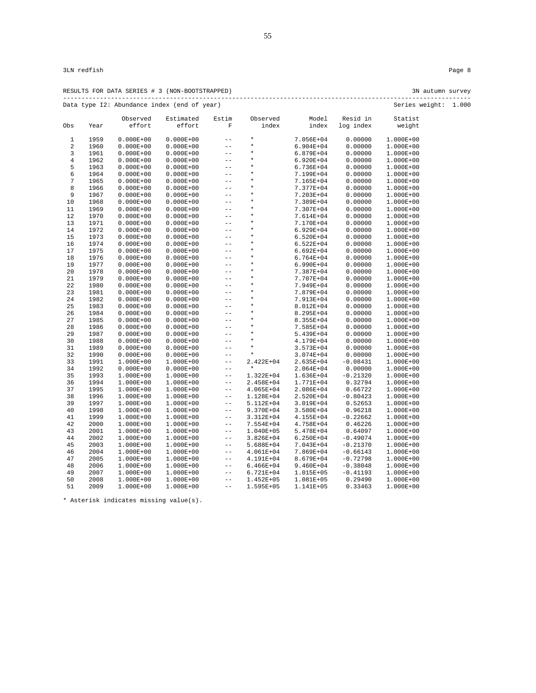|     |      |                    | RESULTS FOR DATA SERIES # 3 (NON-BOOTSTRAPPED) |            |                   |                |                       | 3N autumn survey  |       |
|-----|------|--------------------|------------------------------------------------|------------|-------------------|----------------|-----------------------|-------------------|-------|
|     |      |                    | Data type I2: Abundance index (end of year)    |            |                   |                |                       | Series weight:    | 1.000 |
| Obs | Year | Observed<br>effort | Estimated<br>effort                            | Estim<br>F | Observed<br>index | Model<br>index | Resid in<br>log index | Statist<br>weight |       |
|     | 1959 | $0.000E + 00$      | $0.000E + 00$                                  | $- -$      | $\star$           | $7.056E + 04$  | 0.00000               | $1.000E + 00$     |       |
|     | 1960 | $0.000E + 00$      | $0.000E + 00$                                  | $- -$      | $\star$           | $6.904E + 04$  | 0.00000               | 1.000E+00         |       |
|     | 1961 | $0.000E + 00$      | $0.000E + 00$                                  | $- -$      | $\star$           | $6.879E + 04$  | 0.00000               | 1.000E+00         |       |
| 4   | 1962 | $0.000E + 00$      | $0.000E + 00$                                  | $- -$      | $\star$           | $6.920E + 04$  | 0.00000               | 1.000E+00         |       |
| 5.  | 1963 | $0.000E + 00$      | $0.000E + 00$                                  | --         | $\star$           | $6.736E + 04$  | 0.00000               | 1.000E+00         |       |
|     |      |                    |                                                |            |                   |                |                       |                   |       |

| 3              | 1961 | $0.000E + 00$ | $0.000E + 00$ | $-1$                     | $^\star$      | 6.879E+04     | 0.00000    | 1.000E+00 |
|----------------|------|---------------|---------------|--------------------------|---------------|---------------|------------|-----------|
| $\overline{4}$ | 1962 | $0.000E + 00$ | $0.000E + 00$ | $- -$                    | $\star$       | 6.920E+04     | 0.00000    | 1.000E+00 |
| 5              | 1963 | $0.000E + 00$ | $0.000E + 00$ | $- -$                    | $\star$       | $6.736E + 04$ | 0.00000    | 1.000E+00 |
| 6              | 1964 | $0.000E + 00$ | $0.000E + 00$ | $\overline{\phantom{m}}$ | $\star$       | 7.199E+04     | 0.00000    | 1.000E+00 |
| 7              | 1965 | $0.000E + 00$ | $0.000E + 00$ | $-$                      | $\star$       | 7.165E+04     | 0.00000    | 1.000E+00 |
| 8              | 1966 | $0.000E + 00$ | $0.000E + 00$ | $- -$                    | $\star$       | 7.377E+04     | 0.00000    | 1.000E+00 |
| 9              | 1967 | $0.000E + 00$ | $0.000E + 00$ | $- -$                    | $\star$       | 7.203E+04     | 0.00000    | 1.000E+00 |
| 10             | 1968 | $0.000E + 00$ | $0.000E + 00$ | $-$                      | $\star$       | 7.389E+04     | 0.00000    | 1.000E+00 |
| 11             | 1969 | $0.000E + 00$ | $0.000E + 00$ | $- -$                    | $\star$       | 7.307E+04     | 0.00000    | 1.000E+00 |
| 12             | 1970 | $0.000E + 00$ | $0.000E + 00$ | $- -$                    | $\star$       | 7.614E+04     | 0.00000    | 1.000E+00 |
| 13             | 1971 | $0.000E + 00$ | $0.000E + 00$ | $-$                      | $\star$       | 7.170E+04     | 0.00000    | 1.000E+00 |
| 14             | 1972 | $0.000E + 00$ | $0.000E + 00$ | $- -$                    | $\star$       | $6.929E + 04$ | 0.00000    | 1.000E+00 |
| 15             | 1973 | $0.000E + 00$ | $0.000E + 00$ | $-$                      | $\star$       | $6.520E + 04$ | 0.00000    | 1.000E+00 |
| 16             | 1974 | $0.000E + 00$ | $0.000E + 00$ | $- -$                    | $\star$       | $6.522E+04$   | 0.00000    | 1.000E+00 |
| 17             | 1975 | $0.000E + 00$ | $0.000E + 00$ | $- -$                    | $\star$       | $6.692E + 04$ | 0.00000    | 1.000E+00 |
| 18             | 1976 | $0.000E + 00$ | $0.000E + 00$ | $-$                      | $\star$       | $6.764E + 04$ | 0.00000    | 1.000E+00 |
| 19             | 1977 | $0.000E + 00$ | $0.000E + 00$ | $-$                      | $\star$       | $6.990E + 04$ | 0.00000    | 1.000E+00 |
| 20             | 1978 | $0.000E + 00$ | $0.000E + 00$ | $-$                      | $\star$       | 7.387E+04     | 0.00000    | 1.000E+00 |
| 21             | 1979 | $0.000E + 00$ | $0.000E + 00$ | $- -$                    | $\star$       | 7.707E+04     | 0.00000    | 1.000E+00 |
| 22             | 1980 | $0.000E + 00$ | $0.000E + 00$ | $-$                      | $\star$       | 7.949E+04     | 0.00000    | 1.000E+00 |
| 23             | 1981 | $0.000E + 00$ | $0.000E + 00$ | $-$                      | $\star$       | 7.879E+04     | 0.00000    | 1.000E+00 |
| 24             | 1982 | $0.000E + 00$ | $0.000E + 00$ | $- -$                    | $\star$       | 7.913E+04     | 0.00000    | 1.000E+00 |
| 25             | 1983 | $0.000E + 00$ | $0.000E + 00$ | $-$                      | $\star$       | 8.012E+04     | 0.00000    | 1.000E+00 |
| 26             | 1984 | $0.000E + 00$ | $0.000E + 00$ | $-$                      | $\star$       | 8.295E+04     | 0.00000    | 1.000E+00 |
| 27             | 1985 | $0.000E + 00$ | $0.000E + 00$ | $- -$                    | $\star$       | 8.355E+04     | 0.00000    | 1.000E+00 |
| 28             | 1986 | $0.000E + 00$ | $0.000E + 00$ | $- -$                    | $\star$       | 7.585E+04     | 0.00000    | 1.000E+00 |
| 29             | 1987 | $0.000E + 00$ | $0.000E + 00$ | $-$                      | $\star$       | 5.439E+04     | 0.00000    | 1.000E+00 |
| 30             | 1988 | $0.000E + 00$ | $0.000E + 00$ | $- -$                    | $\star$       | 4.179E+04     | 0.00000    | 1.000E+00 |
| 31             | 1989 | $0.000E + 00$ | $0.000E + 00$ | $- -$                    | $\star$       | $3.573E + 04$ | 0.00000    | 1.000E+00 |
| 32             | 1990 | $0.000E + 00$ | $0.000E + 00$ | $-$                      | $\star$       | 3.074E+04     | 0.00000    | 1.000E+00 |
| 33             | 1991 | $1.000E + 00$ | 1.000E+00     | $-$                      | 2.422E+04     | 2.635E+04     | $-0.08431$ | 1.000E+00 |
| 34             | 1992 | $0.000E + 00$ | $0.000E + 00$ | $-$                      | $\star$       | 2.064E+04     | 0.00000    | 1.000E+00 |
| 35             | 1993 | $1.000E + 00$ | 1.000E+00     | $- -$                    | 1.322E+04     | 1.636E+04     | $-0.21320$ | 1.000E+00 |
| 36             | 1994 | $1.000E + 00$ | 1.000E+00     | $- -$                    | 2.458E+04     | 1.771E+04     | 0.32794    | 1.000E+00 |
| 37             | 1995 | $1.000E + 00$ | 1.000E+00     | $ -$                     | 4.065E+04     | 2.086E+04     | 0.66722    | 1.000E+00 |
| 38             | 1996 | $1.000E + 00$ | 1.000E+00     | $-\,-$                   | 1.128E+04     | 2.520E+04     | $-0.80423$ | 1.000E+00 |
| 39             | 1997 | $1.000E + 00$ | 1.000E+00     | $- -$                    | 5.112E+04     | 3.019E+04     | 0.52653    | 1.000E+00 |
| 40             | 1998 | $1.000E + 00$ | 1.000E+00     | $- -$                    | 9.370E+04     | 3.580E+04     | 0.96218    | 1.000E+00 |
| 41             | 1999 | $1.000E + 00$ | 1.000E+00     | $- -$                    | 3.312E+04     | $4.155E+04$   | $-0.22662$ | 1.000E+00 |
| 42             | 2000 | $1.000E + 00$ | 1.000E+00     | $\qquad \qquad -$        | $7.554E + 04$ | 4.758E+04     | 0.46226    | 1.000E+00 |
| 43             | 2001 | $1.000E + 00$ | 1.000E+00     | $- -$                    | 1.040E+05     | 5.478E+04     | 0.64097    | 1.000E+00 |
| 44             | 2002 | $1.000E + 00$ | 1.000E+00     | $- -$                    | 3.826E+04     | $6.250E + 04$ | $-0.49074$ | 1.000E+00 |
| 45             | 2003 | $1.000E + 00$ | 1.000E+00     | $- -$                    | 5.688E+04     | 7.043E+04     | $-0.21370$ | 1.000E+00 |
| 46             | 2004 | $1.000E + 00$ | 1.000E+00     | $- -$                    | 4.061E+04     | 7.869E+04     | $-0.66143$ | 1.000E+00 |
| 47             | 2005 | $1.000E + 00$ | 1.000E+00     | $\qquad \qquad -$        | 4.191E+04     | 8.679E+04     | $-0.72798$ | 1.000E+00 |
| 48             | 2006 | $1.000E + 00$ | 1.000E+00     | $- -$                    | $6.466E+04$   | 9.460E+04     | $-0.38048$ | 1.000E+00 |
| 49             | 2007 | $1.000E + 00$ | 1.000E+00     | $- -$                    | 6.721E+04     | 1.015E+05     | $-0.41193$ | 1.000E+00 |
| 50             | 2008 | $1.000E + 00$ | 1.000E+00     | $- -$                    | 1.452E+05     | 1.081E+05     | 0.29490    | 1.000E+00 |
| 51             | 2009 | $1.000E + 00$ | 1.000E+00     | $-$                      | 1.595E+05     | 1.141E+05     | 0.33463    | 1.000E+00 |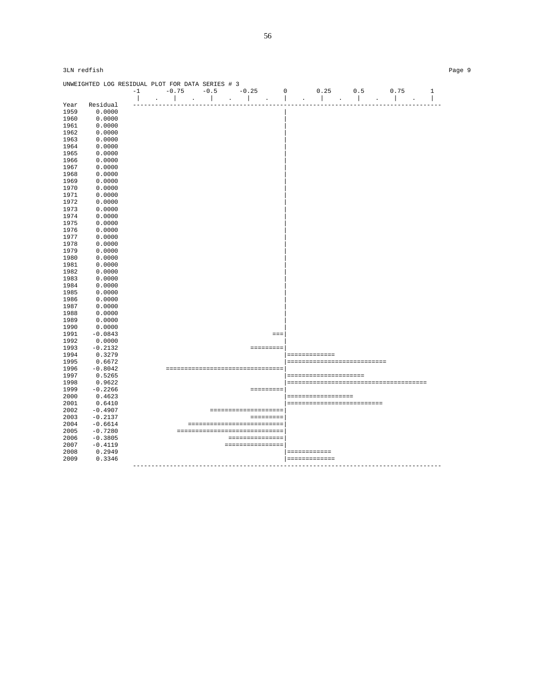|      | UNWEIGHTED LOG RESIDUAL PLOT FOR DATA SERIES # 3 |                |                                      |                               |                      |              |                  |                                        |                                      |                                      |                  |              |
|------|--------------------------------------------------|----------------|--------------------------------------|-------------------------------|----------------------|--------------|------------------|----------------------------------------|--------------------------------------|--------------------------------------|------------------|--------------|
|      |                                                  | $-1$           | $-0.75$                              | $-0.5$                        |                      | $-0.25$      |                  | $\mathsf 0$                            | 0.25                                 | 0.5                                  | 0.75             | $\mathbf{1}$ |
|      |                                                  | $\overline{1}$ | $\mathbb{I}$<br>$\ddot{\phantom{a}}$ | $\mathbb{R}$                  | $\ddot{\phantom{a}}$ | $\mathbf{I}$ | $\Delta$         | $\overline{1}$<br>$\ddot{\phantom{a}}$ | $\mathbb{R}$<br>$\ddot{\phantom{a}}$ | $\mathbf{I}$<br>$\ddot{\phantom{a}}$ | $\blacksquare$   |              |
| Year | Residual                                         |                |                                      |                               |                      |              |                  |                                        |                                      |                                      |                  |              |
| 1959 | 0.0000                                           |                |                                      |                               |                      |              |                  |                                        |                                      |                                      |                  |              |
| 1960 | 0.0000                                           |                |                                      |                               |                      |              |                  |                                        |                                      |                                      |                  |              |
| 1961 | 0.0000                                           |                |                                      |                               |                      |              |                  |                                        |                                      |                                      |                  |              |
| 1962 | 0.0000                                           |                |                                      |                               |                      |              |                  |                                        |                                      |                                      |                  |              |
| 1963 | 0.0000                                           |                |                                      |                               |                      |              |                  |                                        |                                      |                                      |                  |              |
| 1964 | 0.0000                                           |                |                                      |                               |                      |              |                  |                                        |                                      |                                      |                  |              |
| 1965 | 0.0000                                           |                |                                      |                               |                      |              |                  |                                        |                                      |                                      |                  |              |
| 1966 | 0.0000                                           |                |                                      |                               |                      |              |                  |                                        |                                      |                                      |                  |              |
| 1967 | 0.0000                                           |                |                                      |                               |                      |              |                  |                                        |                                      |                                      |                  |              |
| 1968 | 0.0000                                           |                |                                      |                               |                      |              |                  |                                        |                                      |                                      |                  |              |
| 1969 | 0.0000                                           |                |                                      |                               |                      |              |                  |                                        |                                      |                                      |                  |              |
| 1970 | 0.0000                                           |                |                                      |                               |                      |              |                  |                                        |                                      |                                      |                  |              |
| 1971 | 0.0000                                           |                |                                      |                               |                      |              |                  |                                        |                                      |                                      |                  |              |
| 1972 | 0.0000                                           |                |                                      |                               |                      |              |                  |                                        |                                      |                                      |                  |              |
| 1973 | 0.0000                                           |                |                                      |                               |                      |              |                  |                                        |                                      |                                      |                  |              |
| 1974 | 0.0000                                           |                |                                      |                               |                      |              |                  |                                        |                                      |                                      |                  |              |
| 1975 | 0.0000                                           |                |                                      |                               |                      |              |                  |                                        |                                      |                                      |                  |              |
| 1976 | 0.0000                                           |                |                                      |                               |                      |              |                  |                                        |                                      |                                      |                  |              |
| 1977 | 0.0000                                           |                |                                      |                               |                      |              |                  |                                        |                                      |                                      |                  |              |
| 1978 | 0.0000                                           |                |                                      |                               |                      |              |                  |                                        |                                      |                                      |                  |              |
| 1979 |                                                  |                |                                      |                               |                      |              |                  |                                        |                                      |                                      |                  |              |
|      | 0.0000                                           |                |                                      |                               |                      |              |                  |                                        |                                      |                                      |                  |              |
| 1980 | 0.0000                                           |                |                                      |                               |                      |              |                  |                                        |                                      |                                      |                  |              |
| 1981 | 0.0000                                           |                |                                      |                               |                      |              |                  |                                        |                                      |                                      |                  |              |
| 1982 | 0.0000                                           |                |                                      |                               |                      |              |                  |                                        |                                      |                                      |                  |              |
| 1983 | 0.0000                                           |                |                                      |                               |                      |              |                  |                                        |                                      |                                      |                  |              |
| 1984 | 0.0000                                           |                |                                      |                               |                      |              |                  |                                        |                                      |                                      |                  |              |
| 1985 | 0.0000                                           |                |                                      |                               |                      |              |                  |                                        |                                      |                                      |                  |              |
| 1986 | 0.0000                                           |                |                                      |                               |                      |              |                  |                                        |                                      |                                      |                  |              |
| 1987 | 0.0000                                           |                |                                      |                               |                      |              |                  |                                        |                                      |                                      |                  |              |
| 1988 | 0.0000                                           |                |                                      |                               |                      |              |                  |                                        |                                      |                                      |                  |              |
| 1989 | 0.0000                                           |                |                                      |                               |                      |              |                  |                                        |                                      |                                      |                  |              |
| 1990 | 0.0000                                           |                |                                      |                               |                      |              |                  |                                        |                                      |                                      |                  |              |
| 1991 | $-0.0843$                                        |                |                                      |                               |                      |              | $=$              |                                        |                                      |                                      |                  |              |
| 1992 | 0.0000                                           |                |                                      |                               |                      |              |                  |                                        |                                      |                                      |                  |              |
| 1993 | $-0.2132$                                        |                |                                      |                               |                      |              | =========        |                                        |                                      |                                      |                  |              |
| 1994 | 0.3279                                           |                |                                      |                               |                      |              |                  | =============                          |                                      |                                      |                  |              |
| 1995 | 0.6672                                           |                |                                      |                               |                      |              |                  |                                        |                                      | ----------------------------         |                  |              |
| 1996 | $-0.8042$                                        |                | =================================    |                               |                      |              |                  |                                        |                                      |                                      |                  |              |
| 1997 | 0.5265                                           |                |                                      |                               |                      |              |                  |                                        | =====================                |                                      |                  |              |
| 1998 | 0.9622                                           |                |                                      |                               |                      |              |                  |                                        |                                      |                                      |                  |              |
| 1999 | $-0.2266$                                        |                |                                      |                               |                      |              |                  |                                        |                                      |                                      |                  |              |
| 2000 | 0.4623                                           |                |                                      |                               |                      |              |                  |                                        | ------------------                   |                                      |                  |              |
| 2001 | 0.6410                                           |                |                                      |                               |                      |              |                  |                                        |                                      | ==========================           |                  |              |
| 2002 | $-0.4907$                                        |                |                                      |                               |                      |              | ================ |                                        |                                      |                                      |                  |              |
| 2003 | $-0.2137$                                        |                |                                      |                               |                      |              | =========        |                                        |                                      |                                      |                  |              |
| 2004 | $-0.6614$                                        |                |                                      | ---------------------------   |                      |              |                  |                                        |                                      |                                      |                  |              |
| 2005 | $-0.7280$                                        |                |                                      | ----------------------------- |                      |              |                  |                                        |                                      |                                      |                  |              |
| 2006 | $-0.3805$                                        |                |                                      |                               |                      |              | ===============  |                                        |                                      |                                      |                  |              |
| 2007 | $-0.4119$                                        |                |                                      |                               |                      |              | ================ |                                        |                                      |                                      |                  |              |
| 2008 | 0.2949                                           |                |                                      |                               |                      |              |                  |                                        |                                      |                                      |                  |              |
| 2009 | 0.3346                                           |                |                                      |                               |                      |              |                  | ============<br>=============          |                                      |                                      |                  |              |
|      |                                                  |                | -----------------------              |                               |                      |              |                  |                                        |                                      |                                      | ---------------- |              |
|      |                                                  |                |                                      |                               |                      |              |                  |                                        |                                      |                                      |                  |              |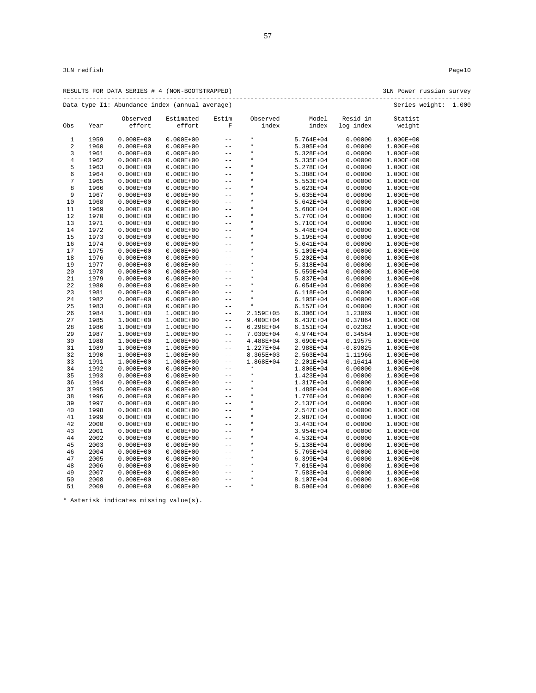| RESULTS FOR DATA SERIES # 4 (NON-BOOTSTRAPPED) | 3LN Power russian survey |  |
|------------------------------------------------|--------------------------|--|
| Data type I1: Abundance index (annual average) | Series weight: 1.000     |  |

|                |      | Observed      | Estimated     | Estim                   | Observed      | Model         | Resid in   | Statist       |  |
|----------------|------|---------------|---------------|-------------------------|---------------|---------------|------------|---------------|--|
| Obs            | Year | effort        | effort        | $\overline{\mathrm{F}}$ | index         | index         | log index  | weight        |  |
| $\mathbf{1}$   | 1959 | $0.000E + 00$ | $0.000E + 00$ | $-$                     | $\star$       | $5.764E + 04$ | 0.00000    | 1.000E+00     |  |
| $\overline{2}$ | 1960 | $0.000E + 00$ | $0.000E + 00$ | $-$                     | $\star$       | $5.395E + 04$ | 0.00000    | 1.000E+00     |  |
| 3              | 1961 | $0.000E + 00$ | $0.000E + 00$ | $-$                     | $\star$       | 5.328E+04     | 0.00000    | 1.000E+00     |  |
| $\,4$          | 1962 | $0.000E + 00$ | $0.000E + 00$ | $- -$                   | $\star$       | 5.335E+04     | 0.00000    | 1.000E+00     |  |
| 5              | 1963 | $0.000E + 00$ | $0.000E + 00$ | $-$                     | $\star$       | 5.278E+04     | 0.00000    | 1.000E+00     |  |
| 6              | 1964 | $0.000E + 00$ | $0.000E + 00$ | $-$                     | $\star$       | 5.388E+04     | 0.00000    | 1.000E+00     |  |
| $\overline{7}$ | 1965 | $0.000E + 00$ | $0.000E + 00$ | $-$                     | $\star$       | 5.553E+04     | 0.00000    | 1.000E+00     |  |
| 8              | 1966 | $0.000E + 00$ | $0.000E + 00$ | $-$                     | $^\star$      | 5.623E+04     | 0.00000    | 1.000E+00     |  |
| 9              | 1967 | $0.000E + 00$ | $0.000E + 00$ | $ -$                    | $\star$       | 5.635E+04     | 0.00000    | 1.000E+00     |  |
| 10             | 1968 | $0.000E + 00$ | $0.000E + 00$ | $- -$                   | $\star$       | 5.642E+04     | 0.00000    | 1.000E+00     |  |
| 11             | 1969 | $0.000E + 00$ | $0.000E + 00$ | $-$                     | $\star$       | 5.680E+04     | 0.00000    | 1.000E+00     |  |
| 12             | 1970 | $0.000E + 00$ | $0.000E + 00$ | $- -$                   | $\star$       | 5.770E+04     | 0.00000    | 1.000E+00     |  |
| 13             | 1971 | $0.000E + 00$ | $0.000E + 00$ | $- -$                   | $\star$       | 5.710E+04     | 0.00000    | 1.000E+00     |  |
| 14             | 1972 | $0.000E + 00$ | $0.000E + 00$ | $-$                     | $\star$       | 5.448E+04     | 0.00000    | 1.000E+00     |  |
| 15             | 1973 | $0.000E + 00$ | $0.000E + 00$ | $-$                     | $\star$       | 5.195E+04     | 0.00000    | 1.000E+00     |  |
| 16             | 1974 | $0.000E + 00$ | $0.000E + 00$ | $- -$                   | $\star$       | 5.041E+04     | 0.00000    | 1.000E+00     |  |
| 17             | 1975 | $0.000E + 00$ | $0.000E + 00$ | $- -$                   | $\star$       | 5.109E+04     | 0.00000    | 1.000E+00     |  |
| 18             | 1976 | $0.000E + 00$ | $0.000E + 00$ | $-$                     | $\star$       | $5.202E + 04$ | 0.00000    | 1.000E+00     |  |
| 19             | 1977 | $0.000E + 00$ | $0.000E + 00$ | $-$                     | $\star$       | 5.318E+04     | 0.00000    | 1.000E+00     |  |
| 20             | 1978 | $0.000E + 00$ | $0.000E + 00$ | $ -$                    | $\star$       | 5.559E+04     | 0.00000    | 1.000E+00     |  |
| 21             | 1979 | $0.000E + 00$ | $0.000E + 00$ | $-$                     | $\star$       | 5.837E+04     | 0.00000    | 1.000E+00     |  |
| 22             | 1980 | $0.000E + 00$ | $0.000E + 00$ | $-$                     | $\star$       | $6.054E + 04$ | 0.00000    | 1.000E+00     |  |
| 23             | 1981 | $0.000E + 00$ | $0.000E + 00$ | $-$                     | $\star$       | 6.118E+04     | 0.00000    | 1.000E+00     |  |
| 24             | 1982 | $0.000E + 00$ | $0.000E + 00$ | $-$                     | $\star$       | $6.105E + 04$ | 0.00000    | 1.000E+00     |  |
| 25             | 1983 | $0.000E + 00$ | $0.000E + 00$ | $-$                     | $\star$       | $6.157E + 04$ | 0.00000    | 1.000E+00     |  |
| 26             | 1984 | $1.000E + 00$ | 1.000E+00     | $-$                     | 2.159E+05     | $6.306E + 04$ | 1.23069    | 1.000E+00     |  |
| 27             | 1985 | $1.000E + 00$ | 1.000E+00     | $- -$                   | 9.400E+04     | $6.437E + 04$ | 0.37864    | 1.000E+00     |  |
| 28             | 1986 | $1.000E + 00$ | 1.000E+00     | $- -$                   | $6.298E + 04$ | 6.151E+04     | 0.02362    | $1.000E + 00$ |  |
| 29             | 1987 | $1.000E + 00$ | 1.000E+00     | $- -$                   | 7.030E+04     | 4.974E+04     | 0.34584    | 1.000E+00     |  |
| 30             | 1988 | $1.000E + 00$ | 1.000E+00     | $ -$                    | 4.488E+04     | $3.690E + 04$ | 0.19575    | 1.000E+00     |  |
| 31             | 1989 | $1.000E + 00$ | 1.000E+00     | $- -$                   | 1.227E+04     | 2.988E+04     | $-0.89025$ | 1.000E+00     |  |
| 32             | 1990 | $1.000E + 00$ | 1.000E+00     | $- -$                   | 8.365E+03     | 2.563E+04     | $-1.11966$ | 1.000E+00     |  |
| 33             | 1991 | $1.000E + 00$ | 1.000E+00     | $- -$                   | 1.868E+04     | 2.201E+04     | $-0.16414$ | 1.000E+00     |  |
| 34             | 1992 | $0.000E + 00$ | $0.000E + 00$ | $-$                     | $\star$       | 1.806E+04     | 0.00000    | 1.000E+00     |  |
| 35             | 1993 | $0.000E + 00$ | $0.000E + 00$ | $-$                     | $\star$       | 1.423E+04     | 0.00000    | 1.000E+00     |  |
| 36             | 1994 | $0.000E + 00$ | $0.000E + 00$ | $-$                     | $\star$       | 1.317E+04     | 0.00000    | 1.000E+00     |  |
| 37             | 1995 | $0.000E + 00$ | $0.000E + 00$ | $- -$                   | $\star$       | 1.488E+04     | 0.00000    | 1.000E+00     |  |
| 38             | 1996 | $0.000E + 00$ | $0.000E + 00$ | $- -$                   | $\star$       | 1.776E+04     | 0.00000    | 1.000E+00     |  |
| 39             | 1997 | $0.000E + 00$ | $0.000E + 00$ | $- -$                   | $\star$       | 2.137E+04     | 0.00000    | 1.000E+00     |  |
| 40             | 1998 | $0.000E + 00$ | $0.000E + 00$ | $-$                     | $\star$       | 2.547E+04     | 0.00000    | 1.000E+00     |  |
| 41             | 1999 | $0.000E + 00$ | $0.000E + 00$ | $-$                     | $\star$       | 2.987E+04     | 0.00000    | 1.000E+00     |  |
| 42             | 2000 | $0.000E + 00$ | $0.000E + 00$ | $-$                     | $\star$       | $3.443E + 04$ | 0.00000    | 1.000E+00     |  |
| 43             | 2001 | $0.000E + 00$ | $0.000E + 00$ | $-$                     | $\star$       | $3.954E + 04$ | 0.00000    | 1.000E+00     |  |
| 44             | 2002 | $0.000E + 00$ | $0.000E + 00$ | $-$                     | $\star$       | 4.532E+04     | 0.00000    | 1.000E+00     |  |
| 45             | 2003 | $0.000E + 00$ | $0.000E + 00$ | $-$                     | $\star$       | 5.138E+04     | 0.00000    | 1.000E+00     |  |
| 46             | 2004 | $0.000E + 00$ | $0.000E + 00$ | $- -$                   | $\star$       | $5.765E + 04$ | 0.00000    | 1.000E+00     |  |
| 47             | 2005 | $0.000E + 00$ | $0.000E + 00$ | $-$                     | $\star$       | 6.399E+04     | 0.00000    | 1.000E+00     |  |
| 48             | 2006 | $0.000E + 00$ | $0.000E + 00$ | $-$                     | $\star$       | 7.015E+04     | 0.00000    | 1.000E+00     |  |
| 49             | 2007 | $0.000E + 00$ | $0.000E + 00$ | $-$                     | $\star$       | 7.583E+04     | 0.00000    | 1.000E+00     |  |
| 50             | 2008 | $0.000E + 00$ | $0.000E + 00$ | $-$                     | $\star$       | 8.107E+04     | 0.00000    | 1.000E+00     |  |
| 51             | 2009 | $0.000E + 00$ | $0.000E + 00$ | $-$                     | $\star$       | 8.596E+04     | 0.00000    | 1.000E+00     |  |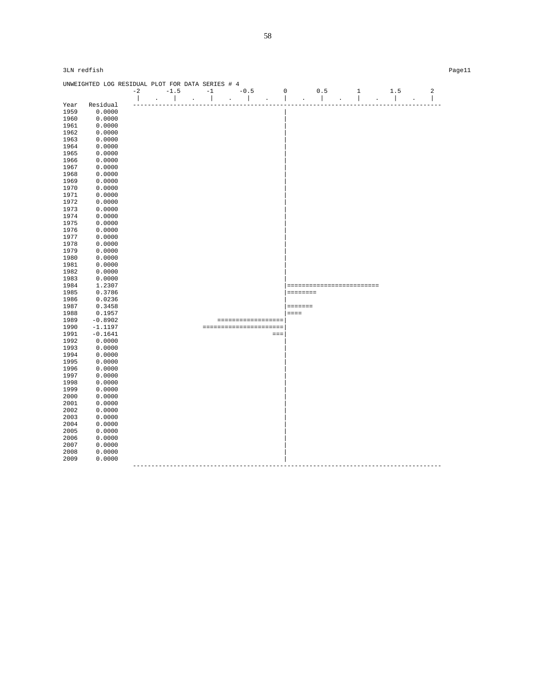|              | UNWEIGHTED LOG RESIDUAL PLOT FOR DATA SERIES # 4 |      |        |                        |                          |                    |             |              |              |                           |                          |                |
|--------------|--------------------------------------------------|------|--------|------------------------|--------------------------|--------------------|-------------|--------------|--------------|---------------------------|--------------------------|----------------|
|              |                                                  | $-2$ | $-1.5$ | $-1$                   | $-0.5$                   |                    | $\mathbf 0$ |              | 0.5          | $1\,$                     | 1.5                      | $\overline{a}$ |
|              |                                                  |      |        |                        | $\overline{\phantom{a}}$ |                    |             |              | $\mathbf{I}$ | $\overline{\phantom{a}}$  | $\overline{\phantom{a}}$ |                |
| Year         | Residual                                         |      |        |                        |                          |                    |             |              |              |                           |                          | $- - -$        |
| 1959         | 0.0000                                           |      |        |                        |                          |                    |             |              |              |                           |                          |                |
| 1960         | 0.0000                                           |      |        |                        |                          |                    |             |              |              |                           |                          |                |
| 1961         | 0.0000                                           |      |        |                        |                          |                    |             |              |              |                           |                          |                |
| 1962         | 0.0000                                           |      |        |                        |                          |                    |             |              |              |                           |                          |                |
| 1963         | 0.0000                                           |      |        |                        |                          |                    |             |              |              |                           |                          |                |
| 1964         | 0.0000                                           |      |        |                        |                          |                    |             |              |              |                           |                          |                |
| 1965         | 0.0000                                           |      |        |                        |                          |                    |             |              |              |                           |                          |                |
| 1966         | 0.0000                                           |      |        |                        |                          |                    |             |              |              |                           |                          |                |
| 1967         | 0.0000                                           |      |        |                        |                          |                    |             |              |              |                           |                          |                |
| 1968         | 0.0000                                           |      |        |                        |                          |                    |             |              |              |                           |                          |                |
| 1969         | 0.0000                                           |      |        |                        |                          |                    |             |              |              |                           |                          |                |
| 1970         | 0.0000                                           |      |        |                        |                          |                    |             |              |              |                           |                          |                |
| 1971         | 0.0000                                           |      |        |                        |                          |                    |             |              |              |                           |                          |                |
| 1972         | 0.0000                                           |      |        |                        |                          |                    |             |              |              |                           |                          |                |
| 1973         | 0.0000                                           |      |        |                        |                          |                    |             |              |              |                           |                          |                |
| 1974         | 0.0000                                           |      |        |                        |                          |                    |             |              |              |                           |                          |                |
| 1975         | 0.0000                                           |      |        |                        |                          |                    |             |              |              |                           |                          |                |
| 1976         | 0.0000                                           |      |        |                        |                          |                    |             |              |              |                           |                          |                |
| 1977         | 0.0000                                           |      |        |                        |                          |                    |             |              |              |                           |                          |                |
| 1978         | 0.0000                                           |      |        |                        |                          |                    |             |              |              |                           |                          |                |
| 1979         | 0.0000                                           |      |        |                        |                          |                    |             |              |              |                           |                          |                |
| 1980         | 0.0000                                           |      |        |                        |                          |                    |             |              |              |                           |                          |                |
| 1981         | 0.0000                                           |      |        |                        |                          |                    |             |              |              |                           |                          |                |
| 1982         | 0.0000                                           |      |        |                        |                          |                    |             |              |              |                           |                          |                |
| 1983         | 0.0000                                           |      |        |                        |                          |                    |             |              |              |                           |                          |                |
| 1984         | 1.2307                                           |      |        |                        |                          |                    |             |              |              | ========================= |                          |                |
| 1985         | 0.3786                                           |      |        |                        |                          |                    |             | ========     |              |                           |                          |                |
| 1986         | 0.0236                                           |      |        |                        |                          |                    |             |              |              |                           |                          |                |
| 1987         | 0.3458                                           |      |        |                        |                          |                    |             | $= 12222222$ |              |                           |                          |                |
| 1988         | 0.1957                                           |      |        |                        |                          |                    | $=$ $=$ $=$ |              |              |                           |                          |                |
| 1989         | $-0.8902$                                        |      |        |                        |                          |                    |             |              |              |                           |                          |                |
| 1990         | $-1.1197$                                        |      |        | ====================== |                          | ================== |             |              |              |                           |                          |                |
| 1991         | $-0.1641$                                        |      |        |                        |                          | $=$                |             |              |              |                           |                          |                |
| 1992         | 0.0000                                           |      |        |                        |                          |                    |             |              |              |                           |                          |                |
| 1993         | 0.0000                                           |      |        |                        |                          |                    |             |              |              |                           |                          |                |
|              |                                                  |      |        |                        |                          |                    |             |              |              |                           |                          |                |
| 1994         | 0.0000                                           |      |        |                        |                          |                    |             |              |              |                           |                          |                |
| 1995         | 0.0000                                           |      |        |                        |                          |                    |             |              |              |                           |                          |                |
| 1996         | 0.0000                                           |      |        |                        |                          |                    |             |              |              |                           |                          |                |
| 1997         | 0.0000                                           |      |        |                        |                          |                    |             |              |              |                           |                          |                |
| 1998<br>1999 | 0.0000<br>0.0000                                 |      |        |                        |                          |                    |             |              |              |                           |                          |                |
|              |                                                  |      |        |                        |                          |                    |             |              |              |                           |                          |                |
| 2000         | 0.0000                                           |      |        |                        |                          |                    |             |              |              |                           |                          |                |
| 2001         | 0.0000                                           |      |        |                        |                          |                    |             |              |              |                           |                          |                |
| 2002         | 0.0000                                           |      |        |                        |                          |                    |             |              |              |                           |                          |                |
| 2003         | 0.0000                                           |      |        |                        |                          |                    |             |              |              |                           |                          |                |
| 2004         | 0.0000                                           |      |        |                        |                          |                    |             |              |              |                           |                          |                |
| 2005         | 0.0000                                           |      |        |                        |                          |                    |             |              |              |                           |                          |                |
| 2006         | 0.0000                                           |      |        |                        |                          |                    |             |              |              |                           |                          |                |
| 2007         | 0.0000                                           |      |        |                        |                          |                    |             |              |              |                           |                          |                |
| 2008         | 0.0000                                           |      |        |                        |                          |                    |             |              |              |                           |                          |                |
| 2009         | 0.0000                                           |      |        | ---------------------- |                          |                    |             |              |              |                           |                          |                |
|              |                                                  |      |        |                        |                          |                    |             |              |              |                           |                          |                |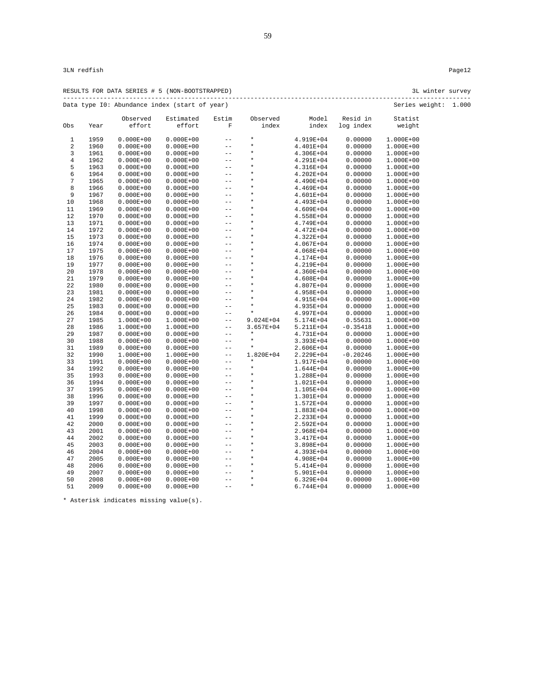|                |              |                                | RESULTS FOR DATA SERIES # 5 (NON-BOOTSTRAPPED) |                                 |                      |                        |                    | 3L winter survey       |  |
|----------------|--------------|--------------------------------|------------------------------------------------|---------------------------------|----------------------|------------------------|--------------------|------------------------|--|
|                |              |                                | Data type IO: Abundance index (start of year)  |                                 |                      |                        |                    | Series weight: 1.000   |  |
|                |              | Observed                       | Estimated                                      | Estim                           | Observed             | Model                  | Resid in           | Statist                |  |
| Obs            | Year         | effort                         | effort                                         | $\mathbf F$                     | index                | index                  | log index          | weight                 |  |
| $\mathbf{1}$   | 1959         | $0.000E + 00$                  | $0.000E + 00$                                  | $- -$                           | $\star$              | 4.919E+04              | 0.00000            | $1.000E + 00$          |  |
| $\sqrt{2}$     | 1960         | $0.000E + 00$                  | $0.000E + 00$                                  | $\overline{\phantom{m}}$        | $^\star$             | 4.401E+04              | 0.00000            | 1.000E+00              |  |
| 3              | 1961         | $0.000E + 00$                  | $0.000E + 00$                                  | $\qquad \qquad -$               | $\star$              | 4.306E+04              | 0.00000            | 1.000E+00              |  |
| $\overline{4}$ | 1962         | $0.000E + 00$                  | $0.000E + 00$                                  | $ -$                            |                      | 4.291E+04              | 0.00000            | 1.000E+00              |  |
| 5              | 1963         | $0.000E + 00$                  | $0.000E + 00$                                  | $- \, -$                        |                      | 4.316E+04              | 0.00000            | 1.000E+00              |  |
| 6              | 1964         | $0.000E + 00$                  | $0.000E + 00$                                  | $-\,-$                          | $\star$              | $4.202E + 04$          | 0.00000            | 1.000E+00              |  |
| 7              | 1965         | $0.000E + 00$                  | $0.000E + 00$                                  | $- \, -$                        |                      | 4.490E+04              | 0.00000            | 1.000E+00              |  |
| 8              | 1966         | $0.000E + 00$                  | $0.000E + 00$                                  | $- \, -$                        |                      | 4.469E+04              | 0.00000            | 1.000E+00              |  |
| 9              | 1967         | $0.000E + 00$                  | $0.000E + 00$                                  | $- \, -$                        |                      | 4.601E+04              | 0.00000            | 1.000E+00              |  |
| 10             | 1968         | $0.000E + 00$                  | $0.000E + 00$                                  | $- -$                           | $\star$              | 4.493E+04              | 0.00000            | 1.000E+00              |  |
| 11             | 1969         | $0.000E + 00$                  | $0.000E + 00$                                  | $ -$                            |                      | 4.609E+04              | 0.00000            | 1.000E+00              |  |
| 12             | 1970         | $0.000E + 00$                  | $0.000E + 00$                                  | $ -$                            |                      | 4.558E+04              | 0.00000            | 1.000E+00              |  |
| 13             | 1971         | $0.000E + 00$                  | $0.000E + 00$                                  | $\sim$ $-$                      |                      | 4.749E+04              | 0.00000            | $1.000E + 00$          |  |
| 14             | 1972         | $0.000E + 00$                  | $0.000E + 00$                                  | $\overline{\phantom{m}}$        |                      | 4.472E+04              | 0.00000            | $1.000E + 00$          |  |
| 15             | 1973         | $0.000E + 00$                  | $0.000E + 00$                                  | $- \, -$                        |                      | 4.322E+04              | 0.00000            | 1.000E+00              |  |
| 16             | 1974         | $0.000E + 00$                  | $0.000E + 00$                                  | $- \, -$                        |                      | 4.067E+04              | 0.00000            | 1.000E+00              |  |
| 17             | 1975         | $0.000E + 00$                  | $0.000E + 00$                                  | $\sim$ $-$                      | $\star$              | 4.068E+04              | 0.00000            | 1.000E+00              |  |
| 18             | 1976         | $0.000E + 00$                  | $0.000E + 00$                                  | $ -$                            |                      | 4.174E+04              | 0.00000            | 1.000E+00              |  |
| 19             | 1977         | $0.000E + 00$                  | $0.000E + 00$                                  | $ -$                            | *                    | 4.219E+04              | 0.00000            | 1.000E+00              |  |
| 20             | 1978         | $0.000E + 00$                  | $0.000E + 00$                                  | $ -$                            | *                    | 4.360E+04              | 0.00000            | 1.000E+00              |  |
| 21             | 1979         | $0.000E + 00$                  | $0.000E + 00$                                  | $ -$                            | $\star$              | 4.608E+04              | 0.00000            | 1.000E+00              |  |
| 22             | 1980         | $0.000E + 00$                  | $0.000E + 00$                                  | $ -$                            |                      | 4.807E+04              | 0.00000            | 1.000E+00              |  |
| 23             | 1981         | $0.000E + 00$                  | $0.000E + 00$                                  | $- \, -$                        |                      | 4.958E+04              | 0.00000            | 1.000E+00              |  |
| 24             | 1982         | $0.000E + 00$                  | $0.000E + 00$                                  | $-$                             |                      | 4.915E+04              | 0.00000            | $1.000E + 00$          |  |
| 25             | 1983         | $0.000E + 00$                  | $0.000E + 00$                                  | $ -$                            |                      | 4.935E+04              | 0.00000            | 1.000E+00              |  |
| 26             | 1984         |                                |                                                | $- -$                           | $\star$              | 4.997E+04              | 0.00000            |                        |  |
| 27             | 1985         | $0.000E + 00$<br>$1.000E + 00$ | $0.000E + 00$<br>1.000E+00                     | $ -$                            | 9.024E+04            | 5.174E+04              | 0.55631            | 1.000E+00<br>1.000E+00 |  |
| 28             | 1986         | $1.000E + 00$                  |                                                | $ -$                            | 3.657E+04            | 5.211E+04              | $-0.35418$         |                        |  |
| 29             | 1987         | $0.000E + 00$                  | 1.000E+00                                      | $ -$                            | $^\star$             | 4.731E+04              | 0.00000            | 1.000E+00              |  |
| 30             | 1988         | $0.000E + 00$                  | $0.000E + 00$                                  | $\qquad \qquad -$               | $\star$              |                        | 0.00000            | 1.000E+00<br>1.000E+00 |  |
| 31             | 1989         | $0.000E + 00$                  | $0.000E + 00$<br>$0.000E + 00$                 | $ -$                            | $^\star$             | 3.393E+04<br>2.606E+04 | 0.00000            | 1.000E+00              |  |
| 32             |              |                                |                                                | $\qquad \qquad -$               |                      |                        |                    |                        |  |
|                | 1990         | 1.000E+00                      | 1.000E+00                                      |                                 | 1.820E+04<br>$\star$ | 2.229E+04              | $-0.20246$         | 1.000E+00              |  |
| 33<br>34       | 1991<br>1992 | $0.000E + 00$<br>$0.000E + 00$ | $0.000E + 00$<br>$0.000E + 00$                 | $\sim$ $-$<br>$\qquad \qquad -$ | $\star$              | 1.917E+04<br>1.644E+04 | 0.00000<br>0.00000 | 1.000E+00<br>1.000E+00 |  |
| 35             | 1993         | $0.000E + 00$                  |                                                |                                 | $\star$              |                        |                    |                        |  |
|                |              |                                | $0.000E + 00$                                  | $- \, -$                        | $\star$              | 1.288E+04              | 0.00000<br>0.00000 | 1.000E+00              |  |
| 36             | 1994         | $0.000E + 00$                  | $0.000E + 00$                                  | $ -$<br>$ -$                    | $\star$              | 1.021E+04              |                    | 1.000E+00              |  |
| 37             | 1995         | $0.000E + 00$                  | $0.000E + 00$                                  |                                 | $\star$              | 1.105E+04              | 0.00000            | 1.000E+00              |  |
| 38             | 1996         | $0.000E + 00$                  | $0.000E + 00$                                  | $\sim$ $-$                      | $^\star$             | 1.301E+04              | 0.00000            | 1.000E+00              |  |
| 39             | 1997         | $0.000E + 00$                  | $0.000E + 00$                                  | $ -$                            | $\star$              | 1.572E+04              | 0.00000            | 1.000E+00              |  |
| 40             | 1998         | $0.000E + 00$                  | $0.000E + 00$                                  | $- \, -$                        | $\star$              | 1.883E+04              | 0.00000            | 1.000E+00              |  |
| 41             | 1999         | $0.000E + 00$                  | $0.000E + 00$                                  | $ -$                            | $^\star$             | 2.233E+04              | 0.00000            | 1.000E+00              |  |
| 42             | 2000         | $0.000E + 00$                  | $0.000E + 00$                                  | $ -$                            |                      | 2.592E+04              | 0.00000            | 1.000E+00              |  |
| 43             | 2001         | $0.000E + 00$                  | $0.000E + 00$                                  | $ -$                            | $^\star$             | 2.968E+04              | 0.00000            | 1.000E+00              |  |
| 44             | 2002         | $0.000E + 00$                  | $0.000E + 00$                                  | $ -$                            |                      | 3.417E+04              | 0.00000            | 1.000E+00              |  |
| 45             | 2003         | $0.000E + 00$                  | $0.000E + 00$                                  | $\sim$ $-$                      |                      | 3.898E+04              | 0.00000            | $1.000E + 00$          |  |
| 46             | 2004         | $0.000E + 00$                  | $0.000E + 00$                                  | $\sim$ $-$                      | $\star$              | 4.393E+04              | 0.00000            | 1.000E+00              |  |
| 47             | 2005         | $0.000E + 00$                  | $0.000E + 00$                                  | $- \, -$                        |                      | 4.908E+04              | 0.00000            | 1.000E+00              |  |
| 48             | 2006         | $0.000E + 00$                  | $0.000E + 00$                                  | $-\,-$                          |                      | 5.414E+04              | 0.00000            | 1.000E+00              |  |
| 49             | 2007         | $0.000E + 00$                  | $0.000E + 00$                                  | $- \, -$                        |                      | 5.901E+04              | 0.00000            | 1.000E+00              |  |
| 50             | 2008         | $0.000E + 00$                  | $0.000E + 00$                                  | $\sim$ $-$                      | $\star$              | 6.329E+04              | 0.00000            | 1.000E+00              |  |
| 51             | 2009         | $0.000E + 00$                  | $0.000E + 00$                                  | $ -$                            | $^\star$             | 6.744E+04              | 0.00000            | 1.000E+00              |  |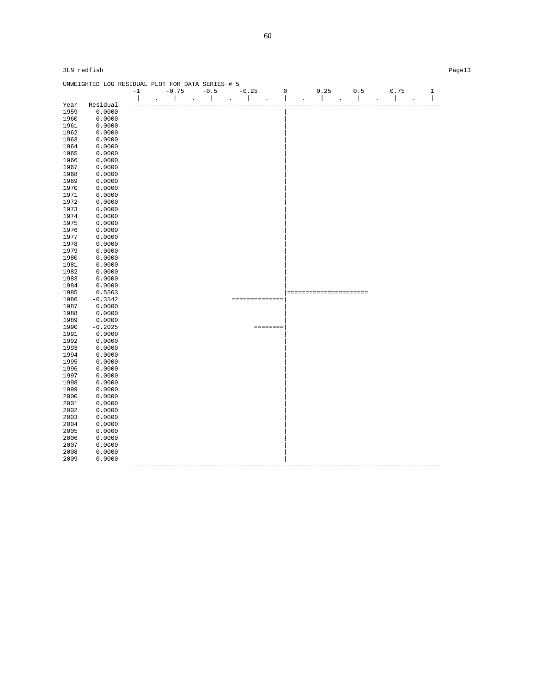|      | UNWEIGHTED LOG RESIDUAL PLOT FOR DATA SERIES # 5 |                          |              |         |                      |               |        |         |                |                                                  |                |                          |        |                          |              |
|------|--------------------------------------------------|--------------------------|--------------|---------|----------------------|---------------|--------|---------|----------------|--------------------------------------------------|----------------|--------------------------|--------|--------------------------|--------------|
|      |                                                  | $-1$                     |              | $-0.75$ |                      | $-0.5$        |        | $-0.25$ |                | $\mathsf 0$                                      | 0.25           | 0.5                      |        | 0.75                     | $\mathbf{1}$ |
|      |                                                  | $\overline{\phantom{a}}$ | $\mathbf{r}$ |         | $\ddot{\phantom{0}}$ | $\mathcal{L}$ | $\sim$ |         | $\cdot$        | $\overline{\phantom{a}}$<br>$\ddot{\phantom{a}}$ | $\overline{1}$ | $\overline{\phantom{a}}$ | $\Box$ | $\overline{\phantom{a}}$ |              |
| Year | Residual                                         |                          |              |         |                      |               |        |         |                |                                                  |                |                          |        |                          |              |
| 1959 | 0.0000                                           |                          |              |         |                      |               |        |         |                |                                                  |                |                          |        |                          |              |
| 1960 | 0.0000                                           |                          |              |         |                      |               |        |         |                |                                                  |                |                          |        |                          |              |
| 1961 | 0.0000                                           |                          |              |         |                      |               |        |         |                |                                                  |                |                          |        |                          |              |
| 1962 | 0.0000                                           |                          |              |         |                      |               |        |         |                |                                                  |                |                          |        |                          |              |
| 1963 | 0.0000                                           |                          |              |         |                      |               |        |         |                |                                                  |                |                          |        |                          |              |
| 1964 | 0.0000                                           |                          |              |         |                      |               |        |         |                |                                                  |                |                          |        |                          |              |
| 1965 | 0.0000                                           |                          |              |         |                      |               |        |         |                |                                                  |                |                          |        |                          |              |
| 1966 | 0.0000                                           |                          |              |         |                      |               |        |         |                |                                                  |                |                          |        |                          |              |
| 1967 | 0.0000                                           |                          |              |         |                      |               |        |         |                |                                                  |                |                          |        |                          |              |
| 1968 | 0.0000                                           |                          |              |         |                      |               |        |         |                |                                                  |                |                          |        |                          |              |
| 1969 | 0.0000                                           |                          |              |         |                      |               |        |         |                |                                                  |                |                          |        |                          |              |
| 1970 | 0.0000                                           |                          |              |         |                      |               |        |         |                |                                                  |                |                          |        |                          |              |
| 1971 | 0.0000                                           |                          |              |         |                      |               |        |         |                |                                                  |                |                          |        |                          |              |
| 1972 | 0.0000                                           |                          |              |         |                      |               |        |         |                |                                                  |                |                          |        |                          |              |
| 1973 | 0.0000                                           |                          |              |         |                      |               |        |         |                |                                                  |                |                          |        |                          |              |
| 1974 | 0.0000                                           |                          |              |         |                      |               |        |         |                |                                                  |                |                          |        |                          |              |
| 1975 | 0.0000                                           |                          |              |         |                      |               |        |         |                |                                                  |                |                          |        |                          |              |
| 1976 | 0.0000                                           |                          |              |         |                      |               |        |         |                |                                                  |                |                          |        |                          |              |
| 1977 | 0.0000                                           |                          |              |         |                      |               |        |         |                |                                                  |                |                          |        |                          |              |
| 1978 | 0.0000                                           |                          |              |         |                      |               |        |         |                |                                                  |                |                          |        |                          |              |
| 1979 | 0.0000                                           |                          |              |         |                      |               |        |         |                |                                                  |                |                          |        |                          |              |
| 1980 | 0.0000                                           |                          |              |         |                      |               |        |         |                |                                                  |                |                          |        |                          |              |
| 1981 | 0.0000                                           |                          |              |         |                      |               |        |         |                |                                                  |                |                          |        |                          |              |
| 1982 | 0.0000                                           |                          |              |         |                      |               |        |         |                |                                                  |                |                          |        |                          |              |
| 1983 | 0.0000                                           |                          |              |         |                      |               |        |         |                |                                                  |                |                          |        |                          |              |
| 1984 | 0.0000                                           |                          |              |         |                      |               |        |         |                |                                                  |                |                          |        |                          |              |
| 1985 | 0.5563                                           |                          |              |         |                      |               |        |         |                |                                                  |                | ======================   |        |                          |              |
| 1986 | $-0.3542$                                        |                          |              |         |                      |               |        |         | ============== |                                                  |                |                          |        |                          |              |
| 1987 | 0.0000                                           |                          |              |         |                      |               |        |         |                |                                                  |                |                          |        |                          |              |
| 1988 | 0.0000                                           |                          |              |         |                      |               |        |         |                |                                                  |                |                          |        |                          |              |
| 1989 | 0.0000                                           |                          |              |         |                      |               |        |         |                |                                                  |                |                          |        |                          |              |
| 1990 | $-0.2025$                                        |                          |              |         |                      |               |        |         | ========       |                                                  |                |                          |        |                          |              |
| 1991 | 0.0000                                           |                          |              |         |                      |               |        |         |                |                                                  |                |                          |        |                          |              |
| 1992 | 0.0000                                           |                          |              |         |                      |               |        |         |                |                                                  |                |                          |        |                          |              |
| 1993 | 0.0000                                           |                          |              |         |                      |               |        |         |                |                                                  |                |                          |        |                          |              |
| 1994 | 0.0000                                           |                          |              |         |                      |               |        |         |                |                                                  |                |                          |        |                          |              |
| 1995 | 0.0000                                           |                          |              |         |                      |               |        |         |                |                                                  |                |                          |        |                          |              |
| 1996 | 0.0000                                           |                          |              |         |                      |               |        |         |                |                                                  |                |                          |        |                          |              |
| 1997 | 0.0000                                           |                          |              |         |                      |               |        |         |                |                                                  |                |                          |        |                          |              |
| 1998 | 0.0000                                           |                          |              |         |                      |               |        |         |                |                                                  |                |                          |        |                          |              |
| 1999 | 0.0000                                           |                          |              |         |                      |               |        |         |                |                                                  |                |                          |        |                          |              |
| 2000 | 0.0000                                           |                          |              |         |                      |               |        |         |                |                                                  |                |                          |        |                          |              |
| 2001 | 0.0000                                           |                          |              |         |                      |               |        |         |                |                                                  |                |                          |        |                          |              |
| 2002 | 0.0000                                           |                          |              |         |                      |               |        |         |                |                                                  |                |                          |        |                          |              |
| 2003 | 0.0000                                           |                          |              |         |                      |               |        |         |                |                                                  |                |                          |        |                          |              |
| 2004 | 0.0000                                           |                          |              |         |                      |               |        |         |                |                                                  |                |                          |        |                          |              |
| 2005 | 0.0000                                           |                          |              |         |                      |               |        |         |                |                                                  |                |                          |        |                          |              |
| 2006 | 0.0000                                           |                          |              |         |                      |               |        |         |                |                                                  |                |                          |        |                          |              |
| 2007 | 0.0000                                           |                          |              |         |                      |               |        |         |                |                                                  |                |                          |        |                          |              |
| 2008 | 0.0000                                           |                          |              |         |                      |               |        |         |                |                                                  |                |                          |        |                          |              |
| 2009 | 0.0000                                           |                          |              |         |                      |               |        |         |                |                                                  |                |                          |        |                          |              |
|      |                                                  |                          |              |         |                      |               |        |         |                |                                                  |                |                          |        |                          |              |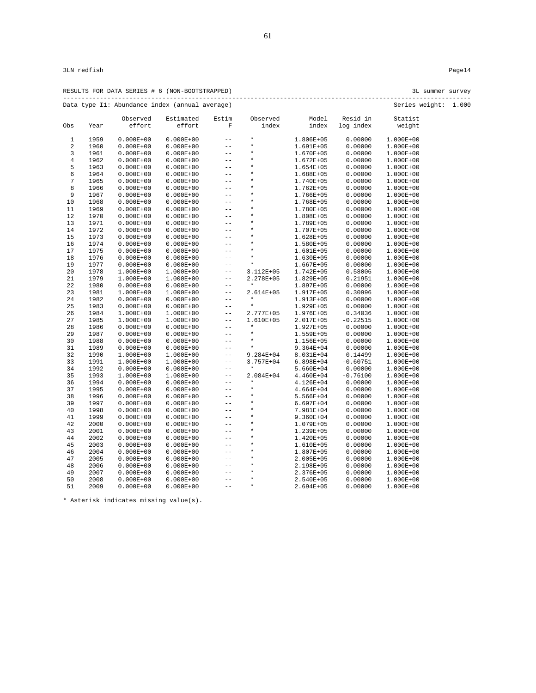| RESULTS FOR DATA SERIES # 6 (NON-BOOTSTRAPPED) | 3L summer survey     |  |
|------------------------------------------------|----------------------|--|
| Data type I1: Abundance index (annual average) | Series weight: 1.000 |  |

|                |      | Observed      | Estimated     | Estim       | Observed  | Model         | Resid in   | Statist       |  |
|----------------|------|---------------|---------------|-------------|-----------|---------------|------------|---------------|--|
| Obs            | Year | effort        | effort        | $\mathbf F$ | index     | index         | log index  | weight        |  |
| $1\,$          | 1959 | $0.000E + 00$ | $0.000E + 00$ | $- -$       | $\star$   | 1.806E+05     | 0.00000    | 1.000E+00     |  |
| $\overline{a}$ | 1960 | $0.000E + 00$ | $0.000E + 00$ | $-$         | $\star$   | 1.691E+05     | 0.00000    | 1.000E+00     |  |
| 3              | 1961 | $0.000E + 00$ | $0.000E + 00$ | $- -$       | $\star$   | 1.670E+05     | 0.00000    | 1.000E+00     |  |
| $\,4$          | 1962 | $0.000E + 00$ | $0.000E + 00$ | $- -$       | $\star$   | $1.672E + 05$ | 0.00000    | 1.000E+00     |  |
| 5              | 1963 | $0.000E + 00$ | $0.000E + 00$ | $- -$       | $\star$   | 1.654E+05     | 0.00000    | 1.000E+00     |  |
| 6              | 1964 | $0.000E + 00$ | $0.000E + 00$ | $ -$        | $\star$   | 1.688E+05     | 0.00000    | 1.000E+00     |  |
| 7              | 1965 | $0.000E + 00$ | $0.000E + 00$ | $-$         | $\star$   | 1.740E+05     | 0.00000    | 1.000E+00     |  |
| 8              | 1966 | $0.000E + 00$ | $0.000E + 00$ | $-$         | $\star$   | 1.762E+05     | 0.00000    | 1.000E+00     |  |
| 9              | 1967 | $0.000E + 00$ | $0.000E + 00$ | $- -$       | $\star$   | 1.766E+05     | 0.00000    | 1.000E+00     |  |
| 10             | 1968 | $0.000E + 00$ | $0.000E + 00$ | $-$         | $\star$   | 1.768E+05     | 0.00000    | 1.000E+00     |  |
| 11             | 1969 | $0.000E + 00$ | $0.000E + 00$ | $-$         | $\star$   | 1.780E+05     | 0.00000    | 1.000E+00     |  |
| 12             | 1970 | $0.000E + 00$ | $0.000E + 00$ | $- -$       | $\star$   | 1.808E+05     | 0.00000    | 1.000E+00     |  |
| 13             | 1971 | $0.000E + 00$ | $0.000E + 00$ | $- -$       | $\star$   | 1.789E+05     | 0.00000    | 1.000E+00     |  |
| 14             | 1972 | $0.000E + 00$ | $0.000E + 00$ | $-$         | $\star$   | 1.707E+05     | 0.00000    | 1.000E+00     |  |
| 15             | 1973 | $0.000E + 00$ | $0.000E + 00$ | $-$         | $\star$   | 1.628E+05     | 0.00000    | 1.000E+00     |  |
| 16             | 1974 | $0.000E + 00$ | $0.000E + 00$ | $-$         | $\star$   | 1.580E+05     | 0.00000    | 1.000E+00     |  |
| 17             | 1975 | $0.000E + 00$ | $0.000E + 00$ | $- -$       | $\star$   | 1.601E+05     | 0.00000    | 1.000E+00     |  |
| 18             | 1976 | $0.000E + 00$ | $0.000E + 00$ | $-$         | $\star$   | 1.630E+05     | 0.00000    | $1.000E + 00$ |  |
| 19             | 1977 | $0.000E + 00$ | $0.000E + 00$ | $-$         | $\star$   | 1.667E+05     | 0.00000    | 1.000E+00     |  |
| 20             | 1978 | $1.000E + 00$ | 1.000E+00     | $ -$        | 3.112E+05 | 1.742E+05     | 0.58006    | 1.000E+00     |  |
| 21             | 1979 | $1.000E + 00$ | 1.000E+00     | $- -$       | 2.278E+05 | 1.829E+05     | 0.21951    | 1.000E+00     |  |
| 22             | 1980 | $0.000E + 00$ | $0.000E + 00$ | $- -$       | $\star$   | 1.897E+05     | 0.00000    | 1.000E+00     |  |
| 23             | 1981 | $1.000E + 00$ | 1.000E+00     | $- -$       | 2.614E+05 | 1.917E+05     | 0.30996    | 1.000E+00     |  |
| 24             | 1982 | $0.000E + 00$ | $0.000E + 00$ | $ -$        | $\star$   | 1.913E+05     | 0.00000    | 1.000E+00     |  |
| 25             | 1983 | $0.000E + 00$ | $0.000E + 00$ | $-$         | $\star$   | 1.929E+05     | 0.00000    | 1.000E+00     |  |
| 26             | 1984 | $1.000E + 00$ | 1.000E+00     | $- -$       | 2.777E+05 | 1.976E+05     | 0.34036    | 1.000E+00     |  |
| 27             | 1985 | $1.000E + 00$ | 1.000E+00     | $ -$        | 1.610E+05 | 2.017E+05     | $-0.22515$ | 1.000E+00     |  |
| 28             | 1986 | $0.000E + 00$ | $0.000E + 00$ | $- -$       | $\star$   | 1.927E+05     | 0.00000    | 1.000E+00     |  |
| 29             | 1987 | $0.000E + 00$ | $0.000E + 00$ | $- -$       | $\star$   | 1.559E+05     | 0.00000    | 1.000E+00     |  |
| 30             | 1988 | $0.000E + 00$ | $0.000E + 00$ | $- -$       | $\star$   | 1.156E+05     | 0.00000    | 1.000E+00     |  |
| 31             | 1989 | $0.000E + 00$ | $0.000E + 00$ | $- -$       | $\star$   | 9.364E+04     | 0.00000    | 1.000E+00     |  |
| 32             | 1990 | 1.000E+00     | 1.000E+00     | $-$         | 9.284E+04 | 8.031E+04     | 0.14499    | 1.000E+00     |  |
| 33             | 1991 | $1.000E + 00$ | 1.000E+00     | $ -$        | 3.757E+04 | $6.898E + 04$ | $-0.60751$ | 1.000E+00     |  |
| 34             | 1992 | $0.000E + 00$ | $0.000E + 00$ | $- -$       | $^\star$  | 5.660E+04     | 0.00000    | 1.000E+00     |  |
| 35             | 1993 | $1.000E + 00$ | 1.000E+00     | $ -$        | 2.084E+04 | 4.460E+04     | $-0.76100$ | 1.000E+00     |  |
| 36             | 1994 | $0.000E + 00$ | $0.000E + 00$ | $- -$       | $\star$   | 4.126E+04     | 0.00000    | 1.000E+00     |  |
| 37             | 1995 | $0.000E + 00$ | $0.000E + 00$ | $- -$       | $\star$   | $4.664E + 04$ | 0.00000    | 1.000E+00     |  |
| 38             | 1996 | $0.000E + 00$ | $0.000E + 00$ | $ -$        | $\star$   | 5.566E+04     | 0.00000    | 1.000E+00     |  |
| 39             | 1997 | $0.000E + 00$ | $0.000E + 00$ | $-$         | $\star$   | 6.697E+04     | 0.00000    | 1.000E+00     |  |
| 40             | 1998 | $0.000E + 00$ | $0.000E + 00$ | $- -$       | $\star$   | 7.981E+04     | 0.00000    | 1.000E+00     |  |
| 41             | 1999 | $0.000E + 00$ | $0.000E + 00$ | $- -$       | $\star$   | $9.360E + 04$ | 0.00000    | 1.000E+00     |  |
| 42             | 2000 | $0.000E + 00$ | $0.000E + 00$ | $-$         | $\star$   | 1.079E+05     | 0.00000    | 1.000E+00     |  |
| 43             | 2001 | $0.000E + 00$ | $0.000E + 00$ | $- -$       | $\star$   | 1.239E+05     | 0.00000    | 1.000E+00     |  |
| 44             | 2002 | $0.000E + 00$ | $0.000E + 00$ | $-$         | $\star$   | 1.420E+05     | 0.00000    | 1.000E+00     |  |
| 45             | 2003 | $0.000E + 00$ | $0.000E + 00$ | $ -$        | $\star$   | 1.610E+05     | 0.00000    | 1.000E+00     |  |
| 46             | 2004 | $0.000E + 00$ | $0.000E + 00$ | $-$         | $\star$   | 1.807E+05     | 0.00000    | 1.000E+00     |  |
| 47             | 2005 | $0.000E + 00$ | $0.000E + 00$ | $-$         | $\star$   | 2.005E+05     | 0.00000    | 1.000E+00     |  |
| 48             | 2006 | $0.000E + 00$ | $0.000E + 00$ | $- -$       | $\star$   | 2.198E+05     | 0.00000    | 1.000E+00     |  |
| 49             | 2007 | $0.000E + 00$ | $0.000E + 00$ | $- -$       | $\star$   | 2.376E+05     | 0.00000    | 1.000E+00     |  |
| 50             | 2008 | $0.000E + 00$ | $0.000E + 00$ | $- -$       | $\star$   | 2.540E+05     | 0.00000    | 1.000E+00     |  |
| 51             | 2009 | $0.000E + 00$ | $0.000E + 00$ | $- -$       | $\star$   | 2.694E+05     | 0.00000    | 1.000E+00     |  |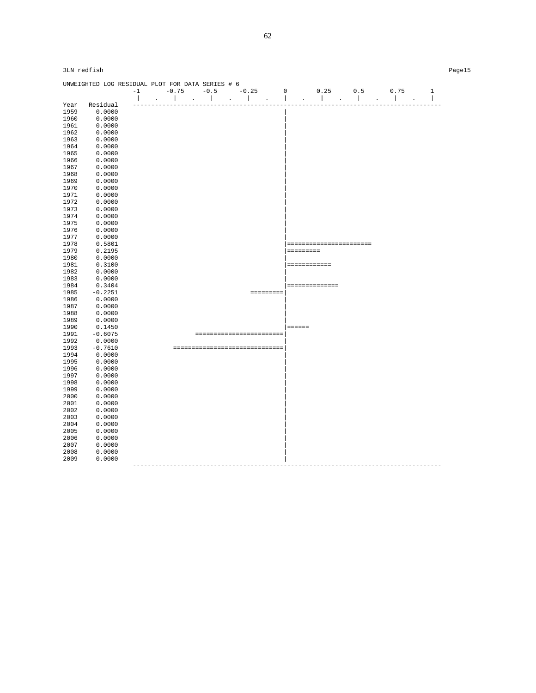|      | UNWEIGHTED LOG RESIDUAL PLOT FOR DATA SERIES # 6 |                          |        |                |                             |                                  |                |               |              |               |                |                         |                                      |                          |
|------|--------------------------------------------------|--------------------------|--------|----------------|-----------------------------|----------------------------------|----------------|---------------|--------------|---------------|----------------|-------------------------|--------------------------------------|--------------------------|
|      |                                                  | $-1$                     |        | $-0.75$        |                             | $-0.5$                           |                | $-0.25$       | $\mathsf 0$  |               | 0.25           | 0.5                     | 0.75                                 | $\mathbf{1}$             |
|      |                                                  | $\overline{\phantom{a}}$ | $\sim$ | $\mathbb{R}^n$ | $\sim$ $\sim$ $\sim$ $\sim$ |                                  | $\sim 10^{-1}$ | and the state | $\mathbb{I}$ | $\bullet$     | $\mathbb{R}$   | $\mathbb{R}$<br>$\sim$  | $\mathbf{I}$<br>$\ddot{\phantom{a}}$ | $\overline{\phantom{a}}$ |
| Year | Residual                                         |                          |        |                |                             |                                  |                |               |              |               |                |                         |                                      |                          |
| 1959 | 0.0000                                           |                          |        |                |                             |                                  |                |               |              |               |                |                         |                                      |                          |
| 1960 | 0.0000                                           |                          |        |                |                             |                                  |                |               |              |               |                |                         |                                      |                          |
| 1961 | 0.0000                                           |                          |        |                |                             |                                  |                |               |              |               |                |                         |                                      |                          |
| 1962 | 0.0000                                           |                          |        |                |                             |                                  |                |               |              |               |                |                         |                                      |                          |
| 1963 | 0.0000                                           |                          |        |                |                             |                                  |                |               |              |               |                |                         |                                      |                          |
| 1964 | 0.0000                                           |                          |        |                |                             |                                  |                |               |              |               |                |                         |                                      |                          |
| 1965 | 0.0000                                           |                          |        |                |                             |                                  |                |               |              |               |                |                         |                                      |                          |
| 1966 | 0.0000                                           |                          |        |                |                             |                                  |                |               |              |               |                |                         |                                      |                          |
| 1967 | 0.0000                                           |                          |        |                |                             |                                  |                |               |              |               |                |                         |                                      |                          |
| 1968 | 0.0000                                           |                          |        |                |                             |                                  |                |               |              |               |                |                         |                                      |                          |
| 1969 | 0.0000                                           |                          |        |                |                             |                                  |                |               |              |               |                |                         |                                      |                          |
| 1970 | 0.0000                                           |                          |        |                |                             |                                  |                |               |              |               |                |                         |                                      |                          |
| 1971 | 0.0000                                           |                          |        |                |                             |                                  |                |               |              |               |                |                         |                                      |                          |
| 1972 | 0.0000                                           |                          |        |                |                             |                                  |                |               |              |               |                |                         |                                      |                          |
| 1973 | 0.0000                                           |                          |        |                |                             |                                  |                |               |              |               |                |                         |                                      |                          |
| 1974 | 0.0000                                           |                          |        |                |                             |                                  |                |               |              |               |                |                         |                                      |                          |
| 1975 | 0.0000                                           |                          |        |                |                             |                                  |                |               |              |               |                |                         |                                      |                          |
| 1976 | 0.0000                                           |                          |        |                |                             |                                  |                |               |              |               |                |                         |                                      |                          |
| 1977 | 0.0000                                           |                          |        |                |                             |                                  |                |               |              |               |                |                         |                                      |                          |
| 1978 | 0.5801                                           |                          |        |                |                             |                                  |                |               |              |               |                | ======================= |                                      |                          |
| 1979 | 0.2195                                           |                          |        |                |                             |                                  |                |               |              | =========     |                |                         |                                      |                          |
| 1980 | 0.0000                                           |                          |        |                |                             |                                  |                |               |              |               |                |                         |                                      |                          |
| 1981 | 0.3100                                           |                          |        |                |                             |                                  |                |               |              |               | ============   |                         |                                      |                          |
| 1982 | 0.0000                                           |                          |        |                |                             |                                  |                |               |              |               |                |                         |                                      |                          |
| 1983 | 0.0000                                           |                          |        |                |                             |                                  |                |               |              |               |                |                         |                                      |                          |
| 1984 | 0.3404                                           |                          |        |                |                             |                                  |                |               |              |               | ============== |                         |                                      |                          |
| 1985 | $-0.2251$                                        |                          |        |                |                             |                                  |                |               |              |               |                |                         |                                      |                          |
| 1986 | 0.0000                                           |                          |        |                |                             |                                  |                |               |              |               |                |                         |                                      |                          |
| 1987 | 0.0000                                           |                          |        |                |                             |                                  |                |               |              |               |                |                         |                                      |                          |
| 1988 | 0.0000                                           |                          |        |                |                             |                                  |                |               |              |               |                |                         |                                      |                          |
| 1989 | 0.0000                                           |                          |        |                |                             |                                  |                |               |              |               |                |                         |                                      |                          |
| 1990 | 0.1450                                           |                          |        |                |                             |                                  |                |               |              | $=$ = = = = = |                |                         |                                      |                          |
| 1991 | $-0.6075$                                        |                          |        |                |                             | ========================         |                |               |              |               |                |                         |                                      |                          |
| 1992 | 0.0000                                           |                          |        |                |                             |                                  |                |               |              |               |                |                         |                                      |                          |
| 1993 | $-0.7610$                                        |                          |        |                |                             | ================================ |                |               |              |               |                |                         |                                      |                          |
| 1994 | 0.0000                                           |                          |        |                |                             |                                  |                |               |              |               |                |                         |                                      |                          |
| 1995 | 0.0000                                           |                          |        |                |                             |                                  |                |               |              |               |                |                         |                                      |                          |
| 1996 | 0.0000                                           |                          |        |                |                             |                                  |                |               |              |               |                |                         |                                      |                          |
| 1997 | 0.0000                                           |                          |        |                |                             |                                  |                |               |              |               |                |                         |                                      |                          |
| 1998 | 0.0000                                           |                          |        |                |                             |                                  |                |               |              |               |                |                         |                                      |                          |
| 1999 | 0.0000                                           |                          |        |                |                             |                                  |                |               |              |               |                |                         |                                      |                          |
| 2000 | 0.0000                                           |                          |        |                |                             |                                  |                |               |              |               |                |                         |                                      |                          |
| 2001 | 0.0000                                           |                          |        |                |                             |                                  |                |               |              |               |                |                         |                                      |                          |
| 2002 | 0.0000                                           |                          |        |                |                             |                                  |                |               |              |               |                |                         |                                      |                          |
|      |                                                  |                          |        |                |                             |                                  |                |               |              |               |                |                         |                                      |                          |
| 2003 | 0.0000                                           |                          |        |                |                             |                                  |                |               |              |               |                |                         |                                      |                          |
| 2004 | 0.0000                                           |                          |        |                |                             |                                  |                |               |              |               |                |                         |                                      |                          |
| 2005 | 0.0000                                           |                          |        |                |                             |                                  |                |               |              |               |                |                         |                                      |                          |
| 2006 | 0.0000                                           |                          |        |                |                             |                                  |                |               |              |               |                |                         |                                      |                          |
| 2007 | 0.0000                                           |                          |        |                |                             |                                  |                |               |              |               |                |                         |                                      |                          |
| 2008 | 0.0000                                           |                          |        |                |                             |                                  |                |               |              |               |                |                         |                                      |                          |
| 2009 | 0.0000                                           |                          |        |                |                             | -----------------------------    |                |               |              |               |                |                         |                                      |                          |
|      |                                                  |                          |        |                |                             |                                  |                |               |              |               |                |                         |                                      |                          |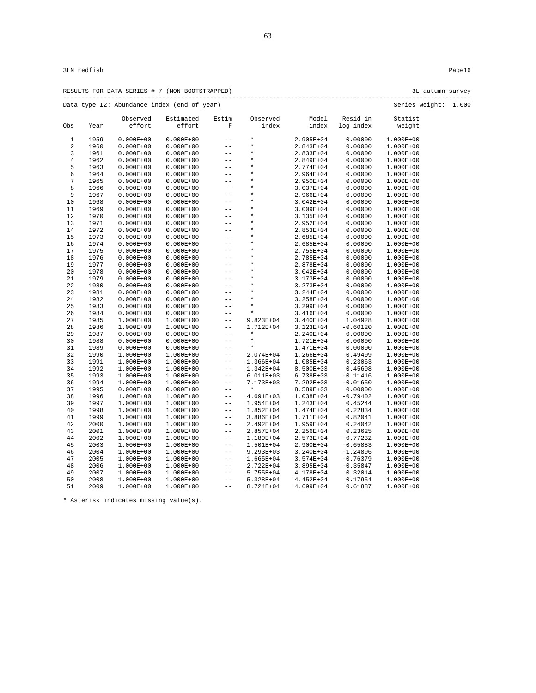RESULTS FOR DATA SERIES # 7 (NON-BOOTSTRAPPED) 3L autumn survey --------------------------------------------------------------------------------------------------------------- Data type I2: Abundance index (end of year) Series weight: 1.000

|                         |      | pata type is. Abditative filats (that of year) |               |                            |               |               |            | <b>DETTER</b><br>WCLYILC |
|-------------------------|------|------------------------------------------------|---------------|----------------------------|---------------|---------------|------------|--------------------------|
|                         |      | Observed                                       | Estimated     | Estim                      | Observed      | Model         | Resid in   | Statist                  |
| Obs                     | Year | effort                                         | effort        | $\mathbf F$                | index         | index         | log index  | weight                   |
| 1                       | 1959 | $0.000E + 00$                                  | $0.000E + 00$ | $ -$                       | $\star$       | 2.905E+04     | 0.00000    | 1.000E+00                |
| $\overline{\mathbf{c}}$ | 1960 | $0.000E + 00$                                  | $0.000E + 00$ | $- -$                      | $\star$       | 2.843E+04     | 0.00000    | 1.000E+00                |
| 3                       | 1961 | $0.000E + 00$                                  | $0.000E + 00$ | $- -$                      | $\star$       | 2.833E+04     | 0.00000    | 1.000E+00                |
| $\overline{4}$          | 1962 | $0.000E + 00$                                  | $0.000E + 00$ | $ -$                       | $\star$       | 2.849E+04     | 0.00000    | 1.000E+00                |
| 5                       | 1963 | $0.000E + 00$                                  | $0.000E + 00$ | $- -$                      | $\star$       | 2.774E+04     | 0.00000    | 1.000E+00                |
| 6                       | 1964 | $0.000E + 00$                                  | $0.000E + 00$ | $- -$                      | $\star$       | 2.964E+04     | 0.00000    | 1.000E+00                |
| $\sqrt{ }$              | 1965 | $0.000E + 00$                                  | $0.000E + 00$ | $- -$                      | $\star$       | 2.950E+04     | 0.00000    | 1.000E+00                |
| 8                       | 1966 | $0.000E + 00$                                  | $0.000E + 00$ | $\qquad \qquad -$          | $\star$       | 3.037E+04     | 0.00000    | 1.000E+00                |
| 9                       | 1967 | $0.000E + 00$                                  | $0.000E + 00$ | $- -$                      | $\star$       | 2.966E+04     | 0.00000    | 1.000E+00                |
| 10                      | 1968 | $0.000E + 00$                                  | $0.000E + 00$ | $- -$                      | $\star$       | 3.042E+04     | 0.00000    | 1.000E+00                |
| 11                      | 1969 | $0.000E + 00$                                  | $0.000E + 00$ | $- -$                      | $\star$       | $3.009E + 04$ | 0.00000    | 1.000E+00                |
| 12                      | 1970 | $0.000E + 00$                                  | $0.000E + 00$ | $- -$                      | $\star$       | 3.135E+04     | 0.00000    | 1.000E+00                |
| 13                      | 1971 | $0.000E + 00$                                  | $0.000E + 00$ | $- -$                      | $\star$       | 2.952E+04     | 0.00000    | 1.000E+00                |
| 14                      | 1972 | $0.000E + 00$                                  | $0.000E + 00$ | $- -$                      | $^\star$      | $2.853E+04$   | 0.00000    | 1.000E+00                |
| 15                      | 1973 | $0.000E + 00$                                  | $0.000E + 00$ | $-$                        | $\star$       | 2.685E+04     | 0.00000    | 1.000E+00                |
| 16                      | 1974 | $0.000E + 00$                                  | $0.000E + 00$ | $- -$                      | $\star$       | $2.685E + 04$ | 0.00000    | 1.000E+00                |
| 17                      | 1975 | $0.000E + 00$                                  | $0.000E + 00$ | $- -$                      | $\star$       | 2.755E+04     | 0.00000    | 1.000E+00                |
| 18                      | 1976 | $0.000E + 00$                                  | $0.000E + 00$ | $- -$                      | $\star$       | 2.785E+04     | 0.00000    | 1.000E+00                |
| 19                      | 1977 | $0.000E + 00$                                  | $0.000E + 00$ | $- -$                      | $\star$       | 2.878E+04     | 0.00000    | 1.000E+00                |
| 20                      | 1978 | $0.000E + 00$                                  | $0.000E + 00$ | $ -$                       | $\star$       | 3.042E+04     | 0.00000    | 1.000E+00                |
| 21                      | 1979 | $0.000E + 00$                                  | $0.000E + 00$ | $- -$                      | $^\star$      | 3.173E+04     | 0.00000    | 1.000E+00                |
| 22                      | 1980 | $0.000E + 00$                                  | $0.000E + 00$ | $- -$                      | $\star$       | 3.273E+04     | 0.00000    | 1.000E+00                |
| 23                      | 1981 | $0.000E + 00$                                  | $0.000E + 00$ | $- -$                      | $\star$       | $3.244E + 04$ | 0.00000    | 1.000E+00                |
| 24                      | 1982 | $0.000E + 00$                                  | $0.000E + 00$ | $- -$                      | $\star$       | 3.258E+04     | 0.00000    | 1.000E+00                |
| 25                      | 1983 | $0.000E + 00$                                  | $0.000E + 00$ | $- -$                      | $\star$       | 3.299E+04     | 0.00000    | 1.000E+00                |
| 26                      | 1984 | $0.000E + 00$                                  | $0.000E + 00$ | $- -$                      | $\star$       | $3.416E + 04$ | 0.00000    | 1.000E+00                |
| 27                      | 1985 | $1.000E+00$                                    | 1.000E+00     | $\sim$ $-$                 | 9.823E+04     | $3.440E + 04$ | 1.04928    | 1.000E+00                |
| 28                      | 1986 | $1.000E+00$                                    | 1.000E+00     | $- -$                      | 1.712E+04     | 3.123E+04     | $-0.60120$ | 1.000E+00                |
| 29                      | 1987 | $0.000E + 00$                                  | $0.000E + 00$ | $- -$                      | $\star$       | 2.240E+04     | 0.00000    | 1.000E+00                |
| 30                      | 1988 | $0.000E + 00$                                  | $0.000E + 00$ | $\overline{\phantom{m}}$ . | $\star$       | 1.721E+04     | 0.00000    | 1.000E+00                |
| 31                      | 1989 | $0.000E + 00$                                  | $0.000E + 00$ | $- -$                      | $\star$       | 1.471E+04     | 0.00000    | 1.000E+00                |
| 32                      | 1990 | 1.000E+00                                      | 1.000E+00     | $ -$                       | 2.074E+04     | 1.266E+04     | 0.49409    | 1.000E+00                |
| 33                      | 1991 | $1.000E + 00$                                  | 1.000E+00     | $- -$                      | 1.366E+04     | 1.085E+04     | 0.23063    | 1.000E+00                |
| 34                      | 1992 | $1.000E + 00$                                  | 1.000E+00     | $ -$                       | $1.342E + 04$ | 8.500E+03     | 0.45698    | 1.000E+00                |
| 35                      | 1993 | $1.000E+00$                                    | 1.000E+00     | $- -$                      | 6.011E+03     | 6.738E+03     | $-0.11416$ | 1.000E+00                |
| 36                      | 1994 | $1.000E+00$                                    | 1.000E+00     | $- -$                      | 7.173E+03     | 7.292E+03     | $-0.01650$ | 1.000E+00                |
| 37                      | 1995 | $0.000E + 00$                                  | $0.000E + 00$ | $- -$                      | $\star$       | 8.589E+03     | 0.00000    | 1.000E+00                |
| 38                      | 1996 | $1.000E+00$                                    | 1.000E+00     | $ -$                       | 4.691E+03     | 1.038E+04     | $-0.79402$ | 1.000E+00                |
| 39                      | 1997 | $1.000E+00$                                    | 1.000E+00     | $\qquad \qquad -$          | 1.954E+04     | 1.243E+04     | 0.45244    | 1.000E+00                |
| 40                      | 1998 | 1.000E+00                                      | 1.000E+00     | $ -$                       | $1.852E + 04$ | 1.474E+04     | 0.22834    | 1.000E+00                |
| 41                      | 1999 | $1.000E+00$                                    | 1.000E+00     | $ -$                       | 3.886E+04     | 1.711E+04     | 0.82041    | 1.000E+00                |
| 42                      | 2000 | 1.000E+00                                      | 1.000E+00     | $\qquad \qquad -$          | 2.492E+04     | 1.959E+04     | 0.24042    | 1.000E+00                |
| 43                      | 2001 | $1.000E + 00$                                  | 1.000E+00     | $ -$                       | 2.857E+04     | 2.256E+04     | 0.23625    | 1.000E+00                |
| 44                      | 2002 | $1.000E+00$                                    | 1.000E+00     | $ -$                       | 1.189E+04     | 2.573E+04     | $-0.77232$ | 1.000E+00                |
| 45                      | 2003 | 1.000E+00                                      | 1.000E+00     | $ -$                       | 1.501E+04     | 2.900E+04     | $-0.65883$ | 1.000E+00                |
| 46                      | 2004 | 1.000E+00                                      | 1.000E+00     | $ -$                       | $9.293E + 03$ | $3.240E + 04$ | $-1.24896$ | 1.000E+00                |
| 47                      | 2005 | $1.000E+00$                                    | 1.000E+00     | $- -$                      | 1.665E+04     | $3.574E + 04$ | $-0.76379$ | 1.000E+00                |
| 48                      | 2006 | $1.000E + 00$                                  | 1.000E+00     | $- -$                      | 2.722E+04     | 3.895E+04     | $-0.35847$ | 1.000E+00                |
| 49                      | 2007 | $1.000E + 00$                                  | 1.000E+00     | $ -$                       | 5.755E+04     | 4.178E+04     | 0.32014    | 1.000E+00                |
| 50                      | 2008 | $1.000E+00$                                    | 1.000E+00     | $- -$                      | 5.328E+04     | $4.452E + 04$ | 0.17954    | 1.000E+00                |
| 51                      | 2009 | $1.000E + 00$                                  | 1.000E+00     | $- -$                      | 8.724E+04     | 4.699E+04     | 0.61887    | 1.000E+00                |

63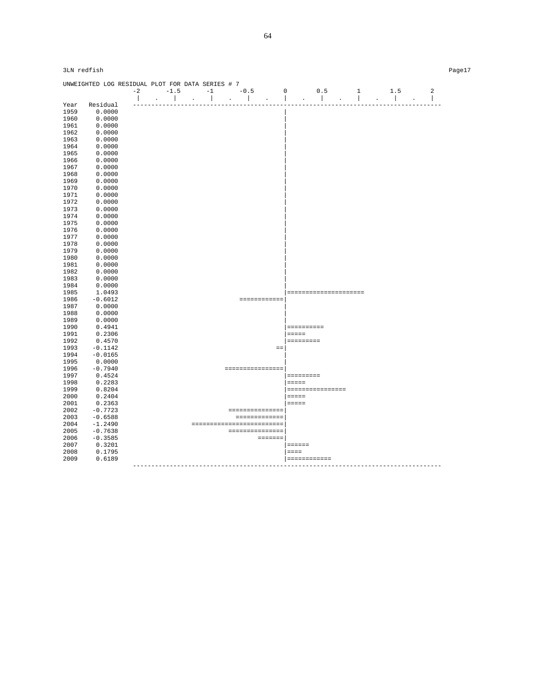|      | UNWEIGHTED LOG RESIDUAL PLOT FOR DATA SERIES # 7 |      |        |                                   |                |                 |        |                           |             |                 |                  |                       |              |                              |                |
|------|--------------------------------------------------|------|--------|-----------------------------------|----------------|-----------------|--------|---------------------------|-------------|-----------------|------------------|-----------------------|--------------|------------------------------|----------------|
|      |                                                  | $-2$ | $-1.5$ |                                   | $-1$           |                 | $-0.5$ |                           | $\mathbf 0$ |                 | 0.5              |                       | $\mathbf{1}$ | 1.5                          | $\overline{a}$ |
|      |                                                  |      |        |                                   | $\blacksquare$ | $\sim$ 10 $\pm$ |        |                           |             |                 | $\mathbf{L}$     |                       |              |                              | $\mathbf{I}$   |
| Year | Residual                                         |      |        |                                   |                |                 |        |                           |             |                 |                  |                       |              |                              |                |
| 1959 | 0.0000                                           |      |        |                                   |                |                 |        |                           |             |                 |                  |                       |              |                              |                |
| 1960 | 0.0000                                           |      |        |                                   |                |                 |        |                           |             |                 |                  |                       |              |                              |                |
| 1961 | 0.0000                                           |      |        |                                   |                |                 |        |                           |             |                 |                  |                       |              |                              |                |
| 1962 | 0.0000                                           |      |        |                                   |                |                 |        |                           |             |                 |                  |                       |              |                              |                |
| 1963 | 0.0000                                           |      |        |                                   |                |                 |        |                           |             |                 |                  |                       |              |                              |                |
| 1964 | 0.0000                                           |      |        |                                   |                |                 |        |                           |             |                 |                  |                       |              |                              |                |
| 1965 | 0.0000                                           |      |        |                                   |                |                 |        |                           |             |                 |                  |                       |              |                              |                |
| 1966 | 0.0000                                           |      |        |                                   |                |                 |        |                           |             |                 |                  |                       |              |                              |                |
| 1967 | 0.0000                                           |      |        |                                   |                |                 |        |                           |             |                 |                  |                       |              |                              |                |
| 1968 | 0.0000                                           |      |        |                                   |                |                 |        |                           |             |                 |                  |                       |              |                              |                |
| 1969 | 0.0000                                           |      |        |                                   |                |                 |        |                           |             |                 |                  |                       |              |                              |                |
| 1970 | 0.0000                                           |      |        |                                   |                |                 |        |                           |             |                 |                  |                       |              |                              |                |
| 1971 | 0.0000                                           |      |        |                                   |                |                 |        |                           |             |                 |                  |                       |              |                              |                |
| 1972 | 0.0000                                           |      |        |                                   |                |                 |        |                           |             |                 |                  |                       |              |                              |                |
| 1973 | 0.0000                                           |      |        |                                   |                |                 |        |                           |             |                 |                  |                       |              |                              |                |
| 1974 | 0.0000                                           |      |        |                                   |                |                 |        |                           |             |                 |                  |                       |              |                              |                |
| 1975 | 0.0000                                           |      |        |                                   |                |                 |        |                           |             |                 |                  |                       |              |                              |                |
| 1976 | 0.0000                                           |      |        |                                   |                |                 |        |                           |             |                 |                  |                       |              |                              |                |
| 1977 | 0.0000                                           |      |        |                                   |                |                 |        |                           |             |                 |                  |                       |              |                              |                |
| 1978 | 0.0000                                           |      |        |                                   |                |                 |        |                           |             |                 |                  |                       |              |                              |                |
| 1979 | 0.0000                                           |      |        |                                   |                |                 |        |                           |             |                 |                  |                       |              |                              |                |
| 1980 | 0.0000                                           |      |        |                                   |                |                 |        |                           |             |                 |                  |                       |              |                              |                |
| 1981 | 0.0000                                           |      |        |                                   |                |                 |        |                           |             |                 |                  |                       |              |                              |                |
| 1982 | 0.0000                                           |      |        |                                   |                |                 |        |                           |             |                 |                  |                       |              |                              |                |
| 1983 | 0.0000                                           |      |        |                                   |                |                 |        |                           |             |                 |                  |                       |              |                              |                |
| 1984 | 0.0000                                           |      |        |                                   |                |                 |        |                           |             |                 |                  |                       |              |                              |                |
| 1985 | 1.0493                                           |      |        |                                   |                |                 |        |                           |             |                 |                  | --------------------- |              |                              |                |
| 1986 | $-0.6012$                                        |      |        |                                   |                |                 |        | ============              |             |                 |                  |                       |              |                              |                |
| 1987 | 0.0000                                           |      |        |                                   |                |                 |        |                           |             |                 |                  |                       |              |                              |                |
| 1988 | 0.0000                                           |      |        |                                   |                |                 |        |                           |             |                 |                  |                       |              |                              |                |
| 1989 | 0.0000                                           |      |        |                                   |                |                 |        |                           |             |                 |                  |                       |              |                              |                |
| 1990 | 0.4941                                           |      |        |                                   |                |                 |        |                           |             | ==========      |                  |                       |              |                              |                |
| 1991 | 0.2306                                           |      |        |                                   |                |                 |        |                           |             | $=$ $=$ $=$ $=$ |                  |                       |              |                              |                |
| 1992 | 0.4570                                           |      |        |                                   |                |                 |        |                           |             | =========       |                  |                       |              |                              |                |
| 1993 | $-0.1142$                                        |      |        |                                   |                |                 |        |                           | $=$ $=$     |                 |                  |                       |              |                              |                |
| 1994 | $-0.0165$                                        |      |        |                                   |                |                 |        |                           |             |                 |                  |                       |              |                              |                |
| 1995 | 0.0000                                           |      |        |                                   |                |                 |        |                           |             |                 |                  |                       |              |                              |                |
| 1996 | $-0.7940$                                        |      |        |                                   |                |                 |        | ================          |             |                 |                  |                       |              |                              |                |
| 1997 | 0.4524                                           |      |        |                                   |                |                 |        |                           |             |                 |                  |                       |              |                              |                |
| 1998 | 0.2283                                           |      |        |                                   |                |                 |        |                           |             | $= = = = =$     |                  |                       |              |                              |                |
| 1999 | 0.8204                                           |      |        |                                   |                |                 |        |                           |             |                 | ================ |                       |              |                              |                |
| 2000 | 0.2404                                           |      |        |                                   |                |                 |        |                           |             | $=$             |                  |                       |              |                              |                |
| 2001 | 0.2363                                           |      |        |                                   |                |                 |        |                           |             | $= = = = = =$   |                  |                       |              |                              |                |
| 2002 | $-0.7723$                                        |      |        |                                   |                |                 |        | ===============           |             |                 |                  |                       |              |                              |                |
| 2003 | $-0.6588$                                        |      |        |                                   |                |                 |        | =============             |             |                 |                  |                       |              |                              |                |
| 2004 | $-1.2490$                                        |      |        |                                   |                |                 |        | ------------------------- |             |                 |                  |                       |              |                              |                |
| 2005 | $-0.7638$                                        |      |        |                                   |                |                 |        | ===============           |             |                 |                  |                       |              |                              |                |
| 2006 | $-0.3585$                                        |      |        |                                   |                |                 |        | $= 1.1222222$             |             |                 |                  |                       |              |                              |                |
| 2007 | 0.3201                                           |      |        |                                   |                |                 |        |                           |             | $= 2222222$     |                  |                       |              |                              |                |
| 2008 | 0.1795                                           |      |        |                                   |                |                 |        |                           |             | $=$             |                  |                       |              |                              |                |
| 2009 | 0.6189                                           |      |        |                                   |                |                 |        |                           |             | ============    |                  |                       |              |                              |                |
|      |                                                  |      |        | --------------------------------- |                |                 |        |                           |             |                 |                  |                       |              | ---------------------------- |                |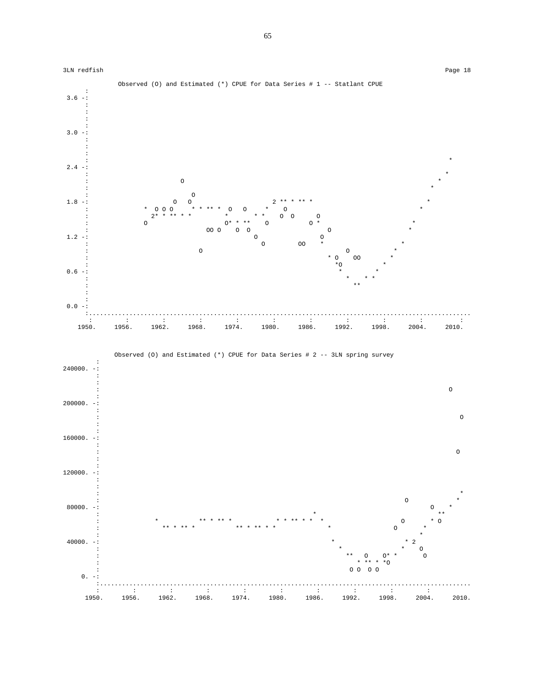

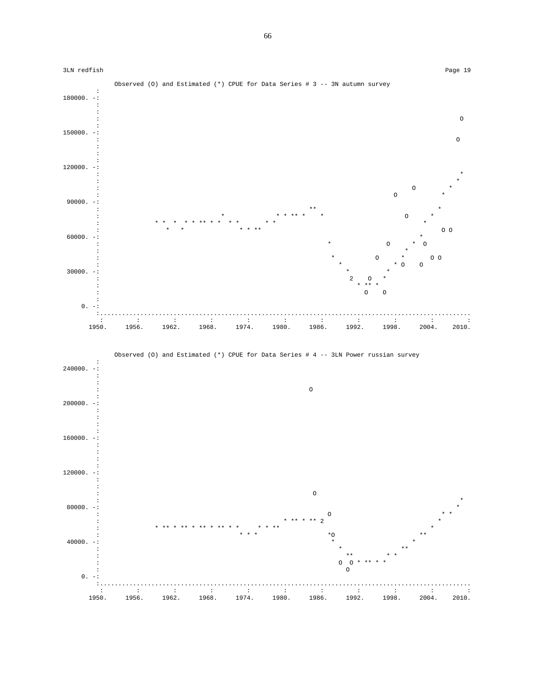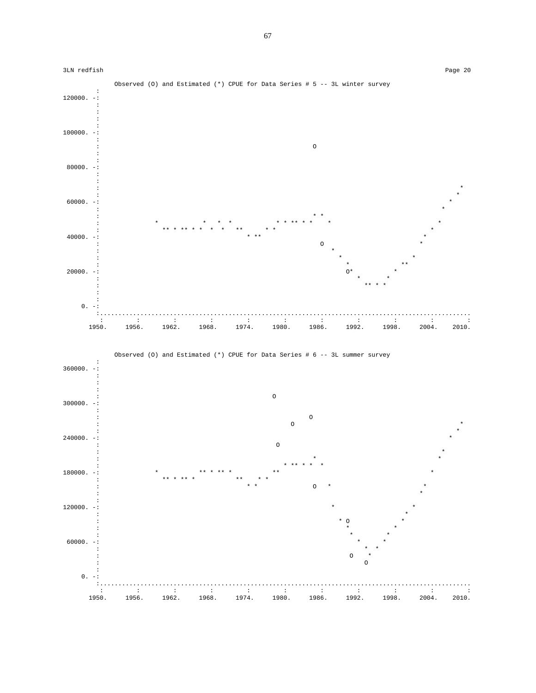



67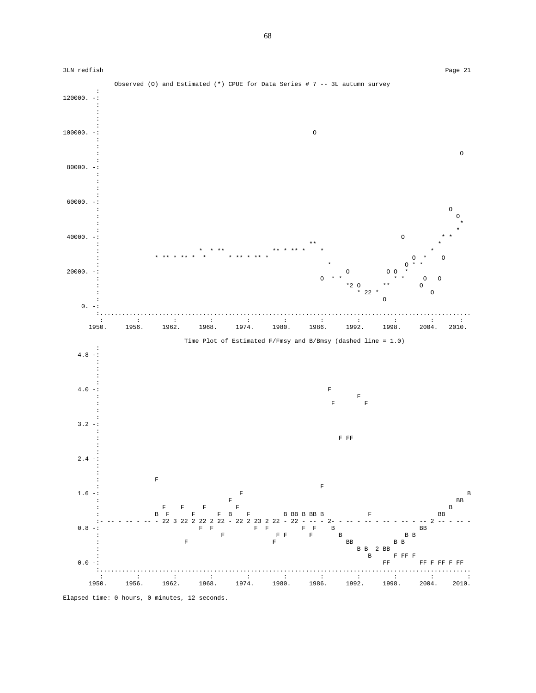

Elapsed time: 0 hours, 0 minutes, 12 seconds.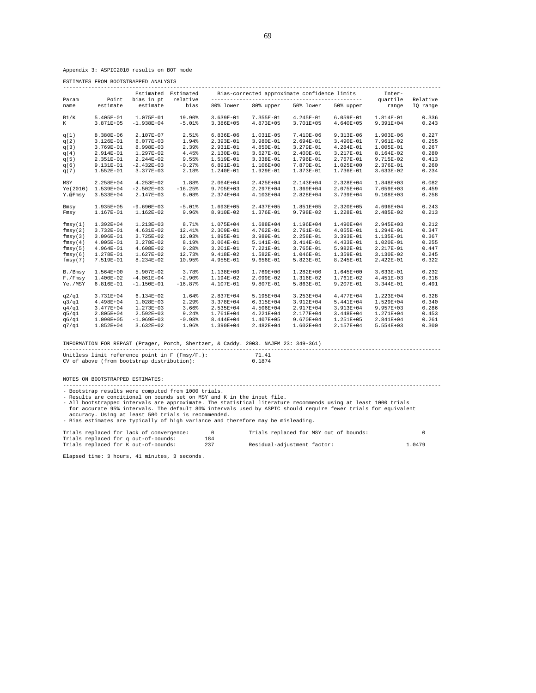Appendix 3: ASPIC2010 results on BOT mode

ESTIMATES FROM BOOTSTRAPPED ANALYSIS

|               |                   | Bias-corrected approximate confidence limits<br>Estimated Estimated |                  |               |             |               | Inter-      |                   |                      |
|---------------|-------------------|---------------------------------------------------------------------|------------------|---------------|-------------|---------------|-------------|-------------------|----------------------|
| Param<br>name | Point<br>estimate | bias in pt<br>estimate                                              | relative<br>bias | 80% lower     | 80% upper   | 50% lower     | 50% upper   | quartile<br>range | Relative<br>IQ range |
| B1/K          | 5.405E-01         | 1.075E-01                                                           | 19.90%           | 3.639E-01     | 7.355E-01   | 4.245E-01     | $6.059E-01$ | 1.814E-01         | 0.336                |
| K             | 3.871E+05         | $-1.938E + 04$                                                      | $-5.01%$         | 3.386E+05     | 4.873E+05   | 3.701E+05     | 4.640E+05   | 9.391E+04         | 0.243                |
| q(1)          | 8.380E-06         | 2.107E-07                                                           | 2.51%            | $6.836E - 06$ | 1.031E-05   | 7.410E-06     | 9.313E-06   | 1.903E-06         | 0.227                |
| q(2)          | 3.126E-01         | 6.077E-03                                                           | 1.94%            | 2.393E-01     | 3.980E-01   | 2.694E-01     | 3.490E-01   | 7.961E-02         | 0.255                |
| q(3)          | 3.769E-01         | 8.998E-03                                                           | 2.39%            | 2.931E-01     | 4.850E-01   | 3.279E-01     | 4.284E-01   | 1.005E-01         | 0.267                |
| q(4)          | 2.914E-01         | 1.297E-02                                                           | 4.45%            | 2.130E-01     | $3.627E-01$ | 2.400E-01     | 3.217E-01   | 8.164E-02         | 0.280                |
| q(5)          | 2.351E-01         | 2.244E-02                                                           | 9.55%            | 1.519E-01     | $3.338E-01$ | 1.796E-01     | 2.767E-01   | 9.715E-02         | 0.413                |
| q(6)          | 9.131E-01         | $-2.432E-03$                                                        | $-0.27%$         | 6.891E-01     | 1.106E+00   | 7.870E-01     | 1.025E+00   | 2.376E-01         | 0.260                |
| q(7)          | $1.552E-01$       | 3.377E-03                                                           | 2.18%            | 1.240E-01     | 1.929E-01   | 1.373E-01     | 1.736E-01   | $3.633E-02$       | 0.234                |
| MSY           | 2.258E+04         | 4.253E+02                                                           | 1.88%            | 2.064E+04     | 2.425E+04   | 2.143E+04     | 2.328E+04   | 1.848E+03         | 0.082                |
| Ye (2010)     | 1.539E+04         | $-2.502E+03$                                                        | $-16.25%$        | 9.705E+03     | 2.297E+04   | 1.369E+04     | 2.075E+04   | 7.059E+03         | 0.459                |
| Y.@Fmsy       | $3.533E+04$       | 2.147E+03                                                           | 6.08%            | 2.374E+04     | 4.103E+04   | 2.828E+04     | 3.739E+04   | 9.108E+03         | 0.258                |
| Bmsy          | 1.935E+05         | $-9.690E+03$                                                        | $-5.01%$         | 1.693E+05     | 2.437E+05   | 1.851E+05     | 2.320E+05   | 4.696E+04         | 0.243                |
| Fmsy          | 1.167E-01         | 1.162E-02                                                           | 9.96%            | 8.910E-02     | 1.376E-01   | 9.798E-02     | 1.228E-01   | 2.485E-02         | 0.213                |
| fmsy(1)       | $1.392E + 04$     | 1.213E+03                                                           | 8.71%            | 1.075E+04     | 1.688E+04   | 1.196E+04     | 1.490E+04   | 2.945E+03         | 0.212                |
| fmsy(2)       | 3.732E-01         | 4.631E-02                                                           | 12.41%           | 2.309E-01     | 4.762E-01   | 2.761E-01     | 4.055E-01   | 1.294E-01         | 0.347                |
| fmsy(3)       | 3.096E-01         | 3.725E-02                                                           | 12.03%           | 1.895E-01     | 3.989E-01   | 2.258E-01     | 3.393E-01   | 1.135E-01         | 0.367                |
| fmsy(4)       | 4.005E-01         | 3.278E-02                                                           | 8.19%            | 3.064E-01     | 5.141E-01   | 3.414E-01     | 4.433E-01   | 1.020E-01         | 0.255                |
| fmsy(5)       | 4.964E-01         | 4.608E-02                                                           | 9.28%            | 3.201E-01     | 7.221E-01   | 3.765E-01     | 5.982E-01   | 2.217E-01         | 0.447                |
| fmsy(6)       | 1.278E-01         | 1.627E-02                                                           | 12.73%           | 9.418E-02     | 1.582E-01   | 1.046E-01     | 1.359E-01   | 3.130E-02         | 0.245                |
| fmsy(7)       | 7.519E-01         | 8.234E-02                                                           | 10.95%           | 4.955E-01     | $9.656E-01$ | 5.823E-01     | 8.245E-01   | 2.422E-01         | 0.322                |
| B./Bmsy       | $1.564E+00$       | 5.907E-02                                                           | 3.78%            | 1.138E+00     | 1.769E+00   | 1.282E+00     | 1.645E+00   | 3.633E-01         | 0.232                |
| F./Fmsy       | 1.400E-02         | $-4.061E-04$                                                        | $-2.90%$         | 1.194E-02     | 2.099E-02   | 1.316E-02     | 1.761E-02   | 4.451E-03         | 0.318                |
| Ye./MSY       | $6.816E-01$       | $-1.150E-01$                                                        | $-16.87%$        | 4.107E-01     | 9.807E-01   | 5.863E-01     | 9.207E-01   | 3.344E-01         | 0.491                |
| q2/q1         | 3.731E+04         | 6.134E+02                                                           | 1.64%            | 2.837E+04     | 5.195E+04   | $3.253E+04$   | 4.477E+04   | 1.223E+04         | 0.328                |
| q3/q1         | 4.498E+04         | 1.028E+03                                                           | 2.29%            | 3.378E+04     | $6.315E+04$ | 3.912E+04     | 5.441E+04   | 1.529E+04         | 0.340                |
| q4/q1         | 3.477E+04         | 1.273E+03                                                           | 3.66%            | 2.535E+04     | 4.506E+04   | 2.917E+04     | 3.913E+04   | 9.957E+03         | 0.286                |
| q5/q1         | 2.805E+04         | 2.592E+03                                                           | 9.24%            | 1.761E+04     | 4.221E+04   | 2.177E+04     | 3.448E+04   | 1.271E+04         | 0.453                |
| q6/q1         | 1.090E+05         | $-1.069E + 03$                                                      | $-0.98%$         | 8.444E+04     | 1.407E+05   | 9.670E+04     | 1.251E+05   | 2.841E+04         | 0.261                |
| q7/q1         | $1.852E + 04$     | $3.632E + 02$                                                       | 1.96%            | 1.390E+04     | 2.482E+04   | $1.602E + 04$ | 2.157E+04   | 5.554E+03         | 0.300                |

INFORMATION FOR REPAST (Prager, Porch, Shertzer, & Caddy. 2003. NAJFM 23: 349-361)

| Unitless limit reference point in $F$ (Fmsy/F.):<br>CV of above (from bootstrap distribution):                                                                                                                                                                                                                                                                                                                                                                                                                | 71.41<br>0.1874                        |  |
|---------------------------------------------------------------------------------------------------------------------------------------------------------------------------------------------------------------------------------------------------------------------------------------------------------------------------------------------------------------------------------------------------------------------------------------------------------------------------------------------------------------|----------------------------------------|--|
| NOTES ON BOOTSTRAPPED ESTIMATES:                                                                                                                                                                                                                                                                                                                                                                                                                                                                              |                                        |  |
| - Bootstrap results were computed from 1000 trials.<br>- Results are conditional on bounds set on MSY and K in the input file.<br>- All bootstrapped intervals are approximate. The statistical literature recommends using at least 1000 trials<br>for accurate 95% intervals. The default 80% intervals used by ASPIC should require fewer trials for equivalent<br>accuracy. Using at least 500 trials is recommended.<br>- Bias estimates are typically of high variance and therefore may be misleading. |                                        |  |
| Trials replaced for lack of convergence:                                                                                                                                                                                                                                                                                                                                                                                                                                                                      | Trials replaced for MSY out of bounds: |  |

| Trials replaced for lack of convergence: |     | Trials replaced for MSY out of bounds: |        |
|------------------------------------------|-----|----------------------------------------|--------|
| Trials replaced for q out-of-bounds:     | 184 |                                        |        |
| Trials replaced for K out-of-bounds:     |     | Residual-adjustment factor:            | 1.0479 |

Elapsed time: 3 hours, 41 minutes, 3 seconds.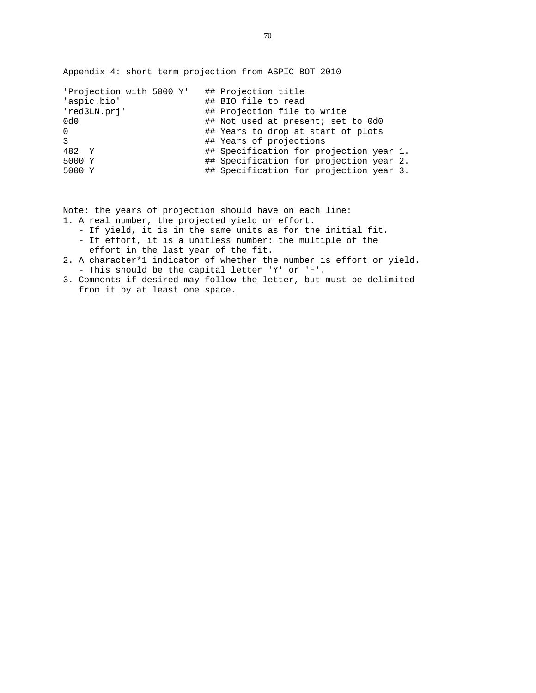Appendix 4: short term projection from ASPIC BOT 2010

| 'Projection with 5000 Y' | ## Projection title                     |
|--------------------------|-----------------------------------------|
| 'aspic.bio'              | ## BIO file to read                     |
| 'red3LN.prj'             | ## Projection file to write             |
| 0d0                      | ## Not used at present; set to 0d0      |
| $\Omega$                 | ## Years to drop at start of plots      |
| 3                        | ## Years of projections                 |
| 482 Y                    | ## Specification for projection year 1. |
| 5000 Y                   | ## Specification for projection year 2. |
| 5000 Y                   | ## Specification for projection year 3. |

Note: the years of projection should have on each line:

- 1. A real number, the projected yield or effort.
	- If yield, it is in the same units as for the initial fit.
	- If effort, it is a unitless number: the multiple of the
	- effort in the last year of the fit.
- 2. A character\*1 indicator of whether the number is effort or yield. - This should be the capital letter 'Y' or 'F'.
- 3. Comments if desired may follow the letter, but must be delimited from it by at least one space.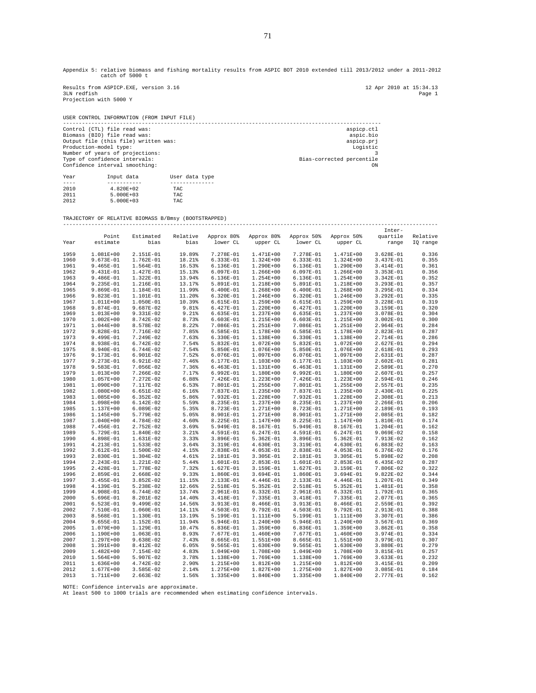Appendix 5: relative biomass and fishing mortality results from ASPIC BOT 2010 extended till 2013/2012 under a 2011-2012 catch of 5000 t

Results from ASPICP.EXE, version 3.16 12 Apr 2010 at 15:34.13<br>3LM redfish page 1 3LN redfish Page 1 Projection with 5000 Y

2011 1.02081.02<br>
2011 5.000E+03 TAC<br>
2012 5.000E+03 TAC  $5.000E+03$ 

USER CONTROL INFORMATION (FROM INPUT FILE) ----------------------------------------------------------------------------------------------------- Control (CTL) file read was:<br>
Biomass (BIO) file read was:<br>
Output file (this file) written was:<br>
Output file (this file) written was: Biomass (BIO) file read was: aspic.bio Output file (this file) written was: aspicp.prj Production-model type: Logistic Number of years of projections: 3 Type of confidence intervals: Bias-corrected percentile Type of confidence intervals:<br>
Confidence interval smoothing:<br>
Onfidence interval smoothing:<br>
ON Year Input data User data type ---- ----------- -------------- 2010 4.820E+02 TAC

TRAJECTORY OF RELATIVE BIOMASS B/Bmsy (BOOTSTRAPPED) -----------------------------------------------------------------------------------------------------------------------

|      |               |               |          |             |               |             |             | Inter-      |          |
|------|---------------|---------------|----------|-------------|---------------|-------------|-------------|-------------|----------|
|      | Point         | Estimated     | Relative | Approx 80%  | Approx 80%    | Approx 50%  | Approx 50%  | quartile    | Relative |
| Year | estimate      | bias          | bias     | lower CL    | upper CL      | lower CL    | upper CL    | range       | IO range |
|      |               |               |          |             |               |             |             |             |          |
| 1959 | 1.081E+00     | 2.151E-01     | 19.89%   | 7.278E-01   | 1.471E+00     | 7.278E-01   | 1.471E+00   | $3.628E-01$ | 0.336    |
| 1960 | 9.673E-01     | 1.762E-01     | 18.21%   | 6.333E-01   | $1.324E+00$   | $6.333E-01$ | 1.324E+00   | 3.437E-01   | 0.355    |
| 1961 | $9.465E-01$   | 1.564E-01     | 16.53%   | 6.136E-01   | $1.290E + 00$ | $6.136E-01$ | 1.290E+00   | 3.414E-01   | 0.361    |
| 1962 | 9.431E-01     | 1.427E-01     | 15.13%   | 6.097E-01   | 1.266E+00     | 6.097E-01   | 1.266E+00   | $3.353E-01$ | 0.356    |
|      |               |               |          |             |               |             |             |             |          |
| 1963 | $9.486E-01$   | 1.322E-01     | 13.94%   | 6.136E-01   | 1.254E+00     | 6.136E-01   | 1.254E+00   | 3.342E-01   | 0.352    |
| 1964 | 9.235E-01     | 1.216E-01     | 13.17%   | 5.891E-01   | 1.218E+00     | 5.891E-01   | 1.218E+00   | 3.293E-01   | 0.357    |
| 1965 | 9.869E-01     | 1.184E-01     | 11.99%   | $6.400E-01$ | 1.268E+00     | $6.400E-01$ | 1.268E+00   | $3.295E-01$ | 0.334    |
| 1966 | $9.823E-01$   | 1.101E-01     | 11.20%   | 6.320E-01   | 1.246E+00     | 6.320E-01   | 1.246E+00   | 3.292E-01   | 0.335    |
| 1967 | 1.011E+00     | 1.050E-01     | 10.39%   | 6.615E-01   | 1.259E+00     | $6.615E-01$ | 1.259E+00   | 3.228E-01   | 0.319    |
| 1968 | 9.874E-01     | $9.687E-02$   | 9.81%    | 6.427E-01   | $1.220E+00$   | 6.427E-01   | 1.220E+00   | 3.159E-01   | 0.320    |
| 1969 | 1.013E+00     | 9.331E-02     | 9.21%    | $6.635E-01$ | 1.237E+00     | $6.635E-01$ | 1.237E+00   | 3.078E-01   | 0.304    |
| 1970 | $1.002E + 00$ | 8.742E-02     | 8.73%    | $6.603E-01$ | 1.215E+00     | $6.603E-01$ | 1.215E+00   | $3.002E-01$ | 0.300    |
| 1971 | 1.044E+00     | 8.578E-02     | 8.22%    | 7.086E-01   | 1.251E+00     | 7.086E-01   | 1.251E+00   | 2.964E-01   | 0.284    |
| 1972 | 9.828E-01     | 7.716E-02     | 7.85%    | $6.585E-01$ | 1.178E+00     | $6.585E-01$ | 1.178E+00   | 2.823E-01   | 0.287    |
| 1973 | 9.499E-01     | 7.249E-02     | 7.63%    | $6.330E-01$ | 1.138E+00     | 6.330E-01   | 1.138E+00   | 2.714E-01   | 0.286    |
| 1974 | 8.938E-01     | $6.742E-02$   | 7.54%    | 5.832E-01   | 1.072E+00     | 5.832E-01   | 1.072E+00   | $2.627E-01$ | 0.294    |
|      |               |               |          |             |               |             |             |             |          |
| 1975 | 8.940E-01     | $6.744E-02$   | 7.54%    | 5.850E-01   | 1.076E+00     | 5.850E-01   | 1.076E+00   | 2.618E-01   | 0.293    |
| 1976 | 9.173E-01     | 6.901E-02     | 7.52%    | 6.076E-01   | 1.097E+00     | 6.076E-01   | 1.097E+00   | 2.631E-01   | 0.287    |
| 1977 | 9.273E-01     | $6.921E-02$   | 7.46%    | 6.177E-01   | $1.103E + 00$ | 6.177E-01   | 1.103E+00   | $2.602E-01$ | 0.281    |
| 1978 | 9.583E-01     | 7.056E-02     | 7.36%    | $6.463E-01$ | 1.131E+00     | $6.463E-01$ | 1.131E+00   | 2.589E-01   | 0.270    |
| 1979 | 1.013E+00     | 7.266E-02     | 7.17%    | $6.992E-01$ | 1.180E+00     | $6.992E-01$ | 1.180E+00   | 2.607E-01   | 0.257    |
| 1980 | 1.057E+00     | 7.272E-02     | 6.88%    | 7.426E-01   | 1.223E+00     | 7.426E-01   | 1.223E+00   | 2.594E-01   | 0.246    |
| 1981 | 1.090E+00     | 7.117E-02     | 6.53%    | 7.801E-01   | 1.255E+00     | 7.801E-01   | 1.255E+00   | 2.557E-01   | 0.235    |
| 1982 | 1.080E+00     | $6.651E-02$   | 6.16%    | 7.837E-01   | 1.235E+00     | 7.837E-01   | 1.235E+00   | 2.430E-01   | 0.225    |
| 1983 | 1.085E+00     | $6.352E-02$   | 5.86%    | 7.932E-01   | 1.228E+00     | 7.932E-01   | 1.228E+00   | 2.308E-01   | 0.213    |
| 1984 | 1.098E+00     | $6.142E-02$   | 5.59%    | 8.235E-01   | 1.237E+00     | 8.235E-01   | 1.237E+00   | 2.266E-01   | 0.206    |
| 1985 | 1.137E+00     | $6.089E-02$   | 5.35%    | 8.723E-01   | 1.271E+00     | 8.723E-01   | 1.271E+00   | 2.189E-01   | 0.193    |
|      | 1.145E+00     | 5.779E-02     | 5.05%    | 8.901E-01   | 1.271E+00     | 8.901E-01   | 1.271E+00   | 2.085E-01   | 0.182    |
| 1986 |               |               |          |             |               |             |             |             |          |
| 1987 | 1.040E+00     | 4.784E-02     | 4.60%    | 8.225E-01   | 1.147E+00     | 8.225E-01   | 1.147E+00   | 1.810E-01   | 0.174    |
| 1988 | 7.456E-01     | 2.752E-02     | 3.69%    | 5.949E-01   | 8.167E-01     | 5.949E-01   | 8.167E-01   | $1.204E-01$ | 0.162    |
| 1989 | 5.729E-01     | 1.840E-02     | 3.21%    | 4.591E-01   | $6.247E-01$   | 4.591E-01   | $6.247E-01$ | $9.069E-02$ | 0.158    |
| 1990 | 4.898E-01     | 1.631E-02     | 3.33%    | 3.896E-01   | $5.362E-01$   | 3.896E-01   | $5.362E-01$ | 7.913E-02   | 0.162    |
| 1991 | 4.213E-01     | 1.533E-02     | 3.64%    | 3.319E-01   | $4.630E-01$   | 3.319E-01   | 4.630E-01   | $6.883E-02$ | 0.163    |
| 1992 | 3.612E-01     | 1.500E-02     | 4.15%    | 2.838E-01   | $4.053E-01$   | 2.838E-01   | $4.053E-01$ | 6.376E-02   | 0.176    |
| 1993 | 2.830E-01     | 1.304E-02     | 4.61%    | 2.181E-01   | 3.305E-01     | 2.181E-01   | 3.305E-01   | 5.898E-02   | 0.208    |
| 1994 | 2.243E-01     | 1.221E-02     | 5.44%    | 1.601E-01   | 2.853E-01     | 1.601E-01   | 2.853E-01   | $6.435E-02$ | 0.287    |
| 1995 | 2.428E-01     | 1.778E-02     | 7.32%    | 1.627E-01   | 3.159E-01     | 1.627E-01   | 3.159E-01   | 7.806E-02   | 0.322    |
| 1996 | 2.859E-01     | 2.668E-02     | 9.33%    | 1.860E-01   | $3.694E-01$   | 1.860E-01   | 3.694E-01   | $9.822E-02$ | 0.344    |
| 1997 | 3.455E-01     | $3.852E-02$   | 11.15%   | 2.133E-01   | 4.446E-01     | 2.133E-01   | 4.446E-01   | 1.207E-01   | 0.349    |
| 1998 | 4.139E-01     | 5.238E-02     | 12.66%   | 2.518E-01   | $5.352E-01$   | 2.518E-01   | 5.352E-01   | 1.481E-01   | 0.358    |
|      |               |               |          |             |               |             |             |             |          |
| 1999 | 4.908E-01     | 6.744E-02     | 13.74%   | 2.961E-01   | $6.332E-01$   | 2.961E-01   | $6.332E-01$ | 1.792E-01   | 0.365    |
| 2000 | 5.696E-01     | 8.201E-02     | 14.40%   | 3.418E-01   | 7.335E-01     | 3.418E-01   | 7.335E-01   | 2.077E-01   | 0.365    |
| 2001 | $6.523E-01$   | 9.499E-02     | 14.56%   | 3.913E-01   | 8.466E-01     | 3.913E-01   | 8.466E-01   | 2.559E-01   | 0.392    |
| 2002 | 7.510E-01     | 1.060E-01     | 14.11%   | 4.503E-01   | 9.792E-01     | 4.503E-01   | 9.792E-01   | 2.913E-01   | 0.388    |
| 2003 | 8.568E-01     | 1.130E-01     | 13.19%   | 5.199E-01   | 1.111E+00     | 5.199E-01   | 1.111E+00   | 3.307E-01   | 0.386    |
| 2004 | 9.655E-01     | 1.152E-01     | 11.94%   | 5.946E-01   | 1.240E+00     | 5.946E-01   | 1.240E+00   | 3.567E-01   | 0.369    |
| 2005 | 1.079E+00     | 1.129E-01     | 10.47%   | 6.836E-01   | 1.359E+00     | 6.836E-01   | 1.359E+00   | $3.862E-01$ | 0.358    |
| 2006 | 1.190E+00     | 1.063E-01     | 8.93%    | 7.677E-01   | $1.460E+00$   | 7.677E-01   | 1.460E+00   | 3.974E-01   | 0.334    |
| 2007 | 1.297E+00     | $9.638E - 02$ | 7.43%    | 8.665E-01   | $1.551E+00$   | 8.665E-01   | 1.551E+00   | 3.979E-01   | 0.307    |
| 2008 | 1.391E+00     | 8.412E-02     | 6.05%    | 9.565E-01   | $1.630E+00$   | 9.565E-01   | $1.630E+00$ | 3.880E-01   | 0.279    |
| 2009 | 1.482E+00     | 7.154E-02     | 4.83%    | 1.049E+00   | 1.708E+00     | 1.049E+00   | 1.708E+00   | 3.815E-01   | 0.257    |
|      |               |               |          |             |               |             |             |             | 0.232    |
| 2010 | $1.564E+00$   | 5.907E-02     | 3.78%    | 1.138E+00   | 1.769E+00     | 1.138E+00   | 1.769E+00   | $3.633E-01$ |          |
| 2011 | 1.636E+00     | 4.742E-02     | 2.90%    | 1.215E+00   | 1.812E+00     | 1.215E+00   | 1.812E+00   | 3.415E-01   | 0.209    |
| 2012 | 1.677E+00     | $3.585E-02$   | 2.14%    | 1.275E+00   | $1.827E + 00$ | 1.275E+00   | 1.827E+00   | 3.085E-01   | 0.184    |
| 2013 | 1.711E+00     | $2.663E-02$   | 1.56%    | 1.335E+00   | $1.840E+00$   | 1.335E+00   | 1.840E+00   | 2.777E-01   | 0.162    |

NOTE: Confidence intervals are approximate. At least 500 to 1000 trials are recommended when estimating confidence intervals.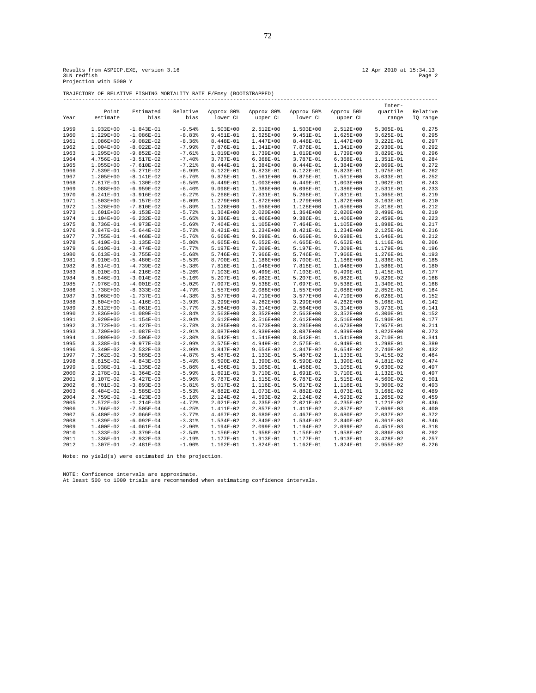TRAJECTORY OF RELATIVE FISHING MORTALITY RATE F/Fmsy (BOOTSTRAPPED)

|              |               |              |             |               |               |             |               | Inter-        |          |
|--------------|---------------|--------------|-------------|---------------|---------------|-------------|---------------|---------------|----------|
|              | Point         | Estimated    | Relative    | Approx 80%    | Approx 80%    | Approx 50%  | Approx 50%    | quartile      | Relative |
| Year         | estimate      | bias         | bias        | lower CL      | upper CL      | lower CL    | upper CL      | range         | IQ range |
|              |               |              |             |               |               |             |               |               |          |
| 1959         | $1.932E + 00$ | $-1.843E-01$ | $-9.54%$    | $1.503E+00$   | $2.512E+00$   | $1.503E+00$ | 2.512E+00     | 5.305E-01     | 0.275    |
| 1960         | 1.229E+00     | $-1.086E-01$ | $-8.83%$    | 9.451E-01     | 1.625E+00     | 9.451E-01   | $1.625E + 00$ | $3.625E-01$   | 0.295    |
| 1961         | 1.086E+00     | $-9.082E-02$ | $-8.36%$    | 8.448E-01     | $1.447E+00$   | 8.448E-01   | 1.447E+00     | 3.222E-01     | 0.297    |
| 1962         | $1.004E + 00$ | $-8.022E-02$ | $-7.99%$    | 7.876E-01     | 1.341E+00     | 7.876E-01   | 1.341E+00     | 2.930E-01     | 0.292    |
| 1963         | 1.295E+00     | $-9.852E-02$ | $-7.61%$    | 1.019E+00     | 1.739E+00     | 1.019E+00   | 1.739E+00     | 3.829E-01     | 0.296    |
| 1964         | 4.756E-01     | $-3.517E-02$ | $-7.40%$    | 3.787E-01     | $6.368E-01$   | 3.787E-01   | $6.368E-01$   | 1.351E-01     | 0.284    |
| 1965         | $1.055E+00$   | $-7.610E-02$ | $-7.21$ $%$ | 8.444E-01     | 1.384E+00     | 8.444E-01   | 1.384E+00     | 2.869E-01     | 0.272    |
| 1966         | 7.539E-01     | $-5.271E-02$ | $-6.99%$    | 6.122E-01     | 9.823E-01     | 6.122E-01   | 9.823E-01     | 1.975E-01     | 0.262    |
| 1967         | 1.205E+00     | $-8.141E-02$ | $-6.76%$    | 9.875E-01     | 1.561E+00     | 9.875E-01   | 1.561E+00     | 3.033E-01     | 0.252    |
| 1968         | 7.817E-01     | $-5.130E-02$ | $-6.56%$    | 6.449E-01     | $1.003E+00$   | 6.449E-01   | $1.003E + 00$ | 1.902E-01     | 0.243    |
| 1969         | 1.088E+00     | $-6.959E-02$ | $-6.40%$    | 9.098E-01     | 1.386E+00     | 9.098E-01   | 1.386E+00     | 2.531E-01     | 0.233    |
| 1970         |               | $-3.916E-02$ | $-6.27%$    | 5.268E-01     | 7.831E-01     | 5.268E-01   | 7.831E-01     | 1.365E-01     | 0.219    |
| 1971         | 6.241E-01     | $-9.157E-02$ | $-6.09%$    | 1.279E+00     | 1.872E+00     | 1.279E+00   | 1.872E+00     | $3.163E-01$   | 0.210    |
|              | 1.503E+00     |              |             |               |               |             |               |               |          |
| 1972<br>1973 | 1.326E+00     | $-7.810E-02$ | $-5.89%$    | 1.128E+00     | 1.656E+00     | 1.128E+00   | 1.656E+00     | 2.818E-01     | 0.212    |
|              | 1.601E+00     | $-9.153E-02$ | $-5.72$     | $1.364E+00$   | $2.020E+00$   | $1.364E+00$ | 2.020E+00     | 3.499E-01     | 0.219    |
| 1974         | 1.104E+00     | $-6.232E-02$ | $-5.65%$    | 9.386E-01     | 1.406E+00     | 9.386E-01   | 1.406E+00     | 2.459E-01     | 0.223    |
| 1975         | 8.736E-01     | $-4.973E-02$ | $-5.69%$    | 7.464E-01     | 1.105E+00     | 7.464E-01   | 1.105E+00     | 1.898E-01     | 0.217    |
| 1976         | 9.847E-01     | $-5.644E-02$ | $-5.73%$    | 8.421E-01     | 1.234E+00     | 8.421E-01   | 1.234E+00     | 2.125E-01     | 0.216    |
| 1977         | 7.755E-01     | $-4.468E-02$ | $-5.76%$    | 6.669E-01     | 9.698E-01     | 6.669E-01   | 9.698E-01     | 1.646E-01     | 0.212    |
| 1978         | 5.410E-01     | $-3.135E-02$ | $-5.80%$    | 4.665E-01     | $6.652E-01$   | 4.665E-01   | $6.652E-01$   | 1.116E-01     | 0.206    |
| 1979         | 6.019E-01     | $-3.474E-02$ | $-5.77%$    | 5.197E-01     | 7.309E-01     | 5.197E-01   | 7.309E-01     | 1.179E-01     | 0.196    |
| 1980         | 6.613E-01     | $-3.755E-02$ | $-5.68%$    | 5.746E-01     | 7.966E-01     | 5.746E-01   | 7.966E-01     | 1.276E-01     | 0.193    |
| 1981         | 9.910E-01     | $-5.480E-02$ | $-5.53%$    | 8.700E-01     | 1.186E+00     | 8.700E-01   | 1.186E+00     | 1.836E-01     | 0.185    |
| 1982         | 8.814E-01     | $-4.739E-02$ | $-5.38%$    | 7.818E-01     | 1.048E+00     | 7.818E-01   | 1.048E+00     | 1.586E-01     | 0.180    |
| 1983         | 8.010E-01     | $-4.216E-02$ | $-5.26%$    | 7.103E-01     | 9.499E-01     | 7.103E-01   | 9.499E-01     | 1.415E-01     | 0.177    |
| 1984         | 5.846E-01     | $-3.014E-02$ | $-5.16%$    | 5.207E-01     | $6.982E-01$   | 5.207E-01   | 6.982E-01     | $9.829E-02$   | 0.168    |
| 1985         | 7.976E-01     | $-4.001E-02$ | $-5.02%$    | 7.097E-01     | 9.538E-01     | 7.097E-01   | 9.538E-01     | 1.340E-01     | 0.168    |
| 1986         | 1.738E+00     | $-8.333E-02$ | $-4.79%$    | $1.557E+00$   | $2.088E+00$   | $1.557E+00$ | 2.088E+00     | $2.852E-01$   | 0.164    |
| 1987         | $3.968E + 00$ | $-1.737E-01$ | $-4.38%$    | $3.577E + 00$ | 4.719E+00     | 3.577E+00   | 4.719E+00     | $6.028E-01$   | 0.152    |
| 1988         | $3.604E + 00$ | $-1.416E-01$ | $-3.93%$    | $3.299E + 00$ | $4.262E + 00$ | 3.299E+00   | $4.262E + 00$ | 5.108E-01     | 0.142    |
| 1989         | 2.812E+00     | $-1.061E-01$ | $-3.77%$    | $2.564E+00$   | $3.314E+00$   | 2.564E+00   | $3.314E+00$   | 3.973E-01     | 0.141    |
| 1990         | 2.836E+00     | $-1.089E-01$ | $-3.84%$    | $2.563E+00$   | $3.352E+00$   | $2.563E+00$ | $3.352E+00$   | 4.300E-01     | 0.152    |
| 1991         | 2.929E+00     | $-1.154E-01$ | $-3.94%$    | $2.612E+00$   | $3.516E+00$   | 2.612E+00   | 3.516E+00     | 5.190E-01     | 0.177    |
| 1992         | 3.772E+00     | $-1.427E-01$ | $-3.78%$    | $3.285E + 00$ | 4.673E+00     | 3.285E+00   | 4.673E+00     | 7.957E-01     | 0.211    |
| 1993         | 3.739E+00     | $-1.087E-01$ | $-2.91$     | $3.087E + 00$ | 4.939E+00     | 3.087E+00   | 4.939E+00     | $1.022E + 00$ | 0.273    |
| 1994         | 1.089E+00     | $-2.506E-02$ | $-2.30%$    | 8.542E-01     | 1.541E+00     | 8.542E-01   | 1.541E+00     | 3.710E-01     | 0.341    |
| 1995         | 3.338E-01     | $-9.977E-03$ | $-2.99%$    | 2.575E-01     | 4.949E-01     | 2.575E-01   | 4.949E-01     | 1.298E-01     | 0.389    |
| 1996         | 6.340E-02     | $-2.532E-03$ | $-3.99%$    | 4.847E-02     | $9.654E-02$   | 4.847E-02   | 9.654E-02     | 2.740E-02     | 0.432    |
| 1997         | 7.362E-02     | $-3.585E-03$ | $-4.87%$    | 5.487E-02     | 1.133E-01     | 5.487E-02   | 1.133E-01     | 3.415E-02     | 0.464    |
| 1998         | 8.815E-02     | $-4.843E-03$ | $-5.49%$    | 6.590E-02     | 1.390E-01     | 6.590E-02   | 1.390E-01     | 4.181E-02     | 0.474    |
| 1999         | 1.938E-01     | $-1.135E-02$ | $-5.86%$    | 1.456E-01     | 3.105E-01     | 1.456E-01   | 3.105E-01     | $9.630E-02$   | 0.497    |
| 2000         | 2.278E-01     | $-1.364E-02$ | $-5.99%$    | 1.691E-01     | 3.710E-01     | 1.691E-01   | 3.710E-01     | 1.132E-01     | 0.497    |
| 2001         | 9.107E-02     | $-5.427E-03$ | $-5.96%$    | 6.787E-02     | 1.515E-01     | 6.787E-02   | 1.515E-01     | 4.560E-02     | 0.501    |
| 2002         | 6.701E-02     | $-3.893E-03$ | $-5.81%$    | 5.017E-02     | 1.116E-01     | 5.017E-02   | 1.116E-01     | $3.300E-02$   | 0.493    |
| 2003         | 6.484E-02     | $-3.585E-03$ | $-5.53%$    | 4.882E-02     | 1.073E-01     | 4.882E-02   | 1.073E-01     | 3.168E-02     | 0.489    |
| 2004         | 2.759E-02     | $-1.423E-03$ | $-5.16%$    | 2.124E-02     | 4.593E-02     | 2.124E-02   | 4.593E-02     | $1.265E-02$   | 0.459    |
| 2005         | 2.572E-02     | $-1.214E-03$ | $-4.72$ $%$ | 2.021E-02     | 4.235E-02     | 2.021E-02   | 4.235E-02     | 1.121E-02     | 0.436    |
| 2006         | 1.766E-02     | $-7.505E-04$ | $-4.25%$    | 1.411E-02     | 2.857E-02     | 1.411E-02   | 2.857E-02     | 7.069E-03     | 0.400    |
| 2007         | 5.480E-02     | $-2.066E-03$ | $-3.77%$    | 4.467E-02     | 8.680E-02     | 4.467E-02   | 8.680E-02     | 2.037E-02     | 0.372    |
| 2008         | 1.839E-02     | $-6.092E-04$ | $-3.31%$    | 1.534E-02     | 2.840E-02     | 1.534E-02   | 2.840E-02     | $6.361E-03$   | 0.346    |
| 2009         | 1.400E-02     | $-4.061E-04$ | $-2.90%$    | 1.194E-02     | 2.099E-02     | 1.194E-02   | 2.099E-02     | 4.451E-03     | 0.318    |
| 2010         | 1.333E-02     | $-3.379E-04$ | $-2.54%$    | 1.156E-02     | 1.958E-02     | 1.156E-02   | 1.958E-02     | $3.886E-03$   | 0.292    |
| 2011         | 1.336E-01     | $-2.932E-03$ | $-2.19%$    | 1.177E-01     | 1.913E-01     | 1.177E-01   | 1.913E-01     | $3.428E-02$   | 0.257    |
| 2012         | 1.307E-01     | $-2.481E-03$ | $-1.90%$    | 1.162E-01     | 1.824E-01     | 1.162E-01   | 1.824E-01     | 2.955E-02     | 0.226    |

Note: no yield(s) were estimated in the projection.

NOTE: Confidence intervals are approximate. At least 500 to 1000 trials are recommended when estimating confidence intervals.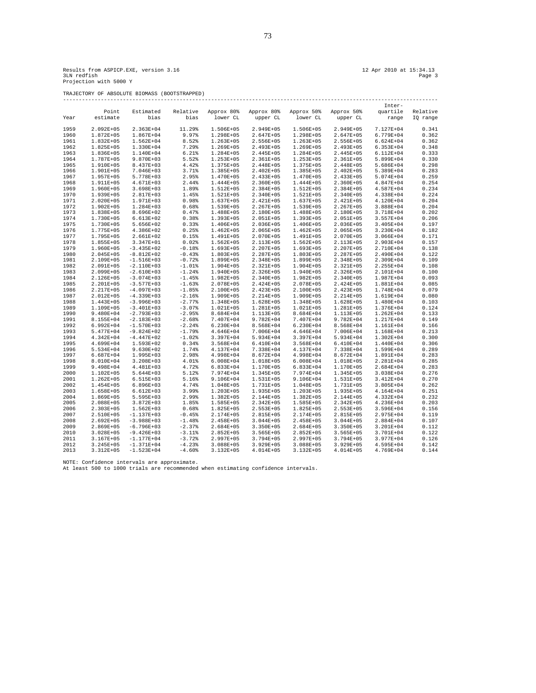Results from ASPICP.EXE, version 3.16 12 Apr 2010 at 15:34.13 Page 3 Apr 2010 at 15:34.13<br>3LN redfish Page 3 Apr 2010 at 15:34.13 Page 3<br>Projection with 5000 Y

TRAJECTORY OF ABSOLUTE BIOMASS (BOOTSTRAPPED)

|      |               |               |             |               |               |               |               | Inter-        |          |
|------|---------------|---------------|-------------|---------------|---------------|---------------|---------------|---------------|----------|
|      | Point         | Estimated     | Relative    | Approx 80%    | Approx 80%    | Approx 50%    | Approx 50%    | quartile      | Relative |
| Year | estimate      | bias          | bias        | lower CL      | upper CL      | lower CL      | upper CL      | range         | IQ range |
|      |               |               |             |               |               |               |               |               |          |
| 1959 | 2.092E+05     | 2.363E+04     | 11.29%      | 1.506E+05     | 2.949E+05     | 1.506E+05     | 2.949E+05     | 7.127E+04     | 0.341    |
| 1960 | 1.872E+05     | $1.867E + 04$ | 9.97%       | 1.298E+05     | $2.647E + 05$ | 1.298E+05     | 2.647E+05     | 6.779E+04     | 0.362    |
| 1961 | 1.832E+05     | $1.562E + 04$ | 8.52%       | $1.263E + 05$ | 2.556E+05     | 1.263E+05     | 2.556E+05     | $6.624E + 04$ | 0.362    |
| 1962 | 1.825E+05     | 1.330E+04     | 7.29%       | 1.269E+05     | 2.493E+05     | 1.269E+05     | 2.493E+05     | $6.353E+04$   | 0.348    |
| 1963 | 1.836E+05     | 1.140E+04     | 6.21%       | 1.284E+05     | 2.445E+05     | 1.284E+05     | 2.445E+05     | $6.112E + 04$ | 0.333    |
| 1964 | 1.787E+05     | 9.870E+03     | 5.52%       | 1.253E+05     | 2.361E+05     | 1.253E+05     | 2.361E+05     | 5.899E+04     | 0.330    |
| 1965 | 1.910E+05     | 8.437E+03     | 4.42%       | 1.375E+05     | 2.448E+05     | 1.375E+05     | 2.448E+05     | $5.686E+04$   | 0.298    |
| 1966 | 1.901E+05     | $7.046E + 03$ | 3.71%       | 1.385E+05     | $2.402E + 05$ | 1.385E+05     | 2.402E+05     | 5.389E+04     | 0.283    |
| 1967 | 1.957E+05     | 5.778E+03     | 2.95%       | 1.470E+05     | $2.433E+05$   | 1.470E+05     | 2.433E+05     | 5.074E+04     | 0.259    |
| 1968 | 1.911E+05     | 4.671E+03     | 2.44%       | 1.444E+05     | 2.360E+05     | 1.444E+05     | 2.360E+05     | 4.847E+04     | 0.254    |
| 1969 | 1.960E+05     | $3.698E + 03$ | 1.89%       | 1.512E+05     | 2.384E+05     | 1.512E+05     | 2.384E+05     | 4.587E+04     | 0.234    |
| 1970 | 1.939E+05     | 2.817E+03     | 1.45%       | 1.521E+05     | 2.340E+05     | 1.521E+05     | 2.340E+05     | 4.338E+04     | 0.224    |
| 1971 | $2.020E + 05$ | 1.971E+03     | 0.98%       | 1.637E+05     | 2.421E+05     | $1.637E + 05$ | 2.421E+05     | 4.120E+04     | 0.204    |
| 1972 | $1.902E + 05$ | $1.284E+03$   | 0.68%       | 1.539E+05     | $2.267E + 05$ | 1.539E+05     | 2.267E+05     | $3.888E + 04$ | 0.204    |
| 1973 | 1.838E+05     | 8.696E+02     | 0.47%       | 1.488E+05     | 2.180E+05     | 1.488E+05     | 2.180E+05     | 3.718E+04     | 0.202    |
| 1974 | 1.730E+05     | $6.613E+02$   | 0.38%       | 1.393E+05     | 2.051E+05     | 1.393E+05     | 2.051E+05     | $3.557E + 04$ | 0.206    |
|      |               |               |             |               |               |               |               |               |          |
| 1975 | 1.730E+05     | 5.656E+02     | 0.33%       | 1.406E+05     | 2.036E+05     | 1.406E+05     | 2.036E+05     | 3.405E+04     | 0.197    |
| 1976 | 1.775E+05     | 4.386E+02     | 0.25%       | $1.462E + 05$ | 2.065E+05     | $1.462E + 05$ | 2.065E+05     | 3.230E+04     | 0.182    |
| 1977 | 1.795E+05     | 2.661E+02     | 0.15%       | 1.491E+05     | 2.070E+05     | 1.491E+05     | 2.070E+05     | $3.066E + 04$ | 0.171    |
| 1978 | 1.855E+05     | 3.347E+01     | 0.02%       | 1.562E+05     | 2.113E+05     | $1.562E + 05$ | 2.113E+05     | 2.903E+04     | 0.157    |
| 1979 | 1.960E+05     | $-3.435E+02$  | $-0.18%$    | 1.693E+05     | 2.207E+05     | 1.693E+05     | 2.207E+05     | 2.710E+04     | 0.138    |
| 1980 | $2.045E + 05$ | $-8.812E+02$  | $-0.43%$    | $1.803E + 05$ | $2.287E + 05$ | 1.803E+05     | 2.287E+05     | 2.490E+04     | 0.122    |
| 1981 | 2.109E+05     | $-1.516E+03$  | $-0.72%$    | 1.899E+05     | 2.348E+05     | 1.899E+05     | 2.348E+05     | 2.309E+04     | 0.109    |
| 1982 | 2.091E+05     | $-2.110E+03$  | $-1.01%$    | 1.904E+05     | 2.321E+05     | 1.904E+05     | 2.321E+05     | 2.255E+04     | 0.108    |
| 1983 | 2.099E+05     | $-2.610E+03$  | $-1.24%$    | 1.940E+05     | 2.326E+05     | 1.940E+05     | 2.326E+05     | 2.101E+04     | 0.100    |
| 1984 | 2.126E+05     | $-3.074E+03$  | $-1.45%$    | 1.982E+05     | 2.340E+05     | 1.982E+05     | 2.340E+05     | 1.987E+04     | 0.093    |
| 1985 | 2.201E+05     | $-3.577E+03$  | $-1.63%$    | 2.078E+05     | 2.424E+05     | 2.078E+05     | 2.424E+05     | 1.881E+04     | 0.085    |
| 1986 | 2.217E+05     | $-4.097E+03$  | $-1.85%$    | 2.100E+05     | 2.423E+05     | 2.100E+05     | 2.423E+05     | 1.748E+04     | 0.079    |
| 1987 | 2.012E+05     | $-4.339E+03$  | $-2.16%$    | 1.909E+05     | 2.214E+05     | 1.909E+05     | 2.214E+05     | 1.619E+04     | 0.080    |
| 1988 | 1.443E+05     | $-3.996E+03$  | $-2.77%$    | 1.348E+05     | 1.628E+05     | 1.348E+05     | 1.628E+05     | 1.480E+04     | 0.103    |
| 1989 | 1.109E+05     | $-3.401E+03$  | $-3.07%$    | 1.021E+05     | 1.281E+05     | 1.021E+05     | 1.281E+05     | 1.376E+04     | 0.124    |
| 1990 | 9.480E+04     | $-2.793E+03$  | $-2.95%$    | 8.684E+04     | 1.113E+05     | 8.684E+04     | 1.113E+05     | $1.262E + 04$ | 0.133    |
| 1991 | 8.155E+04     | $-2.183E+03$  | $-2.68%$    | 7.407E+04     | $9.782E + 04$ | 7.407E+04     | 9.782E+04     | 1.217E+04     | 0.149    |
| 1992 | $6.992E + 04$ | $-1.570E+03$  | $-2.24%$    | $6.230E + 04$ | 8.568E+04     | $6.230E+04$   | 8.568E+04     | 1.161E+04     | 0.166    |
| 1993 | 5.477E+04     | $-9.824E+02$  | $-1.79%$    | 4.646E+04     | 7.006E+04     | 4.646E+04     | 7.006E+04     | 1.168E+04     | 0.213    |
| 1994 | 4.342E+04     | $-4.447E+02$  | $-1.02%$    | 3.397E+04     | 5.934E+04     | 3.397E+04     | 5.934E+04     | $1.302E + 04$ | 0.300    |
| 1995 | 4.699E+04     | 1.593E+02     | 0.34%       | 3.568E+04     | $6.410E+04$   | 3.568E+04     | 6.410E+04     | 1.440E+04     | 0.306    |
| 1996 | 5.534E+04     | $9.630E + 02$ | 1.74%       | 4.137E+04     | 7.338E+04     | 4.137E+04     | 7.338E+04     | 1.599E+04     | 0.289    |
| 1997 | $6.687E + 04$ | 1.995E+03     | 2.98%       | 4.998E+04     | 8.672E+04     | 4.998E+04     | 8.672E+04     | 1.891E+04     | 0.283    |
| 1998 | 8.010E+04     | $3.208E + 03$ | 4.01%       | $6.008E + 04$ | 1.018E+05     | $6.008E + 04$ | 1.018E+05     | 2.281E+04     | 0.285    |
| 1999 | 9.498E+04     | $4.481E+03$   | 4.72%       | $6.833E+04$   | 1.170E+05     | 6.833E+04     | 1.170E+05     | 2.684E+04     | 0.283    |
| 2000 | 1.102E+05     | $5.644E+03$   | 5.12%       | 7.974E+04     | $1.345E + 05$ | 7.974E+04     | 1.345E+05     | $3.038E + 04$ | 0.276    |
| 2001 | $1.262E + 05$ | $6.515E+03$   | 5.16%       | 9.106E+04     | 1.531E+05     | 9.106E+04     | 1.531E+05     | $3.412E + 04$ | 0.270    |
| 2002 | 1.454E+05     | $6.896E+03$   | 4.74%       | 1.048E+05     | 1.731E+05     | 1.048E+05     | 1.731E+05     | $3.805E + 04$ | 0.262    |
| 2003 | 1.658E+05     | $6.612E+03$   | 3.99%       | 1.203E+05     | 1.935E+05     | 1.203E+05     | 1.935E+05     | 4.164E+04     | 0.251    |
| 2004 | 1.869E+05     | $5.595E+03$   | 2.99%       | $1.382E + 05$ | 2.144E+05     | $1.382E + 05$ | 2.144E+05     | 4.332E+04     | 0.232    |
| 2005 | 2.088E+05     | $3.872E + 03$ | 1.85%       | 1.585E+05     | 2.342E+05     | 1.585E+05     | 2.342E+05     | 4.236E+04     | 0.203    |
| 2006 | $2.303E + 05$ | $1.562E+03$   | 0.68%       | 1.825E+05     | $2.553E+05$   | 1.825E+05     | 2.553E+05     | $3.596E + 04$ | 0.156    |
| 2007 | 2.510E+05     | $-1.137E+03$  | $-0.45%$    | 2.174E+05     | 2.815E+05     | 2.174E+05     | 2.815E+05     | 2.975E+04     | 0.119    |
| 2008 | $2.692E + 05$ | $-3.988E+03$  | $-1.48%$    | 2.458E+05     | $3.044E + 05$ | 2.458E+05     | $3.044E + 05$ | 2.884E+04     | 0.107    |
| 2009 | 2.869E+05     | $-6.796E+03$  | $-2.37%$    | 2.684E+05     | $3.350E + 05$ | 2.684E+05     | $3.350E + 05$ | $3.201E + 04$ | 0.112    |
| 2010 | $3.028E + 05$ | $-9.426E+03$  | $-3.11$ $%$ | $2.852E + 05$ | $3.565E + 05$ | 2.852E+05     | $3.565E + 05$ | 3.701E+04     | 0.122    |
| 2011 | $3.167E + 05$ | $-1.177E+04$  | $-3.72%$    | 2.997E+05     | $3.794E + 05$ | 2.997E+05     | 3.794E+05     | 3.977E+04     | 0.126    |
| 2012 | $3.245E + 05$ | $-1.371E+04$  | $-4.23%$    | $3.088E + 05$ | 3.929E+05     | $3.088E + 05$ | 3.929E+05     | 4.595E+04     | 0.142    |
| 2013 | $3.312E + 05$ | $-1.523E+04$  | $-4.60%$    | 3.132E+05     | $4.014E + 05$ | $3.132E + 05$ | 4.014E+05     | 4.769E+04     | 0.144    |

NOTE: Confidence intervals are approximate. At least 500 to 1000 trials are recommended when estimating confidence intervals.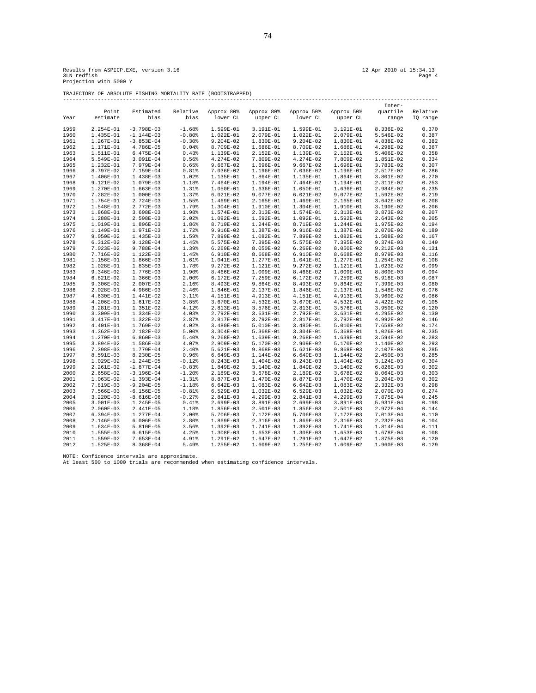TRAJECTORY OF ABSOLUTE FISHING MORTALITY RATE (BOOTSTRAPPED)

|      |             |               |          |             |             |             |             | Inter-      |          |
|------|-------------|---------------|----------|-------------|-------------|-------------|-------------|-------------|----------|
|      | Point       | Estimated     | Relative | Approx 80%  | Approx 80%  | Approx 50%  | Approx 50%  | quartile    | Relative |
| Year | estimate    | bias          | bias     | lower CL    | upper CL    | lower CL    | upper CL    | range       | IQ range |
|      |             |               |          |             |             |             |             |             |          |
| 1959 | 2.254E-01   | $-3.798E-03$  | $-1.68%$ | 1.599E-01   | 3.191E-01   | 1.599E-01   | 3.191E-01   | 8.336E-02   | 0.370    |
| 1960 | 1.435E-01   | $-1.144E-03$  | $-0.80%$ | 1.022E-01   | 2.079E-01   | 1.022E-01   | 2.079E-01   | 5.546E-02   | 0.387    |
| 1961 | 1.267E-01   | $-3.853E-04$  | $-0.30%$ | $9.204E-02$ | 1.830E-01   | $9.204E-02$ | 1.830E-01   | 4.838E-02   | 0.382    |
| 1962 | 1.171E-01   | $4.786E-05$   | 0.04%    | 8.709E-02   | 1.686E-01   | 8.709E-02   | 1.686E-01   | 4.298E-02   | 0.367    |
| 1963 | 1.511E-01   | $6.475E-04$   | 0.43%    | 1.139E-01   | 2.152E-01   | 1.139E-01   | 2.152E-01   | 5.406E-02   | 0.358    |
| 1964 | 5.549E-02   | 3.091E-04     | 0.56%    | 4.274E-02   | 7.809E-02   | 4.274E-02   | 7.809E-02   | 1.851E-02   | 0.334    |
| 1965 | 1.232E-01   | 7.979E-04     | 0.65%    | $9.667E-02$ | 1.696E-01   | $9.667E-02$ | 1.696E-01   | 3.783E-02   | 0.307    |
| 1966 | 8.797E-02   | 7.159E-04     | 0.81%    | 7.036E-02   | 1.196E-01   | 7.036E-02   | 1.196E-01   | 2.517E-02   | 0.286    |
| 1967 | 1.406E-01   | 1.438E-03     | 1.02%    | 1.135E-01   | 1.864E-01   | 1.135E-01   | 1.864E-01   | $3.801E-02$ | 0.270    |
| 1968 | 9.121E-02   | 1.079E-03     | 1.18%    | 7.464E-02   | 1.194E-01   | 7.464E-02   | 1.194E-01   | 2.311E-02   | 0.253    |
| 1969 | 1.270E-01   | $1.663E-03$   | 1.31%    | 1.050E-01   | 1.636E-01   | 1.050E-01   | 1.636E-01   | 2.984E-02   | 0.235    |
| 1970 | 7.282E-02   | $1.000E-03$   | 1.37%    | 6.021E-02   | $9.077E-02$ | $6.021E-02$ | 9.077E-02   | 1.592E-02   | 0.219    |
| 1971 | 1.754E-01   | 2.724E-03     | 1.55%    | 1.469E-01   | 2.165E-01   | 1.469E-01   | 2.165E-01   | $3.642E-02$ | 0.208    |
| 1972 | 1.548E-01   | 2.772E-03     | 1.79%    | 1.304E-01   | 1.910E-01   | 1.304E-01   | 1.910E-01   | 3.190E-02   | 0.206    |
| 1973 | 1.868E-01   | $3.698E-03$   | 1.98%    | 1.574E-01   | 2.313E-01   | 1.574E-01   | 2.313E-01   | 3.873E-02   | 0.207    |
| 1974 | 1.288E-01   | 2.598E-03     | 2.02%    | 1.092E-01   | 1.592E-01   | 1.092E-01   | 1.592E-01   | 2.643E-02   | 0.205    |
| 1975 | 1.019E-01   | 1.896E-03     | 1.86%    | 8.719E-02   | 1.244E-01   | 8.719E-02   | 1.244E-01   | 1.975E-02   | 0.194    |
| 1976 | 1.149E-01   | 1.971E-03     | 1.72%    | 9.916E-02   | 1.387E-01   | 9.916E-02   | 1.387E-01   | 2.070E-02   | 0.180    |
| 1977 | $9.050E-02$ | 1.435E-03     | 1.59%    | 7.899E-02   | 1.082E-01   | 7.899E-02   | 1.082E-01   | 1.508E-02   | 0.167    |
| 1978 | $6.312E-02$ | 9.128E-04     | 1.45%    | 5.575E-02   | 7.395E-02   | 5.575E-02   | 7.395E-02   | 9.374E-03   | 0.149    |
| 1979 | 7.023E-02   | 9.788E-04     | 1.39%    | $6.269E-02$ | 8.050E-02   | $6.269E-02$ | 8.050E-02   | $9.212E-03$ | 0.131    |
| 1980 | 7.716E-02   | 1.122E-03     | 1.45%    | 6.910E-02   | 8.668E-02   | 6.910E-02   | 8.668E-02   | 8.979E-03   | 0.116    |
| 1981 | 1.156E-01   | 1.866E-03     | 1.61%    | 1.041E-01   | 1.277E-01   | 1.041E-01   | 1.277E-01   | 1.254E-02   | 0.108    |
| 1982 | 1.028E-01   | 1.835E-03     | 1.78%    | $9.272E-02$ | 1.121E-01   | $9.272E-02$ | 1.121E-01   | 1.023E-02   | 0.099    |
| 1983 | 9.346E-02   | 1.776E-03     | 1.90%    | 8.466E-02   | 1.009E-01   | 8.466E-02   | 1.009E-01   | 8.800E-03   | 0.094    |
| 1984 | 6.821E-02   | 1.366E-03     | 2.00%    | 6.172E-02   | 7.259E-02   | 6.172E-02   | 7.259E-02   | 5.918E-03   | 0.087    |
| 1985 | 9.306E-02   | 2.007E-03     | 2.16%    | 8.493E-02   | $9.864E-02$ | 8.493E-02   | 9.864E-02   | 7.399E-03   | 0.080    |
| 1986 | 2.028E-01   | $4.986E-03$   | 2.46%    | $1.846E-01$ | 2.137E-01   | 1.846E-01   | 2.137E-01   | 1.548E-02   | 0.076    |
| 1987 | 4.630E-01   | 1.441E-02     | 3.11%    | 4.151E-01   | 4.913E-01   | 4.151E-01   | 4.913E-01   | $3.960E-02$ | 0.086    |
| 1988 | 4.206E-01   | 1.617E-02     | 3.85%    | 3.670E-01   | 4.532E-01   | 3.670E-01   | 4.532E-01   | 4.422E-02   | 0.105    |
| 1989 | 3.281E-01   | 1.351E-02     | 4.12%    | 2.813E-01   | 3.576E-01   | 2.813E-01   | 3.576E-01   | $3.950E-02$ | 0.120    |
| 1990 | 3.309E-01   | 1.334E-02     | 4.03%    | 2.792E-01   | 3.631E-01   | 2.792E-01   | 3.631E-01   | 4.295E-02   | 0.130    |
| 1991 | 3.417E-01   | 1.322E-02     | 3.87%    | 2.817E-01   | 3.792E-01   | 2.817E-01   | 3.792E-01   | 4.992E-02   | 0.146    |
| 1992 | 4.401E-01   | 1.769E-02     | 4.02%    | 3.480E-01   | 5.010E-01   | 3.480E-01   | 5.010E-01   | 7.658E-02   | 0.174    |
| 1993 | 4.362E-01   | 2.182E-02     | 5.00%    | 3.304E-01   | 5.368E-01   | 3.304E-01   | 5.368E-01   | 1.026E-01   | 0.235    |
| 1994 | 1.270E-01   | $6.860E-03$   | 5.40%    | $9.268E-02$ | 1.639E-01   | $9.268E-02$ | 1.639E-01   | $3.594E-02$ | 0.283    |
| 1995 | 3.894E-02   | 1.586E-03     | 4.07%    | 2.909E-02   | 5.170E-02   | 2.909E-02   | 5.170E-02   | 1.140E-02   | 0.293    |
| 1996 | 7.398E-03   | 1.779E-04     | 2.40%    | $5.621E-03$ | $9.868E-03$ | 5.621E-03   | $9.868E-03$ | 2.107E-03   | 0.285    |
| 1997 | 8.591E-03   | 8.230E-05     | 0.96%    | $6.649E-03$ | 1.144E-02   | $6.649E-03$ | 1.144E-02   | 2.450E-03   | 0.285    |
| 1998 | 1.029E-02   | $-1.244E-05$  | $-0.12%$ | 8.243E-03   | $1.404E-02$ | 8.243E-03   | $1.404E-02$ | $3.124E-03$ | 0.304    |
| 1999 | 2.261E-02   | $-1.877E-04$  | $-0.83%$ | 1.849E-02   | 3.140E-02   | 1.849E-02   | 3.140E-02   | $6.826E-03$ | 0.302    |
| 2000 | 2.658E-02   | $-3.196E-04$  | $-1.20%$ | 2.189E-02   | 3.678E-02   | 2.189E-02   | 3.678E-02   | 8.064E-03   | 0.303    |
| 2001 | 1.063E-02   | $-1.393E-04$  | $-1.31%$ | 8.877E-03   | 1.470E-02   | 8.877E-03   | 1.470E-02   | $3.204E-03$ | 0.302    |
| 2002 | 7.819E-03   | $-9.204E-05$  | $-1.18%$ | $6.642E-03$ | 1.083E-02   | $6.642E-03$ | 1.083E-02   | 2.332E-03   | 0.298    |
| 2003 | 7.566E-03   | $-6.156E-05$  | $-0.81%$ | $6.529E-03$ | $1.032E-02$ | $6.529E-03$ | 1.032E-02   | 2.070E-03   | 0.274    |
| 2004 | $3.220E-03$ | $-8.616E-06$  | $-0.27%$ | 2.841E-03   | 4.299E-03   | 2.841E-03   | 4.299E-03   | 7.875E-04   | 0.245    |
| 2005 | $3.001E-03$ | 1.245E-05     | 0.41%    | $2.699E-03$ | $3.891E-03$ | 2.699E-03   | 3.891E-03   | 5.931E-04   | 0.198    |
| 2006 | 2.060E-03   | 2.441E-05     | 1.18%    | 1.856E-03   | 2.501E-03   | 1.856E-03   | 2.501E-03   | 2.972E-04   | 0.144    |
| 2007 | $6.394E-03$ | 1.277E-04     | 2.00%    | 5.706E-03   | 7.172E-03   | 5.706E-03   | 7.172E-03   | 7.013E-04   | 0.110    |
| 2008 | 2.146E-03   | $6.006E - 05$ | 2.80%    | 1.869E-03   | 2.316E-03   | 1.869E-03   | 2.316E-03   | $2.232E-04$ | 0.104    |
| 2009 | 1.634E-03   | 5.810E-05     | 3.56%    | $1.392E-03$ | 1.741E-03   | $1.392E-03$ | 1.741E-03   | 1.814E-04   | 0.111    |
| 2010 | 1.555E-03   | $6.615E-05$   | 4.25%    | 1.308E-03   | 1.653E-03   | 1.308E-03   | 1.653E-03   | 1.678E-04   | 0.108    |
| 2011 | 1.559E-02   | $7.653E-04$   | 4.91%    | 1.291E-02   | 1.647E-02   | 1.291E-02   | 1.647E-02   | 1.875E-03   | 0.120    |
| 2012 | 1.525E-02   | 8.368E-04     | 5.49%    | 1.255E-02   | 1.609E-02   | 1.255E-02   | 1.609E-02   | 1.960E-03   | 0.129    |

NOTE: Confidence intervals are approximate. At least 500 to 1000 trials are recommended when estimating confidence intervals.

74

-----------------------------------------------------------------------------------------------------------------------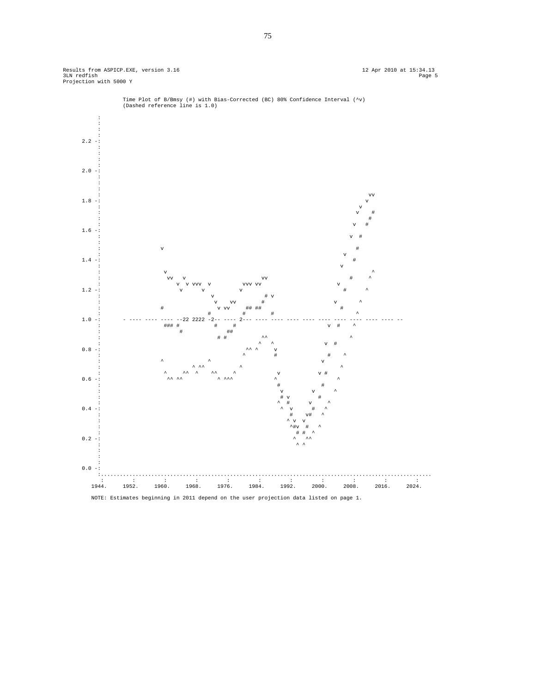Results from ASPICP.EXE, version 3.16 12 Apr 2010 at 15:34.13 Page 5 12 Apr 2010 at 15:34.13 Page 5<br>3LN redfish Page 5 Page 5 Page 5 Page 5 Page 8 Page 8 Page 8 Page 8 Page 8 Page 8 Page 8 Page 8 Page 8 Page 8



Time Plot of B/Bmsy (#) with Bias-Corrected (BC) 80% Confidence Interval (^v) (Dashed reference line is 1.0)